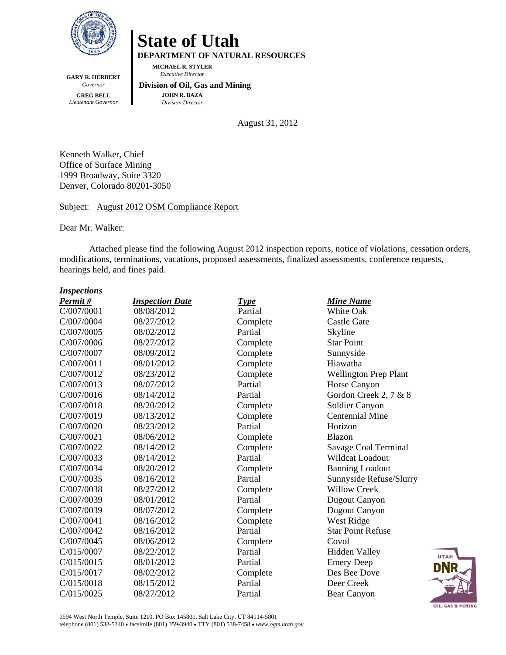

**DEPARTMENT OF NATURAL RESOURCES** 

**MICHAEL R. STYLER**   *Executive Director* 

**GARY R. HERBERT**  *Governor*  **GREG BELL**  *Lieutenant Governor* 

 **Division of Oil, Gas and Mining JOHN R. BAZA**  *Division Director*

August 31, 2012

Kenneth Walker, Chief Office of Surface Mining 1999 Broadway, Suite 3320 Denver, Colorado 80201-3050

Subject: August 2012 OSM Compliance Report

Dear Mr. Walker:

Attached please find the following August 2012 inspection reports, notice of violations, cessation orders, modifications, terminations, vacations, proposed assessments, finalized assessments, conference requests, hearings held, and fines paid.

#### *Inspections*

| Permit#    | <b>Inspection Date</b> | <b>Type</b> | <b>Mine Name</b>             |
|------------|------------------------|-------------|------------------------------|
| C/007/0001 | 08/08/2012             | Partial     | White Oak                    |
| C/007/0004 | 08/27/2012             | Complete    | <b>Castle Gate</b>           |
| C/007/0005 | 08/02/2012             | Partial     | Skyline                      |
| C/007/0006 | 08/27/2012             | Complete    | <b>Star Point</b>            |
| C/007/0007 | 08/09/2012             | Complete    | Sunnyside                    |
| C/007/0011 | 08/01/2012             | Complete    | Hiawatha                     |
| C/007/0012 | 08/23/2012             | Complete    | <b>Wellington Prep Plant</b> |
| C/007/0013 | 08/07/2012             | Partial     | Horse Canyon                 |
| C/007/0016 | 08/14/2012             | Partial     | Gordon Creek 2, 7 & 8        |
| C/007/0018 | 08/20/2012             | Complete    | Soldier Canyon               |
| C/007/0019 | 08/13/2012             | Complete    | <b>Centennial Mine</b>       |
| C/007/0020 | 08/23/2012             | Partial     | Horizon                      |
| C/007/0021 | 08/06/2012             | Complete    | Blazon                       |
| C/007/0022 | 08/14/2012             | Complete    | Savage Coal Terminal         |
| C/007/0033 | 08/14/2012             | Partial     | <b>Wildcat Loadout</b>       |
| C/007/0034 | 08/20/2012             | Complete    | <b>Banning Loadout</b>       |
| C/007/0035 | 08/16/2012             | Partial     | Sunnyside Refuse/Slurry      |
| C/007/0038 | 08/27/2012             | Complete    | <b>Willow Creek</b>          |
| C/007/0039 | 08/01/2012             | Partial     | <b>Dugout Canyon</b>         |
| C/007/0039 | 08/07/2012             | Complete    | Dugout Canyon                |
| C/007/0041 | 08/16/2012             | Complete    | West Ridge                   |
| C/007/0042 | 08/16/2012             | Partial     | <b>Star Point Refuse</b>     |
| C/007/0045 | 08/06/2012             | Complete    | Covol                        |
| C/015/0007 | 08/22/2012             | Partial     | <b>Hidden Valley</b>         |
| C/015/0015 | 08/01/2012             | Partial     | <b>Emery Deep</b>            |
| C/015/0017 | 08/02/2012             | Complete    | Des Bee Dove                 |
| C/015/0018 | 08/15/2012             | Partial     | Deer Creek                   |
| C/015/0025 | 08/27/2012             | Partial     | Bear Canyon                  |

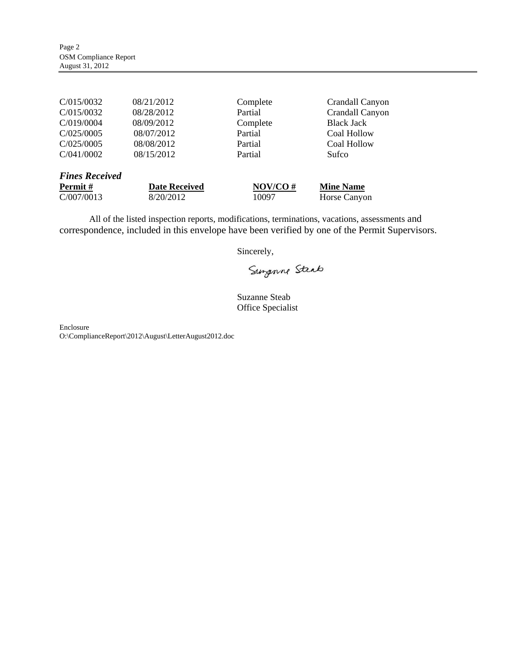| C/015/0032            | 08/21/2012 | Complete | Crandall Canyon   |
|-----------------------|------------|----------|-------------------|
| C/015/0032            | 08/28/2012 | Partial  | Crandall Canyon   |
| C/019/0004            | 08/09/2012 | Complete | <b>Black Jack</b> |
| C/025/0005            | 08/07/2012 | Partial  | Coal Hollow       |
| C/025/0005            | 08/08/2012 | Partial  | Coal Hollow       |
| C/041/0002            | 08/15/2012 | Partial  | Sufco             |
|                       |            |          |                   |
| <b>Fines Received</b> |            |          |                   |

| <b>Permit</b> # | <b>Date Received</b> | $NOV/CO \#$ | <b>Mine Name</b> |  |
|-----------------|----------------------|-------------|------------------|--|
| C/007/0013      | 8/20/2012            | 10097       | Horse Canyon     |  |

All of the listed inspection reports, modifications, terminations, vacations, assessments and correspondence, included in this envelope have been verified by one of the Permit Supervisors.

Sincerely,

Surponne Steab

Suzanne Steab Office Specialist

Enclosure O:\ComplianceReport\2012\August\LetterAugust2012.doc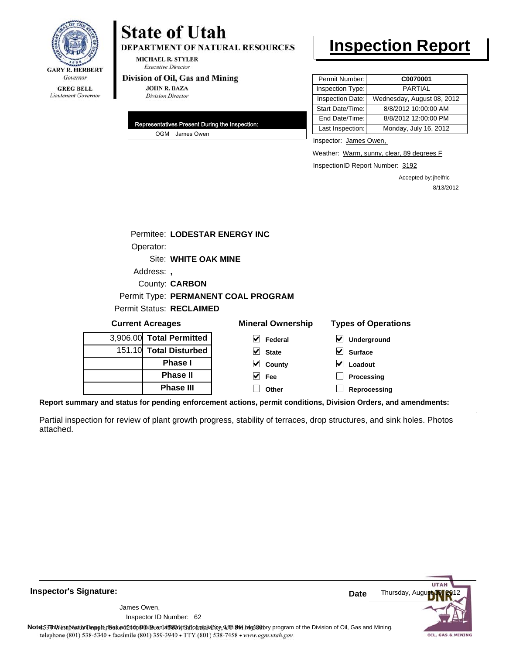

**DEPARTMENT OF NATURAL RESOURCES** 

**MICHAEL R. STYLER Executive Director** 

#### Division of Oil, Gas and Mining

**JOHN R. BAZA Division Director** 

| Representatives Present During the Inspection: |
|------------------------------------------------|
| OGM James Owen                                 |

### **Inspection Report**

| Permit Number:   | C0070001                   |
|------------------|----------------------------|
| Inspection Type: | <b>PARTIAL</b>             |
| Inspection Date: | Wednesday, August 08, 2012 |
| Start Date/Time: | 8/8/2012 10:00:00 AM       |
| End Date/Time:   | 8/8/2012 12:00:00 PM       |
| Last Inspection: | Monday, July 16, 2012      |

Inspector: James Owen,

Weather: Warm, sunny, clear, 89 degrees F

InspectionID Report Number: 3192

Accepted by: jhelfric 8/13/2012

**,**  Address: Site: WHITE OAK MINE Permitee: LODESTAR ENERGY INC County: **CARBON** Operator: Permit Status: RECLAIMED Permit Type: **PERMANENT COAL PROGRAM**

| <b>Current Acreages</b> |                          | <b>Mineral Ownership</b>                                                                    | <b>Types of Operations</b>                 |  |
|-------------------------|--------------------------|---------------------------------------------------------------------------------------------|--------------------------------------------|--|
|                         | 3,906.00 Total Permitted | $\vee$ Federal                                                                              | $\vert\bm{\mathsf{v}}\vert$<br>Underground |  |
|                         | 151.10 Total Disturbed   | $\triangleright$ State                                                                      | V<br><b>Surface</b>                        |  |
|                         | <b>Phase I</b>           | $\vee$ County                                                                               | Loadout                                    |  |
|                         | <b>Phase II</b>          | $\vee$ Fee                                                                                  | Processing                                 |  |
|                         | <b>Phase III</b>         | Other                                                                                       | Reprocessing                               |  |
|                         |                          | uand etatus far nonding enferoement ostione, nermit oenditione. Division Orders, and amondr |                                            |  |

**Report summary and status for pending enforcement actions, permit conditions, Division Orders, and amendments:**

Partial inspection for review of plant growth progress, stability of terraces, drop structures, and sink holes. Photos attached.



**Inspector's Signature:**

62 Inspector ID Number:James Owen,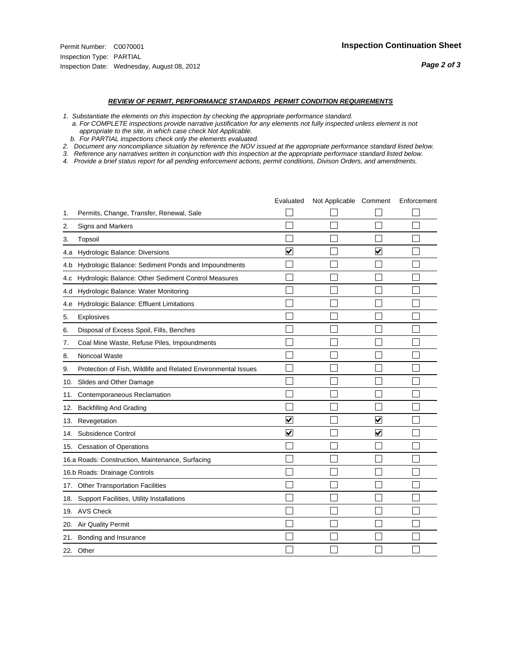- *1. Substantiate the elements on this inspection by checking the appropriate performance standard.*
- *a. For COMPLETE inspections provide narrative justification for any elements not fully inspected unless element is not appropriate to the site, in which case check Not Applicable.*
- *b. For PARTIAL inspections check only the elements evaluated.*
- *2. Document any noncompliance situation by reference the NOV issued at the appropriate performance standard listed below.*
- *3. Reference any narratives written in conjunction with this inspection at the appropriate performace standard listed below.*
- *4. Provide a brief status report for all pending enforcement actions, permit conditions, Divison Orders, and amendments.*

|     |                                                               | Evaluated               | Not Applicable Comment |                         | Enforcement |
|-----|---------------------------------------------------------------|-------------------------|------------------------|-------------------------|-------------|
| 1.  | Permits, Change, Transfer, Renewal, Sale                      |                         |                        |                         |             |
| 2.  | Signs and Markers                                             |                         |                        |                         |             |
| 3.  | Topsoil                                                       |                         |                        |                         |             |
| 4.a | Hydrologic Balance: Diversions                                | V                       |                        | V                       |             |
| 4.b | Hydrologic Balance: Sediment Ponds and Impoundments           |                         |                        |                         |             |
| 4.c | Hydrologic Balance: Other Sediment Control Measures           |                         |                        |                         |             |
| 4.d | Hydrologic Balance: Water Monitoring                          |                         |                        |                         |             |
| 4.e | Hydrologic Balance: Effluent Limitations                      |                         |                        |                         |             |
| 5.  | <b>Explosives</b>                                             |                         |                        |                         |             |
| 6.  | Disposal of Excess Spoil, Fills, Benches                      |                         |                        |                         |             |
| 7.  | Coal Mine Waste, Refuse Piles, Impoundments                   |                         |                        |                         |             |
| 8.  | Noncoal Waste                                                 |                         |                        |                         |             |
| 9.  | Protection of Fish, Wildlife and Related Environmental Issues |                         |                        |                         |             |
|     | 10. Slides and Other Damage                                   |                         |                        |                         |             |
| 11. | Contemporaneous Reclamation                                   |                         |                        |                         |             |
| 12. | <b>Backfilling And Grading</b>                                |                         |                        |                         |             |
| 13. | Revegetation                                                  | $\overline{\mathbf{v}}$ |                        | $\overline{\mathbf{v}}$ |             |
| 14. | Subsidence Control                                            | $\overline{\mathbf{v}}$ |                        | $\overline{\mathbf{v}}$ |             |
|     | 15. Cessation of Operations                                   |                         |                        |                         |             |
|     | 16.a Roads: Construction, Maintenance, Surfacing              |                         |                        |                         |             |
|     | 16.b Roads: Drainage Controls                                 |                         |                        |                         |             |
|     | 17. Other Transportation Facilities                           |                         |                        |                         |             |
| 18. | Support Facilities, Utility Installations                     |                         |                        |                         |             |
|     | 19. AVS Check                                                 |                         |                        |                         |             |
| 20. | <b>Air Quality Permit</b>                                     |                         |                        |                         |             |
| 21. | Bonding and Insurance                                         |                         |                        |                         |             |
|     | 22. Other                                                     |                         |                        |                         |             |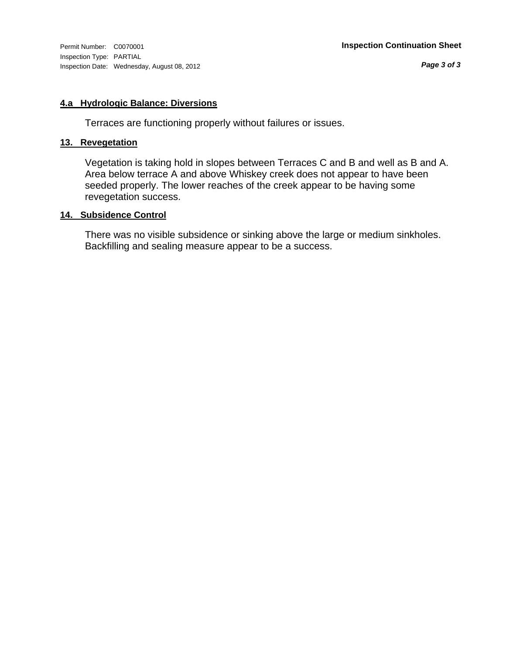#### **4.a Hydrologic Balance: Diversions**

Terraces are functioning properly without failures or issues.

#### **13. Revegetation**

Vegetation is taking hold in slopes between Terraces C and B and well as B and A. Area below terrace A and above Whiskey creek does not appear to have been seeded properly. The lower reaches of the creek appear to be having some revegetation success.

#### **14. Subsidence Control**

There was no visible subsidence or sinking above the large or medium sinkholes. Backfilling and sealing measure appear to be a success.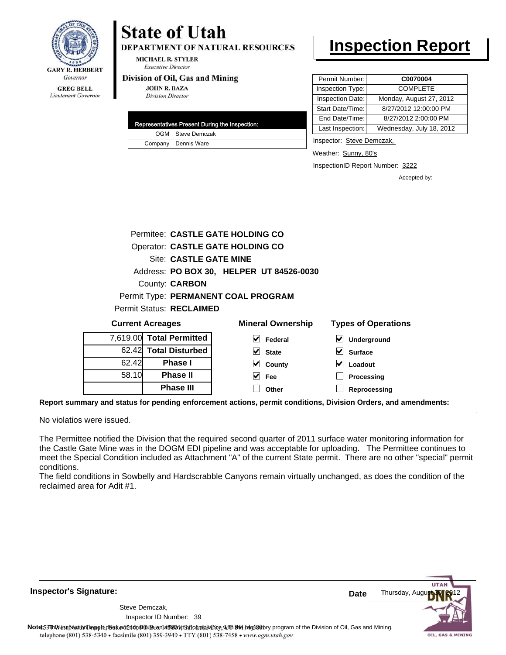

**DEPARTMENT OF NATURAL RESOURCES** 

**MICHAEL R. STYLER Executive Director** 

#### Division of Oil, Gas and Mining

**JOHN R. BAZA Division Director** 

| Representatives Present During the Inspection: |
|------------------------------------------------|
| OGM Steve Demczak                              |
| Company Dennis Ware                            |

### **Inspection Report**

| Permit Number:   | C0070004                 |
|------------------|--------------------------|
| Inspection Type: | <b>COMPLETE</b>          |
| Inspection Date: | Monday, August 27, 2012  |
| Start Date/Time: | 8/27/2012 12:00:00 PM    |
| End Date/Time:   | 8/27/2012 2:00:00 PM     |
| Last Inspection: | Wednesday, July 18, 2012 |

Inspector: Steve Demczak,

Weather: Sunny, 80's

InspectionID Report Number: 3222

**Processing Reprocessing** Accepted by:

|       | Permitee: CASTLE GATE HOLDING CO |                                          |                            |  |  |
|-------|----------------------------------|------------------------------------------|----------------------------|--|--|
|       |                                  | <b>Operator: CASTLE GATE HOLDING CO</b>  |                            |  |  |
|       | Site: CASTLE GATE MINE           |                                          |                            |  |  |
|       |                                  | Address: PO BOX 30, HELPER UT 84526-0030 |                            |  |  |
|       | <b>County: CARBON</b>            |                                          |                            |  |  |
|       |                                  | Permit Type: PERMANENT COAL PROGRAM      |                            |  |  |
|       | <b>Permit Status: RECLAIMED</b>  |                                          |                            |  |  |
|       | <b>Current Acreages</b>          | <b>Mineral Ownership</b>                 | <b>Types of Operations</b> |  |  |
|       | 7,619.00 Total Permitted         | V<br>Federal                             | Underground                |  |  |
|       | 62.42 Total Disturbed            | M<br><b>State</b>                        | <b>Surface</b>             |  |  |
| 62.42 | <b>Phase I</b>                   | County                                   | Loadout                    |  |  |

**Fee Other**

**Report summary and status for pending enforcement actions, permit conditions, Division Orders, and amendments:**

No violatios were issued.

58.10

**Phase II Phase III**

The Permittee notified the Division that the required second quarter of 2011 surface water monitoring information for the Castle Gate Mine was in the DOGM EDI pipeline and was acceptable for uploading. The Permittee continues to meet the Special Condition included as Attachment "A" of the current State permit. There are no other "special" permit conditions.

The field conditions in Sowbelly and Hardscrabble Canyons remain virtually unchanged, as does the condition of the reclaimed area for Adit #1.

**Inspector's Signature:**

Inspector ID Number: 39 Steve Demczak,

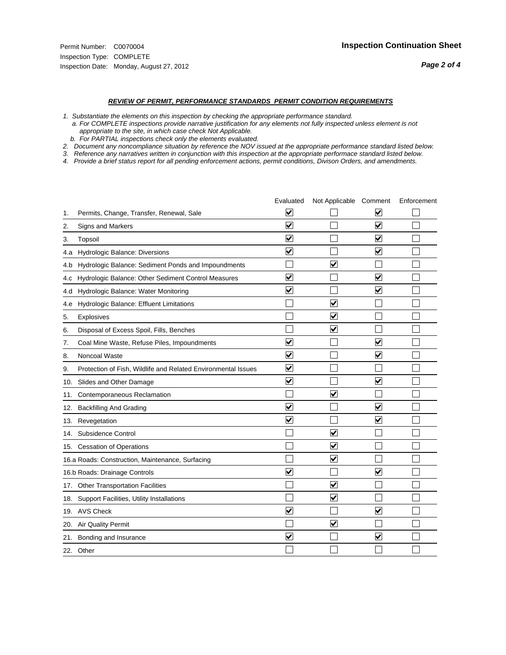- *1. Substantiate the elements on this inspection by checking the appropriate performance standard.*
- *a. For COMPLETE inspections provide narrative justification for any elements not fully inspected unless element is not appropriate to the site, in which case check Not Applicable.*
- *b. For PARTIAL inspections check only the elements evaluated.*
- *2. Document any noncompliance situation by reference the NOV issued at the appropriate performance standard listed below.*
- *3. Reference any narratives written in conjunction with this inspection at the appropriate performace standard listed below.*
- *4. Provide a brief status report for all pending enforcement actions, permit conditions, Divison Orders, and amendments.*

|     |                                                               | Evaluated               | Not Applicable Comment          |                         | Enforcement |
|-----|---------------------------------------------------------------|-------------------------|---------------------------------|-------------------------|-------------|
| 1.  | Permits, Change, Transfer, Renewal, Sale                      | $\overline{\mathsf{v}}$ |                                 | V                       |             |
| 2.  | Signs and Markers                                             | $\overline{\mathbf{v}}$ |                                 | $\blacktriangledown$    |             |
| 3.  | Topsoil                                                       | $\overline{\mathbf{v}}$ |                                 | $\overline{\mathbf{v}}$ |             |
| 4.a | Hydrologic Balance: Diversions                                | $\blacktriangledown$    |                                 | $\blacktriangledown$    |             |
| 4.b | Hydrologic Balance: Sediment Ponds and Impoundments           |                         | V                               |                         |             |
| 4.c | Hydrologic Balance: Other Sediment Control Measures           | $\overline{\mathbf{v}}$ |                                 | $\blacktriangledown$    |             |
| 4.d | Hydrologic Balance: Water Monitoring                          | $\overline{\mathbf{v}}$ |                                 | $\blacktriangledown$    |             |
| 4.e | Hydrologic Balance: Effluent Limitations                      |                         | $\overline{\mathbf{v}}$         |                         |             |
| 5.  | <b>Explosives</b>                                             |                         | $\overline{\mathsf{v}}$         |                         |             |
| 6.  | Disposal of Excess Spoil, Fills, Benches                      |                         | $\bm{\mathsf{v}}$               |                         |             |
| 7.  | Coal Mine Waste, Refuse Piles, Impoundments                   | $\blacktriangledown$    |                                 | $\overline{\mathbf{v}}$ |             |
| 8.  | Noncoal Waste                                                 | $\overline{\mathbf{v}}$ |                                 | V                       |             |
| 9.  | Protection of Fish, Wildlife and Related Environmental Issues | $\overline{\mathbf{v}}$ |                                 |                         |             |
| 10. | Slides and Other Damage                                       | $\overline{\mathbf{v}}$ |                                 | $\blacktriangledown$    |             |
| 11. | Contemporaneous Reclamation                                   |                         | $\blacktriangledown$            |                         |             |
| 12. | <b>Backfilling And Grading</b>                                | $\blacktriangledown$    |                                 | $\blacktriangledown$    |             |
| 13. | Revegetation                                                  | $\overline{\mathbf{v}}$ |                                 | $\overline{\mathbf{v}}$ |             |
| 14. | Subsidence Control                                            |                         | $\overline{\mathbf{v}}$         |                         |             |
|     | 15. Cessation of Operations                                   |                         | $\overline{\mathbf{v}}$         |                         |             |
|     | 16.a Roads: Construction, Maintenance, Surfacing              |                         | $\blacktriangledown$            |                         |             |
|     | 16.b Roads: Drainage Controls                                 | $\blacktriangledown$    |                                 | $\blacktriangledown$    |             |
| 17. | <b>Other Transportation Facilities</b>                        |                         | $\blacktriangledown$            |                         |             |
| 18. | Support Facilities, Utility Installations                     |                         | $\overline{\blacktriangledown}$ |                         |             |
|     | 19. AVS Check                                                 | $\overline{\mathbf{v}}$ |                                 | $\blacktriangledown$    |             |
| 20. | <b>Air Quality Permit</b>                                     |                         | $\overline{\mathsf{v}}$         |                         |             |
|     | 21. Bonding and Insurance                                     | $\overline{\mathbf{v}}$ |                                 | $\blacktriangledown$    |             |
|     | 22. Other                                                     |                         |                                 |                         |             |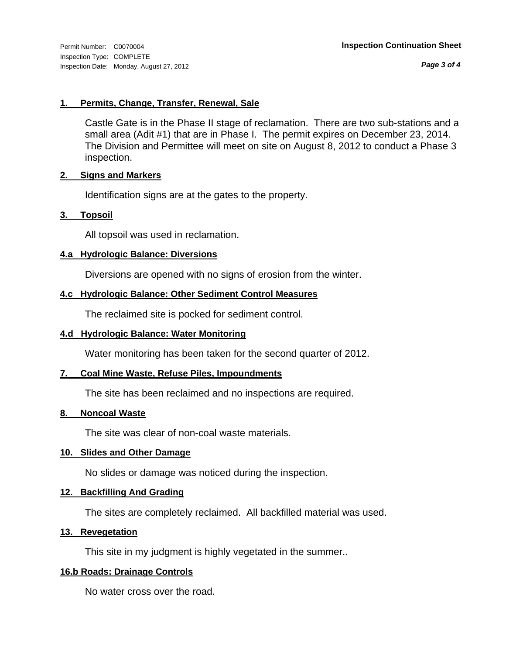*Page 3 of 4*

#### **1. Permits, Change, Transfer, Renewal, Sale**

Castle Gate is in the Phase II stage of reclamation. There are two sub-stations and a small area (Adit #1) that are in Phase I. The permit expires on December 23, 2014. The Division and Permittee will meet on site on August 8, 2012 to conduct a Phase 3 inspection.

#### **2. Signs and Markers**

Identification signs are at the gates to the property.

#### **3. Topsoil**

All topsoil was used in reclamation.

#### **4.a Hydrologic Balance: Diversions**

Diversions are opened with no signs of erosion from the winter.

#### **4.c Hydrologic Balance: Other Sediment Control Measures**

The reclaimed site is pocked for sediment control.

#### **4.d Hydrologic Balance: Water Monitoring**

Water monitoring has been taken for the second quarter of 2012.

#### **7. Coal Mine Waste, Refuse Piles, Impoundments**

The site has been reclaimed and no inspections are required.

#### **8. Noncoal Waste**

The site was clear of non-coal waste materials.

#### **10. Slides and Other Damage**

No slides or damage was noticed during the inspection.

#### **12. Backfilling And Grading**

The sites are completely reclaimed. All backfilled material was used.

#### **13. Revegetation**

This site in my judgment is highly vegetated in the summer..

#### **16.b Roads: Drainage Controls**

No water cross over the road.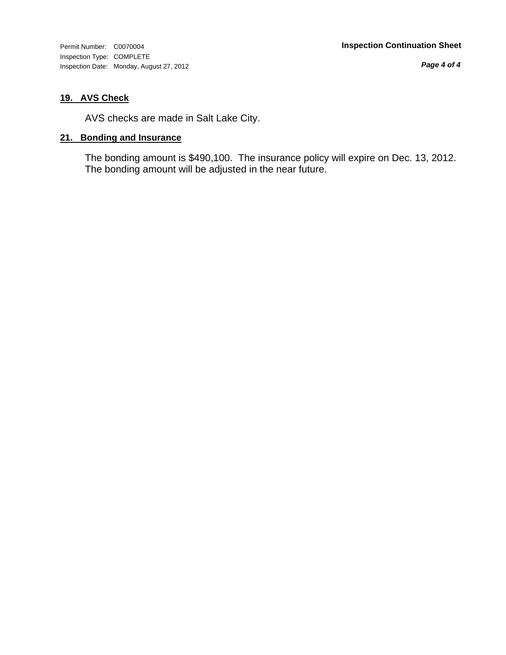Inspection Type: COMPLETE Inspection Date: Monday, August 27, 2012

*Page 4 of 4*

#### **19. AVS Check**

AVS checks are made in Salt Lake City.

#### **21. Bonding and Insurance**

The bonding amount is \$490,100. The insurance policy will expire on Dec. 13, 2012. The bonding amount will be adjusted in the near future.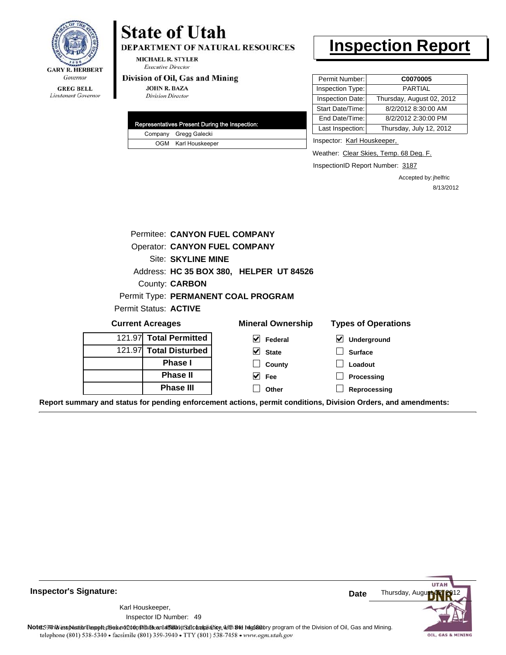

### Lieutenant Governor

## **State of Utah**

DEPARTMENT OF NATURAL RESOURCES

**MICHAEL R. STYLER Executive Director** 

#### Division of Oil, Gas and Mining

**JOHN R. BAZA Division Director** 

|  | Representatives Present During the Inspection: |
|--|------------------------------------------------|
|  | Company Gregg Galecki                          |
|  | OGM Karl Houskeeper                            |

### **Inspection Report**

| Permit Number:   | C0070005                  |
|------------------|---------------------------|
| Inspection Type: | <b>PARTIAL</b>            |
| Inspection Date: | Thursday, August 02, 2012 |
| Start Date/Time: | 8/2/2012 8:30:00 AM       |
| End Date/Time:   | 8/2/2012 2:30:00 PM       |
| Last Inspection: | Thursday, July 12, 2012   |

Inspector: Karl Houskeeper,

Weather: Clear Skies, Temp. 68 Deg. F.

InspectionID Report Number: 3187

Accepted by: jhelfric 8/13/2012

|                                                                                                                | Permitee: CANYON FUEL COMPANY           |                          |                            |
|----------------------------------------------------------------------------------------------------------------|-----------------------------------------|--------------------------|----------------------------|
|                                                                                                                | <b>Operator: CANYON FUEL COMPANY</b>    |                          |                            |
|                                                                                                                | <b>Site: SKYLINE MINE</b>               |                          |                            |
|                                                                                                                | Address: HC 35 BOX 380, HELPER UT 84526 |                          |                            |
|                                                                                                                | County: <b>CARBON</b>                   |                          |                            |
|                                                                                                                | Permit Type: PERMANENT COAL PROGRAM     |                          |                            |
| Permit Status: ACTIVE                                                                                          |                                         |                          |                            |
| <b>Current Acreages</b>                                                                                        |                                         | <b>Mineral Ownership</b> | <b>Types of Operations</b> |
| 121.97 Total Permitted                                                                                         |                                         | $\sqrt{}$ Federal        | ⊻<br>Underground           |
| 121.97 Total Disturbed                                                                                         |                                         | $\vee$ State             | <b>Surface</b>             |
|                                                                                                                | <b>Phase I</b>                          | County                   | Loadout                    |
|                                                                                                                | <b>Phase II</b>                         | $\overline{\vee}$ Fee    | Processing                 |
|                                                                                                                | <b>Phase III</b>                        | Other                    | Reprocessing               |
| Report summary and status for pending enforcement actions, permit conditions, Division Orders, and amendments: |                                         |                          |                            |

**UTAI** Thursday, Augu **Date** Karl Houskeeper, 49 Inspector ID Number:Note: 59 This inspection report does not do an affidavit Suite and Affidavit Constitute and Division of Coli, Gas and Mining.<br>telephone (801) 538-5340 • facsimile (801) 359-3940 • TTY (801) 538-7458 • www.ogm.utah.gov OIL, GAS & MINING

**Inspector's Signature:**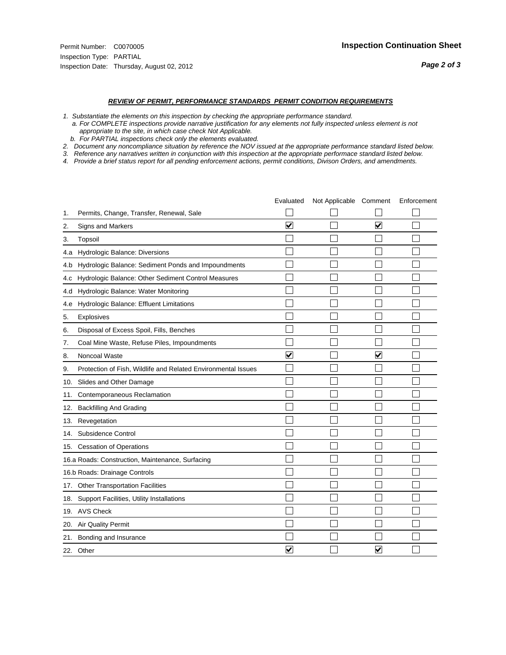- *1. Substantiate the elements on this inspection by checking the appropriate performance standard.*
- *a. For COMPLETE inspections provide narrative justification for any elements not fully inspected unless element is not appropriate to the site, in which case check Not Applicable.*
- *b. For PARTIAL inspections check only the elements evaluated.*
- *2. Document any noncompliance situation by reference the NOV issued at the appropriate performance standard listed below.*
- *3. Reference any narratives written in conjunction with this inspection at the appropriate performace standard listed below.*
- *4. Provide a brief status report for all pending enforcement actions, permit conditions, Divison Orders, and amendments.*

|     |                                                               | Evaluated               | Not Applicable Comment |                         | Enforcement |
|-----|---------------------------------------------------------------|-------------------------|------------------------|-------------------------|-------------|
| 1.  | Permits, Change, Transfer, Renewal, Sale                      |                         |                        |                         |             |
| 2.  | <b>Signs and Markers</b>                                      | $\overline{\mathbf{v}}$ |                        | $\overline{\mathbf{v}}$ |             |
| 3.  | Topsoil                                                       |                         |                        |                         |             |
| 4.a | Hydrologic Balance: Diversions                                |                         |                        |                         |             |
| 4.b | Hydrologic Balance: Sediment Ponds and Impoundments           |                         |                        |                         |             |
| 4.c | Hydrologic Balance: Other Sediment Control Measures           |                         |                        |                         |             |
| 4.d | Hydrologic Balance: Water Monitoring                          |                         |                        |                         |             |
| 4.e | Hydrologic Balance: Effluent Limitations                      |                         |                        |                         |             |
| 5.  | <b>Explosives</b>                                             |                         |                        |                         |             |
| 6.  | Disposal of Excess Spoil, Fills, Benches                      |                         |                        |                         |             |
| 7.  | Coal Mine Waste, Refuse Piles, Impoundments                   |                         |                        |                         |             |
| 8.  | Noncoal Waste                                                 | $\overline{\mathbf{v}}$ |                        | $\overline{\mathsf{v}}$ |             |
| 9.  | Protection of Fish, Wildlife and Related Environmental Issues |                         |                        |                         |             |
|     | 10. Slides and Other Damage                                   |                         |                        |                         |             |
| 11. | Contemporaneous Reclamation                                   |                         |                        |                         |             |
| 12. | <b>Backfilling And Grading</b>                                |                         |                        |                         |             |
| 13. | Revegetation                                                  |                         |                        |                         |             |
| 14. | Subsidence Control                                            |                         |                        |                         |             |
|     | 15. Cessation of Operations                                   |                         |                        |                         |             |
|     | 16.a Roads: Construction, Maintenance, Surfacing              |                         |                        |                         |             |
|     | 16.b Roads: Drainage Controls                                 |                         |                        |                         |             |
|     | 17. Other Transportation Facilities                           |                         |                        |                         |             |
| 18. | Support Facilities, Utility Installations                     |                         |                        |                         |             |
|     | 19. AVS Check                                                 |                         |                        |                         |             |
| 20. | Air Quality Permit                                            |                         |                        |                         |             |
| 21. | Bonding and Insurance                                         |                         |                        |                         |             |
|     | 22. Other                                                     | $\overline{\mathbf{v}}$ |                        | $\overline{\mathbf{v}}$ |             |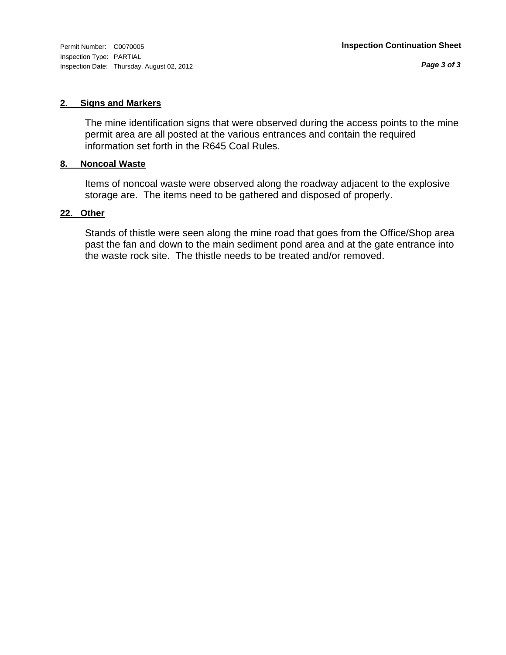Inspection Type: PARTIAL Inspection Date: Thursday, August 02, 2012

*Page 3 of 3*

#### **2. Signs and Markers**

The mine identification signs that were observed during the access points to the mine permit area are all posted at the various entrances and contain the required information set forth in the R645 Coal Rules.

#### **8. Noncoal Waste**

Items of noncoal waste were observed along the roadway adjacent to the explosive storage are. The items need to be gathered and disposed of properly.

#### **22. Other**

Stands of thistle were seen along the mine road that goes from the Office/Shop area past the fan and down to the main sediment pond area and at the gate entrance into the waste rock site. The thistle needs to be treated and/or removed.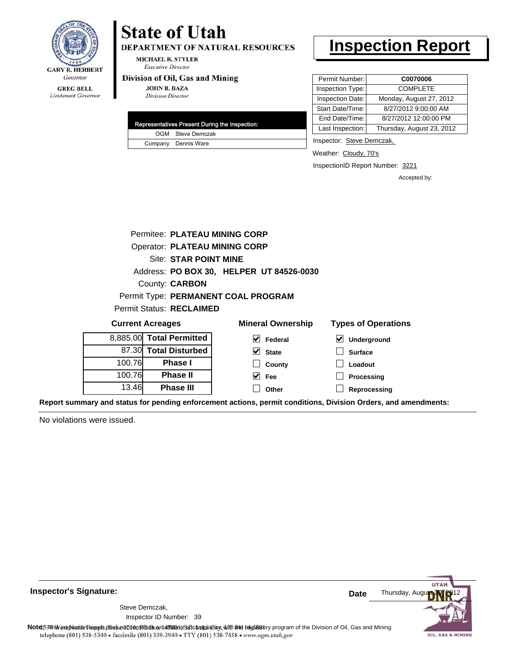

DEPARTMENT OF NATURAL RESOURCES

**MICHAEL R. STYLER Executive Director** 

#### Division of Oil, Gas and Mining

**JOHN R. BAZA Division Director** 

|  | Representatives Present During the Inspection: |
|--|------------------------------------------------|
|  | OGM Steve Demczak                              |
|  | Company Dennis Ware                            |

### **Inspection Report**

| Permit Number:   | C0070006                  |
|------------------|---------------------------|
| Inspection Type: | <b>COMPLETE</b>           |
| Inspection Date: | Monday, August 27, 2012   |
| Start Date/Time: | 8/27/2012 9:00:00 AM      |
| End Date/Time:   | 8/27/2012 12:00:00 PM     |
| Last Inspection: | Thursday, August 23, 2012 |

Inspector: Steve Demczak,

Weather: Cloudy, 70's

InspectionID Report Number: 3221

**Reprocessing**

Accepted by:

|                                    | Permitee: PLATEAU MINING CORP        |                                          |                            |  |  |  |  |
|------------------------------------|--------------------------------------|------------------------------------------|----------------------------|--|--|--|--|
|                                    | <b>Operator: PLATEAU MINING CORP</b> |                                          |                            |  |  |  |  |
|                                    | <b>Site: STAR POINT MINE</b>         |                                          |                            |  |  |  |  |
|                                    |                                      | Address: PO BOX 30, HELPER UT 84526-0030 |                            |  |  |  |  |
|                                    | County: <b>CARBON</b>                |                                          |                            |  |  |  |  |
|                                    |                                      | Permit Type: PERMANENT COAL PROGRAM      |                            |  |  |  |  |
|                                    | Permit Status: RECLAIMED             |                                          |                            |  |  |  |  |
|                                    | <b>Current Acreages</b>              | <b>Mineral Ownership</b>                 | <b>Types of Operations</b> |  |  |  |  |
| 8.885.00                           | <b>Total Permitted</b>               | M<br>Federal                             | <b>Underground</b>         |  |  |  |  |
| 87.30                              | <b>Total Disturbed</b>               | V<br><b>State</b>                        | <b>Surface</b>             |  |  |  |  |
| 100.76<br><b>Phase I</b><br>County |                                      |                                          | Loadout                    |  |  |  |  |
| 100.76                             | <b>Phase II</b>                      | Fee                                      | Processing                 |  |  |  |  |

**Other**

**Report summary and status for pending enforcement actions, permit conditions, Division Orders, and amendments:**

No violations were issued.

13.46

**Phase III**



**Inspector's Signature:**

Inspector ID Number: 39 Steve Demczak,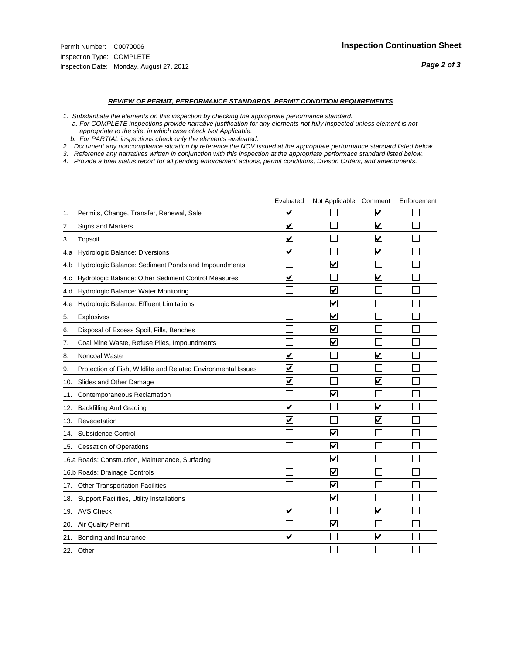- *1. Substantiate the elements on this inspection by checking the appropriate performance standard.*
- *a. For COMPLETE inspections provide narrative justification for any elements not fully inspected unless element is not appropriate to the site, in which case check Not Applicable.*
- *b. For PARTIAL inspections check only the elements evaluated.*
- *2. Document any noncompliance situation by reference the NOV issued at the appropriate performance standard listed below.*
- *3. Reference any narratives written in conjunction with this inspection at the appropriate performace standard listed below.*
- *4. Provide a brief status report for all pending enforcement actions, permit conditions, Divison Orders, and amendments.*

|     |                                                               | Evaluated               | Not Applicable Comment          |                         | Enforcement |
|-----|---------------------------------------------------------------|-------------------------|---------------------------------|-------------------------|-------------|
| 1.  | Permits, Change, Transfer, Renewal, Sale                      | $\overline{\mathbf{v}}$ |                                 | V                       |             |
| 2.  | <b>Signs and Markers</b>                                      | $\overline{\mathbf{v}}$ |                                 | $\blacktriangledown$    |             |
| 3.  | Topsoil                                                       | $\overline{\mathbf{v}}$ |                                 | $\overline{\mathsf{v}}$ |             |
| 4.a | Hydrologic Balance: Diversions                                | $\blacktriangledown$    |                                 | $\blacktriangledown$    |             |
| 4.b | Hydrologic Balance: Sediment Ponds and Impoundments           |                         | ⊽                               |                         |             |
| 4.c | Hydrologic Balance: Other Sediment Control Measures           | $\overline{\mathbf{v}}$ |                                 | $\blacktriangledown$    |             |
| 4.d | Hydrologic Balance: Water Monitoring                          |                         | $\overline{\mathbf{v}}$         |                         |             |
| 4.e | Hydrologic Balance: Effluent Limitations                      |                         | $\overline{\blacktriangledown}$ |                         |             |
| 5.  | <b>Explosives</b>                                             |                         | $\blacktriangledown$            |                         |             |
| 6.  | Disposal of Excess Spoil, Fills, Benches                      |                         | $\overline{\mathbf{v}}$         |                         |             |
| 7.  | Coal Mine Waste, Refuse Piles, Impoundments                   |                         | $\blacktriangledown$            |                         |             |
| 8.  | Noncoal Waste                                                 | $\overline{\mathbf{v}}$ |                                 | $\overline{\mathbf{v}}$ |             |
| 9.  | Protection of Fish, Wildlife and Related Environmental Issues | $\overline{\mathbf{v}}$ |                                 |                         |             |
|     | 10. Slides and Other Damage                                   | $\overline{\mathbf{v}}$ |                                 | $\blacktriangledown$    |             |
| 11. | Contemporaneous Reclamation                                   |                         | $\blacktriangledown$            |                         |             |
| 12. | <b>Backfilling And Grading</b>                                | $\blacktriangledown$    |                                 | $\blacktriangledown$    |             |
| 13. | Revegetation                                                  | $\overline{\mathbf{v}}$ |                                 | $\overline{\mathbf{v}}$ |             |
| 14. | Subsidence Control                                            |                         | $\overline{\mathbf{v}}$         |                         |             |
|     | 15. Cessation of Operations                                   |                         | $\blacktriangledown$            |                         |             |
|     | 16.a Roads: Construction, Maintenance, Surfacing              |                         | $\overline{\mathsf{v}}$         |                         |             |
|     | 16.b Roads: Drainage Controls                                 |                         | $\blacktriangledown$            |                         |             |
|     | 17. Other Transportation Facilities                           |                         | $\overline{\blacktriangledown}$ |                         |             |
| 18. | Support Facilities, Utility Installations                     |                         | $\overline{\blacktriangledown}$ |                         |             |
|     | 19. AVS Check                                                 | $\overline{\mathbf{v}}$ |                                 | $\blacktriangledown$    |             |
| 20. | Air Quality Permit                                            |                         | $\overline{\mathsf{v}}$         |                         |             |
|     | 21. Bonding and Insurance                                     | $\overline{\mathbf{v}}$ |                                 | $\blacktriangledown$    |             |
|     | 22. Other                                                     |                         |                                 |                         |             |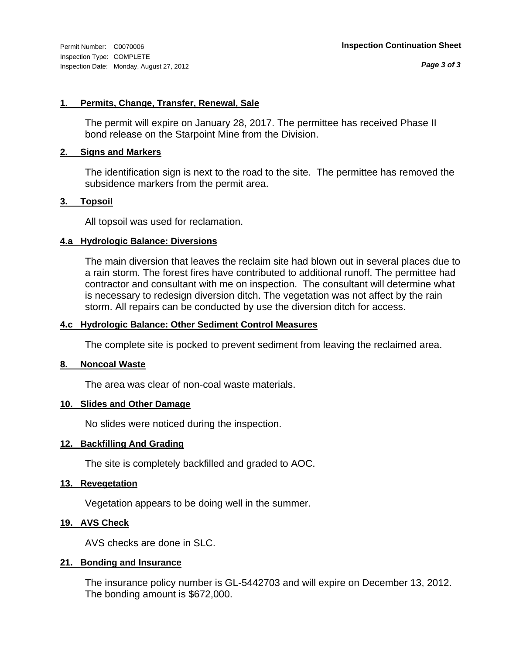#### **1. Permits, Change, Transfer, Renewal, Sale**

The permit will expire on January 28, 2017. The permittee has received Phase II bond release on the Starpoint Mine from the Division.

#### **2. Signs and Markers**

The identification sign is next to the road to the site. The permittee has removed the subsidence markers from the permit area.

#### **3. Topsoil**

All topsoil was used for reclamation.

#### **4.a Hydrologic Balance: Diversions**

The main diversion that leaves the reclaim site had blown out in several places due to a rain storm. The forest fires have contributed to additional runoff. The permittee had contractor and consultant with me on inspection. The consultant will determine what is necessary to redesign diversion ditch. The vegetation was not affect by the rain storm. All repairs can be conducted by use the diversion ditch for access.

#### **4.c Hydrologic Balance: Other Sediment Control Measures**

The complete site is pocked to prevent sediment from leaving the reclaimed area.

#### **8. Noncoal Waste**

The area was clear of non-coal waste materials.

#### **10. Slides and Other Damage**

No slides were noticed during the inspection.

#### **12. Backfilling And Grading**

The site is completely backfilled and graded to AOC.

#### **13. Revegetation**

Vegetation appears to be doing well in the summer.

#### **19. AVS Check**

AVS checks are done in SLC.

#### **21. Bonding and Insurance**

The insurance policy number is GL-5442703 and will expire on December 13, 2012. The bonding amount is \$672,000.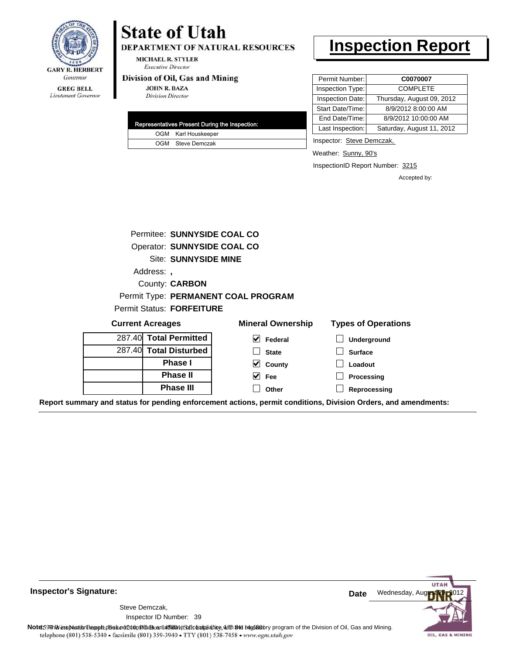

#### **GREG BELL** Lieutenant Governor

## **State of Utah**

DEPARTMENT OF NATURAL RESOURCES

**MICHAEL R. STYLER Executive Director** 

#### Division of Oil, Gas and Mining

**JOHN R. BAZA Division Director** 

| Representatives Present During the Inspection: |
|------------------------------------------------|
| OGM Karl Houskeeper                            |
| OGM Steve Demczak                              |

### **Inspection Report**

| Permit Number:   | C0070007                  |
|------------------|---------------------------|
| Inspection Type: | <b>COMPLETE</b>           |
| Inspection Date: | Thursday, August 09, 2012 |
| Start Date/Time: | 8/9/2012 8:00:00 AM       |
| End Date/Time:   | 8/9/2012 10:00:00 AM      |
| Last Inspection: | Saturday, August 11, 2012 |

Inspector: Steve Demczak,

Weather: Sunny, 90's

InspectionID Report Number: 3215

Accepted by:

|          | Permitee: SUNNYSIDE COAL CO         |
|----------|-------------------------------------|
|          | Operator: SUNNYSIDE COAL CO         |
|          | <b>Site: SUNNYSIDE MINE</b>         |
| Address: |                                     |
|          | County: <b>CARBON</b>               |
|          | Permit Type: PERMANENT COAL PROGRAM |
|          | <b>Permit Status: FORFEITURE</b>    |

| <b>Current Acreages</b> |                        | <b>Mineral Ownership</b> | <b>Types of Operations</b>                                                                                     |  |  |
|-------------------------|------------------------|--------------------------|----------------------------------------------------------------------------------------------------------------|--|--|
|                         | 287.40 Total Permitted | V<br>Federal             | Underground                                                                                                    |  |  |
|                         | 287.40 Total Disturbed | <b>State</b>             | <b>Surface</b>                                                                                                 |  |  |
|                         | <b>Phase I</b>         | $\vee$ County            | Loadout                                                                                                        |  |  |
|                         | <b>Phase II</b>        | $\vee$ Fee               | Processing                                                                                                     |  |  |
|                         | <b>Phase III</b>       | Other                    | Reprocessing                                                                                                   |  |  |
|                         |                        |                          | Report summary and status for pending enforcement actions, permit conditions, Division Orders, and amendments: |  |  |



**Inspector's Signature:**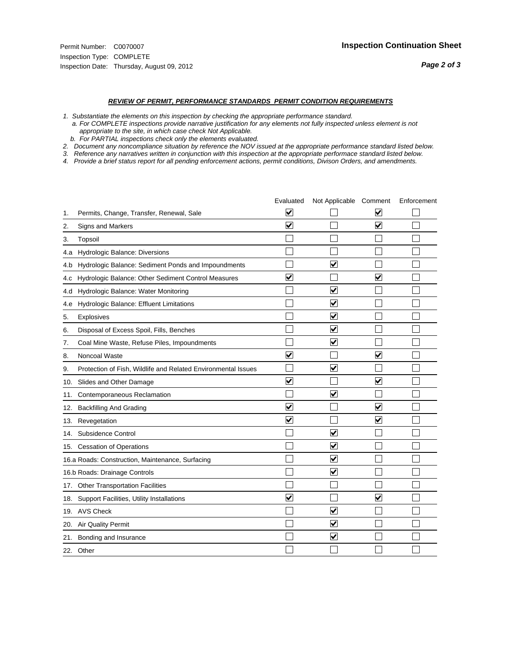- *1. Substantiate the elements on this inspection by checking the appropriate performance standard.*
- *a. For COMPLETE inspections provide narrative justification for any elements not fully inspected unless element is not appropriate to the site, in which case check Not Applicable.*
- *b. For PARTIAL inspections check only the elements evaluated.*
- *2. Document any noncompliance situation by reference the NOV issued at the appropriate performance standard listed below.*
- *3. Reference any narratives written in conjunction with this inspection at the appropriate performace standard listed below.*
- *4. Provide a brief status report for all pending enforcement actions, permit conditions, Divison Orders, and amendments.*

|     |                                                               | Evaluated               | Not Applicable Comment          |                         | Enforcement |
|-----|---------------------------------------------------------------|-------------------------|---------------------------------|-------------------------|-------------|
| 1.  | Permits, Change, Transfer, Renewal, Sale                      | $\overline{\mathbf{v}}$ |                                 | V                       |             |
| 2.  | Signs and Markers                                             | $\overline{\mathbf{v}}$ |                                 | ☑                       |             |
| 3.  | Topsoil                                                       |                         |                                 |                         |             |
| 4.a | Hydrologic Balance: Diversions                                |                         |                                 |                         |             |
| 4.b | Hydrologic Balance: Sediment Ponds and Impoundments           |                         | V                               |                         |             |
| 4.c | Hydrologic Balance: Other Sediment Control Measures           | $\overline{\mathbf{v}}$ |                                 | $\blacktriangledown$    |             |
| 4.d | Hydrologic Balance: Water Monitoring                          |                         | $\overline{\blacktriangledown}$ |                         |             |
| 4.e | Hydrologic Balance: Effluent Limitations                      |                         | $\blacktriangledown$            |                         |             |
| 5.  | <b>Explosives</b>                                             |                         | $\overline{\mathbf{v}}$         |                         |             |
| 6.  | Disposal of Excess Spoil, Fills, Benches                      |                         | $\bm{\mathsf{v}}$               |                         |             |
| 7.  | Coal Mine Waste, Refuse Piles, Impoundments                   |                         | $\blacktriangledown$            |                         |             |
| 8.  | Noncoal Waste                                                 | $\overline{\mathsf{v}}$ |                                 | V                       |             |
| 9.  | Protection of Fish, Wildlife and Related Environmental Issues |                         | $\blacktriangledown$            |                         |             |
| 10. | Slides and Other Damage                                       | $\overline{\mathbf{v}}$ |                                 | $\blacktriangledown$    |             |
| 11. | Contemporaneous Reclamation                                   |                         | $\blacktriangledown$            |                         |             |
| 12. | <b>Backfilling And Grading</b>                                | $\blacktriangledown$    |                                 | $\blacktriangledown$    |             |
| 13. | Revegetation                                                  | $\overline{\mathbf{v}}$ |                                 | $\overline{\mathbf{v}}$ |             |
| 14. | Subsidence Control                                            |                         | $\overline{\mathbf{v}}$         |                         |             |
|     | 15. Cessation of Operations                                   |                         | $\overline{\mathbf{v}}$         |                         |             |
|     | 16.a Roads: Construction, Maintenance, Surfacing              |                         | $\blacktriangledown$            |                         |             |
|     | 16.b Roads: Drainage Controls                                 |                         | $\blacktriangledown$            |                         |             |
| 17. | <b>Other Transportation Facilities</b>                        |                         |                                 |                         |             |
| 18. | Support Facilities, Utility Installations                     | $\overline{\mathbf{v}}$ |                                 | $\overline{\mathbf{v}}$ |             |
|     | 19. AVS Check                                                 |                         | $\blacktriangledown$            |                         |             |
| 20. | <b>Air Quality Permit</b>                                     |                         | $\blacktriangledown$            |                         |             |
|     | 21. Bonding and Insurance                                     |                         | $\overline{\mathbf{v}}$         |                         |             |
|     | 22. Other                                                     |                         |                                 |                         |             |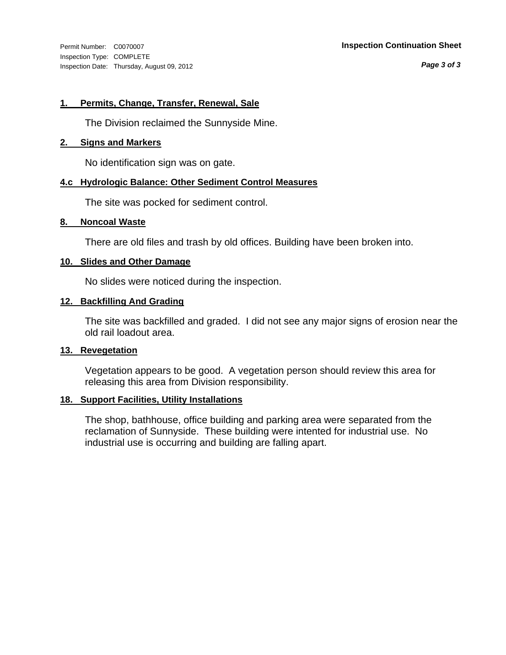Inspection Type: COMPLETE Inspection Date: Thursday, August 09, 2012

#### Permit Number: C0070007 **Inspection Continuation Sheet**

*Page 3 of 3*

#### **1. Permits, Change, Transfer, Renewal, Sale**

The Division reclaimed the Sunnyside Mine.

#### **2. Signs and Markers**

No identification sign was on gate.

#### **4.c Hydrologic Balance: Other Sediment Control Measures**

The site was pocked for sediment control.

#### **8. Noncoal Waste**

There are old files and trash by old offices. Building have been broken into.

#### **10. Slides and Other Damage**

No slides were noticed during the inspection.

#### **12. Backfilling And Grading**

The site was backfilled and graded. I did not see any major signs of erosion near the old rail loadout area.

#### **13. Revegetation**

Vegetation appears to be good. A vegetation person should review this area for releasing this area from Division responsibility.

#### **18. Support Facilities, Utility Installations**

The shop, bathhouse, office building and parking area were separated from the reclamation of Sunnyside. These building were intented for industrial use. No industrial use is occurring and building are falling apart.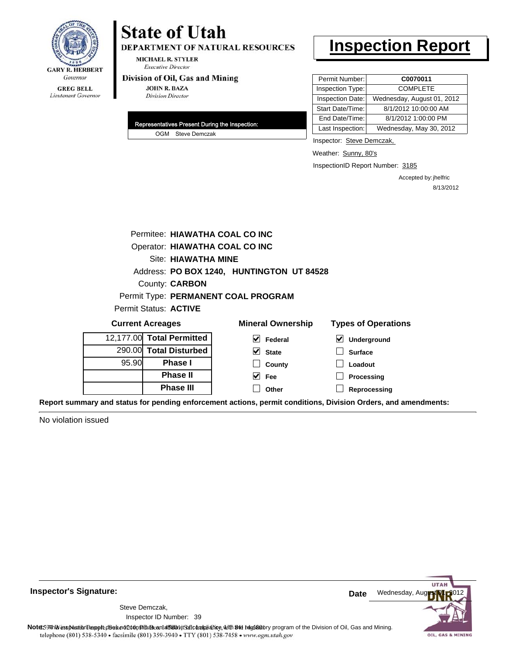

DEPARTMENT OF NATURAL RESOURCES

**MICHAEL R. STYLER Executive Director** 

#### Division of Oil, Gas and Mining

**JOHN R. BAZA Division Director** 

| Representatives Present During the Inspection: |                   |  |  |
|------------------------------------------------|-------------------|--|--|
|                                                | OGM Steve Demczak |  |  |

### **Inspection Report**

| Permit Number:   | C0070011                   |
|------------------|----------------------------|
| Inspection Type: | <b>COMPLETE</b>            |
| Inspection Date: | Wednesday, August 01, 2012 |
| Start Date/Time: | 8/1/2012 10:00:00 AM       |
| End Date/Time:   | 8/1/2012 1:00:00 PM        |
| Last Inspection: | Wednesday, May 30, 2012    |

Inspector: Steve Demczak,

Weather: Sunny, 80's

InspectionID Report Number: 3185

Accepted by: jhelfric 8/13/2012

|                                |  | Permitee: HIAWATHA COAL CO INC |                                           |                                                                                                                |
|--------------------------------|--|--------------------------------|-------------------------------------------|----------------------------------------------------------------------------------------------------------------|
| Operator: HIAWATHA COAL CO INC |  |                                |                                           |                                                                                                                |
| Site: HIAWATHA MINE            |  |                                |                                           |                                                                                                                |
|                                |  |                                | Address: PO BOX 1240, HUNTINGTON UT 84528 |                                                                                                                |
|                                |  | County: <b>CARBON</b>          |                                           |                                                                                                                |
|                                |  |                                | Permit Type: PERMANENT COAL PROGRAM       |                                                                                                                |
|                                |  | Permit Status: ACTIVE          |                                           |                                                                                                                |
|                                |  | <b>Current Acreages</b>        | <b>Mineral Ownership</b>                  | <b>Types of Operations</b>                                                                                     |
|                                |  | 12,177.00 Total Permitted      | V<br>Federal                              | ⊻<br>Underground                                                                                               |
|                                |  | 290.00 Total Disturbed         | $\vee$ State                              | <b>Surface</b>                                                                                                 |
| 95.90<br><b>Phase I</b>        |  | County                         | Loadout                                   |                                                                                                                |
|                                |  | <b>Phase II</b>                | $\vee$ Fee                                | Processing                                                                                                     |
|                                |  | <b>Phase III</b>               | Other                                     | Reprocessing                                                                                                   |
|                                |  |                                |                                           | Report summary and status for pending enforcement actions, permit conditions, Division Orders, and amendments: |

No violation issued



**Inspector's Signature:**

Inspector ID Number: 39 Steve Demczak,

Note: 59 This inspection report does not do an affidavit Suite and Affidavit Constitute and Division of Coli, Gas and Mining.<br>telephone (801) 538-5340 • facsimile (801) 359-3940 • TTY (801) 538-7458 • www.ogm.utah.gov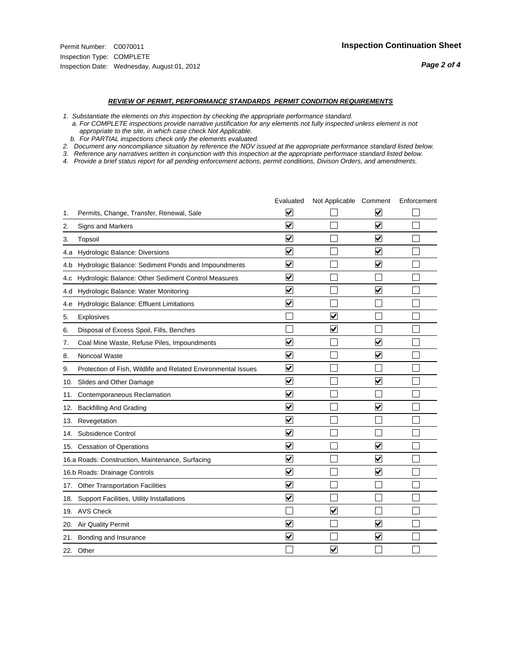#### *REVIEW OF PERMIT, PERFORMANCE STANDARDS PERMIT CONDITION REQUIREMENTS*

*1. Substantiate the elements on this inspection by checking the appropriate performance standard.*

 *a. For COMPLETE inspections provide narrative justification for any elements not fully inspected unless element is not appropriate to the site, in which case check Not Applicable.*

 *b. For PARTIAL inspections check only the elements evaluated.*

*2. Document any noncompliance situation by reference the NOV issued at the appropriate performance standard listed below.*

*3. Reference any narratives written in conjunction with this inspection at the appropriate performace standard listed below.*

*4. Provide a brief status report for all pending enforcement actions, permit conditions, Divison Orders, and amendments.*

|     |                                                               | Evaluated               | Not Applicable Comment  |                         | Enforcement |
|-----|---------------------------------------------------------------|-------------------------|-------------------------|-------------------------|-------------|
| 1.  | Permits, Change, Transfer, Renewal, Sale                      | $\overline{\mathbf{v}}$ |                         | V                       |             |
| 2.  | Signs and Markers                                             | $\overline{\mathbf{v}}$ |                         | $\blacktriangledown$    |             |
| 3.  | Topsoil                                                       | $\overline{\mathbf{v}}$ |                         | $\overline{\mathsf{v}}$ |             |
| 4.a | Hydrologic Balance: Diversions                                | $\overline{\mathbf{v}}$ |                         | $\blacktriangledown$    |             |
| 4.b | Hydrologic Balance: Sediment Ponds and Impoundments           | $\blacktriangledown$    |                         | ⊻                       |             |
| 4.C | Hydrologic Balance: Other Sediment Control Measures           | $\overline{\mathbf{v}}$ |                         |                         |             |
| 4.d | Hydrologic Balance: Water Monitoring                          | $\overline{\mathbf{v}}$ |                         | $\overline{\mathbf{v}}$ |             |
| 4.e | Hydrologic Balance: Effluent Limitations                      | $\overline{\mathbf{v}}$ |                         |                         |             |
| 5.  | <b>Explosives</b>                                             |                         | ⊽                       |                         |             |
| 6.  | Disposal of Excess Spoil, Fills, Benches                      |                         | $\blacktriangledown$    |                         |             |
| 7.  | Coal Mine Waste, Refuse Piles, Impoundments                   | $\overline{\mathbf{v}}$ |                         | $\overline{\mathbf{v}}$ |             |
| 8.  | Noncoal Waste                                                 | $\overline{\mathbf{v}}$ |                         | $\overline{\mathbf{v}}$ |             |
| 9.  | Protection of Fish, Wildlife and Related Environmental Issues | $\overline{\mathbf{v}}$ |                         |                         |             |
|     | 10. Slides and Other Damage                                   | $\overline{\mathbf{v}}$ |                         | ⊽                       |             |
| 11. | Contemporaneous Reclamation                                   | ⊽                       |                         |                         |             |
| 12. | <b>Backfilling And Grading</b>                                | $\overline{\mathbf{v}}$ |                         | $\blacktriangledown$    |             |
| 13. | Revegetation                                                  | $\overline{\mathbf{v}}$ |                         |                         |             |
| 14. | Subsidence Control                                            | $\overline{\mathbf{v}}$ |                         |                         |             |
|     | 15. Cessation of Operations                                   | $\overline{\mathbf{v}}$ |                         | $\blacktriangledown$    |             |
|     | 16.a Roads: Construction, Maintenance, Surfacing              | $\blacktriangledown$    |                         | $\blacktriangledown$    |             |
|     | 16.b Roads: Drainage Controls                                 | $\overline{\mathbf{v}}$ |                         | $\overline{\mathbf{v}}$ |             |
|     | 17. Other Transportation Facilities                           | $\overline{\mathbf{v}}$ |                         |                         |             |
| 18. | Support Facilities, Utility Installations                     | $\overline{\mathbf{v}}$ |                         |                         |             |
|     | 19. AVS Check                                                 |                         | $\blacktriangledown$    |                         |             |
| 20. | <b>Air Quality Permit</b>                                     | $\checkmark$            |                         | $\blacktriangledown$    |             |
| 21. | Bonding and Insurance                                         | $\overline{\mathbf{v}}$ |                         | $\blacktriangledown$    |             |
|     | 22. Other                                                     |                         | $\overline{\mathbf{v}}$ |                         |             |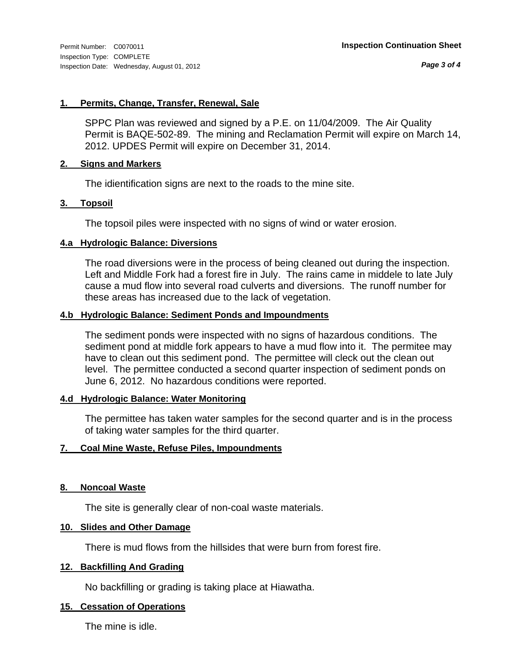*Page 3 of 4*

#### **1. Permits, Change, Transfer, Renewal, Sale**

SPPC Plan was reviewed and signed by a P.E. on 11/04/2009. The Air Quality Permit is BAQE-502-89. The mining and Reclamation Permit will expire on March 14, 2012. UPDES Permit will expire on December 31, 2014.

#### **2. Signs and Markers**

The idientification signs are next to the roads to the mine site.

#### **3. Topsoil**

The topsoil piles were inspected with no signs of wind or water erosion.

#### **4.a Hydrologic Balance: Diversions**

The road diversions were in the process of being cleaned out during the inspection. Left and Middle Fork had a forest fire in July. The rains came in middele to late July cause a mud flow into several road culverts and diversions. The runoff number for these areas has increased due to the lack of vegetation.

#### **4.b Hydrologic Balance: Sediment Ponds and Impoundments**

The sediment ponds were inspected with no signs of hazardous conditions. The sediment pond at middle fork appears to have a mud flow into it. The permitee may have to clean out this sediment pond. The permittee will cleck out the clean out level. The permittee conducted a second quarter inspection of sediment ponds on June 6, 2012. No hazardous conditions were reported.

#### **4.d Hydrologic Balance: Water Monitoring**

The permittee has taken water samples for the second quarter and is in the process of taking water samples for the third quarter.

#### **7. Coal Mine Waste, Refuse Piles, Impoundments**

#### **8. Noncoal Waste**

The site is generally clear of non-coal waste materials.

#### **10. Slides and Other Damage**

There is mud flows from the hillsides that were burn from forest fire.

#### **12. Backfilling And Grading**

No backfilling or grading is taking place at Hiawatha.

#### **15. Cessation of Operations**

The mine is idle.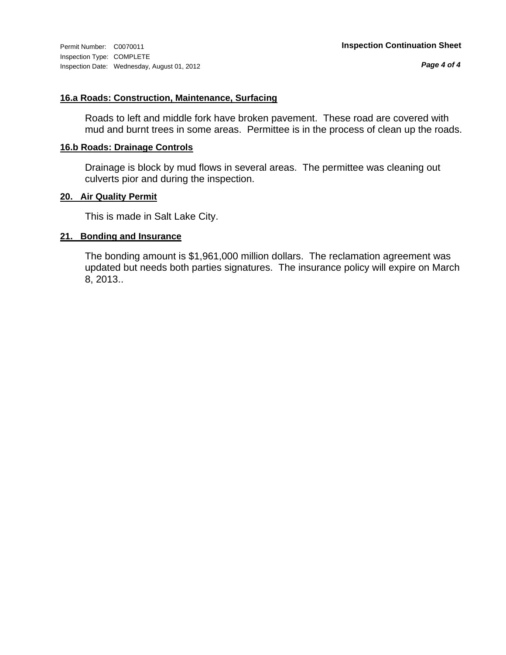*Page 4 of 4*

#### **16.a Roads: Construction, Maintenance, Surfacing**

Roads to left and middle fork have broken pavement. These road are covered with mud and burnt trees in some areas. Permittee is in the process of clean up the roads.

#### **16.b Roads: Drainage Controls**

Drainage is block by mud flows in several areas. The permittee was cleaning out culverts pior and during the inspection.

#### **20. Air Quality Permit**

This is made in Salt Lake City.

#### **21. Bonding and Insurance**

The bonding amount is \$1,961,000 million dollars. The reclamation agreement was updated but needs both parties signatures. The insurance policy will expire on March 8, 2013..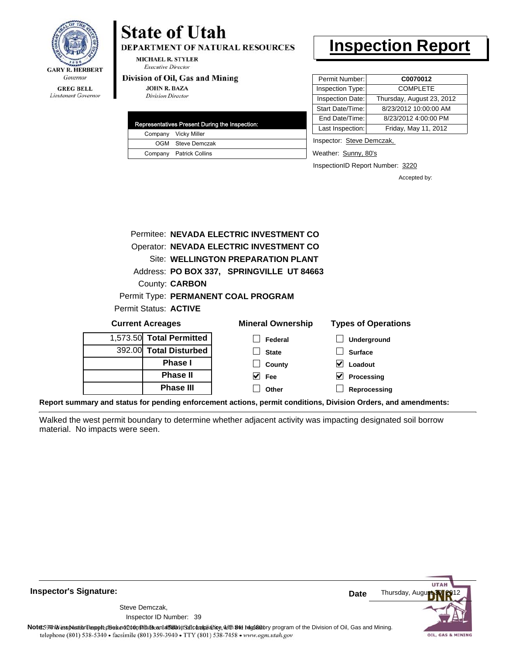

Lieutenant Governor

## **State of Utah**

DEPARTMENT OF NATURAL RESOURCES

**MICHAEL R. STYLER Executive Director** 

#### Division of Oil, Gas and Mining

**JOHN R. BAZA Division Director** 

| Representatives Present During the Inspection: |                         |  |
|------------------------------------------------|-------------------------|--|
|                                                | Company Vicky Miller    |  |
|                                                | OGM Steve Demczak       |  |
|                                                | Company Patrick Collins |  |

### **Inspection Report**

| Permit Number:   | C0070012                  |
|------------------|---------------------------|
| Inspection Type: | <b>COMPLETE</b>           |
| Inspection Date: | Thursday, August 23, 2012 |
| Start Date/Time: | 8/23/2012 10:00:00 AM     |
| End Date/Time:   | 8/23/2012 4:00:00 PM      |
| Last Inspection: | Friday, May 11, 2012      |
|                  |                           |

Inspector: Steve Demczak,

Weather: Sunny, 80's

InspectionID Report Number: 3220

Accepted by:

|                       | Permitee: NEVADA ELECTRIC INVESTMENT CO   |
|-----------------------|-------------------------------------------|
|                       | Operator: NEVADA ELECTRIC INVESTMENT CO   |
|                       | Site: WELLINGTON PREPARATION PLANT        |
|                       | Address: PO BOX 337, SPRINGVILLE UT 84663 |
|                       | <b>County: CARBON</b>                     |
|                       | Permit Type: PERMANENT COAL PROGRAM       |
| Permit Status: ACTIVE |                                           |
|                       |                                           |

| <b>Current Acreages</b> |                          | <b>Mineral Ownership</b>                                                                                   | <b>Types of Operations</b> |
|-------------------------|--------------------------|------------------------------------------------------------------------------------------------------------|----------------------------|
|                         | 1,573.50 Total Permitted | Federal                                                                                                    | Underground                |
|                         | 392.00 Total Disturbed   | <b>State</b>                                                                                               | <b>Surface</b>             |
|                         | <b>Phase I</b>           | County                                                                                                     | Loadout                    |
|                         | <b>Phase II</b>          | V<br>Fee                                                                                                   | $\vee$ Processing          |
|                         | <b>Phase III</b>         | Other                                                                                                      | Reprocessing               |
|                         |                          | araan ay diigina faa'aan dhan ay faaraysan ay dagaan waxay isaa dhigaan "Bhdalay". Aydaysii ay diigaay dag |                            |

**Report summary and status for pending enforcement actions, permit conditions, Division Orders, and amendments:**

Walked the west permit boundary to determine whether adjacent activity was impacting designated soil borrow material. No impacts were seen.



**Inspector's Signature:**

Inspector ID Number: 39 Steve Demczak,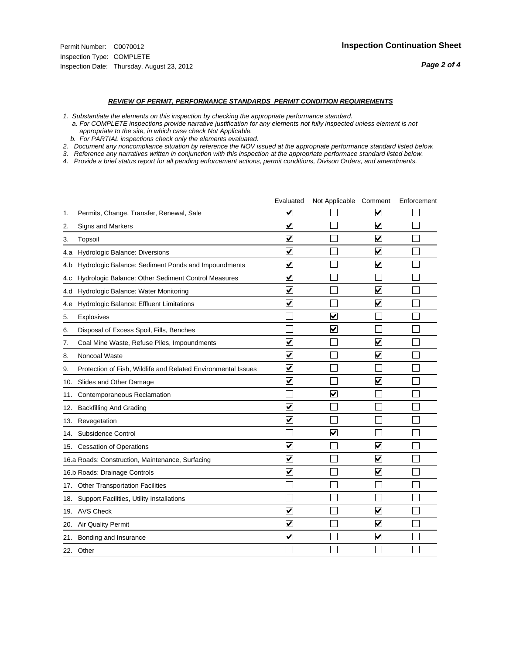- *1. Substantiate the elements on this inspection by checking the appropriate performance standard.*
- *a. For COMPLETE inspections provide narrative justification for any elements not fully inspected unless element is not appropriate to the site, in which case check Not Applicable.*
- *b. For PARTIAL inspections check only the elements evaluated.*
- *2. Document any noncompliance situation by reference the NOV issued at the appropriate performance standard listed below.*
- *3. Reference any narratives written in conjunction with this inspection at the appropriate performace standard listed below.*
- *4. Provide a brief status report for all pending enforcement actions, permit conditions, Divison Orders, and amendments.*

|     |                                                               | Evaluated               | Not Applicable Comment  |                         | Enforcement |
|-----|---------------------------------------------------------------|-------------------------|-------------------------|-------------------------|-------------|
| 1.  | Permits, Change, Transfer, Renewal, Sale                      | $\overline{\mathbf{v}}$ |                         | V                       |             |
| 2.  | <b>Signs and Markers</b>                                      | $\overline{\mathbf{v}}$ |                         | $\blacktriangledown$    |             |
| 3.  | Topsoil                                                       | $\overline{\mathbf{v}}$ |                         | $\overline{\mathsf{v}}$ |             |
| 4.a | Hydrologic Balance: Diversions                                | $\overline{\mathbf{v}}$ |                         | $\blacktriangledown$    |             |
| 4.b | Hydrologic Balance: Sediment Ponds and Impoundments           | $\blacktriangledown$    |                         | ⊻                       |             |
| 4.c | Hydrologic Balance: Other Sediment Control Measures           | $\overline{\mathbf{v}}$ |                         |                         |             |
| 4.d | Hydrologic Balance: Water Monitoring                          | $\overline{\mathbf{v}}$ |                         | $\overline{\mathbf{v}}$ |             |
| 4.e | Hydrologic Balance: Effluent Limitations                      | $\overline{\mathbf{v}}$ |                         | $\blacktriangledown$    |             |
| 5.  | <b>Explosives</b>                                             |                         | $\overline{\mathbf{v}}$ |                         |             |
| 6.  | Disposal of Excess Spoil, Fills, Benches                      |                         | $\overline{\mathbf{v}}$ |                         |             |
| 7.  | Coal Mine Waste, Refuse Piles, Impoundments                   | $\overline{\mathbf{v}}$ |                         | $\overline{\mathbf{v}}$ |             |
| 8.  | Noncoal Waste                                                 | $\overline{\mathbf{v}}$ |                         | $\blacktriangledown$    |             |
| 9.  | Protection of Fish, Wildlife and Related Environmental Issues | $\overline{\mathbf{v}}$ |                         |                         |             |
|     | 10. Slides and Other Damage                                   | $\overline{\mathbf{v}}$ |                         | $\blacktriangledown$    |             |
| 11. | Contemporaneous Reclamation                                   |                         | $\blacktriangledown$    |                         |             |
| 12. | <b>Backfilling And Grading</b>                                | $\blacktriangledown$    |                         |                         |             |
| 13. | Revegetation                                                  | $\overline{\mathbf{v}}$ |                         |                         |             |
| 14. | Subsidence Control                                            |                         | $\overline{\mathbf{v}}$ |                         |             |
|     | 15. Cessation of Operations                                   | $\overline{\mathbf{v}}$ |                         | $\blacktriangledown$    |             |
|     | 16.a Roads: Construction, Maintenance, Surfacing              | $\blacktriangledown$    |                         | $\blacktriangledown$    |             |
|     | 16.b Roads: Drainage Controls                                 | $\overline{\mathbf{v}}$ |                         | V                       |             |
|     | 17. Other Transportation Facilities                           |                         |                         |                         |             |
| 18. | Support Facilities, Utility Installations                     |                         |                         |                         |             |
|     | 19. AVS Check                                                 | $\overline{\mathbf{v}}$ |                         | $\overline{\mathbf{v}}$ |             |
| 20. | Air Quality Permit                                            | $\overline{\mathsf{v}}$ |                         | $\blacktriangledown$    |             |
|     | 21. Bonding and Insurance                                     | $\overline{\mathbf{v}}$ |                         | $\blacktriangledown$    |             |
|     | 22. Other                                                     |                         |                         |                         |             |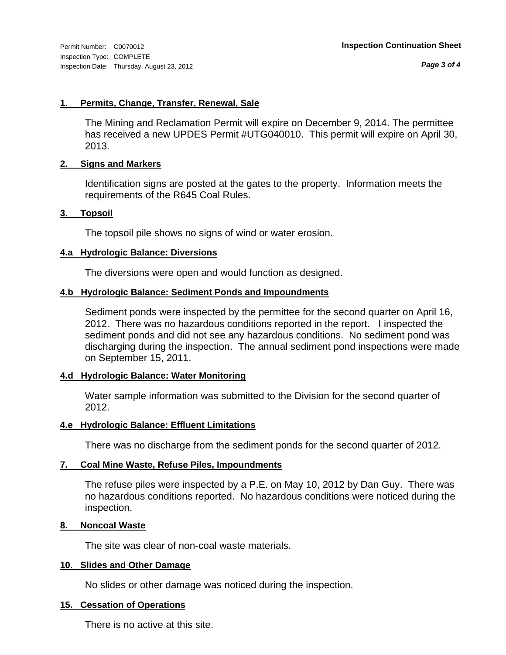*Page 3 of 4*

#### **1. Permits, Change, Transfer, Renewal, Sale**

The Mining and Reclamation Permit will expire on December 9, 2014. The permittee has received a new UPDES Permit #UTG040010. This permit will expire on April 30, 2013.

#### **2. Signs and Markers**

Identification signs are posted at the gates to the property. Information meets the requirements of the R645 Coal Rules.

#### **3. Topsoil**

The topsoil pile shows no signs of wind or water erosion.

#### **4.a Hydrologic Balance: Diversions**

The diversions were open and would function as designed.

#### **4.b Hydrologic Balance: Sediment Ponds and Impoundments**

Sediment ponds were inspected by the permittee for the second quarter on April 16, 2012. There was no hazardous conditions reported in the report. I inspected the sediment ponds and did not see any hazardous conditions. No sediment pond was discharging during the inspection. The annual sediment pond inspections were made on September 15, 2011.

#### **4.d Hydrologic Balance: Water Monitoring**

Water sample information was submitted to the Division for the second quarter of 2012.

#### **4.e Hydrologic Balance: Effluent Limitations**

There was no discharge from the sediment ponds for the second quarter of 2012.

#### **7. Coal Mine Waste, Refuse Piles, Impoundments**

The refuse piles were inspected by a P.E. on May 10, 2012 by Dan Guy. There was no hazardous conditions reported. No hazardous conditions were noticed during the inspection.

#### **8. Noncoal Waste**

The site was clear of non-coal waste materials.

#### **10. Slides and Other Damage**

No slides or other damage was noticed during the inspection.

#### **15. Cessation of Operations**

There is no active at this site.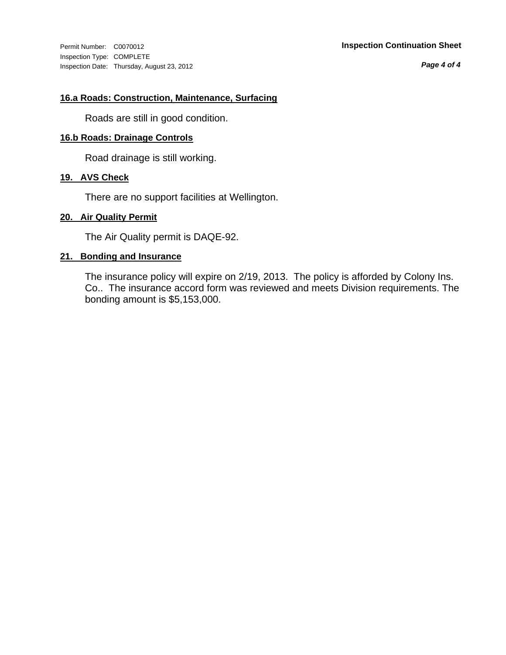Inspection Type: COMPLETE Inspection Date: Thursday, August 23, 2012

#### Permit Number: C0070012 **Inspection Continuation Sheet**

*Page 4 of 4*

#### **16.a Roads: Construction, Maintenance, Surfacing**

Roads are still in good condition.

#### **16.b Roads: Drainage Controls**

Road drainage is still working.

#### **19. AVS Check**

There are no support facilities at Wellington.

#### **20. Air Quality Permit**

The Air Quality permit is DAQE-92.

#### **21. Bonding and Insurance**

The insurance policy will expire on 2/19, 2013. The policy is afforded by Colony Ins. Co.. The insurance accord form was reviewed and meets Division requirements. The bonding amount is \$5,153,000.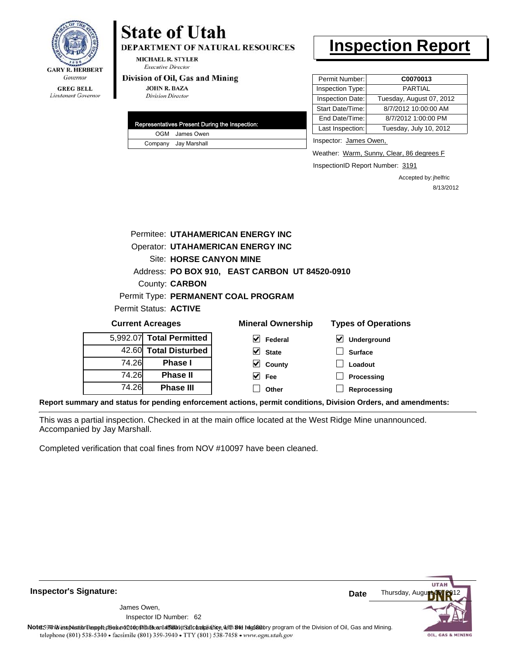

**DEPARTMENT OF NATURAL RESOURCES** 

**MICHAEL R. STYLER Executive Director** 

#### Division of Oil, Gas and Mining

**JOHN R. BAZA Division Director** 

| Representatives Present During the Inspection: |
|------------------------------------------------|
| OGM James Owen                                 |
| Company Jay Marshall                           |

### **Inspection Report**

| Permit Number:   | C0070013                 |
|------------------|--------------------------|
| Inspection Type: | <b>PARTIAL</b>           |
| Inspection Date: | Tuesday, August 07, 2012 |
| Start Date/Time: | 8/7/2012 10:00:00 AM     |
| End Date/Time:   | 8/7/2012 1:00:00 PM      |
| Last Inspection: | Tuesday, July 10, 2012   |
|                  |                          |

Inspector: James Owen,

Weather: Warm, Sunny, Clear, 86 degrees F

InspectionID Report Number: 3191

**Processing Reprocessing** Accepted by: jhelfric 8/13/2012

|          |                                | Permitee: UTAHAMERICAN ENERGY INC              |                                            |
|----------|--------------------------------|------------------------------------------------|--------------------------------------------|
|          |                                | <b>Operator: UTAHAMERICAN ENERGY INC</b>       |                                            |
|          | <b>Site: HORSE CANYON MINE</b> |                                                |                                            |
|          |                                | Address: PO BOX 910, EAST CARBON UT 84520-0910 |                                            |
|          | County: <b>CARBON</b>          |                                                |                                            |
|          |                                | Permit Type: PERMANENT COAL PROGRAM            |                                            |
|          | Permit Status: ACTIVE          |                                                |                                            |
|          | <b>Current Acreages</b>        | <b>Mineral Ownership</b>                       | <b>Types of Operations</b>                 |
| 5.992.07 | <b>Total Permitted</b>         | V<br>Federal                                   | $\vert\bm{\checkmark}\vert$<br>Underground |
|          | 42.60 Total Disturbed          | M<br><b>State</b>                              | <b>Surface</b>                             |
| 74.26    | <b>Phase I</b>                 | County<br>M                                    | Loadout                                    |
| 74.26    | <b>Phase II</b>                | M<br>Fee                                       | Processing                                 |

**Other**

**Report summary and status for pending enforcement actions, permit conditions, Division Orders, and amendments:**

This was a partial inspection. Checked in at the main office located at the West Ridge Mine unannounced. Accompanied by Jay Marshall.

Completed verification that coal fines from NOV #10097 have been cleaned.

**Phase III**

74.26

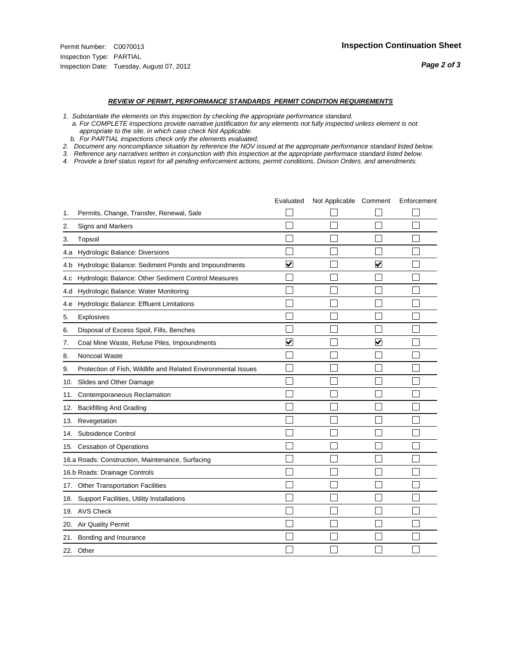- *1. Substantiate the elements on this inspection by checking the appropriate performance standard.*
- *a. For COMPLETE inspections provide narrative justification for any elements not fully inspected unless element is not appropriate to the site, in which case check Not Applicable.*
- *b. For PARTIAL inspections check only the elements evaluated.*
- *2. Document any noncompliance situation by reference the NOV issued at the appropriate performance standard listed below.*
- *3. Reference any narratives written in conjunction with this inspection at the appropriate performace standard listed below.*
- *4. Provide a brief status report for all pending enforcement actions, permit conditions, Divison Orders, and amendments.*

|     |                                                               | Evaluated               | Not Applicable Comment |                         | Enforcement |
|-----|---------------------------------------------------------------|-------------------------|------------------------|-------------------------|-------------|
| 1.  | Permits, Change, Transfer, Renewal, Sale                      |                         |                        |                         |             |
| 2.  | Signs and Markers                                             |                         |                        |                         |             |
| 3.  | Topsoil                                                       |                         |                        |                         |             |
| 4.a | Hydrologic Balance: Diversions                                |                         |                        |                         |             |
| 4.b | Hydrologic Balance: Sediment Ponds and Impoundments           | ⊽                       |                        | V                       |             |
| 4.c | Hydrologic Balance: Other Sediment Control Measures           |                         |                        |                         |             |
| 4.d | Hydrologic Balance: Water Monitoring                          |                         |                        |                         |             |
| 4.e | Hydrologic Balance: Effluent Limitations                      |                         |                        |                         |             |
| 5.  | Explosives                                                    |                         |                        |                         |             |
| 6.  | Disposal of Excess Spoil, Fills, Benches                      |                         |                        |                         |             |
| 7.  | Coal Mine Waste, Refuse Piles, Impoundments                   | $\overline{\mathbf{v}}$ |                        | $\overline{\mathbf{v}}$ |             |
| 8.  | Noncoal Waste                                                 |                         |                        |                         |             |
| 9.  | Protection of Fish, Wildlife and Related Environmental Issues |                         |                        |                         |             |
|     | 10. Slides and Other Damage                                   |                         |                        |                         |             |
| 11. | Contemporaneous Reclamation                                   |                         |                        |                         |             |
| 12. | <b>Backfilling And Grading</b>                                |                         |                        |                         |             |
| 13. | Revegetation                                                  |                         |                        |                         |             |
| 14. | Subsidence Control                                            |                         |                        |                         |             |
|     | 15. Cessation of Operations                                   |                         |                        |                         |             |
|     | 16.a Roads: Construction, Maintenance, Surfacing              |                         |                        |                         |             |
|     | 16.b Roads: Drainage Controls                                 |                         |                        |                         |             |
|     | 17. Other Transportation Facilities                           |                         |                        |                         |             |
| 18. | Support Facilities, Utility Installations                     |                         |                        |                         |             |
|     | 19. AVS Check                                                 |                         |                        |                         |             |
| 20. | Air Quality Permit                                            |                         |                        |                         |             |
| 21. | Bonding and Insurance                                         |                         |                        |                         |             |
|     | 22. Other                                                     |                         |                        |                         |             |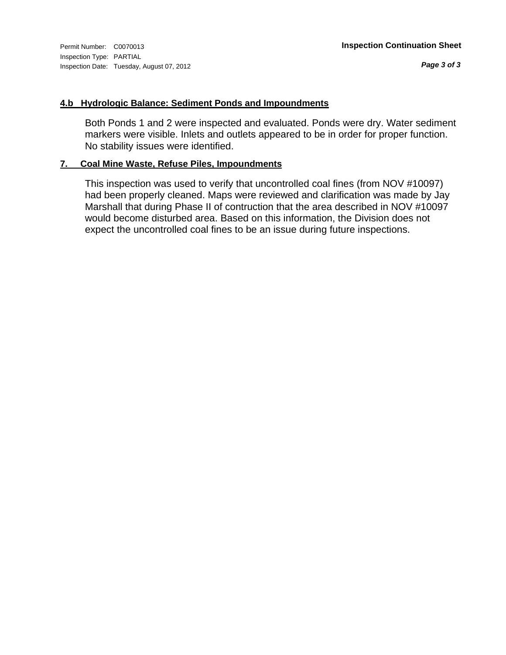Inspection Type: PARTIAL Inspection Date: Tuesday, August 07, 2012

#### **4.b Hydrologic Balance: Sediment Ponds and Impoundments**

Both Ponds 1 and 2 were inspected and evaluated. Ponds were dry. Water sediment markers were visible. Inlets and outlets appeared to be in order for proper function. No stability issues were identified.

#### **7. Coal Mine Waste, Refuse Piles, Impoundments**

This inspection was used to verify that uncontrolled coal fines (from NOV #10097) had been properly cleaned. Maps were reviewed and clarification was made by Jay Marshall that during Phase II of contruction that the area described in NOV #10097 would become disturbed area. Based on this information, the Division does not expect the uncontrolled coal fines to be an issue during future inspections.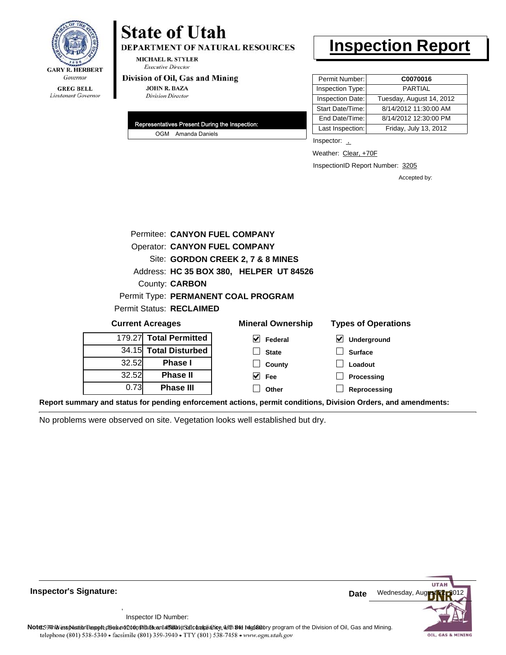

DEPARTMENT OF NATURAL RESOURCES

**MICHAEL R. STYLER Executive Director** 

#### Division of Oil, Gas and Mining

**JOHN R. BAZA Division Director** 

| Representatives Present During the Inspection: |                    |  |  |  |
|------------------------------------------------|--------------------|--|--|--|
|                                                | OGM Amanda Daniels |  |  |  |

### **Inspection Report**

| Permit Number:   | C0070016                 |
|------------------|--------------------------|
| Inspection Type: | PARTIAL                  |
| Inspection Date: | Tuesday, August 14, 2012 |
| Start Date/Time: | 8/14/2012 11:30:00 AM    |
| End Date/Time:   | 8/14/2012 12:30:00 PM    |
| Last Inspection: | Friday, July 13, 2012    |

Inspector: 1

Weather: Clear, +70F

InspectionID Report Number: 3205

**Reprocessing**

Accepted by:

|        | Permitee: CANYON FUEL COMPANY        |                                         |                            |  |  |  |  |
|--------|--------------------------------------|-----------------------------------------|----------------------------|--|--|--|--|
|        | <b>Operator: CANYON FUEL COMPANY</b> |                                         |                            |  |  |  |  |
|        |                                      | Site: GORDON CREEK 2, 7 & 8 MINES       |                            |  |  |  |  |
|        |                                      | Address: HC 35 BOX 380, HELPER UT 84526 |                            |  |  |  |  |
|        | County: <b>CARBON</b>                |                                         |                            |  |  |  |  |
|        |                                      | Permit Type: PERMANENT COAL PROGRAM     |                            |  |  |  |  |
|        | <b>Permit Status: RECLAIMED</b>      |                                         |                            |  |  |  |  |
|        | <b>Current Acreages</b>              | <b>Mineral Ownership</b>                | <b>Types of Operations</b> |  |  |  |  |
| 179.27 | <b>Total Permitted</b>               | M<br>Federal                            | V<br>Underground           |  |  |  |  |
|        | 34.15 Total Disturbed                | <b>State</b>                            | <b>Surface</b>             |  |  |  |  |
| 32.52  | <b>Phase I</b>                       | County                                  | Loadout                    |  |  |  |  |
| 32.52  | <b>Phase II</b>                      | Fee                                     | Processing                 |  |  |  |  |

**Other**

**Report summary and status for pending enforcement actions, permit conditions, Division Orders, and amendments:**

No problems were observed on site. Vegetation looks well established but dry.

**Phase III**

0.73



**Inspector's Signature: Date Date Date Date** 

Inspector ID Number:

,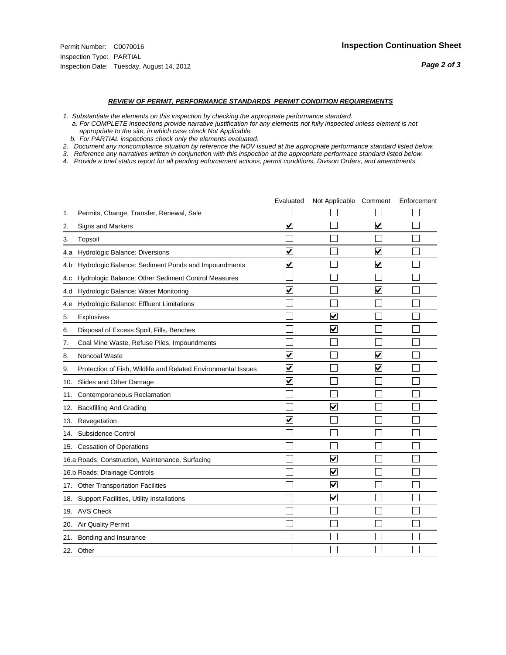- *1. Substantiate the elements on this inspection by checking the appropriate performance standard.*
- *a. For COMPLETE inspections provide narrative justification for any elements not fully inspected unless element is not appropriate to the site, in which case check Not Applicable.*
- *b. For PARTIAL inspections check only the elements evaluated.*
- *2. Document any noncompliance situation by reference the NOV issued at the appropriate performance standard listed below.*
- *3. Reference any narratives written in conjunction with this inspection at the appropriate performace standard listed below.*
- *4. Provide a brief status report for all pending enforcement actions, permit conditions, Divison Orders, and amendments.*

|     |                                                               | Evaluated               | Not Applicable Comment          |                         | Enforcement |
|-----|---------------------------------------------------------------|-------------------------|---------------------------------|-------------------------|-------------|
| 1.  | Permits, Change, Transfer, Renewal, Sale                      |                         |                                 |                         |             |
| 2.  | <b>Signs and Markers</b>                                      | $\overline{\mathbf{v}}$ |                                 | $\blacktriangledown$    |             |
| 3.  | Topsoil                                                       |                         |                                 |                         |             |
| 4.a | Hydrologic Balance: Diversions                                | $\blacktriangledown$    |                                 | $\overline{\mathbf{v}}$ |             |
| 4.b | Hydrologic Balance: Sediment Ponds and Impoundments           | $\blacktriangledown$    |                                 | ⊻                       |             |
| 4.c | Hydrologic Balance: Other Sediment Control Measures           |                         |                                 |                         |             |
| 4.d | Hydrologic Balance: Water Monitoring                          | $\overline{\mathbf{v}}$ |                                 | $\overline{\mathbf{v}}$ |             |
| 4.e | Hydrologic Balance: Effluent Limitations                      |                         |                                 |                         |             |
| 5.  | <b>Explosives</b>                                             |                         | $\overline{\mathbf{v}}$         |                         |             |
| 6.  | Disposal of Excess Spoil, Fills, Benches                      |                         | $\overline{\mathbf{v}}$         |                         |             |
| 7.  | Coal Mine Waste, Refuse Piles, Impoundments                   |                         |                                 |                         |             |
| 8.  | Noncoal Waste                                                 | $\overline{\mathbf{v}}$ |                                 | $\overline{\mathbf{v}}$ |             |
| 9.  | Protection of Fish, Wildlife and Related Environmental Issues | $\overline{\mathbf{v}}$ |                                 | $\blacktriangledown$    |             |
|     | 10. Slides and Other Damage                                   | ⊽                       |                                 |                         |             |
| 11. | Contemporaneous Reclamation                                   |                         |                                 |                         |             |
| 12. | <b>Backfilling And Grading</b>                                |                         | $\overline{\mathbf{v}}$         |                         |             |
| 13. | Revegetation                                                  | $\overline{\mathbf{v}}$ |                                 |                         |             |
| 14. | Subsidence Control                                            |                         |                                 |                         |             |
|     | 15. Cessation of Operations                                   |                         |                                 |                         |             |
|     | 16.a Roads: Construction, Maintenance, Surfacing              |                         | ⊽                               |                         |             |
|     | 16.b Roads: Drainage Controls                                 |                         | V                               |                         |             |
|     | 17. Other Transportation Facilities                           |                         | $\overline{\blacktriangledown}$ |                         |             |
| 18. | Support Facilities, Utility Installations                     |                         | ☑                               |                         |             |
|     | 19. AVS Check                                                 |                         |                                 |                         |             |
| 20. | Air Quality Permit                                            |                         |                                 |                         |             |
| 21. | Bonding and Insurance                                         |                         |                                 |                         |             |
|     | 22. Other                                                     |                         |                                 |                         |             |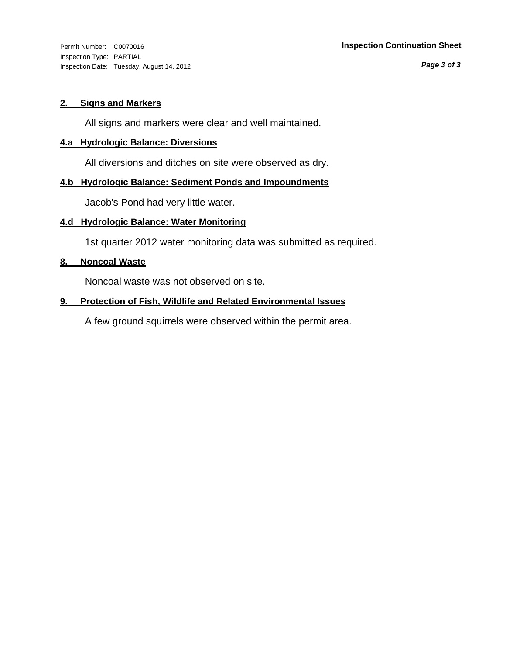Inspection Type: PARTIAL Inspection Date: Tuesday, August 14, 2012

*Page 3 of 3*

#### **2. Signs and Markers**

All signs and markers were clear and well maintained.

#### **4.a Hydrologic Balance: Diversions**

All diversions and ditches on site were observed as dry.

#### **4.b Hydrologic Balance: Sediment Ponds and Impoundments**

Jacob's Pond had very little water.

#### **4.d Hydrologic Balance: Water Monitoring**

1st quarter 2012 water monitoring data was submitted as required.

#### **8. Noncoal Waste**

Noncoal waste was not observed on site.

#### **9. Protection of Fish, Wildlife and Related Environmental Issues**

A few ground squirrels were observed within the permit area.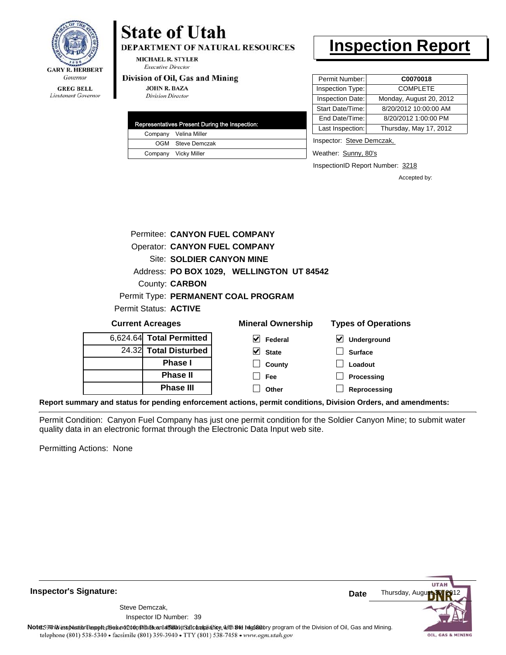

**DEPARTMENT OF NATURAL RESOURCES** 

**MICHAEL R. STYLER Executive Director** 

#### Division of Oil, Gas and Mining

**JOHN R. BAZA Division Director** 

|  | Representatives Present During the Inspection: |
|--|------------------------------------------------|
|  | Company Velina Miller                          |
|  | OGM Steve Demczak                              |
|  | Company Vicky Miller                           |

### **Inspection Report**

| Permit Number:<br>C0070018                  |
|---------------------------------------------|
| Inspection Type:<br><b>COMPLETE</b>         |
| Inspection Date:<br>Monday, August 20, 2012 |
| 8/20/2012 10:00:00 AM<br>Start Date/Time:   |
| 8/20/2012 1:00:00 PM<br>End Date/Time:      |
| Last Inspection:<br>Thursday, May 17, 2012  |
|                                             |

Inspector: Steve Demczak,

Weather: Sunny, 80's

InspectionID Report Number: 3218

Accepted by:

**UTA** 

OIL, GAS & MINING

|                          |                       | Permitee: CANYON FUEL COMPANY             |                            |
|--------------------------|-----------------------|-------------------------------------------|----------------------------|
|                          |                       | <b>Operator: CANYON FUEL COMPANY</b>      |                            |
|                          |                       | <b>Site: SOLDIER CANYON MINE</b>          |                            |
|                          |                       | Address: PO BOX 1029, WELLINGTON UT 84542 |                            |
|                          | County: <b>CARBON</b> |                                           |                            |
|                          |                       | Permit Type: PERMANENT COAL PROGRAM       |                            |
| Permit Status: ACTIVE    |                       |                                           |                            |
| <b>Current Acreages</b>  |                       | <b>Mineral Ownership</b>                  | <b>Types of Operations</b> |
| 6,624.64 Total Permitted |                       | Federal                                   | Underground                |

| 6,624.64 Total Permitted |
|--------------------------|
| 24.32 Total Disturbed    |
| <b>Phase I</b>           |
| <b>Phase II</b>          |
| <b>Phase III</b>         |

| eral Ownership                | <b>Types of Operat</b>       |  |  |  |
|-------------------------------|------------------------------|--|--|--|
| $\blacktriangleright$ Federal | $\triangleright$ Underground |  |  |  |
| $\overline{\mathsf{v}}$ State | $\Box$ Surface               |  |  |  |
| $\Box$ County                 | $\Box$ Loadout               |  |  |  |
| │ │ Fee                       | $\Box$ Processing            |  |  |  |
| Other                         | Reprocessing                 |  |  |  |

**Report summary and status for pending enforcement actions, permit conditions, Division Orders, and amendments:**

Permit Condition: Canyon Fuel Company has just one permit condition for the Soldier Canyon Mine; to submit water quality data in an electronic format through the Electronic Data Input web site.

Permitting Actions: None



**Inspector's Signature:**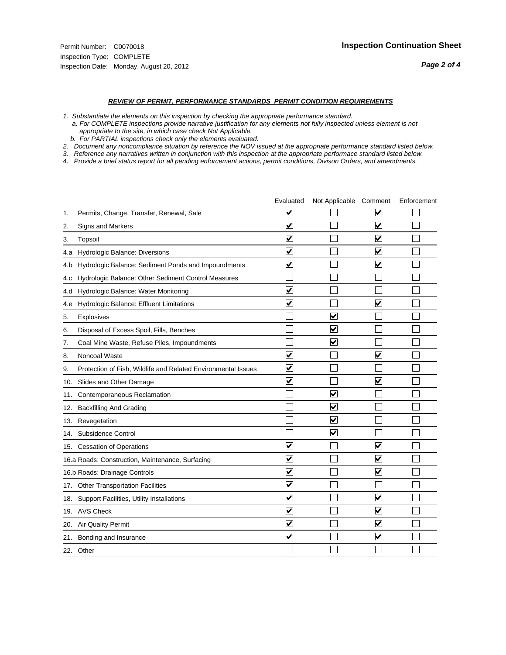#### *REVIEW OF PERMIT, PERFORMANCE STANDARDS PERMIT CONDITION REQUIREMENTS*

*1. Substantiate the elements on this inspection by checking the appropriate performance standard.*

 *a. For COMPLETE inspections provide narrative justification for any elements not fully inspected unless element is not appropriate to the site, in which case check Not Applicable.*

 *b. For PARTIAL inspections check only the elements evaluated.*

*2. Document any noncompliance situation by reference the NOV issued at the appropriate performance standard listed below.*

*3. Reference any narratives written in conjunction with this inspection at the appropriate performace standard listed below.*

*4. Provide a brief status report for all pending enforcement actions, permit conditions, Divison Orders, and amendments.*

|     |                                                               | Evaluated               | Not Applicable Comment          |                         | Enforcement |
|-----|---------------------------------------------------------------|-------------------------|---------------------------------|-------------------------|-------------|
| 1.  | Permits, Change, Transfer, Renewal, Sale                      | $\overline{\mathbf{v}}$ |                                 | V                       |             |
| 2.  | Signs and Markers                                             | $\overline{\mathbf{v}}$ |                                 | $\blacktriangledown$    |             |
| 3.  | Topsoil                                                       | $\overline{\mathbf{v}}$ |                                 | $\overline{\mathsf{v}}$ |             |
| 4.a | Hydrologic Balance: Diversions                                | $\overline{\mathsf{v}}$ |                                 | $\blacktriangledown$    |             |
| 4.b | Hydrologic Balance: Sediment Ponds and Impoundments           | $\blacktriangledown$    |                                 | ⊻                       |             |
| 4.C | Hydrologic Balance: Other Sediment Control Measures           |                         |                                 |                         |             |
| 4.d | Hydrologic Balance: Water Monitoring                          | $\overline{\mathbf{v}}$ |                                 |                         |             |
| 4.e | Hydrologic Balance: Effluent Limitations                      | $\overline{\mathbf{v}}$ |                                 | $\blacktriangledown$    |             |
| 5.  | <b>Explosives</b>                                             |                         | ⊽                               |                         |             |
| 6.  | Disposal of Excess Spoil, Fills, Benches                      |                         | $\blacktriangledown$            |                         |             |
| 7.  | Coal Mine Waste, Refuse Piles, Impoundments                   |                         | $\overline{\mathbf{v}}$         |                         |             |
| 8.  | Noncoal Waste                                                 | $\overline{\mathsf{v}}$ |                                 | $\overline{\mathbf{v}}$ |             |
| 9.  | Protection of Fish, Wildlife and Related Environmental Issues | $\overline{\mathbf{v}}$ |                                 |                         |             |
|     | 10. Slides and Other Damage                                   | $\overline{\mathbf{v}}$ |                                 | $\overline{\mathbf{v}}$ |             |
| 11. | Contemporaneous Reclamation                                   |                         | ☑                               |                         |             |
| 12. | <b>Backfilling And Grading</b>                                |                         | $\overline{\mathbf{v}}$         |                         |             |
| 13. | Revegetation                                                  |                         | $\overline{\blacktriangledown}$ |                         |             |
| 14. | Subsidence Control                                            |                         | $\overline{\mathbf{v}}$         |                         |             |
|     | 15. Cessation of Operations                                   | $\blacktriangledown$    |                                 | $\blacktriangledown$    |             |
|     | 16.a Roads: Construction, Maintenance, Surfacing              | $\blacktriangledown$    |                                 | $\blacktriangledown$    |             |
|     | 16.b Roads: Drainage Controls                                 | $\overline{\mathbf{v}}$ |                                 | $\overline{\mathbf{v}}$ |             |
|     | 17. Other Transportation Facilities                           | $\overline{\mathbf{v}}$ |                                 |                         |             |
| 18. | Support Facilities, Utility Installations                     | $\overline{\mathbf{v}}$ |                                 | $\blacktriangledown$    |             |
|     | 19. AVS Check                                                 | $\overline{\mathbf{v}}$ |                                 | $\blacktriangledown$    |             |
| 20. | <b>Air Quality Permit</b>                                     | $\checkmark$            |                                 | $\blacktriangledown$    |             |
| 21. | Bonding and Insurance                                         | $\overline{\mathbf{v}}$ |                                 | $\blacktriangledown$    |             |
|     | 22. Other                                                     |                         |                                 |                         |             |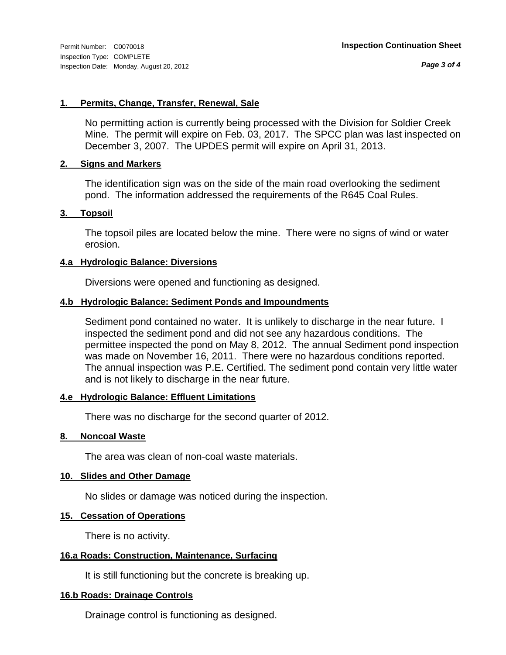*Page 3 of 4*

#### **1. Permits, Change, Transfer, Renewal, Sale**

No permitting action is currently being processed with the Division for Soldier Creek Mine. The permit will expire on Feb. 03, 2017. The SPCC plan was last inspected on December 3, 2007. The UPDES permit will expire on April 31, 2013.

#### **2. Signs and Markers**

The identification sign was on the side of the main road overlooking the sediment pond. The information addressed the requirements of the R645 Coal Rules.

#### **3. Topsoil**

The topsoil piles are located below the mine. There were no signs of wind or water erosion.

#### **4.a Hydrologic Balance: Diversions**

Diversions were opened and functioning as designed.

#### **4.b Hydrologic Balance: Sediment Ponds and Impoundments**

Sediment pond contained no water. It is unlikely to discharge in the near future. I inspected the sediment pond and did not see any hazardous conditions. The permittee inspected the pond on May 8, 2012. The annual Sediment pond inspection was made on November 16, 2011. There were no hazardous conditions reported. The annual inspection was P.E. Certified. The sediment pond contain very little water and is not likely to discharge in the near future.

#### **4.e Hydrologic Balance: Effluent Limitations**

There was no discharge for the second quarter of 2012.

#### **8. Noncoal Waste**

The area was clean of non-coal waste materials.

#### **10. Slides and Other Damage**

No slides or damage was noticed during the inspection.

#### **15. Cessation of Operations**

There is no activity.

#### **16.a Roads: Construction, Maintenance, Surfacing**

It is still functioning but the concrete is breaking up.

#### **16.b Roads: Drainage Controls**

Drainage control is functioning as designed.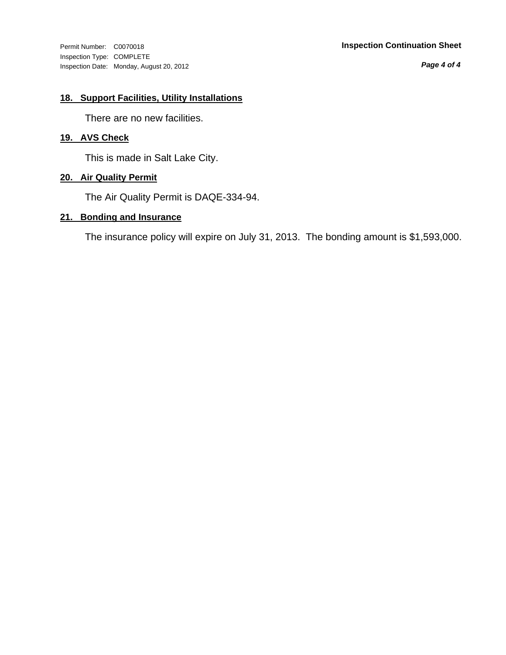Inspection Type: COMPLETE Inspection Date: Monday, August 20, 2012

#### Permit Number: C0070018 **Inspection Continuation Sheet**

*Page 4 of 4*

#### **18. Support Facilities, Utility Installations**

There are no new facilities.

#### **19. AVS Check**

This is made in Salt Lake City.

#### **20. Air Quality Permit**

The Air Quality Permit is DAQE-334-94.

#### **21. Bonding and Insurance**

The insurance policy will expire on July 31, 2013. The bonding amount is \$1,593,000.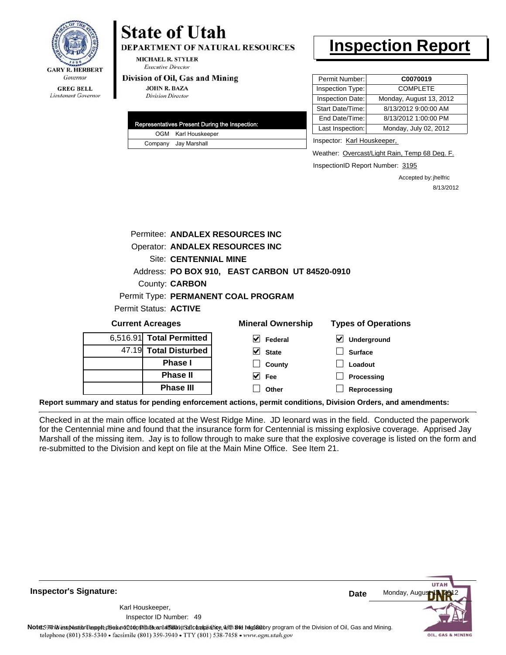

# **State of Utah**

**DEPARTMENT OF NATURAL RESOURCES** 

**MICHAEL R. STYLER Executive Director** 

#### Division of Oil, Gas and Mining

**JOHN R. BAZA Division Director** 

| Representatives Present During the Inspection: |
|------------------------------------------------|
| OGM Karl Houskeeper                            |
| Company Jay Marshall                           |

## **Inspection Report**

| Permit Number:   | C0070019                |
|------------------|-------------------------|
| Inspection Type: | <b>COMPLETE</b>         |
| Inspection Date: | Monday, August 13, 2012 |
| Start Date/Time: | 8/13/2012 9:00:00 AM    |
| End Date/Time:   | 8/13/2012 1:00:00 PM    |
| Last Inspection: | Monday, July 02, 2012   |
|                  |                         |

Inspector: Karl Houskeeper,

Weather: Overcast/Light Rain, Temp 68 Deg. F.

InspectionID Report Number: 3195

**Reprocessing**

Accepted by: jhelfric 8/13/2012

|          |                              | Permitee: ANDALEX RESOURCES INC                |                            |
|----------|------------------------------|------------------------------------------------|----------------------------|
|          |                              | Operator: ANDALEX RESOURCES INC                |                            |
|          | <b>Site: CENTENNIAL MINE</b> |                                                |                            |
|          |                              | Address: PO BOX 910, EAST CARBON UT 84520-0910 |                            |
|          | County: <b>CARBON</b>        |                                                |                            |
|          |                              | Permit Type: PERMANENT COAL PROGRAM            |                            |
|          | Permit Status: ACTIVE        |                                                |                            |
|          | <b>Current Acreages</b>      | <b>Mineral Ownership</b>                       | <b>Types of Operations</b> |
| 6,516.91 | <b>Total Permitted</b>       | Federal                                        | M<br>Underground           |
| 47.19    | <b>Total Disturbed</b>       | <b>State</b>                                   | <b>Surface</b>             |
|          | Phase I                      | County                                         | Loadout                    |
|          | <b>Phase II</b>              | <b>Fee</b>                                     | Processing                 |
|          | Phase III                    | Other                                          | Reprocessing               |

**Report summary and status for pending enforcement actions, permit conditions, Division Orders, and amendments:**

Checked in at the main office located at the West Ridge Mine. JD leonard was in the field. Conducted the paperwork for the Centennial mine and found that the insurance form for Centennial is missing explosive coverage. Apprised Jay Marshall of the missing item. Jay is to follow through to make sure that the explosive coverage is listed on the form and re-submitted to the Division and kept on file at the Main Mine Office. See Item 21.

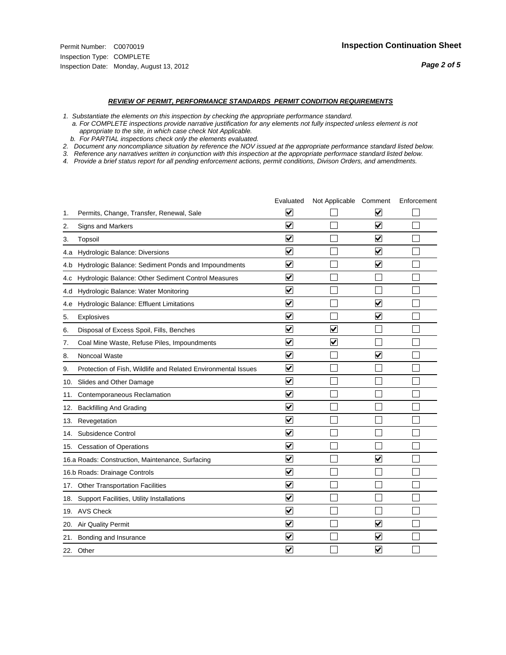#### *REVIEW OF PERMIT, PERFORMANCE STANDARDS PERMIT CONDITION REQUIREMENTS*

*1. Substantiate the elements on this inspection by checking the appropriate performance standard.*

 *a. For COMPLETE inspections provide narrative justification for any elements not fully inspected unless element is not appropriate to the site, in which case check Not Applicable.*

 *b. For PARTIAL inspections check only the elements evaluated.*

*2. Document any noncompliance situation by reference the NOV issued at the appropriate performance standard listed below.*

*3. Reference any narratives written in conjunction with this inspection at the appropriate performace standard listed below.*

*4. Provide a brief status report for all pending enforcement actions, permit conditions, Divison Orders, and amendments.*

|     |                                                               | Evaluated               | Not Applicable Comment  |                         | Enforcement |
|-----|---------------------------------------------------------------|-------------------------|-------------------------|-------------------------|-------------|
| 1.  | Permits, Change, Transfer, Renewal, Sale                      | $\overline{\mathsf{v}}$ |                         | V                       |             |
| 2.  | Signs and Markers                                             | $\overline{\mathbf{v}}$ |                         | $\blacktriangledown$    |             |
| 3.  | Topsoil                                                       | $\overline{\mathbf{v}}$ |                         | $\overline{\mathsf{v}}$ |             |
| 4.a | Hydrologic Balance: Diversions                                | $\overline{\mathbf{v}}$ |                         | $\blacktriangledown$    |             |
| 4.b | Hydrologic Balance: Sediment Ponds and Impoundments           | $\blacktriangledown$    |                         | ⊻                       |             |
| 4.C | Hydrologic Balance: Other Sediment Control Measures           | $\overline{\mathbf{v}}$ |                         |                         |             |
| 4.d | Hydrologic Balance: Water Monitoring                          | $\overline{\mathbf{v}}$ |                         |                         |             |
| 4.e | Hydrologic Balance: Effluent Limitations                      | $\overline{\mathbf{v}}$ |                         | $\overline{\mathbf{v}}$ |             |
| 5.  | <b>Explosives</b>                                             | $\overline{\mathbf{v}}$ |                         | ⊽                       |             |
| 6.  | Disposal of Excess Spoil, Fills, Benches                      | $\blacktriangledown$    | $\blacktriangledown$    |                         |             |
| 7.  | Coal Mine Waste, Refuse Piles, Impoundments                   | $\overline{\mathbf{v}}$ | $\overline{\mathbf{v}}$ |                         |             |
| 8.  | Noncoal Waste                                                 | $\overline{\mathbf{v}}$ |                         | $\overline{\mathbf{v}}$ |             |
| 9.  | Protection of Fish, Wildlife and Related Environmental Issues | $\overline{\mathbf{v}}$ |                         |                         |             |
|     | 10. Slides and Other Damage                                   | $\overline{\mathbf{v}}$ |                         |                         |             |
| 11. | Contemporaneous Reclamation                                   | ⊽                       |                         |                         |             |
| 12. | <b>Backfilling And Grading</b>                                | $\overline{\mathbf{v}}$ |                         |                         |             |
| 13. | Revegetation                                                  | $\overline{\mathbf{v}}$ |                         |                         |             |
| 14. | Subsidence Control                                            | $\overline{\mathbf{v}}$ |                         |                         |             |
|     | 15. Cessation of Operations                                   | $\overline{\mathbf{v}}$ |                         |                         |             |
|     | 16.a Roads: Construction, Maintenance, Surfacing              | $\blacktriangledown$    |                         | $\overline{\mathbf{v}}$ |             |
|     | 16.b Roads: Drainage Controls                                 | $\overline{\mathbf{v}}$ |                         |                         |             |
| 17. | <b>Other Transportation Facilities</b>                        | $\overline{\mathbf{v}}$ |                         |                         |             |
| 18. | Support Facilities, Utility Installations                     | $\overline{\mathbf{v}}$ |                         |                         |             |
|     | 19. AVS Check                                                 | $\overline{\mathbf{v}}$ |                         |                         |             |
| 20. | <b>Air Quality Permit</b>                                     | $\checkmark$            |                         | $\blacktriangledown$    |             |
| 21. | Bonding and Insurance                                         | $\blacktriangledown$    |                         | $\blacktriangledown$    |             |
|     | 22. Other                                                     | $\overline{\mathbf{v}}$ |                         | $\blacktriangledown$    |             |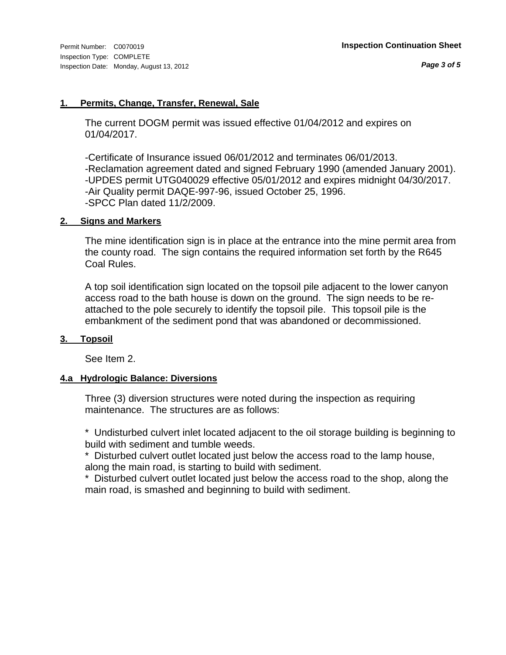#### **1. Permits, Change, Transfer, Renewal, Sale**

The current DOGM permit was issued effective 01/04/2012 and expires on 01/04/2017.

-Certificate of Insurance issued 06/01/2012 and terminates 06/01/2013. -Reclamation agreement dated and signed February 1990 (amended January 2001). -UPDES permit UTG040029 effective 05/01/2012 and expires midnight 04/30/2017. -Air Quality permit DAQE-997-96, issued October 25, 1996. -SPCC Plan dated 11/2/2009.

#### **2. Signs and Markers**

The mine identification sign is in place at the entrance into the mine permit area from the county road. The sign contains the required information set forth by the R645 Coal Rules.

A top soil identification sign located on the topsoil pile adjacent to the lower canyon access road to the bath house is down on the ground. The sign needs to be reattached to the pole securely to identify the topsoil pile. This topsoil pile is the embankment of the sediment pond that was abandoned or decommissioned.

#### **3. Topsoil**

See Item 2.

#### **4.a Hydrologic Balance: Diversions**

Three (3) diversion structures were noted during the inspection as requiring maintenance. The structures are as follows:

\* Undisturbed culvert inlet located adjacent to the oil storage building is beginning to build with sediment and tumble weeds.

\* Disturbed culvert outlet located just below the access road to the lamp house, along the main road, is starting to build with sediment.

\* Disturbed culvert outlet located just below the access road to the shop, along the main road, is smashed and beginning to build with sediment.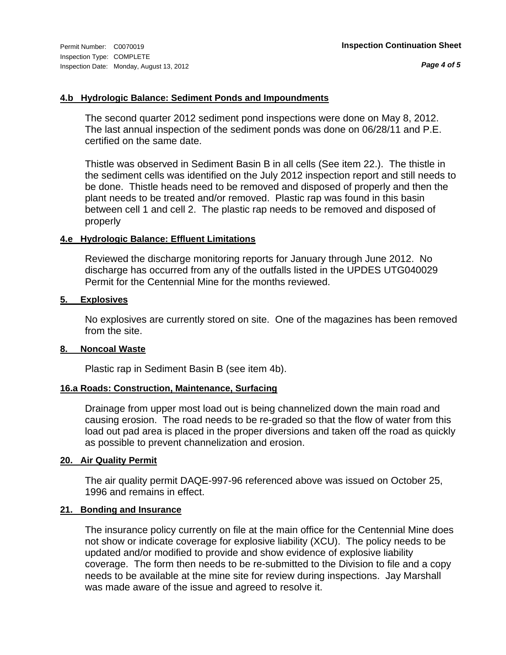#### **4.b Hydrologic Balance: Sediment Ponds and Impoundments**

The second quarter 2012 sediment pond inspections were done on May 8, 2012. The last annual inspection of the sediment ponds was done on 06/28/11 and P.E. certified on the same date.

Thistle was observed in Sediment Basin B in all cells (See item 22.). The thistle in the sediment cells was identified on the July 2012 inspection report and still needs to be done. Thistle heads need to be removed and disposed of properly and then the plant needs to be treated and/or removed. Plastic rap was found in this basin between cell 1 and cell 2. The plastic rap needs to be removed and disposed of properly

#### **4.e Hydrologic Balance: Effluent Limitations**

Reviewed the discharge monitoring reports for January through June 2012. No discharge has occurred from any of the outfalls listed in the UPDES UTG040029 Permit for the Centennial Mine for the months reviewed.

#### **5. Explosives**

No explosives are currently stored on site. One of the magazines has been removed from the site.

#### **8. Noncoal Waste**

Plastic rap in Sediment Basin B (see item 4b).

#### **16.a Roads: Construction, Maintenance, Surfacing**

Drainage from upper most load out is being channelized down the main road and causing erosion. The road needs to be re-graded so that the flow of water from this load out pad area is placed in the proper diversions and taken off the road as quickly as possible to prevent channelization and erosion.

#### **20. Air Quality Permit**

The air quality permit DAQE-997-96 referenced above was issued on October 25, 1996 and remains in effect.

#### **21. Bonding and Insurance**

The insurance policy currently on file at the main office for the Centennial Mine does not show or indicate coverage for explosive liability (XCU). The policy needs to be updated and/or modified to provide and show evidence of explosive liability coverage. The form then needs to be re-submitted to the Division to file and a copy needs to be available at the mine site for review during inspections. Jay Marshall was made aware of the issue and agreed to resolve it.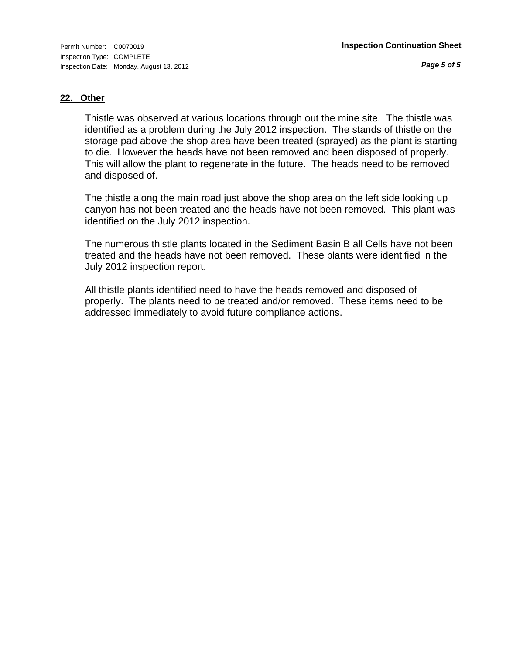#### **22. Other**

Thistle was observed at various locations through out the mine site. The thistle was identified as a problem during the July 2012 inspection. The stands of thistle on the storage pad above the shop area have been treated (sprayed) as the plant is starting to die. However the heads have not been removed and been disposed of properly. This will allow the plant to regenerate in the future. The heads need to be removed and disposed of.

The thistle along the main road just above the shop area on the left side looking up canyon has not been treated and the heads have not been removed. This plant was identified on the July 2012 inspection.

The numerous thistle plants located in the Sediment Basin B all Cells have not been treated and the heads have not been removed. These plants were identified in the July 2012 inspection report.

All thistle plants identified need to have the heads removed and disposed of properly. The plants need to be treated and/or removed. These items need to be addressed immediately to avoid future compliance actions.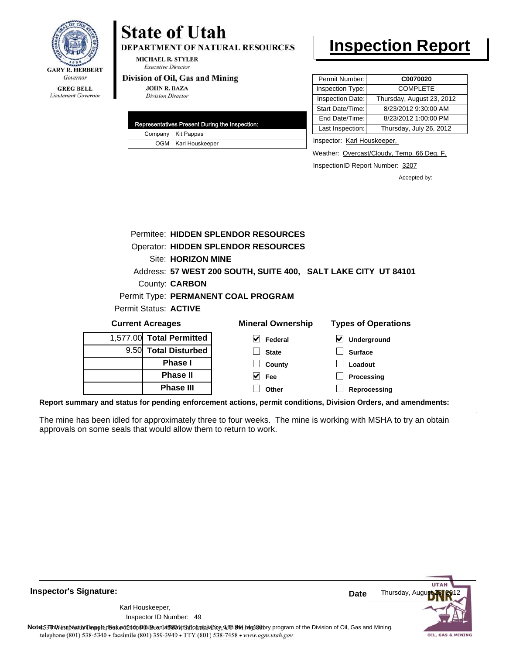

# **State of Utah**

**DEPARTMENT OF NATURAL RESOURCES** 

**MICHAEL R. STYLER Executive Director** 

#### Division of Oil, Gas and Mining

**JOHN R. BAZA Division Director** 

|  | Representatives Present During the Inspection: |
|--|------------------------------------------------|
|  | Company Kit Pappas                             |
|  | OGM Karl Houskeeper                            |

## **Inspection Report**

| Permit Number:   | C0070020                  |
|------------------|---------------------------|
| Inspection Type: | <b>COMPLETE</b>           |
| Inspection Date: | Thursday, August 23, 2012 |
| Start Date/Time: | 8/23/2012 9:30:00 AM      |
| End Date/Time:   | 8/23/2012 1:00:00 PM      |
| Last Inspection: | Thursday, July 26, 2012   |
|                  |                           |

Inspector: Karl Houskeeper,

Weather: Overcast/Cloudy, Temp. 66 Deg. F.

InspectionID Report Number: 3207

**Reprocessing**

Accepted by:

|          | Permitee: HIDDEN SPLENDOR RESOURCES        |                                                                |                            |  |  |  |
|----------|--------------------------------------------|----------------------------------------------------------------|----------------------------|--|--|--|
|          | <b>Operator: HIDDEN SPLENDOR RESOURCES</b> |                                                                |                            |  |  |  |
|          | Site: HORIZON MINE                         |                                                                |                            |  |  |  |
|          |                                            | Address: 57 WEST 200 SOUTH, SUITE 400, SALT LAKE CITY UT 84101 |                            |  |  |  |
|          | County: <b>CARBON</b>                      |                                                                |                            |  |  |  |
|          |                                            | Permit Type: PERMANENT COAL PROGRAM                            |                            |  |  |  |
|          | Permit Status: ACTIVE                      |                                                                |                            |  |  |  |
|          | <b>Current Acreages</b>                    | <b>Mineral Ownership</b>                                       | <b>Types of Operations</b> |  |  |  |
| 1,577.00 | <b>Total Permitted</b>                     | $\blacktriangledown$<br><b>Federal</b>                         | ⊻<br>Underground           |  |  |  |
| 9.50     | <b>Total Disturbed</b>                     | <b>State</b>                                                   | <b>Surface</b>             |  |  |  |
|          | <b>Phase I</b>                             | County                                                         | Loadout                    |  |  |  |
|          | <b>Phase II</b>                            | Fee                                                            | <b>Processing</b>          |  |  |  |

**Other**

**Report summary and status for pending enforcement actions, permit conditions, Division Orders, and amendments:**

**Phase III**

The mine has been idled for approximately three to four weeks. The mine is working with MSHA to try an obtain approvals on some seals that would allow them to return to work.



**Inspector's Signature:**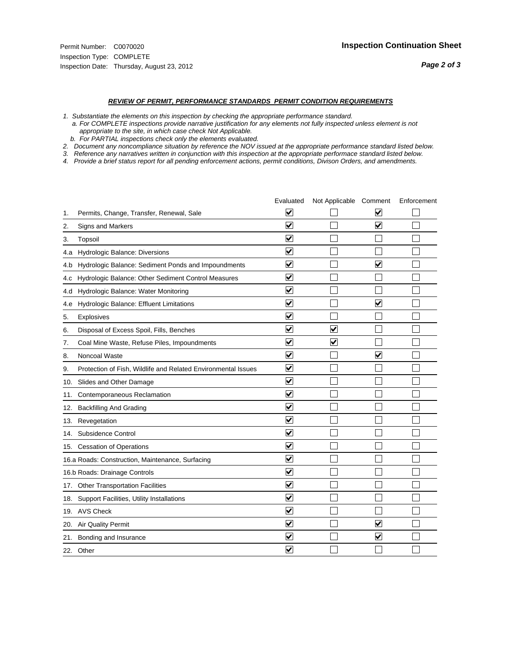- *1. Substantiate the elements on this inspection by checking the appropriate performance standard.*
- *a. For COMPLETE inspections provide narrative justification for any elements not fully inspected unless element is not appropriate to the site, in which case check Not Applicable.*
- *b. For PARTIAL inspections check only the elements evaluated.*
- *2. Document any noncompliance situation by reference the NOV issued at the appropriate performance standard listed below.*
- *3. Reference any narratives written in conjunction with this inspection at the appropriate performace standard listed below.*
- *4. Provide a brief status report for all pending enforcement actions, permit conditions, Divison Orders, and amendments.*

|     |                                                               | Evaluated                       | Not Applicable Comment  |                         | Enforcement |
|-----|---------------------------------------------------------------|---------------------------------|-------------------------|-------------------------|-------------|
| 1.  | Permits, Change, Transfer, Renewal, Sale                      | $\overline{\mathbf{v}}$         |                         | $\blacktriangledown$    |             |
| 2.  | Signs and Markers                                             | $\overline{\mathbf{v}}$         |                         | $\overline{\mathbf{v}}$ |             |
| 3.  | Topsoil                                                       | $\overline{\mathbf{v}}$         |                         |                         |             |
| 4.a | Hydrologic Balance: Diversions                                | ⊻                               |                         |                         |             |
| 4.b | Hydrologic Balance: Sediment Ponds and Impoundments           | $\blacktriangledown$            |                         | V                       |             |
| 4.C | Hydrologic Balance: Other Sediment Control Measures           | $\blacktriangledown$            |                         |                         |             |
| 4.d | Hydrologic Balance: Water Monitoring                          | $\overline{\mathbf{v}}$         |                         |                         |             |
| 4.e | Hydrologic Balance: Effluent Limitations                      | $\overline{\mathbf{v}}$         |                         | $\overline{\mathbf{v}}$ |             |
| 5.  | <b>Explosives</b>                                             | $\blacktriangledown$            |                         |                         |             |
| 6.  | Disposal of Excess Spoil, Fills, Benches                      | ⊻                               | V                       |                         |             |
| 7.  | Coal Mine Waste, Refuse Piles, Impoundments                   | $\blacktriangledown$            | $\overline{\mathbf{v}}$ |                         |             |
| 8.  | Noncoal Waste                                                 | $\overline{\mathbf{v}}$         |                         | $\overline{\mathsf{v}}$ |             |
| 9.  | Protection of Fish, Wildlife and Related Environmental Issues | $\blacktriangledown$            |                         |                         |             |
|     | 10. Slides and Other Damage                                   | $\blacktriangledown$            |                         |                         |             |
| 11. | Contemporaneous Reclamation                                   | ⊻                               |                         |                         |             |
| 12. | <b>Backfilling And Grading</b>                                | ☑                               |                         |                         |             |
|     | 13. Revegetation                                              | $\overline{\mathbf{v}}$         |                         |                         |             |
| 14. | Subsidence Control                                            | $\overline{\mathbf{v}}$         |                         |                         |             |
|     | 15. Cessation of Operations                                   | $\blacktriangledown$            |                         |                         |             |
|     | 16.a Roads: Construction, Maintenance, Surfacing              | $\blacktriangledown$            |                         |                         |             |
|     | 16.b Roads: Drainage Controls                                 | $\blacktriangledown$            |                         |                         |             |
| 17. | <b>Other Transportation Facilities</b>                        | $\blacktriangledown$            |                         |                         |             |
| 18. | Support Facilities, Utility Installations                     | $\overline{\blacktriangledown}$ |                         |                         |             |
|     | 19. AVS Check                                                 | $\overline{\mathbf{v}}$         |                         |                         |             |
| 20. | <b>Air Quality Permit</b>                                     | $\blacktriangledown$            |                         | $\overline{\mathsf{v}}$ |             |
|     | 21. Bonding and Insurance                                     | ⊻                               |                         | $\blacktriangledown$    |             |
|     | 22. Other                                                     | $\overline{\mathbf{v}}$         |                         |                         |             |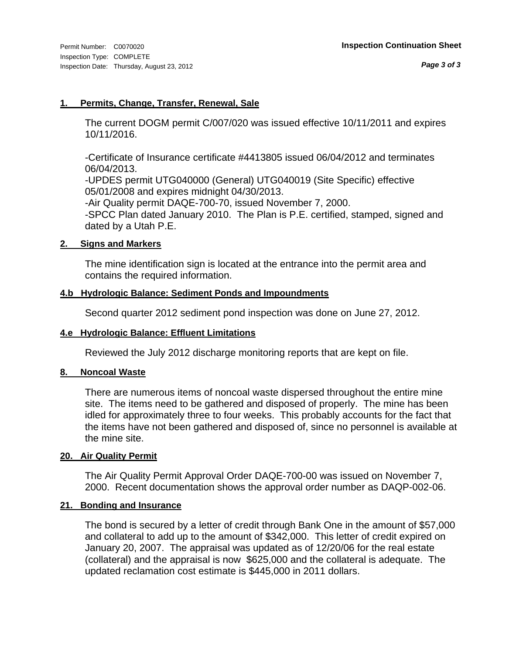#### **1. Permits, Change, Transfer, Renewal, Sale**

The current DOGM permit C/007/020 was issued effective 10/11/2011 and expires 10/11/2016.

-Certificate of Insurance certificate #4413805 issued 06/04/2012 and terminates 06/04/2013.

-UPDES permit UTG040000 (General) UTG040019 (Site Specific) effective 05/01/2008 and expires midnight 04/30/2013.

-Air Quality permit DAQE-700-70, issued November 7, 2000. -SPCC Plan dated January 2010. The Plan is P.E. certified, stamped, signed and dated by a Utah P.E.

#### **2. Signs and Markers**

The mine identification sign is located at the entrance into the permit area and contains the required information.

#### **4.b Hydrologic Balance: Sediment Ponds and Impoundments**

Second quarter 2012 sediment pond inspection was done on June 27, 2012.

#### **4.e Hydrologic Balance: Effluent Limitations**

Reviewed the July 2012 discharge monitoring reports that are kept on file.

#### **8. Noncoal Waste**

There are numerous items of noncoal waste dispersed throughout the entire mine site. The items need to be gathered and disposed of properly. The mine has been idled for approximately three to four weeks. This probably accounts for the fact that the items have not been gathered and disposed of, since no personnel is available at the mine site.

#### **20. Air Quality Permit**

The Air Quality Permit Approval Order DAQE-700-00 was issued on November 7, 2000. Recent documentation shows the approval order number as DAQP-002-06.

#### **21. Bonding and Insurance**

The bond is secured by a letter of credit through Bank One in the amount of \$57,000 and collateral to add up to the amount of \$342,000. This letter of credit expired on January 20, 2007. The appraisal was updated as of 12/20/06 for the real estate (collateral) and the appraisal is now \$625,000 and the collateral is adequate. The updated reclamation cost estimate is \$445,000 in 2011 dollars.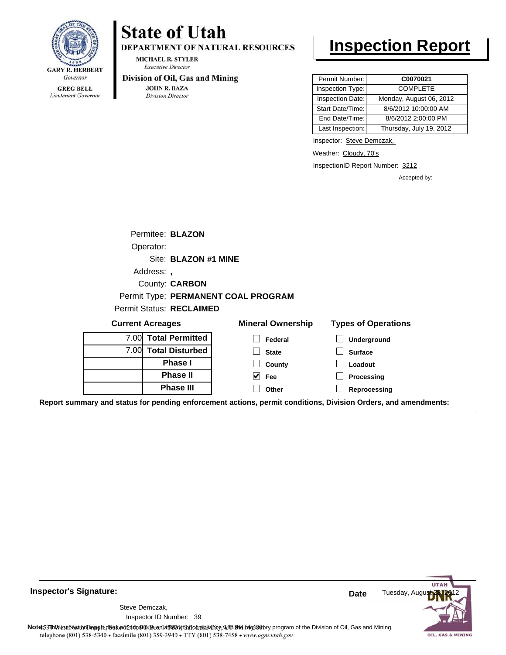

Lieutenant Governor

**Inspector's Signature:**

## **State of Utah**

DEPARTMENT OF NATURAL RESOURCES

**MICHAEL R. STYLER Executive Director** 

#### Division of Oil, Gas and Mining

**JOHN R. BAZA Division Director** 

## **Inspection Report**

| Permit Number:   | C0070021                |
|------------------|-------------------------|
| Inspection Type: | <b>COMPLETE</b>         |
| Inspection Date: | Monday, August 06, 2012 |
| Start Date/Time: | 8/6/2012 10:00:00 AM    |
| End Date/Time:   | 8/6/2012 2:00:00 PM     |
| Last Inspection: | Thursday, July 19, 2012 |

Inspector: Steve Demczak,

Weather: Cloudy, 70's

InspectionID Report Number: 3212

Accepted by:

| Permitee: <b>BLAZON</b>  |                                     |                          |                            |
|--------------------------|-------------------------------------|--------------------------|----------------------------|
| Operator:                |                                     |                          |                            |
|                          | Site: BLAZON #1 MINE                |                          |                            |
| Address:                 |                                     |                          |                            |
|                          | County: <b>CARBON</b>               |                          |                            |
|                          | Permit Type: PERMANENT COAL PROGRAM |                          |                            |
| Permit Status: RECLAIMED |                                     |                          |                            |
| <b>Current Acreages</b>  |                                     | <b>Mineral Ownership</b> | <b>Types of Operations</b> |
| _______                  |                                     |                          |                            |

| Guilent Acreages |                        | <b>MILLETAL OWNER SHIP</b> | <b>I YUES OF OPERATIONS</b>                                                                                    |  |
|------------------|------------------------|----------------------------|----------------------------------------------------------------------------------------------------------------|--|
|                  | 7.00 Total Permitted   | Federal                    | <b>Underground</b>                                                                                             |  |
| 7.00L            | <b>Total Disturbed</b> | <b>State</b>               | <b>Surface</b>                                                                                                 |  |
|                  | <b>Phase I</b>         | County                     | Loadout                                                                                                        |  |
|                  | <b>Phase II</b>        | $\vee$ Fee                 | Processing                                                                                                     |  |
|                  | <b>Phase III</b>       | Other                      | Reprocessing                                                                                                   |  |
|                  |                        |                            | Report summary and status for pending enforcement actions, permit conditions, Division Orders, and amendments: |  |



**Date**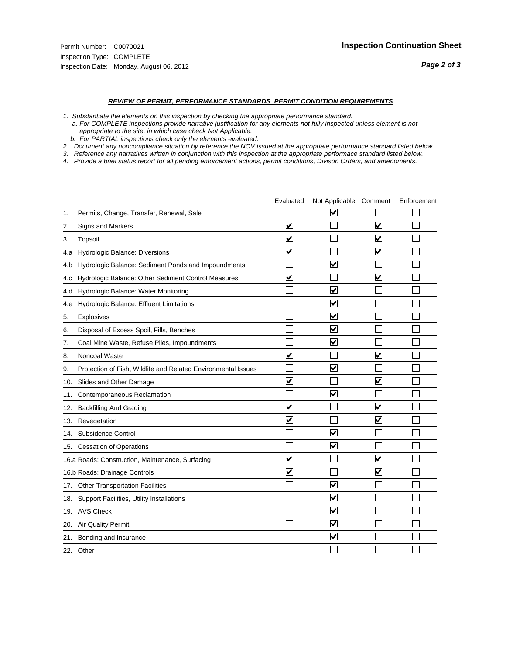- *1. Substantiate the elements on this inspection by checking the appropriate performance standard.*
- *a. For COMPLETE inspections provide narrative justification for any elements not fully inspected unless element is not appropriate to the site, in which case check Not Applicable.*
- *b. For PARTIAL inspections check only the elements evaluated.*
- *2. Document any noncompliance situation by reference the NOV issued at the appropriate performance standard listed below.*
- *3. Reference any narratives written in conjunction with this inspection at the appropriate performace standard listed below.*
- *4. Provide a brief status report for all pending enforcement actions, permit conditions, Divison Orders, and amendments.*

|     |                                                               | Evaluated               | Not Applicable Comment          |                         | Enforcement |
|-----|---------------------------------------------------------------|-------------------------|---------------------------------|-------------------------|-------------|
| 1.  | Permits, Change, Transfer, Renewal, Sale                      |                         | ⊽                               |                         |             |
| 2.  | Signs and Markers                                             | $\overline{\mathbf{v}}$ |                                 | ☑                       |             |
| 3.  | Topsoil                                                       | $\overline{\mathbf{v}}$ |                                 | $\overline{\mathbf{v}}$ |             |
| 4.a | Hydrologic Balance: Diversions                                | $\blacktriangledown$    |                                 | $\blacktriangledown$    |             |
| 4.b | Hydrologic Balance: Sediment Ponds and Impoundments           |                         | V                               |                         |             |
| 4.C | Hydrologic Balance: Other Sediment Control Measures           | $\overline{\mathbf{v}}$ |                                 | $\blacktriangledown$    |             |
| 4.d | Hydrologic Balance: Water Monitoring                          |                         | $\overline{\blacktriangledown}$ |                         |             |
| 4.e | Hydrologic Balance: Effluent Limitations                      |                         | $\blacktriangledown$            |                         |             |
| 5.  | <b>Explosives</b>                                             |                         | $\overline{\mathbf{v}}$         |                         |             |
| 6.  | Disposal of Excess Spoil, Fills, Benches                      |                         | $\bm{\vee}$                     |                         |             |
| 7.  | Coal Mine Waste, Refuse Piles, Impoundments                   |                         | $\overline{\mathbf{v}}$         |                         |             |
| 8.  | Noncoal Waste                                                 | $\overline{\mathsf{v}}$ |                                 | V                       |             |
| 9.  | Protection of Fish, Wildlife and Related Environmental Issues |                         | $\overline{\blacktriangledown}$ |                         |             |
| 10. | Slides and Other Damage                                       | $\overline{\mathbf{v}}$ |                                 | $\blacktriangledown$    |             |
| 11. | Contemporaneous Reclamation                                   |                         | $\blacktriangledown$            |                         |             |
| 12. | <b>Backfilling And Grading</b>                                | $\blacktriangledown$    |                                 | $\blacktriangledown$    |             |
| 13. | Revegetation                                                  | $\overline{\mathbf{v}}$ |                                 | $\overline{\mathbf{v}}$ |             |
| 14. | Subsidence Control                                            |                         | $\overline{\mathbf{v}}$         |                         |             |
|     | 15. Cessation of Operations                                   |                         | $\blacktriangledown$            |                         |             |
|     | 16.a Roads: Construction, Maintenance, Surfacing              | $\blacktriangledown$    |                                 | $\blacktriangledown$    |             |
|     | 16.b Roads: Drainage Controls                                 | $\overline{\mathbf{v}}$ |                                 | $\blacktriangledown$    |             |
| 17. | <b>Other Transportation Facilities</b>                        |                         | $\blacktriangledown$            |                         |             |
| 18. | Support Facilities, Utility Installations                     |                         | $\overline{\mathbf{v}}$         |                         |             |
|     | 19. AVS Check                                                 |                         | $\overline{\blacktriangledown}$ |                         |             |
| 20. | <b>Air Quality Permit</b>                                     |                         | $\blacktriangledown$            |                         |             |
|     | 21. Bonding and Insurance                                     |                         | $\overline{\mathbf{v}}$         |                         |             |
|     | 22. Other                                                     |                         |                                 |                         |             |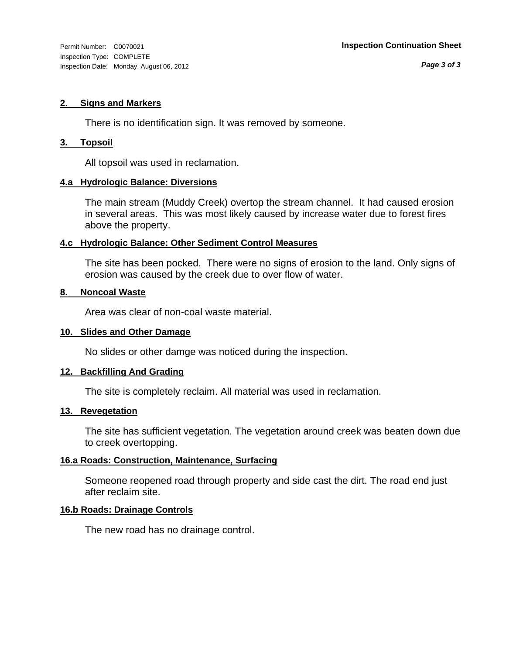#### **2. Signs and Markers**

There is no identification sign. It was removed by someone.

#### **3. Topsoil**

All topsoil was used in reclamation.

#### **4.a Hydrologic Balance: Diversions**

The main stream (Muddy Creek) overtop the stream channel. It had caused erosion in several areas. This was most likely caused by increase water due to forest fires above the property.

#### **4.c Hydrologic Balance: Other Sediment Control Measures**

The site has been pocked. There were no signs of erosion to the land. Only signs of erosion was caused by the creek due to over flow of water.

#### **8. Noncoal Waste**

Area was clear of non-coal waste material.

#### **10. Slides and Other Damage**

No slides or other damge was noticed during the inspection.

#### **12. Backfilling And Grading**

The site is completely reclaim. All material was used in reclamation.

#### **13. Revegetation**

The site has sufficient vegetation. The vegetation around creek was beaten down due to creek overtopping.

#### **16.a Roads: Construction, Maintenance, Surfacing**

Someone reopened road through property and side cast the dirt. The road end just after reclaim site.

#### **16.b Roads: Drainage Controls**

The new road has no drainage control.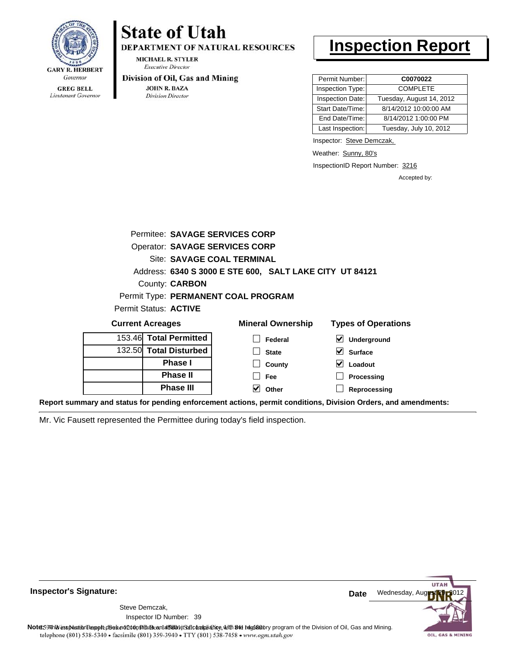

Lieutenant Governor

## **State of Utah**

DEPARTMENT OF NATURAL RESOURCES

**MICHAEL R. STYLER Executive Director** 

#### Division of Oil, Gas and Mining

**JOHN R. BAZA Division Director** 

## **Inspection Report**

| Permit Number:   | C0070022                 |
|------------------|--------------------------|
| Inspection Type: | <b>COMPLETE</b>          |
| Inspection Date: | Tuesday, August 14, 2012 |
| Start Date/Time: | 8/14/2012 10:00:00 AM    |
| End Date/Time:   | 8/14/2012 1:00:00 PM     |
| Last Inspection: | Tuesday, July 10, 2012   |

Inspector: Steve Demczak,

Weather: Sunny, 80's

InspectionID Report Number: 3216

**Processing Reprocessing** Accepted by:

| Permitee: SAVAGE SERVICES CORP        |                                                         |                                            |
|---------------------------------------|---------------------------------------------------------|--------------------------------------------|
| <b>Operator: SAVAGE SERVICES CORP</b> |                                                         |                                            |
|                                       | Site: SAVAGE COAL TERMINAL                              |                                            |
|                                       | Address: 6340 S 3000 E STE 600, SALT LAKE CITY UT 84121 |                                            |
| County: <b>CARBON</b>                 |                                                         |                                            |
|                                       | Permit Type: PERMANENT COAL PROGRAM                     |                                            |
| Permit Status: ACTIVE                 |                                                         |                                            |
| <b>Current Acreages</b>               | <b>Mineral Ownership</b>                                | <b>Types of Operations</b>                 |
| 153.46 Total Permitted                | Federal                                                 | $\vert\bm{\checkmark}\vert$<br>Underground |
| 132.50 Total Disturbed                | <b>State</b>                                            | <b>Surface</b>                             |
| <b>Phase I</b>                        | County                                                  | Loadout                                    |

**Fee Other**

**Report summary and status for pending enforcement actions, permit conditions, Division Orders, and amendments:**

Mr. Vic Fausett represented the Permittee during today's field inspection.

**Phase II Phase III**



**Inspector's Signature:**

Inspector ID Number: 39 Steve Demczak,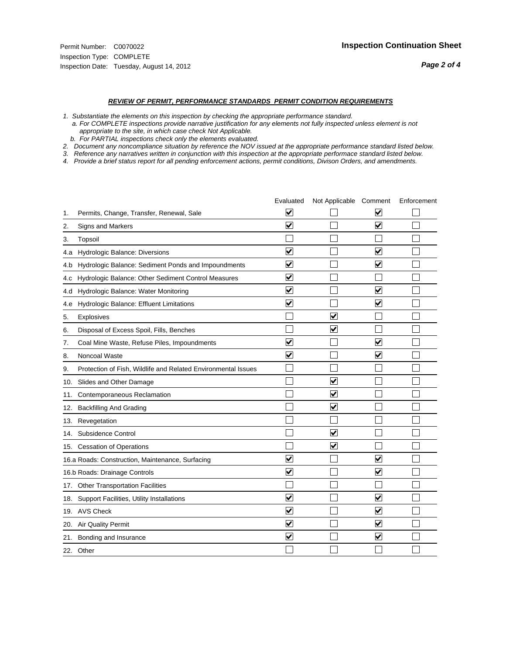- *1. Substantiate the elements on this inspection by checking the appropriate performance standard.*
- *a. For COMPLETE inspections provide narrative justification for any elements not fully inspected unless element is not appropriate to the site, in which case check Not Applicable.*
- *b. For PARTIAL inspections check only the elements evaluated.*
- *2. Document any noncompliance situation by reference the NOV issued at the appropriate performance standard listed below.*
- *3. Reference any narratives written in conjunction with this inspection at the appropriate performace standard listed below.*
- *4. Provide a brief status report for all pending enforcement actions, permit conditions, Divison Orders, and amendments.*

|     |                                                               | Evaluated                            | Not Applicable Comment  |                         | Enforcement |
|-----|---------------------------------------------------------------|--------------------------------------|-------------------------|-------------------------|-------------|
| 1.  | Permits, Change, Transfer, Renewal, Sale                      | $\overline{\mathbf{v}}$              |                         | $\overline{\mathbf{v}}$ |             |
| 2.  | Signs and Markers                                             | $\overline{\mathbf{v}}$              |                         | $\overline{\mathbf{v}}$ |             |
| 3.  | Topsoil                                                       |                                      |                         |                         |             |
| 4.a | Hydrologic Balance: Diversions                                | V                                    |                         | V                       |             |
| 4.b | Hydrologic Balance: Sediment Ponds and Impoundments           | $\blacktriangledown$                 |                         | $\blacktriangledown$    |             |
| 4.c | Hydrologic Balance: Other Sediment Control Measures           | $\blacktriangledown$                 |                         |                         |             |
| 4.d | Hydrologic Balance: Water Monitoring                          | $\overline{\blacktriangledown}$      |                         | $\overline{\mathbf{v}}$ |             |
| 4.e | Hydrologic Balance: Effluent Limitations                      | $\blacktriangledown$                 |                         | $\overline{\mathsf{v}}$ |             |
| 5.  | <b>Explosives</b>                                             |                                      | ⊽                       |                         |             |
| 6.  | Disposal of Excess Spoil, Fills, Benches                      |                                      | ⊽                       |                         |             |
| 7.  | Coal Mine Waste, Refuse Piles, Impoundments                   | $\blacktriangledown$                 |                         | $\overline{\mathbf{v}}$ |             |
| 8.  | Noncoal Waste                                                 | $\overline{\mathbf{v}}$              |                         | $\overline{\mathbf{v}}$ |             |
| 9.  | Protection of Fish, Wildlife and Related Environmental Issues |                                      |                         |                         |             |
|     | 10. Slides and Other Damage                                   |                                      | ⊽                       |                         |             |
| 11. | Contemporaneous Reclamation                                   |                                      | V                       |                         |             |
| 12. | <b>Backfilling And Grading</b>                                |                                      | $\overline{\mathbf{v}}$ |                         |             |
| 13. | Revegetation                                                  |                                      |                         |                         |             |
| 14. | Subsidence Control                                            |                                      | $\overline{\mathsf{v}}$ |                         |             |
|     | 15. Cessation of Operations                                   |                                      | $\overline{\mathbf{v}}$ |                         |             |
|     | 16.a Roads: Construction, Maintenance, Surfacing              | $\vert\!\vert\mathbf{v}\vert\!\vert$ |                         | V                       |             |
|     | 16.b Roads: Drainage Controls                                 | $\blacktriangledown$                 |                         | $\blacktriangledown$    |             |
|     | 17. Other Transportation Facilities                           |                                      |                         |                         |             |
| 18. | Support Facilities, Utility Installations                     | $\overline{\mathbf{v}}$              |                         | $\blacktriangledown$    |             |
|     | 19. AVS Check                                                 | $\overline{\blacktriangledown}$      |                         | $\overline{\mathbf{v}}$ |             |
| 20. | Air Quality Permit                                            | $\blacktriangledown$                 |                         | $\blacktriangledown$    |             |
|     | 21. Bonding and Insurance                                     | $\overline{\blacktriangledown}$      |                         | $\blacktriangledown$    |             |
|     | 22. Other                                                     |                                      |                         |                         |             |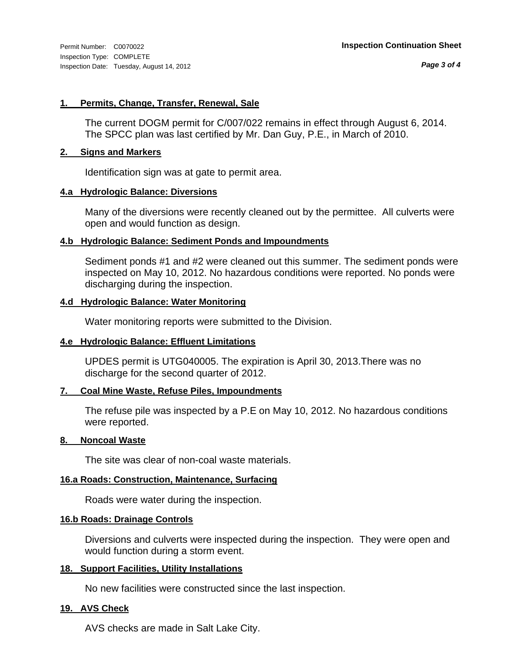*Page 3 of 4*

#### **1. Permits, Change, Transfer, Renewal, Sale**

The current DOGM permit for C/007/022 remains in effect through August 6, 2014. The SPCC plan was last certified by Mr. Dan Guy, P.E., in March of 2010.

#### **2. Signs and Markers**

Identification sign was at gate to permit area.

#### **4.a Hydrologic Balance: Diversions**

Many of the diversions were recently cleaned out by the permittee. All culverts were open and would function as design.

#### **4.b Hydrologic Balance: Sediment Ponds and Impoundments**

Sediment ponds #1 and #2 were cleaned out this summer. The sediment ponds were inspected on May 10, 2012. No hazardous conditions were reported. No ponds were discharging during the inspection.

#### **4.d Hydrologic Balance: Water Monitoring**

Water monitoring reports were submitted to the Division.

#### **4.e Hydrologic Balance: Effluent Limitations**

UPDES permit is UTG040005. The expiration is April 30, 2013.There was no discharge for the second quarter of 2012.

#### **7. Coal Mine Waste, Refuse Piles, Impoundments**

The refuse pile was inspected by a P.E on May 10, 2012. No hazardous conditions were reported.

#### **8. Noncoal Waste**

The site was clear of non-coal waste materials.

#### **16.a Roads: Construction, Maintenance, Surfacing**

Roads were water during the inspection.

#### **16.b Roads: Drainage Controls**

Diversions and culverts were inspected during the inspection. They were open and would function during a storm event.

#### **18. Support Facilities, Utility Installations**

No new facilities were constructed since the last inspection.

#### **19. AVS Check**

AVS checks are made in Salt Lake City.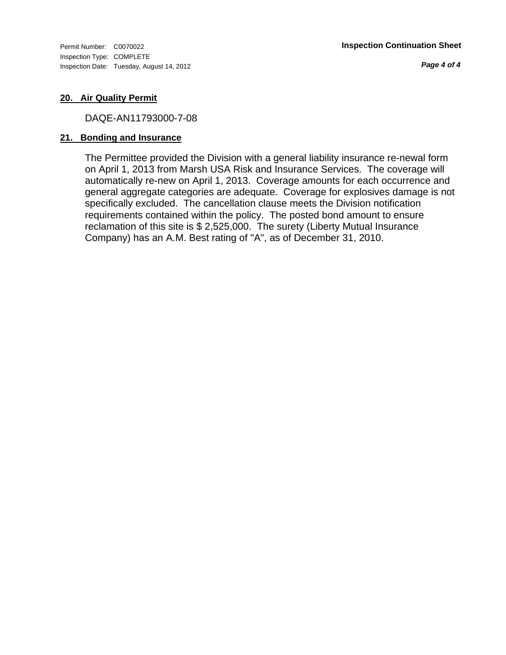Inspection Type: COMPLETE Inspection Date: Tuesday, August 14, 2012

*Page 4 of 4*

#### **20. Air Quality Permit**

DAQE-AN11793000-7-08

#### **21. Bonding and Insurance**

The Permittee provided the Division with a general liability insurance re-newal form on April 1, 2013 from Marsh USA Risk and Insurance Services. The coverage will automatically re-new on April 1, 2013. Coverage amounts for each occurrence and general aggregate categories are adequate. Coverage for explosives damage is not specifically excluded. The cancellation clause meets the Division notification requirements contained within the policy. The posted bond amount to ensure reclamation of this site is \$ 2,525,000. The surety (Liberty Mutual Insurance Company) has an A.M. Best rating of "A", as of December 31, 2010.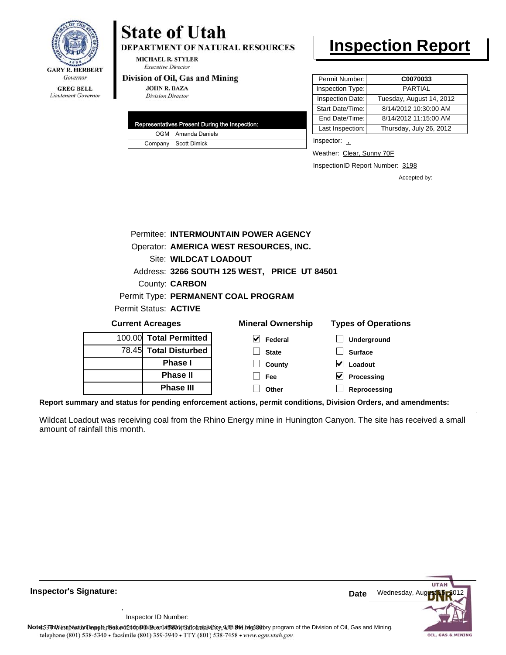

# **State of Utah**

DEPARTMENT OF NATURAL RESOURCES

**MICHAEL R. STYLER Executive Director** 

#### Division of Oil, Gas and Mining

**Phase II Phase III**

**JOHN R. BAZA Division Director** 

| Representatives Present During the Inspection: |
|------------------------------------------------|
| OGM Amanda Daniels                             |
| Company Scott Dimick                           |

## **Inspection Report**

| Permit Number:<br>C0070033                   |
|----------------------------------------------|
| Inspection Type:<br><b>PARTIAL</b>           |
| Tuesday, August 14, 2012<br>Inspection Date: |
| 8/14/2012 10:30:00 AM<br>Start Date/Time:    |
| 8/14/2012 11:15:00 AM<br>End Date/Time:      |
| Last Inspection:<br>Thursday, July 26, 2012  |
|                                              |

Inspector: 1

Weather: Clear, Sunny 70F

InspectionID Report Number: 3198

**Processing Reprocessing** Accepted by:

|                              | Permitee: INTERMOUNTAIN POWER AGENCY         |                            |
|------------------------------|----------------------------------------------|----------------------------|
|                              | Operator: AMERICA WEST RESOURCES, INC.       |                            |
| <b>Site: WILDCAT LOADOUT</b> |                                              |                            |
|                              | Address: 3266 SOUTH 125 WEST, PRICE UT 84501 |                            |
| County: <b>CARBON</b>        |                                              |                            |
|                              | Permit Type: PERMANENT COAL PROGRAM          |                            |
| Permit Status: <b>ACTIVE</b> |                                              |                            |
| <b>Current Acreages</b>      | <b>Mineral Ownership</b>                     | <b>Types of Operations</b> |
| 100.00 Total Permitted       | <b>Federal</b>                               | <b>Underground</b>         |
| 78.45 Total Disturbed        | <b>State</b>                                 | <b>Surface</b>             |
| <b>Phase I</b>               | County                                       | Loadout                    |

**Report summary and status for pending enforcement actions, permit conditions, Division Orders, and amendments:**

Wildcat Loadout was receiving coal from the Rhino Energy mine in Hunington Canyon. The site has received a small amount of rainfall this month.

**Fee Other**

 $\Box$ 



**Inspector's Signature: Date Date Date Date** 

Inspector ID Number:

,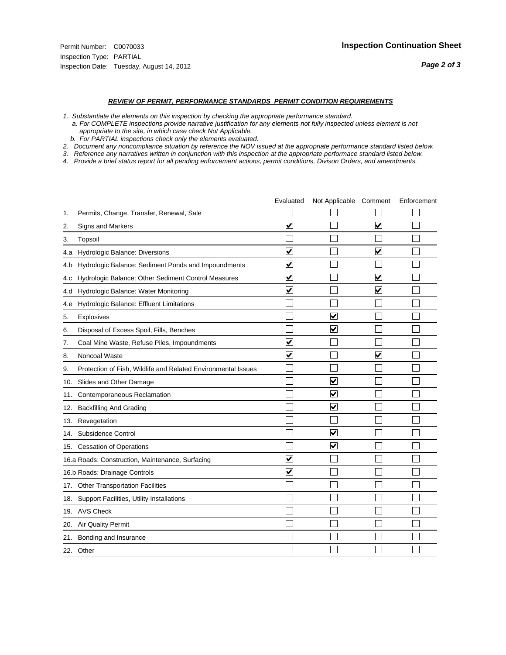- *1. Substantiate the elements on this inspection by checking the appropriate performance standard.*
- *a. For COMPLETE inspections provide narrative justification for any elements not fully inspected unless element is not appropriate to the site, in which case check Not Applicable.*
- *b. For PARTIAL inspections check only the elements evaluated.*
- *2. Document any noncompliance situation by reference the NOV issued at the appropriate performance standard listed below.*
- *3. Reference any narratives written in conjunction with this inspection at the appropriate performace standard listed below.*
- *4. Provide a brief status report for all pending enforcement actions, permit conditions, Divison Orders, and amendments.*

|     |                                                               | Evaluated               | Not Applicable Comment  |                         | Enforcement |
|-----|---------------------------------------------------------------|-------------------------|-------------------------|-------------------------|-------------|
| 1.  | Permits, Change, Transfer, Renewal, Sale                      |                         |                         |                         |             |
| 2.  | <b>Signs and Markers</b>                                      | $\overline{\mathbf{v}}$ |                         | $\blacktriangledown$    |             |
| 3.  | Topsoil                                                       |                         |                         |                         |             |
| 4.a | Hydrologic Balance: Diversions                                | $\blacktriangledown$    |                         | $\blacktriangledown$    |             |
| 4.b | Hydrologic Balance: Sediment Ponds and Impoundments           | $\blacktriangledown$    |                         |                         |             |
| 4.C | Hydrologic Balance: Other Sediment Control Measures           | $\overline{\mathbf{v}}$ |                         | $\blacktriangledown$    |             |
| 4.d | Hydrologic Balance: Water Monitoring                          | $\overline{\mathbf{v}}$ |                         | $\overline{\mathbf{v}}$ |             |
| 4.e | Hydrologic Balance: Effluent Limitations                      |                         |                         |                         |             |
| 5.  | <b>Explosives</b>                                             |                         | V                       |                         |             |
| 6.  | Disposal of Excess Spoil, Fills, Benches                      |                         | $\overline{\mathbf{v}}$ |                         |             |
| 7.  | Coal Mine Waste, Refuse Piles, Impoundments                   | $\overline{\mathbf{v}}$ |                         |                         |             |
| 8.  | Noncoal Waste                                                 | $\overline{\mathbf{v}}$ |                         | $\overline{\mathbf{v}}$ |             |
| 9.  | Protection of Fish, Wildlife and Related Environmental Issues |                         |                         |                         |             |
|     | 10. Slides and Other Damage                                   |                         | ⊽                       |                         |             |
| 11. | Contemporaneous Reclamation                                   |                         | V                       |                         |             |
| 12. | <b>Backfilling And Grading</b>                                |                         | $\overline{\mathbf{v}}$ |                         |             |
|     | 13. Revegetation                                              |                         |                         |                         |             |
| 14. | Subsidence Control                                            |                         | $\overline{\mathbf{v}}$ |                         |             |
|     | 15. Cessation of Operations                                   |                         | $\overline{\mathbf{v}}$ |                         |             |
|     | 16.a Roads: Construction, Maintenance, Surfacing              | ⊽                       |                         |                         |             |
|     | 16.b Roads: Drainage Controls                                 | ⊻                       |                         |                         |             |
| 17. | <b>Other Transportation Facilities</b>                        |                         |                         |                         |             |
| 18. | Support Facilities, Utility Installations                     |                         |                         |                         |             |
|     | 19. AVS Check                                                 |                         |                         |                         |             |
| 20. | <b>Air Quality Permit</b>                                     |                         |                         |                         |             |
|     | 21. Bonding and Insurance                                     |                         |                         |                         |             |
|     | 22. Other                                                     |                         |                         |                         |             |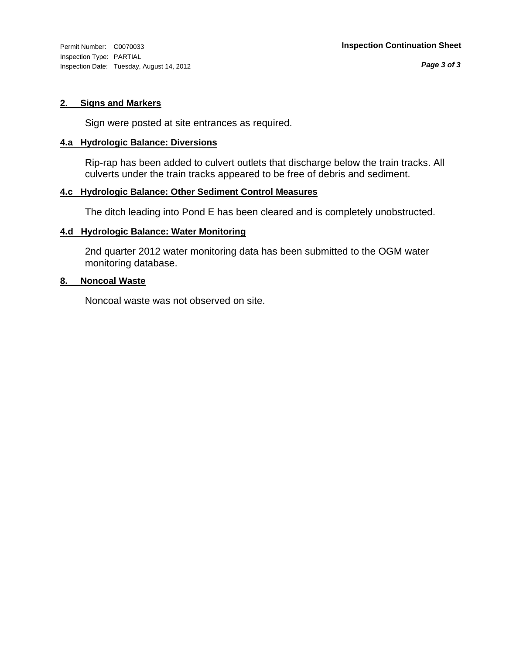Inspection Type: PARTIAL Inspection Date: Tuesday, August 14, 2012

#### **2. Signs and Markers**

Sign were posted at site entrances as required.

#### **4.a Hydrologic Balance: Diversions**

Rip-rap has been added to culvert outlets that discharge below the train tracks. All culverts under the train tracks appeared to be free of debris and sediment.

#### **4.c Hydrologic Balance: Other Sediment Control Measures**

The ditch leading into Pond E has been cleared and is completely unobstructed.

#### **4.d Hydrologic Balance: Water Monitoring**

2nd quarter 2012 water monitoring data has been submitted to the OGM water monitoring database.

#### **8. Noncoal Waste**

Noncoal waste was not observed on site.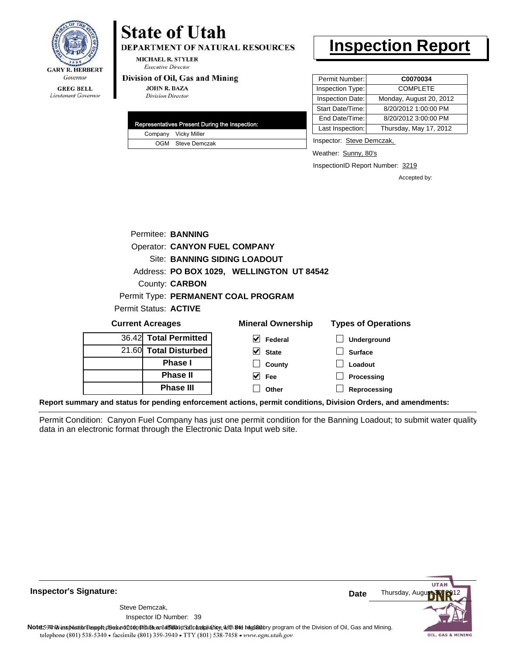

#### **GREG BELL** Lieutenant Governor

# **State of Utah**

DEPARTMENT OF NATURAL RESOURCES

**MICHAEL R. STYLER Executive Director** 

#### Division of Oil, Gas and Mining

**JOHN R. BAZA Division Director** 

| Representatives Present During the Inspection: |
|------------------------------------------------|
| Company Vicky Miller                           |
| OGM Steve Demczak                              |

## **Inspection Report**

| Permit Number:<br>C0070034                  |
|---------------------------------------------|
| <b>COMPLETE</b><br>Inspection Type:         |
| Monday, August 20, 2012<br>Inspection Date: |
| 8/20/2012 1:00:00 PM                        |
| 8/20/2012 3:00:00 PM                        |
| Thursday, May 17, 2012                      |
|                                             |

Inspector: Steve Demczak,

Weather: Sunny, 80's

InspectionID Report Number: 3219

Accepted by:

|                         | Permitee: BANNING                    |                                           |     |
|-------------------------|--------------------------------------|-------------------------------------------|-----|
|                         | <b>Operator: CANYON FUEL COMPANY</b> |                                           |     |
|                         | <b>Site: BANNING SIDING LOADOUT</b>  |                                           |     |
|                         |                                      | Address: PO BOX 1029, WELLINGTON UT 84542 |     |
|                         | <b>County: CARBON</b>                |                                           |     |
|                         |                                      | Permit Type: PERMANENT COAL PROGRAM       |     |
| Permit Status: ACTIVE   |                                      |                                           |     |
| <b>Current Acreages</b> |                                      | <b>Mineral Ownership</b>                  | Tvn |

| <b>Current Acreages</b> | <b>Mineral Ownership</b> | <b>Types of Operations</b> |
|-------------------------|--------------------------|----------------------------|
| 36.42 Total Permitted   | V<br>Federal             | <b>Underground</b>         |
| 21.60 Total Disturbed   | $\vee$ State             | <b>Surface</b>             |
| <b>Phase I</b>          | County                   | Loadout                    |
| <b>Phase II</b>         | Fee<br>M                 | Processing                 |
| <b>Phase III</b>        | Other                    | Reprocessing               |
|                         |                          |                            |

**Report summary and status for pending enforcement actions, permit conditions, Division Orders, and amendments:**

Permit Condition: Canyon Fuel Company has just one permit condition for the Banning Loadout; to submit water quality data in an electronic format through the Electronic Data Input web site.

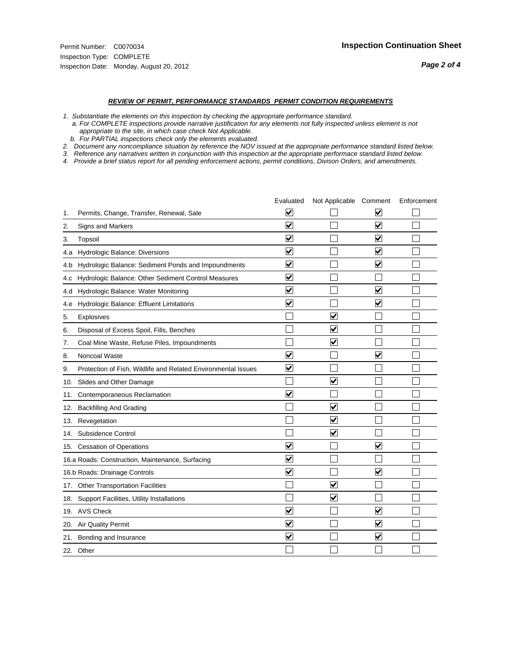#### *REVIEW OF PERMIT, PERFORMANCE STANDARDS PERMIT CONDITION REQUIREMENTS*

*1. Substantiate the elements on this inspection by checking the appropriate performance standard.*

 *a. For COMPLETE inspections provide narrative justification for any elements not fully inspected unless element is not appropriate to the site, in which case check Not Applicable.*

 *b. For PARTIAL inspections check only the elements evaluated.*

*2. Document any noncompliance situation by reference the NOV issued at the appropriate performance standard listed below.*

*3. Reference any narratives written in conjunction with this inspection at the appropriate performace standard listed below.*

*4. Provide a brief status report for all pending enforcement actions, permit conditions, Divison Orders, and amendments.*

|     |                                                               | Evaluated               | Not Applicable Comment  |                         | Enforcement |
|-----|---------------------------------------------------------------|-------------------------|-------------------------|-------------------------|-------------|
| 1.  | Permits, Change, Transfer, Renewal, Sale                      | V                       |                         | V                       |             |
| 2.  | Signs and Markers                                             | $\overline{\mathbf{v}}$ |                         | $\overline{\mathbf{v}}$ |             |
| 3.  | Topsoil                                                       | $\overline{\mathbf{v}}$ |                         | $\overline{\mathbf{v}}$ |             |
| 4.a | Hydrologic Balance: Diversions                                | ⊽                       |                         | $\overline{\mathsf{v}}$ |             |
| 4.b | Hydrologic Balance: Sediment Ponds and Impoundments           | $\overline{\mathsf{v}}$ |                         | $\overline{\mathbf{v}}$ |             |
| 4.C | Hydrologic Balance: Other Sediment Control Measures           | $\overline{\mathsf{v}}$ |                         |                         |             |
| 4.d | Hydrologic Balance: Water Monitoring                          | $\overline{\mathsf{v}}$ |                         | $\overline{\mathbf{v}}$ |             |
| 4.e | Hydrologic Balance: Effluent Limitations                      | $\overline{\mathbf{v}}$ |                         | $\overline{\mathbf{v}}$ |             |
| 5.  | Explosives                                                    |                         | $\blacktriangledown$    |                         |             |
| 6.  | Disposal of Excess Spoil, Fills, Benches                      |                         | $\vert\!\sqrt{2}\vert$  |                         |             |
| 7.  | Coal Mine Waste, Refuse Piles, Impoundments                   |                         | $\blacktriangledown$    |                         |             |
| 8.  | Noncoal Waste                                                 | $\overline{\mathsf{v}}$ |                         | $\overline{\mathbf{v}}$ |             |
| 9.  | Protection of Fish, Wildlife and Related Environmental Issues | $\overline{\mathbf{v}}$ |                         |                         |             |
|     | 10. Slides and Other Damage                                   |                         | $\blacktriangledown$    |                         |             |
| 11. | Contemporaneous Reclamation                                   | ⊽                       |                         |                         |             |
| 12. | <b>Backfilling And Grading</b>                                |                         | $\overline{\mathbf{v}}$ |                         |             |
| 13. | Revegetation                                                  |                         | $\overline{\mathbf{v}}$ |                         |             |
| 14. | Subsidence Control                                            |                         | $\blacktriangledown$    |                         |             |
|     | 15. Cessation of Operations                                   | $\overline{\mathbf{v}}$ |                         | $\overline{\mathbf{v}}$ |             |
|     | 16.a Roads: Construction, Maintenance, Surfacing              | $\overline{\mathsf{v}}$ |                         |                         |             |
|     | 16.b Roads: Drainage Controls                                 | V                       |                         | V                       |             |
|     | 17. Other Transportation Facilities                           |                         | $\blacktriangledown$    |                         |             |
| 18. | Support Facilities, Utility Installations                     |                         | ☑                       |                         |             |
|     | 19. AVS Check                                                 | $\overline{\mathsf{v}}$ |                         | $\overline{\mathbf{v}}$ |             |
|     | 20. Air Quality Permit                                        | $\overline{\mathsf{v}}$ |                         | $\blacktriangledown$    |             |
|     | 21. Bonding and Insurance                                     | $\overline{\mathbf{v}}$ |                         | $\blacktriangledown$    |             |
|     | 22. Other                                                     |                         |                         |                         |             |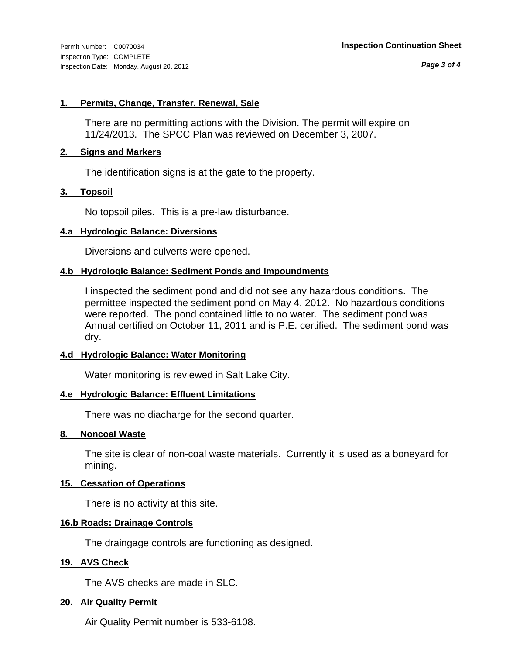*Page 3 of 4*

#### **1. Permits, Change, Transfer, Renewal, Sale**

There are no permitting actions with the Division. The permit will expire on 11/24/2013. The SPCC Plan was reviewed on December 3, 2007.

#### **2. Signs and Markers**

The identification signs is at the gate to the property.

#### **3. Topsoil**

No topsoil piles. This is a pre-law disturbance.

#### **4.a Hydrologic Balance: Diversions**

Diversions and culverts were opened.

#### **4.b Hydrologic Balance: Sediment Ponds and Impoundments**

I inspected the sediment pond and did not see any hazardous conditions. The permittee inspected the sediment pond on May 4, 2012. No hazardous conditions were reported. The pond contained little to no water. The sediment pond was Annual certified on October 11, 2011 and is P.E. certified. The sediment pond was dry.

#### **4.d Hydrologic Balance: Water Monitoring**

Water monitoring is reviewed in Salt Lake City.

#### **4.e Hydrologic Balance: Effluent Limitations**

There was no diacharge for the second quarter.

#### **8. Noncoal Waste**

The site is clear of non-coal waste materials. Currently it is used as a boneyard for mining.

#### **15. Cessation of Operations**

There is no activity at this site.

#### **16.b Roads: Drainage Controls**

The draingage controls are functioning as designed.

#### **19. AVS Check**

The AVS checks are made in SLC.

#### **20. Air Quality Permit**

Air Quality Permit number is 533-6108.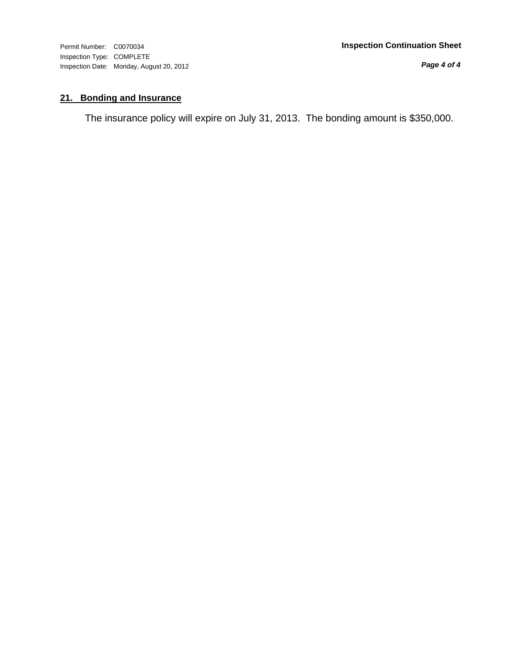Inspection Type: COMPLETE Inspection Date: Monday, August 20, 2012

*Page 4 of 4*

### **21. Bonding and Insurance**

The insurance policy will expire on July 31, 2013. The bonding amount is \$350,000.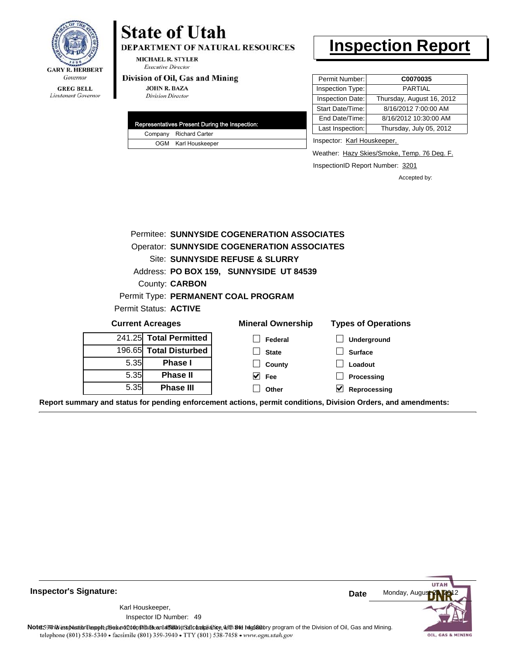

Lieutenant Governor

### DEPARTMENT OF NATURAL RESOURCES

**MICHAEL R. STYLER Executive Director** 

**State of Utah** 

#### Division of Oil, Gas and Mining

**JOHN R. BAZA Division Director** 

|  | Representatives Present During the Inspection: |
|--|------------------------------------------------|
|  | Company Richard Carter                         |
|  | OGM Karl Houskeeper                            |

## **Inspection Report**

| Permit Number:   | C0070035                  |
|------------------|---------------------------|
| Inspection Type: | <b>PARTIAL</b>            |
| Inspection Date: | Thursday, August 16, 2012 |
| Start Date/Time: | 8/16/2012 7:00:00 AM      |
| End Date/Time:   | 8/16/2012 10:30:00 AM     |
| Last Inspection: | Thursday, July 05, 2012   |

Inspector: Karl Houskeeper,

Weather: Hazy Skies/Smoke, Temp. 76 Deg. F.

InspectionID Report Number: 3201

Accepted by:

|                         | Permitee: SUNNYSIDE COGENERATION ASSOCIATES |                                                    |                            |  |  |
|-------------------------|---------------------------------------------|----------------------------------------------------|----------------------------|--|--|
|                         |                                             | <b>Operator: SUNNYSIDE COGENERATION ASSOCIATES</b> |                            |  |  |
|                         |                                             | Site: SUNNYSIDE REFUSE & SLURRY                    |                            |  |  |
|                         |                                             | Address: PO BOX 159, SUNNYSIDE UT 84539            |                            |  |  |
|                         | <b>County: CARBON</b>                       |                                                    |                            |  |  |
|                         |                                             | Permit Type: PERMANENT COAL PROGRAM                |                            |  |  |
|                         | Permit Status: ACTIVE                       |                                                    |                            |  |  |
| <b>Current Acreages</b> |                                             | <b>Mineral Ownership</b>                           | <b>Types of Operations</b> |  |  |
|                         | 241.25 Total Permitted                      | Federal                                            | <b>Underground</b>         |  |  |
|                         | 196.65 Total Disturbed                      | <b>State</b>                                       | <b>Surface</b>             |  |  |
| 5.35                    | <b>Phase I</b>                              | County                                             | Loadout                    |  |  |
| 5.35                    | <b>Phase II</b>                             | M<br><b>Fee</b>                                    | Processing                 |  |  |
| 5.35                    | <b>Phase III</b>                            | Other                                              | Reprocessing               |  |  |

**Report summary and status for pending enforcement actions, permit conditions, Division Orders, and amendments:**

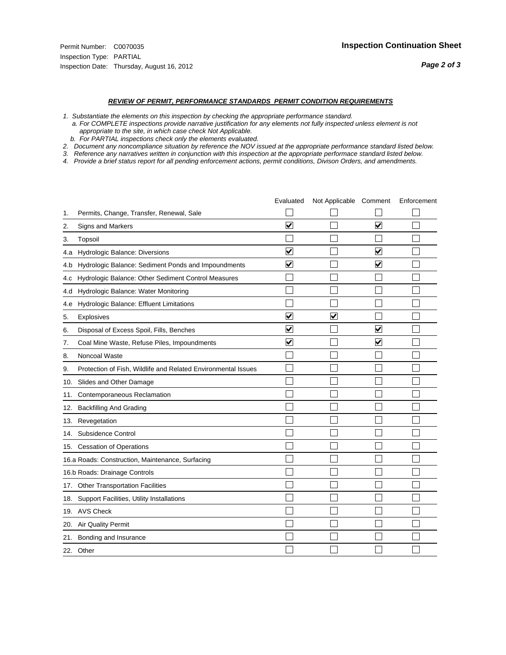- *1. Substantiate the elements on this inspection by checking the appropriate performance standard.*
- *a. For COMPLETE inspections provide narrative justification for any elements not fully inspected unless element is not appropriate to the site, in which case check Not Applicable.*
- *b. For PARTIAL inspections check only the elements evaluated.*
- *2. Document any noncompliance situation by reference the NOV issued at the appropriate performance standard listed below.*
- *3. Reference any narratives written in conjunction with this inspection at the appropriate performace standard listed below.*
- *4. Provide a brief status report for all pending enforcement actions, permit conditions, Divison Orders, and amendments.*

|     |                                                               | Evaluated               | Not Applicable Comment |                                 | Enforcement |
|-----|---------------------------------------------------------------|-------------------------|------------------------|---------------------------------|-------------|
| 1.  | Permits, Change, Transfer, Renewal, Sale                      |                         |                        |                                 |             |
| 2.  | <b>Signs and Markers</b>                                      | $\overline{\mathbf{v}}$ |                        | $\overline{\blacktriangledown}$ |             |
| 3.  | Topsoil                                                       |                         |                        |                                 |             |
| 4.a | Hydrologic Balance: Diversions                                | V                       |                        | V                               |             |
| 4.b | Hydrologic Balance: Sediment Ponds and Impoundments           | ⊻                       |                        | V                               |             |
| 4.C | Hydrologic Balance: Other Sediment Control Measures           |                         |                        |                                 |             |
| 4.d | Hydrologic Balance: Water Monitoring                          |                         |                        |                                 |             |
| 4.e | Hydrologic Balance: Effluent Limitations                      |                         |                        |                                 |             |
| 5.  | Explosives                                                    | $\overline{\mathsf{v}}$ | $\blacktriangledown$   |                                 |             |
| 6.  | Disposal of Excess Spoil, Fills, Benches                      | $\blacktriangledown$    |                        | V                               |             |
| 7.  | Coal Mine Waste, Refuse Piles, Impoundments                   | $\overline{\mathbf{v}}$ |                        | $\blacktriangledown$            |             |
| 8.  | Noncoal Waste                                                 |                         |                        |                                 |             |
| 9.  | Protection of Fish, Wildlife and Related Environmental Issues |                         |                        |                                 |             |
| 10. | Slides and Other Damage                                       |                         |                        |                                 |             |
| 11. | Contemporaneous Reclamation                                   |                         |                        |                                 |             |
| 12. | <b>Backfilling And Grading</b>                                |                         |                        |                                 |             |
| 13. | Revegetation                                                  |                         |                        |                                 |             |
| 14. | Subsidence Control                                            |                         |                        |                                 |             |
|     | 15. Cessation of Operations                                   |                         |                        |                                 |             |
|     | 16.a Roads: Construction, Maintenance, Surfacing              |                         |                        |                                 |             |
|     | 16.b Roads: Drainage Controls                                 |                         |                        |                                 |             |
|     | 17. Other Transportation Facilities                           |                         |                        |                                 |             |
| 18. | Support Facilities, Utility Installations                     |                         |                        |                                 |             |
|     | 19. AVS Check                                                 |                         |                        |                                 |             |
| 20. | Air Quality Permit                                            |                         |                        |                                 |             |
| 21. | Bonding and Insurance                                         |                         |                        |                                 |             |
|     | 22. Other                                                     |                         |                        |                                 |             |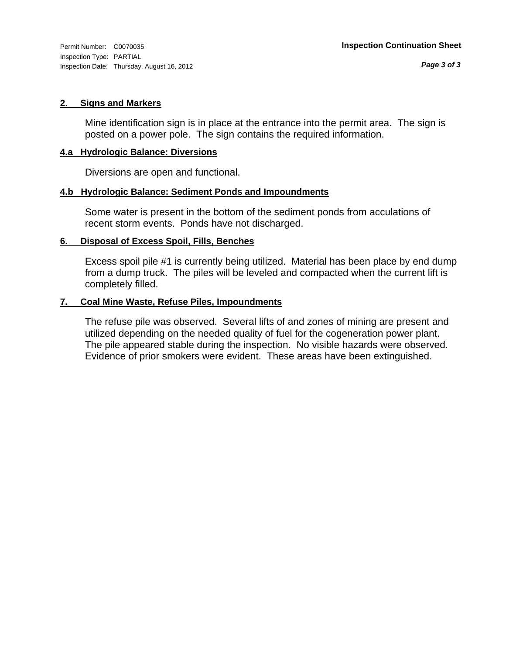#### **2. Signs and Markers**

Mine identification sign is in place at the entrance into the permit area. The sign is posted on a power pole. The sign contains the required information.

#### **4.a Hydrologic Balance: Diversions**

Diversions are open and functional.

#### **4.b Hydrologic Balance: Sediment Ponds and Impoundments**

Some water is present in the bottom of the sediment ponds from acculations of recent storm events. Ponds have not discharged.

#### **6. Disposal of Excess Spoil, Fills, Benches**

Excess spoil pile #1 is currently being utilized. Material has been place by end dump from a dump truck. The piles will be leveled and compacted when the current lift is completely filled.

#### **7. Coal Mine Waste, Refuse Piles, Impoundments**

The refuse pile was observed. Several lifts of and zones of mining are present and utilized depending on the needed quality of fuel for the cogeneration power plant. The pile appeared stable during the inspection. No visible hazards were observed. Evidence of prior smokers were evident. These areas have been extinguished.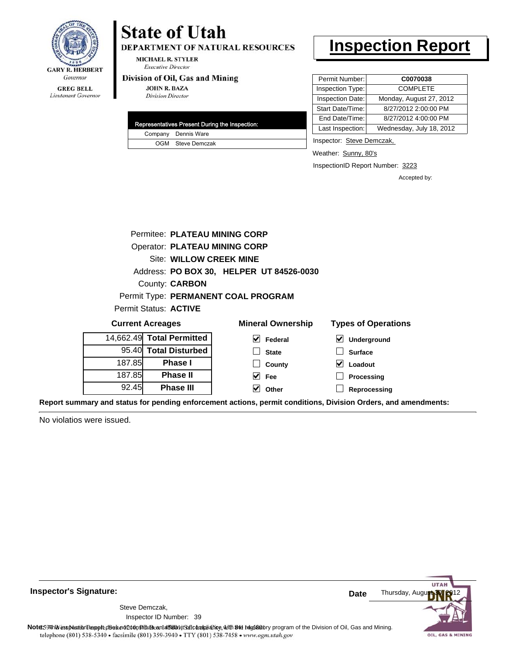

Lieutenant Governor

### **State of Utah** DEPARTMENT OF NATURAL RESOURCES

**MICHAEL R. STYLER Executive Director** 

#### Division of Oil, Gas and Mining

**JOHN R. BAZA Division Director** 

|  | Representatives Present During the Inspection: |
|--|------------------------------------------------|
|  | Company Dennis Ware                            |
|  | OGM Steve Demczak                              |

### **Inspection Report**

| Permit Number:   | C0070038                 |
|------------------|--------------------------|
| Inspection Type: | <b>COMPLETE</b>          |
| Inspection Date: | Monday, August 27, 2012  |
| Start Date/Time: | 8/27/2012 2:00:00 PM     |
| End Date/Time:   | 8/27/2012 4:00:00 PM     |
| Last Inspection: | Wednesday, July 18, 2012 |

Inspector: Steve Demczak,

Weather: Sunny, 80's

InspectionID Report Number: 3223

**Reprocessing**

Accepted by:

|        | Permitee: PLATEAU MINING CORP        |                                          |                                          |  |  |
|--------|--------------------------------------|------------------------------------------|------------------------------------------|--|--|
|        | <b>Operator: PLATEAU MINING CORP</b> |                                          |                                          |  |  |
|        | Site: WILLOW CREEK MINE              |                                          |                                          |  |  |
|        |                                      | Address: PO BOX 30, HELPER UT 84526-0030 |                                          |  |  |
|        | County: <b>CARBON</b>                |                                          |                                          |  |  |
|        |                                      | Permit Type: PERMANENT COAL PROGRAM      |                                          |  |  |
|        | Permit Status: <b>ACTIVE</b>         |                                          |                                          |  |  |
|        | <b>Current Acreages</b>              | <b>Mineral Ownership</b>                 | <b>Types of Operations</b>               |  |  |
|        | 14,662.49 Total Permitted            | V<br>Federal                             | $\boldsymbol{\mathsf{v}}$<br>Underground |  |  |
| 95.40  | <b>Total Disturbed</b>               | <b>State</b>                             | <b>Surface</b>                           |  |  |
| 187.85 | <b>Phase I</b>                       | County                                   | V<br>Loadout                             |  |  |
| 187.85 | <b>Phase II</b>                      | Fee                                      | <b>Processing</b>                        |  |  |

**Other**

**Report summary and status for pending enforcement actions, permit conditions, Division Orders, and amendments:**

No violatios were issued.

92.45

**Phase III**



**Inspector's Signature:**

Inspector ID Number: 39 Steve Demczak,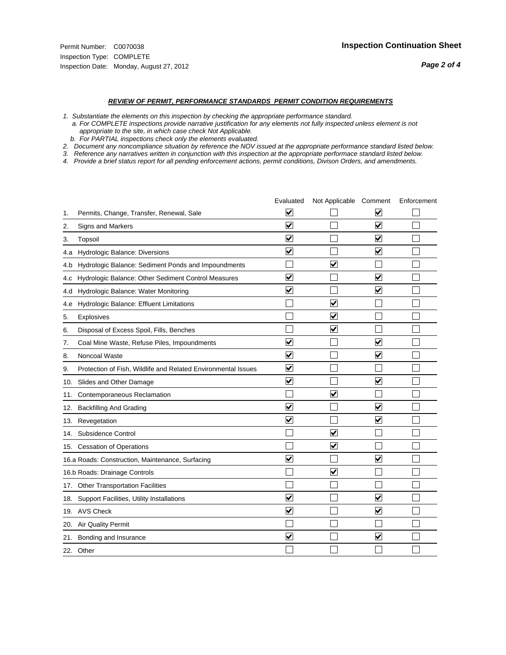- *1. Substantiate the elements on this inspection by checking the appropriate performance standard.*
- *a. For COMPLETE inspections provide narrative justification for any elements not fully inspected unless element is not appropriate to the site, in which case check Not Applicable.*
- *b. For PARTIAL inspections check only the elements evaluated.*
- *2. Document any noncompliance situation by reference the NOV issued at the appropriate performance standard listed below.*
- *3. Reference any narratives written in conjunction with this inspection at the appropriate performace standard listed below.*
- *4. Provide a brief status report for all pending enforcement actions, permit conditions, Divison Orders, and amendments.*

|     |                                                               | Evaluated               | Not Applicable Comment  |                         | Enforcement |
|-----|---------------------------------------------------------------|-------------------------|-------------------------|-------------------------|-------------|
| 1.  | Permits, Change, Transfer, Renewal, Sale                      | $\overline{\mathsf{v}}$ |                         | $\blacktriangledown$    |             |
| 2.  | <b>Signs and Markers</b>                                      | $\overline{\mathbf{v}}$ |                         | $\blacktriangledown$    |             |
| 3.  | Topsoil                                                       | $\overline{\mathbf{v}}$ |                         | $\blacktriangledown$    |             |
|     | 4.a Hydrologic Balance: Diversions                            | ⊽                       |                         | $\blacktriangledown$    |             |
| 4.b | Hydrologic Balance: Sediment Ponds and Impoundments           |                         | ⊽                       |                         |             |
| 4.C | Hydrologic Balance: Other Sediment Control Measures           | $\overline{\mathbf{v}}$ |                         | $\overline{\mathbf{v}}$ |             |
| 4.d | Hydrologic Balance: Water Monitoring                          | $\overline{\mathbf{v}}$ |                         | $\blacktriangledown$    |             |
| 4.e | Hydrologic Balance: Effluent Limitations                      |                         | $\overline{\mathbf{v}}$ |                         |             |
| 5.  | <b>Explosives</b>                                             |                         | ⊽                       |                         |             |
| 6.  | Disposal of Excess Spoil, Fills, Benches                      |                         | $\blacktriangledown$    |                         |             |
| 7.  | Coal Mine Waste, Refuse Piles, Impoundments                   | $\overline{\mathbf{v}}$ |                         | $\overline{\mathbf{v}}$ |             |
| 8.  | Noncoal Waste                                                 | $\overline{\mathsf{v}}$ |                         | $\overline{\mathbf{v}}$ |             |
| 9.  | Protection of Fish, Wildlife and Related Environmental Issues | $\blacktriangledown$    |                         |                         |             |
|     | 10. Slides and Other Damage                                   | ⊽                       |                         | $\overline{\mathbf{v}}$ |             |
| 11. | Contemporaneous Reclamation                                   |                         | ⊻                       |                         |             |
| 12. | <b>Backfilling And Grading</b>                                | $\overline{\mathsf{v}}$ |                         | $\blacktriangledown$    |             |
|     | 13. Revegetation                                              | $\overline{\mathbf{v}}$ |                         | $\blacktriangledown$    |             |
| 14. | Subsidence Control                                            |                         | $\overline{\mathbf{v}}$ |                         |             |
|     | 15. Cessation of Operations                                   |                         | $\blacktriangledown$    |                         |             |
|     | 16.a Roads: Construction, Maintenance, Surfacing              | ⊽                       |                         | $\overline{\mathbf{v}}$ |             |
|     | 16.b Roads: Drainage Controls                                 |                         | ⊻                       |                         |             |
|     | 17. Other Transportation Facilities                           |                         |                         |                         |             |
| 18. | Support Facilities, Utility Installations                     | $\overline{\mathsf{v}}$ |                         | $\overline{\mathbf{v}}$ |             |
|     | 19. AVS Check                                                 | $\overline{\mathbf{v}}$ |                         | $\blacktriangledown$    |             |
|     | 20. Air Quality Permit                                        |                         |                         |                         |             |
|     | 21. Bonding and Insurance                                     | $\overline{\mathbf{v}}$ |                         | $\blacktriangledown$    |             |
|     | 22. Other                                                     |                         |                         |                         |             |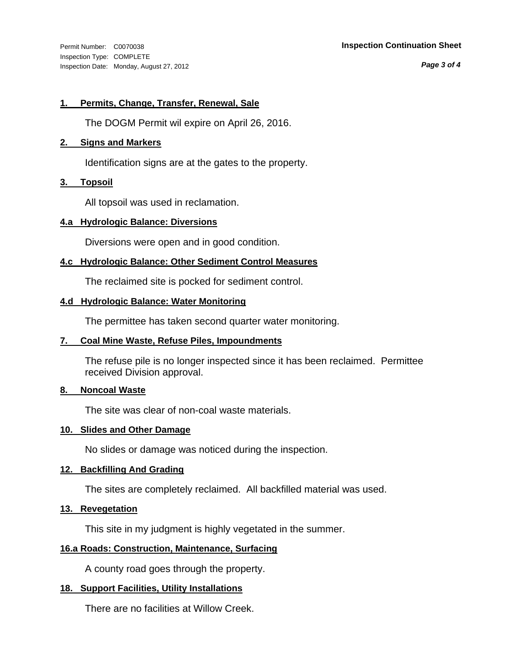Inspection Type: COMPLETE Inspection Date: Monday, August 27, 2012

#### Permit Number: C0070038 **Inspection Continuation Sheet**

*Page 3 of 4*

#### **1. Permits, Change, Transfer, Renewal, Sale**

The DOGM Permit wil expire on April 26, 2016.

#### **2. Signs and Markers**

Identification signs are at the gates to the property.

#### **3. Topsoil**

All topsoil was used in reclamation.

#### **4.a Hydrologic Balance: Diversions**

Diversions were open and in good condition.

#### **4.c Hydrologic Balance: Other Sediment Control Measures**

The reclaimed site is pocked for sediment control.

#### **4.d Hydrologic Balance: Water Monitoring**

The permittee has taken second quarter water monitoring.

#### **7. Coal Mine Waste, Refuse Piles, Impoundments**

The refuse pile is no longer inspected since it has been reclaimed. Permittee received Division approval.

#### **8. Noncoal Waste**

The site was clear of non-coal waste materials.

#### **10. Slides and Other Damage**

No slides or damage was noticed during the inspection.

#### **12. Backfilling And Grading**

The sites are completely reclaimed. All backfilled material was used.

#### **13. Revegetation**

This site in my judgment is highly vegetated in the summer.

#### **16.a Roads: Construction, Maintenance, Surfacing**

A county road goes through the property.

#### **18. Support Facilities, Utility Installations**

There are no facilities at Willow Creek.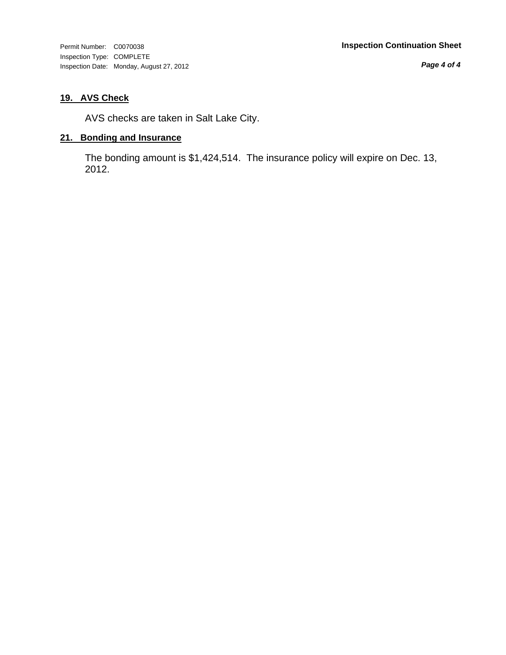Inspection Type: COMPLETE Inspection Date: Monday, August 27, 2012

*Page 4 of 4*

### **19. AVS Check**

AVS checks are taken in Salt Lake City.

#### **21. Bonding and Insurance**

The bonding amount is \$1,424,514. The insurance policy will expire on Dec. 13, 2012.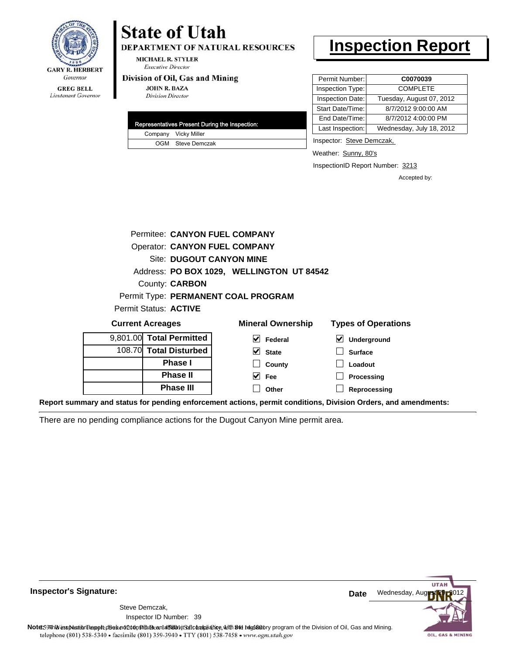

Lieutenant Governor

## **State of Utah**

**DEPARTMENT OF NATURAL RESOURCES** 

**MICHAEL R. STYLER Executive Director** 

#### Division of Oil, Gas and Mining

**JOHN R. BAZA Division Director** 

|  | Representatives Present During the Inspection: |
|--|------------------------------------------------|
|  | Company Vicky Miller                           |
|  | OGM Steve Demczak                              |

### **Inspection Report**

| Permit Number:   | C0070039                 |
|------------------|--------------------------|
| Inspection Type: | <b>COMPLETE</b>          |
| Inspection Date: | Tuesday, August 07, 2012 |
| Start Date/Time: | 8/7/2012 9:00:00 AM      |
| End Date/Time:   | 8/7/2012 4:00:00 PM      |
| Last Inspection: | Wednesday, July 18, 2012 |

Inspector: Steve Demczak,

Weather: Sunny, 80's

InspectionID Report Number: 3213

Accepted by:

|                                     |                       | Permitee: CANYON FUEL COMPANY             |                            |
|-------------------------------------|-----------------------|-------------------------------------------|----------------------------|
|                                     |                       | <b>Operator: CANYON FUEL COMPANY</b>      |                            |
|                                     |                       | <b>Site: DUGOUT CANYON MINE</b>           |                            |
|                                     |                       | Address: PO BOX 1029, WELLINGTON UT 84542 |                            |
|                                     | County: <b>CARBON</b> |                                           |                            |
| Permit Type: PERMANENT COAL PROGRAM |                       |                                           |                            |
| Permit Status: ACTIVE               |                       |                                           |                            |
| <b>Current Acreages</b>             |                       | <b>Mineral Ownership</b>                  | <b>Types of Operations</b> |
| 9,801.00 Total Permitted            |                       | Federal<br>V                              | <b>Underground</b>         |
|                                     |                       |                                           |                            |

**Fee Other**

108.70 **Total Disturbed Phase I Phase II Phase III**

| שוופ וסוושט וסוסו |                          |  |
|-------------------|--------------------------|--|
|                   | $\triangleright$ Federal |  |
|                   | $\vee$ State             |  |
|                   | $\Box$ County            |  |

**Surface Loadout Processing**

**Reprocessing**

**Report summary and status for pending enforcement actions, permit conditions, Division Orders, and amendments:**

There are no pending compliance actions for the Dugout Canyon Mine permit area.



**Inspector's Signature:**

Inspector ID Number: 39 Steve Demczak,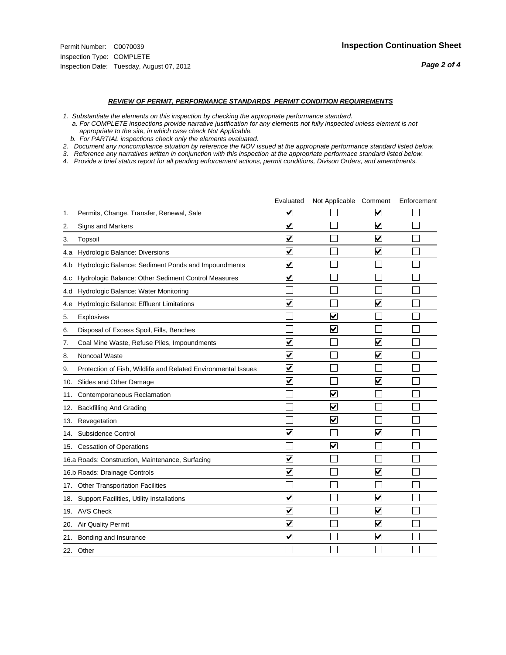- *1. Substantiate the elements on this inspection by checking the appropriate performance standard.*
- *a. For COMPLETE inspections provide narrative justification for any elements not fully inspected unless element is not appropriate to the site, in which case check Not Applicable.*
- *b. For PARTIAL inspections check only the elements evaluated.*
- *2. Document any noncompliance situation by reference the NOV issued at the appropriate performance standard listed below.*
- *3. Reference any narratives written in conjunction with this inspection at the appropriate performace standard listed below.*
- *4. Provide a brief status report for all pending enforcement actions, permit conditions, Divison Orders, and amendments.*

|     |                                                               | Evaluated               | Not Applicable Comment          |                         | Enforcement |
|-----|---------------------------------------------------------------|-------------------------|---------------------------------|-------------------------|-------------|
| 1.  | Permits, Change, Transfer, Renewal, Sale                      | ⊻                       |                                 | V                       |             |
| 2.  | <b>Signs and Markers</b>                                      | $\overline{\mathbf{v}}$ |                                 | $\blacktriangledown$    |             |
| 3.  | Topsoil                                                       | $\overline{\mathbf{v}}$ |                                 | $\overline{\mathbf{v}}$ |             |
| 4.a | Hydrologic Balance: Diversions                                | ⊽                       |                                 | $\overline{\mathbf{v}}$ |             |
| 4.b | Hydrologic Balance: Sediment Ponds and Impoundments           | $\blacktriangledown$    |                                 |                         |             |
| 4.C | Hydrologic Balance: Other Sediment Control Measures           | $\overline{\mathbf{v}}$ |                                 |                         |             |
| 4.d | Hydrologic Balance: Water Monitoring                          |                         |                                 |                         |             |
| 4.e | Hydrologic Balance: Effluent Limitations                      | $\overline{\mathbf{v}}$ |                                 | $\overline{\mathbf{v}}$ |             |
| 5.  | Explosives                                                    |                         | $\overline{\mathbf{v}}$         |                         |             |
| 6.  | Disposal of Excess Spoil, Fills, Benches                      |                         | $\blacktriangledown$            |                         |             |
| 7.  | Coal Mine Waste, Refuse Piles, Impoundments                   | $\overline{\mathbf{v}}$ |                                 | $\overline{\mathbf{v}}$ |             |
| 8.  | Noncoal Waste                                                 | $\overline{\mathbf{v}}$ |                                 | $\overline{\mathbf{v}}$ |             |
| 9.  | Protection of Fish, Wildlife and Related Environmental Issues | $\overline{\mathbf{v}}$ |                                 |                         |             |
|     | 10. Slides and Other Damage                                   | $\overline{\mathbf{v}}$ |                                 | ▽                       |             |
| 11. | Contemporaneous Reclamation                                   |                         | ☑                               |                         |             |
| 12. | <b>Backfilling And Grading</b>                                |                         | $\overline{\mathbf{v}}$         |                         |             |
| 13. | Revegetation                                                  |                         | $\overline{\blacktriangledown}$ |                         |             |
| 14. | Subsidence Control                                            | $\overline{\mathbf{v}}$ |                                 | ☑                       |             |
|     | 15. Cessation of Operations                                   |                         | $\overline{\mathbf{v}}$         |                         |             |
|     | 16.a Roads: Construction, Maintenance, Surfacing              | $\blacktriangledown$    |                                 |                         |             |
|     | 16.b Roads: Drainage Controls                                 | ⊽                       |                                 | V                       |             |
|     | 17. Other Transportation Facilities                           |                         |                                 |                         |             |
| 18. | Support Facilities, Utility Installations                     | $\overline{\mathbf{v}}$ |                                 | $\blacktriangledown$    |             |
|     | 19. AVS Check                                                 | $\overline{\mathbf{v}}$ |                                 | $\blacktriangledown$    |             |
|     | 20. Air Quality Permit                                        | $\blacktriangledown$    |                                 | $\blacktriangledown$    |             |
|     | 21. Bonding and Insurance                                     | $\overline{\mathbf{v}}$ |                                 | $\blacktriangledown$    |             |
|     | 22. Other                                                     |                         |                                 |                         |             |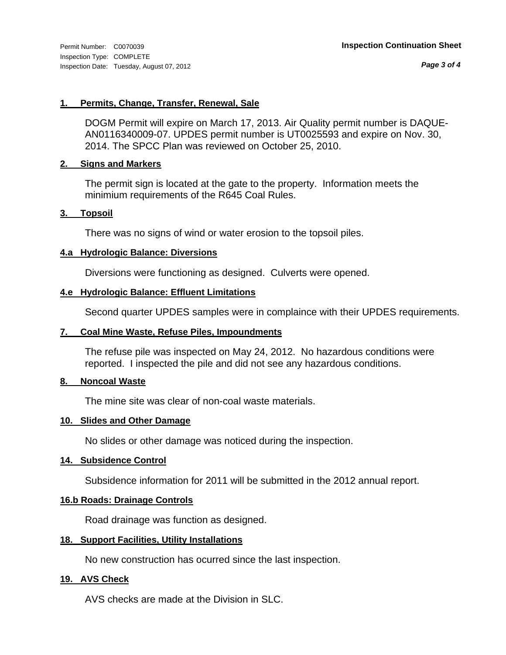*Page 3 of 4*

#### **1. Permits, Change, Transfer, Renewal, Sale**

DOGM Permit will expire on March 17, 2013. Air Quality permit number is DAQUE-AN0116340009-07. UPDES permit number is UT0025593 and expire on Nov. 30, 2014. The SPCC Plan was reviewed on October 25, 2010.

#### **2. Signs and Markers**

The permit sign is located at the gate to the property. Information meets the minimium requirements of the R645 Coal Rules.

#### **3. Topsoil**

There was no signs of wind or water erosion to the topsoil piles.

#### **4.a Hydrologic Balance: Diversions**

Diversions were functioning as designed. Culverts were opened.

#### **4.e Hydrologic Balance: Effluent Limitations**

Second quarter UPDES samples were in complaince with their UPDES requirements.

#### **7. Coal Mine Waste, Refuse Piles, Impoundments**

The refuse pile was inspected on May 24, 2012. No hazardous conditions were reported. I inspected the pile and did not see any hazardous conditions.

#### **8. Noncoal Waste**

The mine site was clear of non-coal waste materials.

#### **10. Slides and Other Damage**

No slides or other damage was noticed during the inspection.

#### **14. Subsidence Control**

Subsidence information for 2011 will be submitted in the 2012 annual report.

#### **16.b Roads: Drainage Controls**

Road drainage was function as designed.

#### **18. Support Facilities, Utility Installations**

No new construction has ocurred since the last inspection.

#### **19. AVS Check**

AVS checks are made at the Division in SLC.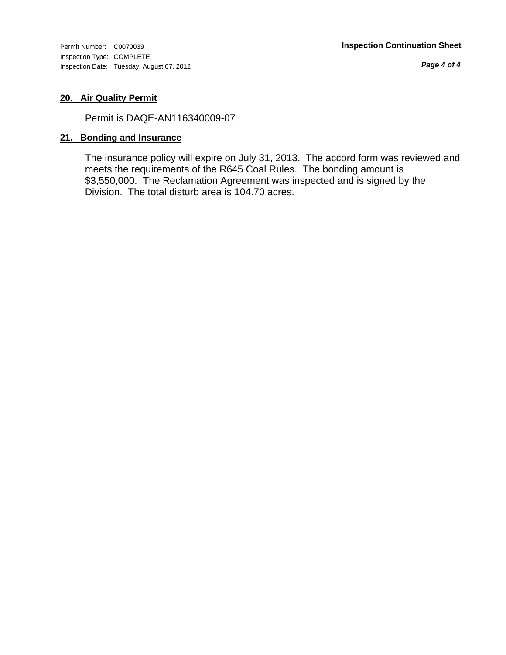Inspection Type: COMPLETE Inspection Date: Tuesday, August 07, 2012

*Page 4 of 4*

#### **20. Air Quality Permit**

Permit is DAQE-AN116340009-07

#### **21. Bonding and Insurance**

The insurance policy will expire on July 31, 2013. The accord form was reviewed and meets the requirements of the R645 Coal Rules. The bonding amount is \$3,550,000. The Reclamation Agreement was inspected and is signed by the Division. The total disturb area is 104.70 acres.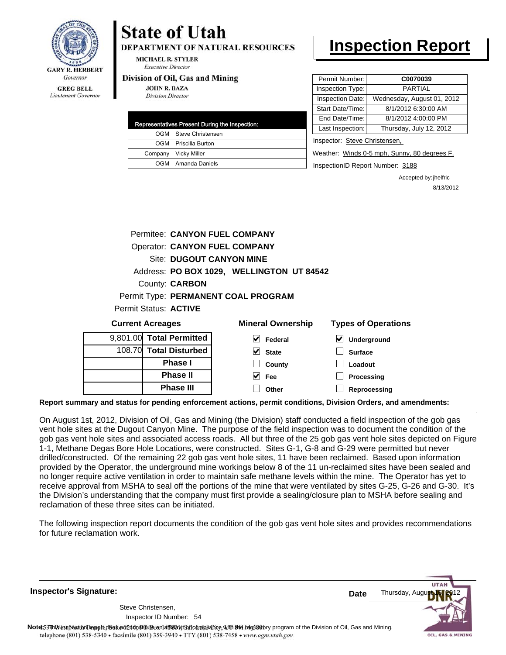

### Lieutenant Governor

# **State of Utah**

**DEPARTMENT OF NATURAL RESOURCES** 

**MICHAEL R. STYLER Executive Director** 

#### Division of Oil, Gas and Mining

**JOHN R. BAZA Division Director** 

| Representatives Present During the Inspection: |                       |  |  |
|------------------------------------------------|-----------------------|--|--|
|                                                | OGM Steve Christensen |  |  |
|                                                | OGM Priscilla Burton  |  |  |
|                                                | Company Vicky Miller  |  |  |
|                                                | OGM Amanda Daniels    |  |  |

## **Inspection Report**

| Permit Number:                | C0070039                   |  |  |  |
|-------------------------------|----------------------------|--|--|--|
| Inspection Type:              | PARTIAL                    |  |  |  |
| Inspection Date:              | Wednesday, August 01, 2012 |  |  |  |
| Start Date/Time:              | 8/1/2012 6:30:00 AM        |  |  |  |
| End Date/Time:                | 8/1/2012 4:00:00 PM        |  |  |  |
| Last Inspection:              | Thursday, July 12, 2012    |  |  |  |
| Inspector: Steve Christensen, |                            |  |  |  |

Weather: Winds 0-5 mph, Sunny, 80 degrees F.

InspectionID Report Number: 3188

Accepted by: jhelfric 8/13/2012

| <b>Current Acreages</b> |                                      | <b>Mineral Ownership</b>                  | <b>Types of Operations</b> |
|-------------------------|--------------------------------------|-------------------------------------------|----------------------------|
| Permit Status: ACTIVE   |                                      |                                           |                            |
|                         |                                      | Permit Type: PERMANENT COAL PROGRAM       |                            |
|                         | County: <b>CARBON</b>                |                                           |                            |
|                         |                                      | Address: PO BOX 1029, WELLINGTON UT 84542 |                            |
|                         | Site: DUGOUT CANYON MINE             |                                           |                            |
|                         | <b>Operator: CANYON FUEL COMPANY</b> |                                           |                            |
|                         | Permitee: CANYON FUEL COMPANY        |                                           |                            |
|                         |                                      |                                           |                            |

| <b>OWLIGHT LOLARYOU</b> |                          |                               | $\frac{1}{2}$                       |  |  |
|-------------------------|--------------------------|-------------------------------|-------------------------------------|--|--|
|                         | 9,801.00 Total Permitted | V<br>Federal                  | $\blacktriangledown$<br>Underground |  |  |
|                         | 108.70 Total Disturbed   | $\overline{\mathsf{v}}$ State | <b>Surface</b>                      |  |  |
|                         | <b>Phase I</b>           | County                        | Loadout                             |  |  |
|                         | <b>Phase II</b>          | V<br>Fee                      | Processing                          |  |  |
|                         | <b>Phase III</b>         | Other                         | Reprocessing                        |  |  |

**Report summary and status for pending enforcement actions, permit conditions, Division Orders, and amendments:**

On August 1st, 2012, Division of Oil, Gas and Mining (the Division) staff conducted a field inspection of the gob gas vent hole sites at the Dugout Canyon Mine. The purpose of the field inspection was to document the condition of the gob gas vent hole sites and associated access roads. All but three of the 25 gob gas vent hole sites depicted on Figure 1-1, Methane Degas Bore Hole Locations, were constructed. Sites G-1, G-8 and G-29 were permitted but never drilled/constructed. Of the remaining 22 gob gas vent hole sites, 11 have been reclaimed. Based upon information provided by the Operator, the underground mine workings below 8 of the 11 un-reclaimed sites have been sealed and no longer require active ventilation in order to maintain safe methane levels within the mine. The Operator has yet to receive approval from MSHA to seal off the portions of the mine that were ventilated by sites G-25, G-26 and G-30. It's the Division's understanding that the company must first provide a sealing/closure plan to MSHA before sealing and reclamation of these three sites can be initiated.

The following inspection report documents the condition of the gob gas vent hole sites and provides recommendations for future reclamation work.

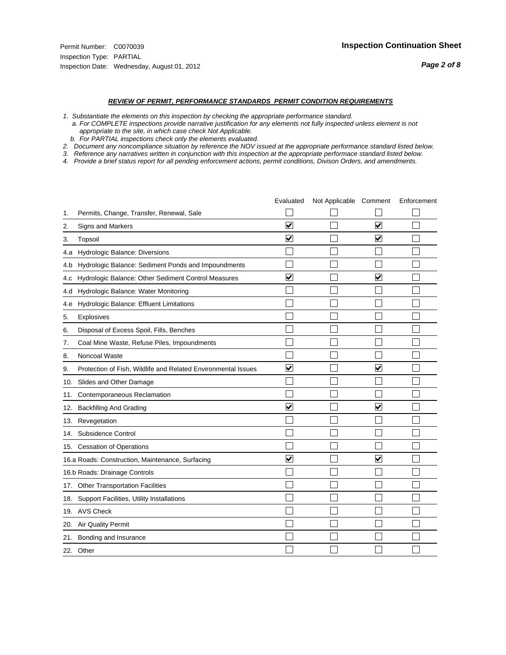- *1. Substantiate the elements on this inspection by checking the appropriate performance standard.*
- *a. For COMPLETE inspections provide narrative justification for any elements not fully inspected unless element is not appropriate to the site, in which case check Not Applicable.*
- *b. For PARTIAL inspections check only the elements evaluated.*
- *2. Document any noncompliance situation by reference the NOV issued at the appropriate performance standard listed below.*
- *3. Reference any narratives written in conjunction with this inspection at the appropriate performace standard listed below.*
- *4. Provide a brief status report for all pending enforcement actions, permit conditions, Divison Orders, and amendments.*

|     |                                                               | Evaluated               | Not Applicable Comment |                         | Enforcement |
|-----|---------------------------------------------------------------|-------------------------|------------------------|-------------------------|-------------|
| 1.  | Permits, Change, Transfer, Renewal, Sale                      |                         |                        |                         |             |
| 2.  | <b>Signs and Markers</b>                                      | $\overline{\mathbf{v}}$ |                        | $\blacktriangledown$    |             |
| 3.  | Topsoil                                                       | $\overline{\mathbf{v}}$ |                        | $\blacktriangledown$    |             |
| 4.a | Hydrologic Balance: Diversions                                |                         |                        |                         |             |
| 4.b | Hydrologic Balance: Sediment Ponds and Impoundments           |                         |                        |                         |             |
| 4.c | Hydrologic Balance: Other Sediment Control Measures           | $\overline{\mathbf{v}}$ |                        | $\overline{\mathbf{v}}$ |             |
| 4.d | Hydrologic Balance: Water Monitoring                          |                         |                        |                         |             |
| 4.e | Hydrologic Balance: Effluent Limitations                      |                         |                        |                         |             |
| 5.  | <b>Explosives</b>                                             |                         |                        |                         |             |
| 6.  | Disposal of Excess Spoil, Fills, Benches                      |                         |                        |                         |             |
| 7.  | Coal Mine Waste, Refuse Piles, Impoundments                   |                         |                        |                         |             |
| 8.  | Noncoal Waste                                                 |                         |                        |                         |             |
| 9.  | Protection of Fish, Wildlife and Related Environmental Issues | $\blacktriangledown$    |                        | $\overline{\mathbf{v}}$ |             |
|     | 10. Slides and Other Damage                                   |                         |                        |                         |             |
| 11. | Contemporaneous Reclamation                                   |                         |                        |                         |             |
| 12. | <b>Backfilling And Grading</b>                                | $\blacktriangledown$    |                        | $\overline{\mathsf{v}}$ |             |
| 13. | Revegetation                                                  |                         |                        |                         |             |
| 14. | Subsidence Control                                            |                         |                        |                         |             |
|     | 15. Cessation of Operations                                   |                         |                        |                         |             |
|     | 16.a Roads: Construction, Maintenance, Surfacing              | ⊽                       |                        | $\blacktriangledown$    |             |
|     | 16.b Roads: Drainage Controls                                 |                         |                        |                         |             |
|     | 17. Other Transportation Facilities                           |                         |                        |                         |             |
| 18. | Support Facilities, Utility Installations                     |                         |                        |                         |             |
|     | 19. AVS Check                                                 |                         |                        |                         |             |
| 20. | Air Quality Permit                                            |                         |                        |                         |             |
| 21. | Bonding and Insurance                                         |                         |                        |                         |             |
|     | 22. Other                                                     |                         |                        |                         |             |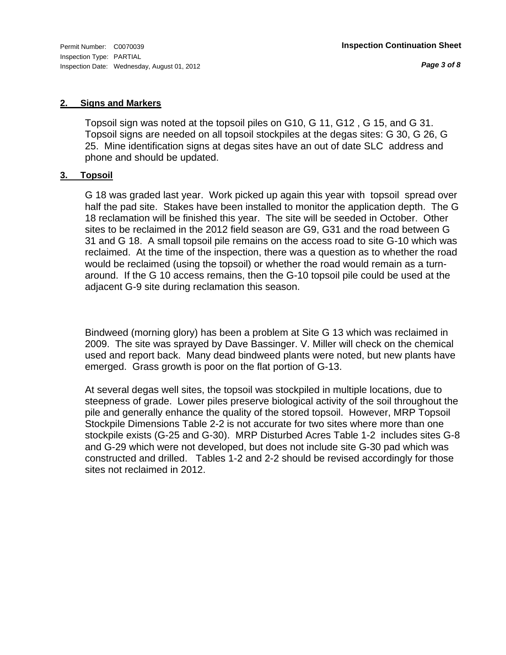*Page 3 of 8*

#### **2. Signs and Markers**

Topsoil sign was noted at the topsoil piles on G10, G 11, G12 , G 15, and G 31. Topsoil signs are needed on all topsoil stockpiles at the degas sites: G 30, G 26, G 25. Mine identification signs at degas sites have an out of date SLC address and phone and should be updated.

#### **3. Topsoil**

G 18 was graded last year. Work picked up again this year with topsoil spread over half the pad site. Stakes have been installed to monitor the application depth. The G 18 reclamation will be finished this year. The site will be seeded in October. Other sites to be reclaimed in the 2012 field season are G9, G31 and the road between G 31 and G 18. A small topsoil pile remains on the access road to site G-10 which was reclaimed. At the time of the inspection, there was a question as to whether the road would be reclaimed (using the topsoil) or whether the road would remain as a turnaround. If the G 10 access remains, then the G-10 topsoil pile could be used at the adjacent G-9 site during reclamation this season.

Bindweed (morning glory) has been a problem at Site G 13 which was reclaimed in 2009. The site was sprayed by Dave Bassinger. V. Miller will check on the chemical used and report back. Many dead bindweed plants were noted, but new plants have emerged. Grass growth is poor on the flat portion of G-13.

At several degas well sites, the topsoil was stockpiled in multiple locations, due to steepness of grade. Lower piles preserve biological activity of the soil throughout the pile and generally enhance the quality of the stored topsoil. However, MRP Topsoil Stockpile Dimensions Table 2-2 is not accurate for two sites where more than one stockpile exists (G-25 and G-30). MRP Disturbed Acres Table 1-2 includes sites G-8 and G-29 which were not developed, but does not include site G-30 pad which was constructed and drilled. Tables 1-2 and 2-2 should be revised accordingly for those sites not reclaimed in 2012.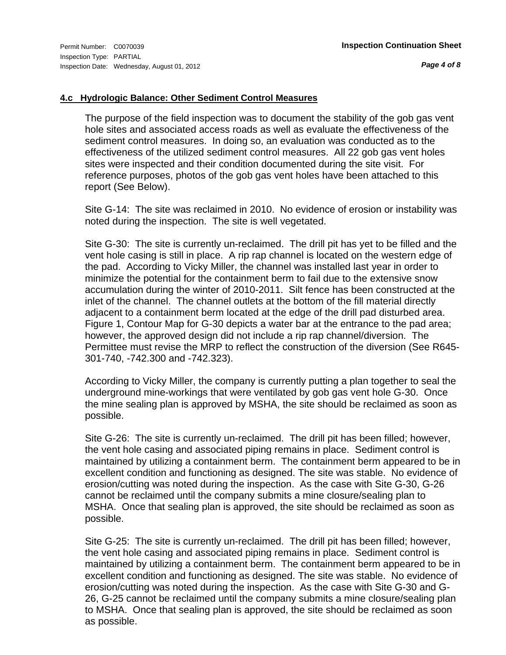*Page 4 of 8*

# **4.c Hydrologic Balance: Other Sediment Control Measures**

The purpose of the field inspection was to document the stability of the gob gas vent hole sites and associated access roads as well as evaluate the effectiveness of the sediment control measures. In doing so, an evaluation was conducted as to the effectiveness of the utilized sediment control measures. All 22 gob gas vent holes sites were inspected and their condition documented during the site visit. For reference purposes, photos of the gob gas vent holes have been attached to this report (See Below).

Site G-14: The site was reclaimed in 2010. No evidence of erosion or instability was noted during the inspection. The site is well vegetated.

Site G-30: The site is currently un-reclaimed. The drill pit has yet to be filled and the vent hole casing is still in place. A rip rap channel is located on the western edge of the pad. According to Vicky Miller, the channel was installed last year in order to minimize the potential for the containment berm to fail due to the extensive snow accumulation during the winter of 2010-2011. Silt fence has been constructed at the inlet of the channel. The channel outlets at the bottom of the fill material directly adjacent to a containment berm located at the edge of the drill pad disturbed area. Figure 1, Contour Map for G-30 depicts a water bar at the entrance to the pad area; however, the approved design did not include a rip rap channel/diversion. The Permittee must revise the MRP to reflect the construction of the diversion (See R645- 301-740, -742.300 and -742.323).

According to Vicky Miller, the company is currently putting a plan together to seal the underground mine-workings that were ventilated by gob gas vent hole G-30. Once the mine sealing plan is approved by MSHA, the site should be reclaimed as soon as possible.

Site G-26: The site is currently un-reclaimed. The drill pit has been filled; however, the vent hole casing and associated piping remains in place. Sediment control is maintained by utilizing a containment berm. The containment berm appeared to be in excellent condition and functioning as designed. The site was stable. No evidence of erosion/cutting was noted during the inspection. As the case with Site G-30, G-26 cannot be reclaimed until the company submits a mine closure/sealing plan to MSHA. Once that sealing plan is approved, the site should be reclaimed as soon as possible.

Site G-25: The site is currently un-reclaimed. The drill pit has been filled; however, the vent hole casing and associated piping remains in place. Sediment control is maintained by utilizing a containment berm. The containment berm appeared to be in excellent condition and functioning as designed. The site was stable. No evidence of erosion/cutting was noted during the inspection. As the case with Site G-30 and G-26, G-25 cannot be reclaimed until the company submits a mine closure/sealing plan to MSHA. Once that sealing plan is approved, the site should be reclaimed as soon as possible.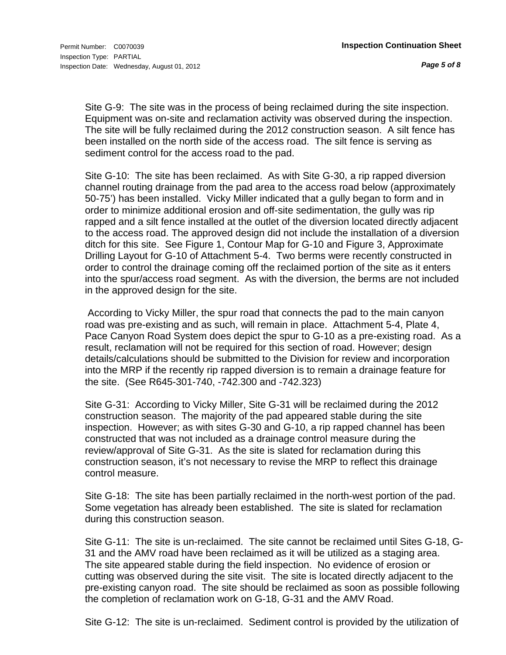Site G-9: The site was in the process of being reclaimed during the site inspection. Equipment was on-site and reclamation activity was observed during the inspection. The site will be fully reclaimed during the 2012 construction season. A silt fence has been installed on the north side of the access road. The silt fence is serving as sediment control for the access road to the pad.

Site G-10: The site has been reclaimed. As with Site G-30, a rip rapped diversion channel routing drainage from the pad area to the access road below (approximately 50-75') has been installed. Vicky Miller indicated that a gully began to form and in order to minimize additional erosion and off-site sedimentation, the gully was rip rapped and a silt fence installed at the outlet of the diversion located directly adjacent to the access road. The approved design did not include the installation of a diversion ditch for this site. See Figure 1, Contour Map for G-10 and Figure 3, Approximate Drilling Layout for G-10 of Attachment 5-4. Two berms were recently constructed in order to control the drainage coming off the reclaimed portion of the site as it enters into the spur/access road segment. As with the diversion, the berms are not included in the approved design for the site.

 According to Vicky Miller, the spur road that connects the pad to the main canyon road was pre-existing and as such, will remain in place. Attachment 5-4, Plate 4, Pace Canyon Road System does depict the spur to G-10 as a pre-existing road. As a result, reclamation will not be required for this section of road. However; design details/calculations should be submitted to the Division for review and incorporation into the MRP if the recently rip rapped diversion is to remain a drainage feature for the site. (See R645-301-740, -742.300 and -742.323)

Site G-31: According to Vicky Miller, Site G-31 will be reclaimed during the 2012 construction season. The majority of the pad appeared stable during the site inspection. However; as with sites G-30 and G-10, a rip rapped channel has been constructed that was not included as a drainage control measure during the review/approval of Site G-31. As the site is slated for reclamation during this construction season, it's not necessary to revise the MRP to reflect this drainage control measure.

Site G-18: The site has been partially reclaimed in the north-west portion of the pad. Some vegetation has already been established. The site is slated for reclamation during this construction season.

Site G-11: The site is un-reclaimed. The site cannot be reclaimed until Sites G-18, G-31 and the AMV road have been reclaimed as it will be utilized as a staging area. The site appeared stable during the field inspection. No evidence of erosion or cutting was observed during the site visit. The site is located directly adjacent to the pre-existing canyon road. The site should be reclaimed as soon as possible following the completion of reclamation work on G-18, G-31 and the AMV Road.

Site G-12: The site is un-reclaimed. Sediment control is provided by the utilization of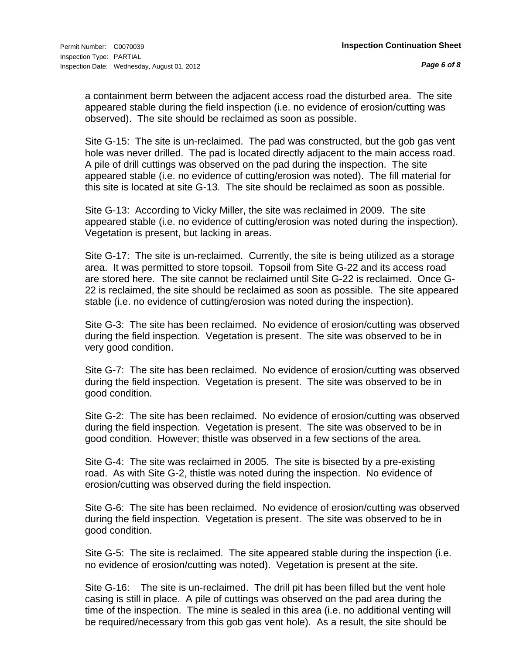a containment berm between the adjacent access road the disturbed area. The site appeared stable during the field inspection (i.e. no evidence of erosion/cutting was observed). The site should be reclaimed as soon as possible.

Site G-15: The site is un-reclaimed. The pad was constructed, but the gob gas vent hole was never drilled. The pad is located directly adjacent to the main access road. A pile of drill cuttings was observed on the pad during the inspection. The site appeared stable (i.e. no evidence of cutting/erosion was noted). The fill material for this site is located at site G-13. The site should be reclaimed as soon as possible.

Site G-13: According to Vicky Miller, the site was reclaimed in 2009. The site appeared stable (i.e. no evidence of cutting/erosion was noted during the inspection). Vegetation is present, but lacking in areas.

Site G-17: The site is un-reclaimed. Currently, the site is being utilized as a storage area. It was permitted to store topsoil. Topsoil from Site G-22 and its access road are stored here. The site cannot be reclaimed until Site G-22 is reclaimed. Once G-22 is reclaimed, the site should be reclaimed as soon as possible. The site appeared stable (i.e. no evidence of cutting/erosion was noted during the inspection).

Site G-3: The site has been reclaimed. No evidence of erosion/cutting was observed during the field inspection. Vegetation is present. The site was observed to be in very good condition.

Site G-7: The site has been reclaimed. No evidence of erosion/cutting was observed during the field inspection. Vegetation is present. The site was observed to be in good condition.

Site G-2: The site has been reclaimed. No evidence of erosion/cutting was observed during the field inspection. Vegetation is present. The site was observed to be in good condition. However; thistle was observed in a few sections of the area.

Site G-4: The site was reclaimed in 2005. The site is bisected by a pre-existing road. As with Site G-2, thistle was noted during the inspection. No evidence of erosion/cutting was observed during the field inspection.

Site G-6: The site has been reclaimed. No evidence of erosion/cutting was observed during the field inspection. Vegetation is present. The site was observed to be in good condition.

Site G-5: The site is reclaimed. The site appeared stable during the inspection (i.e. no evidence of erosion/cutting was noted). Vegetation is present at the site.

Site G-16: The site is un-reclaimed. The drill pit has been filled but the vent hole casing is still in place. A pile of cuttings was observed on the pad area during the time of the inspection. The mine is sealed in this area (i.e. no additional venting will be required/necessary from this gob gas vent hole). As a result, the site should be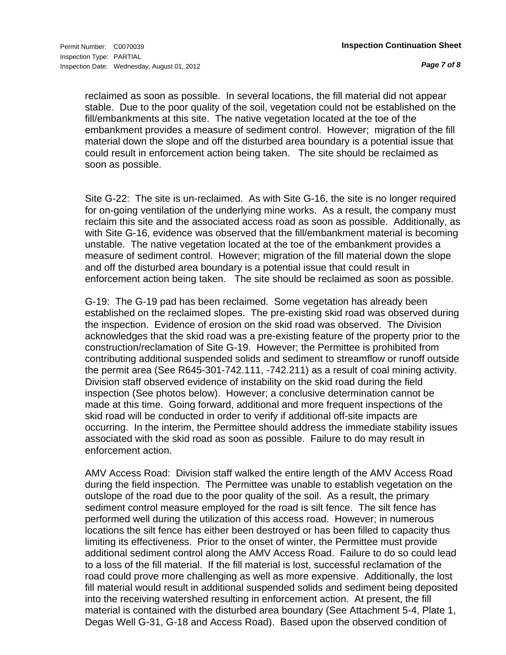reclaimed as soon as possible. In several locations, the fill material did not appear stable. Due to the poor quality of the soil, vegetation could not be established on the fill/embankments at this site. The native vegetation located at the toe of the embankment provides a measure of sediment control. However; migration of the fill material down the slope and off the disturbed area boundary is a potential issue that could result in enforcement action being taken. The site should be reclaimed as soon as possible.

Site G-22: The site is un-reclaimed. As with Site G-16, the site is no longer required for on-going ventilation of the underlying mine works. As a result, the company must reclaim this site and the associated access road as soon as possible. Additionally, as with Site G-16, evidence was observed that the fill/embankment material is becoming unstable. The native vegetation located at the toe of the embankment provides a measure of sediment control. However; migration of the fill material down the slope and off the disturbed area boundary is a potential issue that could result in enforcement action being taken. The site should be reclaimed as soon as possible.

G-19: The G-19 pad has been reclaimed. Some vegetation has already been established on the reclaimed slopes. The pre-existing skid road was observed during the inspection. Evidence of erosion on the skid road was observed. The Division acknowledges that the skid road was a pre-existing feature of the property prior to the construction/reclamation of Site G-19. However; the Permittee is prohibited from contributing additional suspended solids and sediment to streamflow or runoff outside the permit area (See R645-301-742.111, -742.211) as a result of coal mining activity. Division staff observed evidence of instability on the skid road during the field inspection (See photos below). However; a conclusive determination cannot be made at this time. Going forward, additional and more frequent inspections of the skid road will be conducted in order to verify if additional off-site impacts are occurring. In the interim, the Permittee should address the immediate stability issues associated with the skid road as soon as possible. Failure to do may result in enforcement action.

AMV Access Road: Division staff walked the entire length of the AMV Access Road during the field inspection. The Permittee was unable to establish vegetation on the outslope of the road due to the poor quality of the soil. As a result, the primary sediment control measure employed for the road is silt fence. The silt fence has performed well during the utilization of this access road. However; in numerous locations the silt fence has either been destroyed or has been filled to capacity thus limiting its effectiveness. Prior to the onset of winter, the Permittee must provide additional sediment control along the AMV Access Road. Failure to do so could lead to a loss of the fill material. If the fill material is lost, successful reclamation of the road could prove more challenging as well as more expensive. Additionally, the lost fill material would result in additional suspended solids and sediment being deposited into the receiving watershed resulting in enforcement action. At present, the fill material is contained with the disturbed area boundary (See Attachment 5-4, Plate 1, Degas Well G-31, G-18 and Access Road). Based upon the observed condition of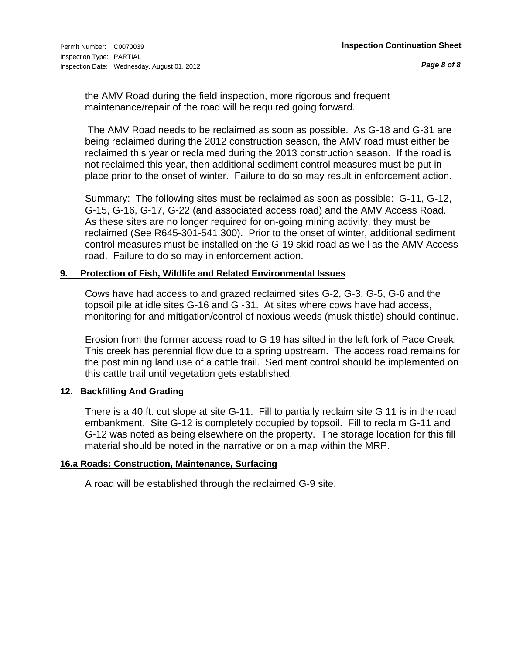the AMV Road during the field inspection, more rigorous and frequent maintenance/repair of the road will be required going forward.

 The AMV Road needs to be reclaimed as soon as possible. As G-18 and G-31 are being reclaimed during the 2012 construction season, the AMV road must either be reclaimed this year or reclaimed during the 2013 construction season. If the road is not reclaimed this year, then additional sediment control measures must be put in place prior to the onset of winter. Failure to do so may result in enforcement action.

Summary: The following sites must be reclaimed as soon as possible: G-11, G-12, G-15, G-16, G-17, G-22 (and associated access road) and the AMV Access Road. As these sites are no longer required for on-going mining activity, they must be reclaimed (See R645-301-541.300). Prior to the onset of winter, additional sediment control measures must be installed on the G-19 skid road as well as the AMV Access road. Failure to do so may in enforcement action.

# **9. Protection of Fish, Wildlife and Related Environmental Issues**

Cows have had access to and grazed reclaimed sites G-2, G-3, G-5, G-6 and the topsoil pile at idle sites G-16 and G -31. At sites where cows have had access, monitoring for and mitigation/control of noxious weeds (musk thistle) should continue.

Erosion from the former access road to G 19 has silted in the left fork of Pace Creek. This creek has perennial flow due to a spring upstream. The access road remains for the post mining land use of a cattle trail. Sediment control should be implemented on this cattle trail until vegetation gets established.

# **12. Backfilling And Grading**

There is a 40 ft. cut slope at site G-11. Fill to partially reclaim site G 11 is in the road embankment. Site G-12 is completely occupied by topsoil. Fill to reclaim G-11 and G-12 was noted as being elsewhere on the property. The storage location for this fill material should be noted in the narrative or on a map within the MRP.

# **16.a Roads: Construction, Maintenance, Surfacing**

A road will be established through the reclaimed G-9 site.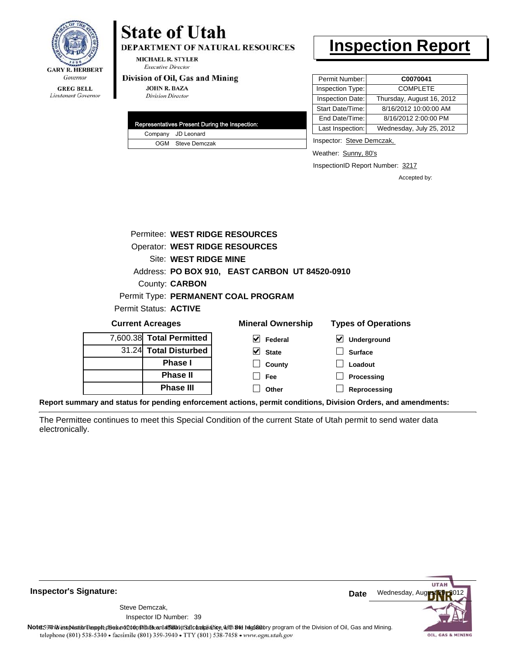

#### **GREG BELL** Lieutenant Governor

# **State of Utah**

**DEPARTMENT OF NATURAL RESOURCES** 

**MICHAEL R. STYLER Executive Director** 

## Division of Oil, Gas and Mining

**JOHN R. BAZA Division Director** 

|  | <b>Representatives Present During the Inspection:</b> |
|--|-------------------------------------------------------|
|  | Company JD Leonard                                    |
|  | OGM Steve Demczak                                     |

# **Inspection Report**

| Permit Number:   | C0070041                  |
|------------------|---------------------------|
| Inspection Type: | <b>COMPLETE</b>           |
| Inspection Date: | Thursday, August 16, 2012 |
| Start Date/Time: | 8/16/2012 10:00:00 AM     |
| End Date/Time:   | 8/16/2012 2:00:00 PM      |
| Last Inspection: | Wednesday, July 25, 2012  |

Inspector: Steve Demczak,

Weather: Sunny, 80's

InspectionID Report Number: 3217

Accepted by:

|                          |                       | Permitee: WEST RIDGE RESOURCES                 |                            |
|--------------------------|-----------------------|------------------------------------------------|----------------------------|
|                          |                       | <b>Operator: WEST RIDGE RESOURCES</b>          |                            |
|                          | Site: WEST RIDGE MINE |                                                |                            |
|                          |                       | Address: PO BOX 910, EAST CARBON UT 84520-0910 |                            |
|                          | County: <b>CARBON</b> |                                                |                            |
|                          |                       | Permit Type: PERMANENT COAL PROGRAM            |                            |
| Permit Status: ACTIVE    |                       |                                                |                            |
| <b>Current Acreages</b>  |                       | <b>Mineral Ownership</b>                       | <b>Types of Operations</b> |
| 7,600.38 Total Permitted |                       | Federal                                        | <b>Underground</b>         |

**State County Fee Other**

| 7,600.38 Total Permitted |
|--------------------------|
| 31.24 Total Disturbed    |
| <b>Phase I</b>           |
| <b>Phase II</b>          |
| <b>Phase III</b>         |

**Surface Loadout Processing**

**Reprocessing**

**Report summary and status for pending enforcement actions, permit conditions, Division Orders, and amendments:**

The Permittee continues to meet this Special Condition of the current State of Utah permit to send water data electronically.



**Inspector's Signature:**

Inspector ID Number: 39 Steve Demczak,

Note: 59 This inspection report does not do an affidavit Suite and Affidavit Constitute and Division of Coli, Gas and Mining.<br>telephone (801) 538-5340 • facsimile (801) 359-3940 • TTY (801) 538-7458 • www.ogm.utah.gov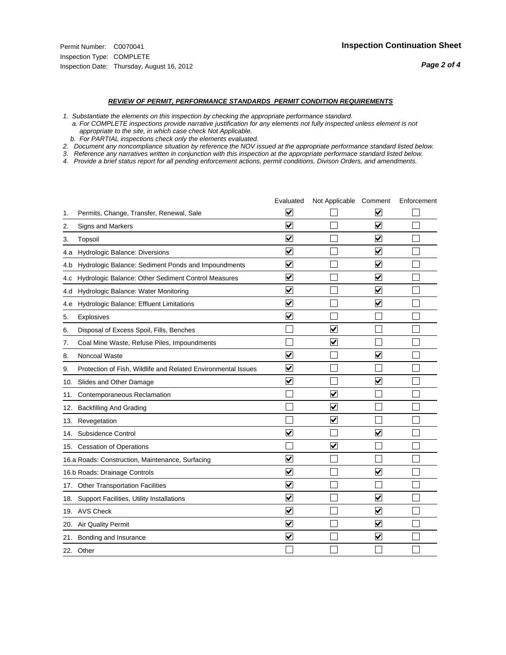#### *REVIEW OF PERMIT, PERFORMANCE STANDARDS PERMIT CONDITION REQUIREMENTS*

*1. Substantiate the elements on this inspection by checking the appropriate performance standard.*

 *a. For COMPLETE inspections provide narrative justification for any elements not fully inspected unless element is not appropriate to the site, in which case check Not Applicable.*

 *b. For PARTIAL inspections check only the elements evaluated.*

*2. Document any noncompliance situation by reference the NOV issued at the appropriate performance standard listed below.*

*3. Reference any narratives written in conjunction with this inspection at the appropriate performace standard listed below.*

*4. Provide a brief status report for all pending enforcement actions, permit conditions, Divison Orders, and amendments.*

|     |                                                               | Evaluated               | Not Applicable Comment          |                         | Enforcement |
|-----|---------------------------------------------------------------|-------------------------|---------------------------------|-------------------------|-------------|
| 1.  | Permits, Change, Transfer, Renewal, Sale                      | $\overline{\mathbf{v}}$ |                                 | V                       |             |
| 2.  | Signs and Markers                                             | $\overline{\mathbf{v}}$ |                                 | $\blacktriangledown$    |             |
| 3.  | Topsoil                                                       | $\overline{\mathbf{v}}$ |                                 | $\overline{\mathsf{v}}$ |             |
| 4.a | Hydrologic Balance: Diversions                                | $\overline{\mathsf{v}}$ |                                 | $\blacktriangledown$    |             |
| 4.b | Hydrologic Balance: Sediment Ponds and Impoundments           | $\blacktriangledown$    |                                 | V                       |             |
| 4.C | Hydrologic Balance: Other Sediment Control Measures           | $\overline{\mathbf{v}}$ |                                 | $\blacktriangledown$    |             |
| 4.d | Hydrologic Balance: Water Monitoring                          | $\overline{\mathbf{v}}$ |                                 | $\blacktriangledown$    |             |
| 4.e | Hydrologic Balance: Effluent Limitations                      | $\overline{\mathbf{v}}$ |                                 | $\blacktriangledown$    |             |
| 5.  | <b>Explosives</b>                                             | $\overline{\mathbf{v}}$ |                                 |                         |             |
| 6.  | Disposal of Excess Spoil, Fills, Benches                      |                         | $\blacktriangledown$            |                         |             |
| 7.  | Coal Mine Waste, Refuse Piles, Impoundments                   |                         | $\overline{\mathbf{v}}$         |                         |             |
| 8.  | Noncoal Waste                                                 | $\overline{\mathsf{v}}$ |                                 | $\overline{\mathbf{v}}$ |             |
| 9.  | Protection of Fish, Wildlife and Related Environmental Issues | $\overline{\mathbf{v}}$ |                                 |                         |             |
|     | 10. Slides and Other Damage                                   | $\overline{\mathbf{v}}$ |                                 | $\overline{\mathbf{v}}$ |             |
| 11. | Contemporaneous Reclamation                                   |                         | ☑                               |                         |             |
| 12. | <b>Backfilling And Grading</b>                                |                         | $\overline{\mathbf{v}}$         |                         |             |
| 13. | Revegetation                                                  |                         | $\overline{\blacktriangledown}$ |                         |             |
| 14. | Subsidence Control                                            | $\overline{\mathbf{v}}$ |                                 | $\overline{\mathbf{v}}$ |             |
|     | 15. Cessation of Operations                                   |                         | $\overline{\mathbf{v}}$         |                         |             |
|     | 16.a Roads: Construction, Maintenance, Surfacing              | $\blacktriangledown$    |                                 |                         |             |
|     | 16.b Roads: Drainage Controls                                 | $\overline{\mathbf{v}}$ |                                 | $\overline{\mathbf{v}}$ |             |
|     | 17. Other Transportation Facilities                           | $\overline{\mathbf{v}}$ |                                 |                         |             |
| 18. | Support Facilities, Utility Installations                     | $\overline{\mathbf{v}}$ |                                 | $\blacktriangledown$    |             |
|     | 19. AVS Check                                                 | $\overline{\mathbf{v}}$ |                                 | $\blacktriangledown$    |             |
| 20. | <b>Air Quality Permit</b>                                     | $\checkmark$            |                                 | $\blacktriangledown$    |             |
| 21. | Bonding and Insurance                                         | $\overline{\mathbf{v}}$ |                                 | $\blacktriangledown$    |             |
|     | 22. Other                                                     |                         |                                 |                         |             |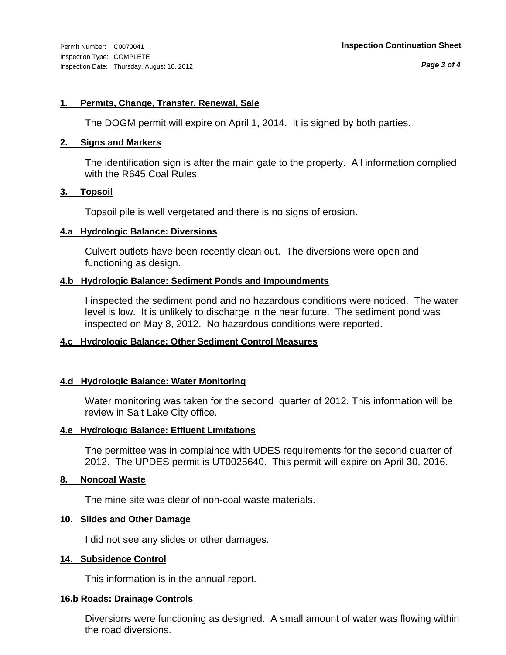# **1. Permits, Change, Transfer, Renewal, Sale**

The DOGM permit will expire on April 1, 2014. It is signed by both parties.

# **2. Signs and Markers**

The identification sign is after the main gate to the property. All information complied with the R645 Coal Rules.

# **3. Topsoil**

Topsoil pile is well vergetated and there is no signs of erosion.

# **4.a Hydrologic Balance: Diversions**

Culvert outlets have been recently clean out. The diversions were open and functioning as design.

# **4.b Hydrologic Balance: Sediment Ponds and Impoundments**

I inspected the sediment pond and no hazardous conditions were noticed. The water level is low. It is unlikely to discharge in the near future. The sediment pond was inspected on May 8, 2012. No hazardous conditions were reported.

# **4.c Hydrologic Balance: Other Sediment Control Measures**

# **4.d Hydrologic Balance: Water Monitoring**

Water monitoring was taken for the second quarter of 2012. This information will be review in Salt Lake City office.

# **4.e Hydrologic Balance: Effluent Limitations**

The permittee was in complaince with UDES requirements for the second quarter of 2012. The UPDES permit is UT0025640. This permit will expire on April 30, 2016.

# **8. Noncoal Waste**

The mine site was clear of non-coal waste materials.

# **10. Slides and Other Damage**

I did not see any slides or other damages.

# **14. Subsidence Control**

This information is in the annual report.

# **16.b Roads: Drainage Controls**

Diversions were functioning as designed. A small amount of water was flowing within the road diversions.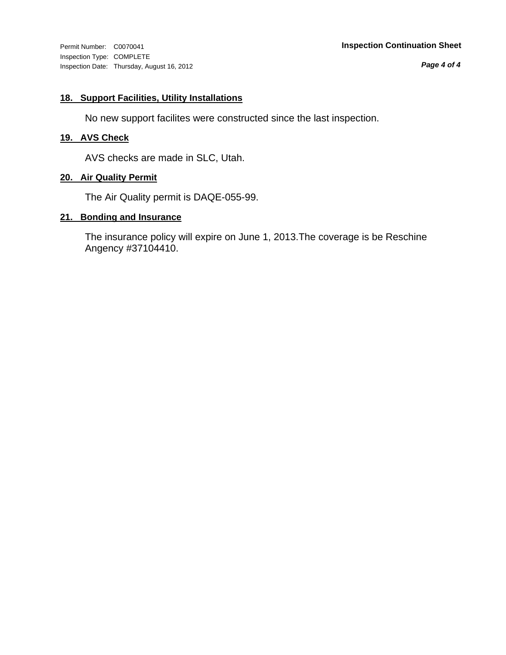Inspection Type: COMPLETE Inspection Date: Thursday, August 16, 2012

## Permit Number: C0070041 **Inspection Continuation Sheet**

*Page 4 of 4*

# **18. Support Facilities, Utility Installations**

No new support facilites were constructed since the last inspection.

# **19. AVS Check**

AVS checks are made in SLC, Utah.

# **20. Air Quality Permit**

The Air Quality permit is DAQE-055-99.

## **21. Bonding and Insurance**

The insurance policy will expire on June 1, 2013.The coverage is be Reschine Angency #37104410.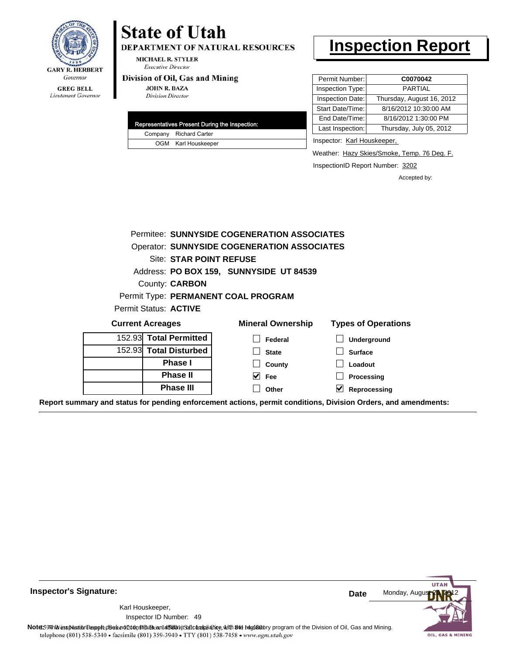

Lieutenant Governor

# **State of Utah**

DEPARTMENT OF NATURAL RESOURCES

**MICHAEL R. STYLER Executive Director** 

### Division of Oil, Gas and Mining

**JOHN R. BAZA Division Director** 

|  | Representatives Present During the Inspection: |
|--|------------------------------------------------|
|  | Company Richard Carter                         |
|  | OGM Karl Houskeeper                            |

# **Inspection Report**

| Permit Number:   | C0070042                  |
|------------------|---------------------------|
| Inspection Type: | <b>PARTIAL</b>            |
| Inspection Date: | Thursday, August 16, 2012 |
| Start Date/Time: | 8/16/2012 10:30:00 AM     |
| End Date/Time:   | 8/16/2012 1:30:00 PM      |
| Last Inspection: | Thursday, July 05, 2012   |
|                  |                           |

Inspector: Karl Houskeeper,

Weather: Hazy Skies/Smoke, Temp. 76 Deg. F.

InspectionID Report Number: 3202

Accepted by:

| Permitee: SUNNYSIDE COGENERATION ASSOCIATES        |                                         |                                      |  |  |  |  |
|----------------------------------------------------|-----------------------------------------|--------------------------------------|--|--|--|--|
| <b>Operator: SUNNYSIDE COGENERATION ASSOCIATES</b> |                                         |                                      |  |  |  |  |
| Site: STAR POINT REFUSE                            |                                         |                                      |  |  |  |  |
|                                                    | Address: PO BOX 159, SUNNYSIDE UT 84539 |                                      |  |  |  |  |
| County: <b>CARBON</b>                              |                                         |                                      |  |  |  |  |
|                                                    | Permit Type: PERMANENT COAL PROGRAM     |                                      |  |  |  |  |
| Permit Status: <b>ACTIVE</b>                       |                                         |                                      |  |  |  |  |
| <b>Current Acreages</b>                            | <b>Mineral Ownership</b>                | <b>Types of Operations</b>           |  |  |  |  |
| 152.93 Total Permitted                             | Federal                                 | <b>Underground</b>                   |  |  |  |  |
| 152.93 Total Disturbed                             | <b>State</b>                            | <b>Surface</b>                       |  |  |  |  |
| <b>Phase I</b>                                     | County                                  | Loadout                              |  |  |  |  |
| <b>Phase II</b>                                    | $ v $ Fee                               | Processing                           |  |  |  |  |
| Phase III                                          | Other                                   | $\blacktriangledown$<br>Reprocessing |  |  |  |  |

**Report summary and status for pending enforcement actions, permit conditions, Division Orders, and amendments:**

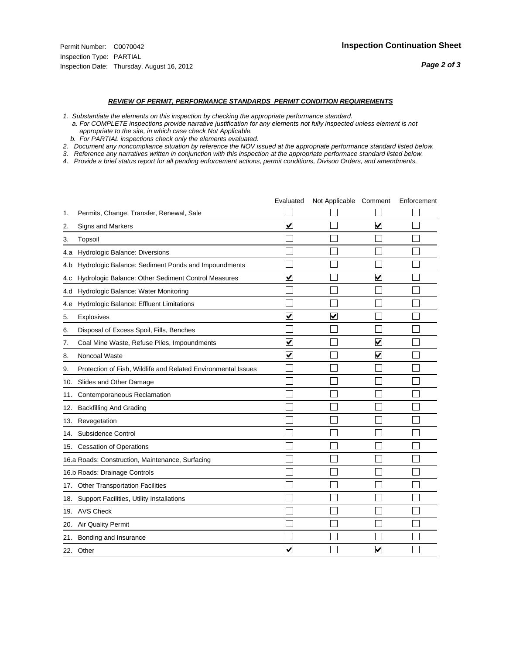- *1. Substantiate the elements on this inspection by checking the appropriate performance standard.*
- *a. For COMPLETE inspections provide narrative justification for any elements not fully inspected unless element is not appropriate to the site, in which case check Not Applicable.*
- *b. For PARTIAL inspections check only the elements evaluated.*
- *2. Document any noncompliance situation by reference the NOV issued at the appropriate performance standard listed below.*
- *3. Reference any narratives written in conjunction with this inspection at the appropriate performace standard listed below.*
- *4. Provide a brief status report for all pending enforcement actions, permit conditions, Divison Orders, and amendments.*

|     |                                                               | Evaluated               | Not Applicable Comment  |                         | Enforcement |
|-----|---------------------------------------------------------------|-------------------------|-------------------------|-------------------------|-------------|
| 1.  | Permits, Change, Transfer, Renewal, Sale                      |                         |                         |                         |             |
| 2.  | <b>Signs and Markers</b>                                      | $\overline{\mathbf{v}}$ |                         | $\blacktriangledown$    |             |
| 3.  | Topsoil                                                       |                         |                         |                         |             |
| 4.a | Hydrologic Balance: Diversions                                |                         |                         |                         |             |
| 4.b | Hydrologic Balance: Sediment Ponds and Impoundments           |                         |                         |                         |             |
| 4.c | Hydrologic Balance: Other Sediment Control Measures           | $\overline{\mathbf{v}}$ |                         | $\overline{\mathbf{v}}$ |             |
| 4.d | Hydrologic Balance: Water Monitoring                          |                         |                         |                         |             |
| 4.e | Hydrologic Balance: Effluent Limitations                      |                         |                         |                         |             |
| 5.  | <b>Explosives</b>                                             | $\overline{\mathbf{v}}$ | $\overline{\mathbf{v}}$ |                         |             |
| 6.  | Disposal of Excess Spoil, Fills, Benches                      |                         |                         |                         |             |
| 7.  | Coal Mine Waste, Refuse Piles, Impoundments                   | $\overline{\mathsf{v}}$ |                         | $\overline{\mathbf{v}}$ |             |
| 8.  | Noncoal Waste                                                 | $\overline{\mathsf{v}}$ |                         | $\overline{\mathsf{v}}$ |             |
| 9.  | Protection of Fish, Wildlife and Related Environmental Issues |                         |                         |                         |             |
|     | 10. Slides and Other Damage                                   |                         |                         |                         |             |
| 11. | Contemporaneous Reclamation                                   |                         |                         |                         |             |
| 12. | <b>Backfilling And Grading</b>                                |                         |                         |                         |             |
| 13. | Revegetation                                                  |                         |                         |                         |             |
| 14. | Subsidence Control                                            |                         |                         |                         |             |
|     | 15. Cessation of Operations                                   |                         |                         |                         |             |
|     | 16.a Roads: Construction, Maintenance, Surfacing              |                         |                         |                         |             |
|     | 16.b Roads: Drainage Controls                                 |                         |                         |                         |             |
|     | 17. Other Transportation Facilities                           |                         |                         |                         |             |
| 18. | Support Facilities, Utility Installations                     |                         |                         |                         |             |
|     | 19. AVS Check                                                 |                         |                         |                         |             |
| 20. | Air Quality Permit                                            |                         |                         |                         |             |
| 21. | Bonding and Insurance                                         |                         |                         |                         |             |
|     | 22. Other                                                     | $\overline{\mathbf{v}}$ |                         | $\overline{\mathbf{v}}$ |             |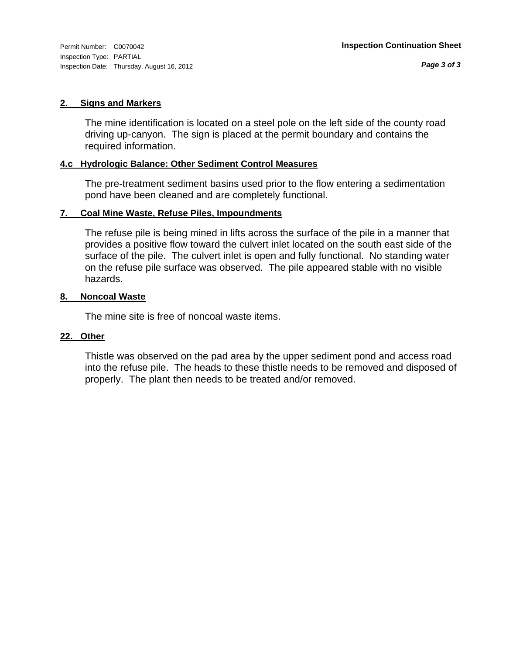Inspection Type: PARTIAL Inspection Date: Thursday, August 16, 2012

## **2. Signs and Markers**

The mine identification is located on a steel pole on the left side of the county road driving up-canyon. The sign is placed at the permit boundary and contains the required information.

# **4.c Hydrologic Balance: Other Sediment Control Measures**

The pre-treatment sediment basins used prior to the flow entering a sedimentation pond have been cleaned and are completely functional.

# **7. Coal Mine Waste, Refuse Piles, Impoundments**

The refuse pile is being mined in lifts across the surface of the pile in a manner that provides a positive flow toward the culvert inlet located on the south east side of the surface of the pile. The culvert inlet is open and fully functional. No standing water on the refuse pile surface was observed. The pile appeared stable with no visible hazards.

## **8. Noncoal Waste**

The mine site is free of noncoal waste items.

# **22. Other**

Thistle was observed on the pad area by the upper sediment pond and access road into the refuse pile. The heads to these thistle needs to be removed and disposed of properly. The plant then needs to be treated and/or removed.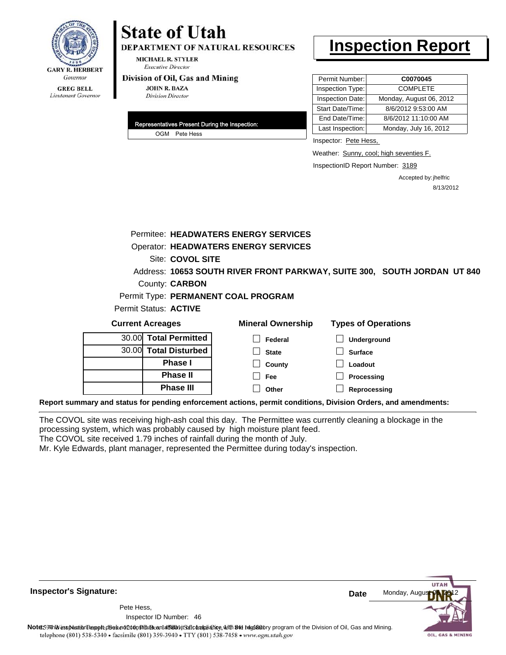

# **State of Utah**

**DEPARTMENT OF NATURAL RESOURCES** 

**MICHAEL R. STYLER Executive Director** 

### Division of Oil, Gas and Mining

**JOHN R. BAZA Division Director** 

| Representatives Present During the Inspection: |
|------------------------------------------------|
| OGM Pete Hess                                  |

# **Inspection Report**

| Permit Number:   | C0070045                |
|------------------|-------------------------|
| Inspection Type: | <b>COMPLETE</b>         |
| Inspection Date: | Monday, August 06, 2012 |
| Start Date/Time: | 8/6/2012 9:53:00 AM     |
| End Date/Time:   | 8/6/2012 11:10:00 AM    |
| Last Inspection: | Monday, July 16, 2012   |

Inspector: Pete Hess,

Weather: Sunny, cool; high seventies F.

InspectionID Report Number: 3189

Accepted by: jhelfric 8/13/2012

|                                                                                                                | Permitee: HEADWATERS ENERGY SERVICES        |                                                                          |  |  |  |
|----------------------------------------------------------------------------------------------------------------|---------------------------------------------|--------------------------------------------------------------------------|--|--|--|
|                                                                                                                | <b>Operator: HEADWATERS ENERGY SERVICES</b> |                                                                          |  |  |  |
| Site: COVOL SITE                                                                                               |                                             |                                                                          |  |  |  |
|                                                                                                                |                                             | Address: 10653 SOUTH RIVER FRONT PARKWAY, SUITE 300, SOUTH JORDAN UT 840 |  |  |  |
| County: <b>CARBON</b>                                                                                          |                                             |                                                                          |  |  |  |
|                                                                                                                | Permit Type: PERMANENT COAL PROGRAM         |                                                                          |  |  |  |
| Permit Status: ACTIVE                                                                                          |                                             |                                                                          |  |  |  |
| <b>Current Acreages</b>                                                                                        | <b>Mineral Ownership</b>                    | <b>Types of Operations</b>                                               |  |  |  |
| <b>Total Permitted</b><br>30.00                                                                                | Federal                                     | Underground                                                              |  |  |  |
| 30.00 Total Disturbed                                                                                          | <b>State</b>                                | <b>Surface</b>                                                           |  |  |  |
| <b>Phase I</b>                                                                                                 | County                                      | Loadout                                                                  |  |  |  |
| <b>Phase II</b>                                                                                                | Fee                                         | Processing                                                               |  |  |  |
| <b>Phase III</b>                                                                                               | Other                                       | Reprocessing                                                             |  |  |  |
| Report summary and status for pending enforcement actions, permit conditions, Division Orders, and amendments: |                                             |                                                                          |  |  |  |

The COVOL site was receiving high-ash coal this day. The Permittee was currently cleaning a blockage in the processing system, which was probably caused by high moisture plant feed.

The COVOL site received 1.79 inches of rainfall during the month of July.

Mr. Kyle Edwards, plant manager, represented the Permittee during today's inspection.

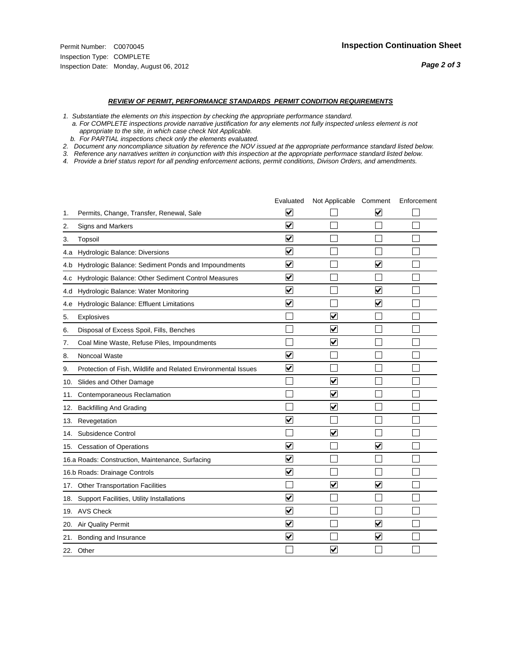- *1. Substantiate the elements on this inspection by checking the appropriate performance standard.*
- *a. For COMPLETE inspections provide narrative justification for any elements not fully inspected unless element is not appropriate to the site, in which case check Not Applicable.*
- *b. For PARTIAL inspections check only the elements evaluated.*
- *2. Document any noncompliance situation by reference the NOV issued at the appropriate performance standard listed below.*
- *3. Reference any narratives written in conjunction with this inspection at the appropriate performace standard listed below.*
- *4. Provide a brief status report for all pending enforcement actions, permit conditions, Divison Orders, and amendments.*

|     |                                                               | Evaluated               | Not Applicable Comment  |                         | Enforcement |
|-----|---------------------------------------------------------------|-------------------------|-------------------------|-------------------------|-------------|
| 1.  | Permits, Change, Transfer, Renewal, Sale                      | $\overline{\mathbf{v}}$ |                         | V                       |             |
| 2.  | Signs and Markers                                             | $\overline{\mathbf{v}}$ |                         |                         |             |
| 3.  | Topsoil                                                       | $\overline{\mathbf{v}}$ |                         |                         |             |
| 4.a | Hydrologic Balance: Diversions                                | $\overline{\mathsf{v}}$ |                         |                         |             |
| 4.b | Hydrologic Balance: Sediment Ponds and Impoundments           | $\blacktriangledown$    |                         | V                       |             |
| 4.C | Hydrologic Balance: Other Sediment Control Measures           | $\overline{\mathbf{v}}$ |                         |                         |             |
| 4.d | Hydrologic Balance: Water Monitoring                          | $\overline{\mathbf{v}}$ |                         | $\overline{\mathbf{v}}$ |             |
| 4.e | Hydrologic Balance: Effluent Limitations                      | $\overline{\mathbf{v}}$ |                         | $\blacktriangledown$    |             |
| 5.  | <b>Explosives</b>                                             |                         | ⊽                       |                         |             |
| 6.  | Disposal of Excess Spoil, Fills, Benches                      |                         | $\blacktriangledown$    |                         |             |
| 7.  | Coal Mine Waste, Refuse Piles, Impoundments                   |                         | $\overline{\mathbf{v}}$ |                         |             |
| 8.  | Noncoal Waste                                                 | $\overline{\mathsf{v}}$ |                         |                         |             |
| 9.  | Protection of Fish, Wildlife and Related Environmental Issues | $\overline{\mathbf{v}}$ |                         |                         |             |
|     | 10. Slides and Other Damage                                   |                         | ⊽                       |                         |             |
| 11. | Contemporaneous Reclamation                                   |                         | ☑                       |                         |             |
| 12. | <b>Backfilling And Grading</b>                                |                         | $\overline{\mathbf{v}}$ |                         |             |
| 13. | Revegetation                                                  | $\overline{\mathbf{v}}$ |                         |                         |             |
| 14. | Subsidence Control                                            |                         | $\overline{\mathbf{v}}$ |                         |             |
|     | 15. Cessation of Operations                                   | $\blacktriangledown$    |                         | $\blacktriangledown$    |             |
|     | 16.a Roads: Construction, Maintenance, Surfacing              | $\blacktriangledown$    |                         |                         |             |
|     | 16.b Roads: Drainage Controls                                 | $\overline{\mathbf{v}}$ |                         |                         |             |
|     | 17. Other Transportation Facilities                           |                         | $\overline{\mathbf{v}}$ | $\overline{\mathbf{v}}$ |             |
| 18. | Support Facilities, Utility Installations                     | $\overline{\mathbf{v}}$ |                         |                         |             |
|     | 19. AVS Check                                                 | $\overline{\mathbf{v}}$ |                         |                         |             |
| 20. | <b>Air Quality Permit</b>                                     | $\checkmark$            |                         | $\blacktriangledown$    |             |
| 21. | Bonding and Insurance                                         | $\overline{\mathbf{v}}$ |                         | $\blacktriangledown$    |             |
|     | 22. Other                                                     |                         | $\overline{\mathbf{v}}$ |                         |             |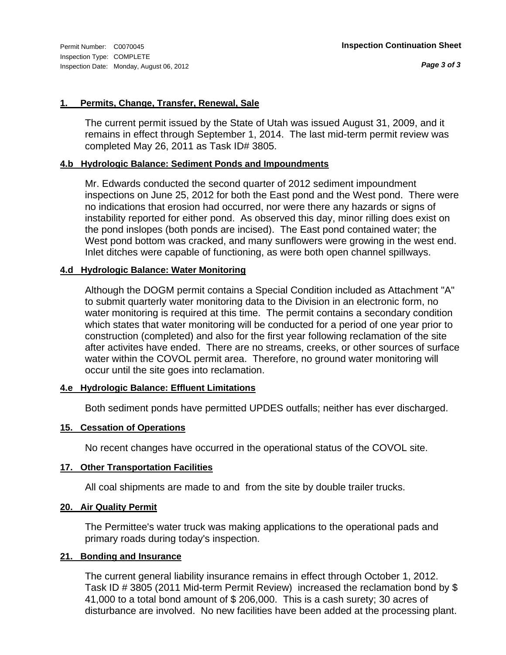# **1. Permits, Change, Transfer, Renewal, Sale**

The current permit issued by the State of Utah was issued August 31, 2009, and it remains in effect through September 1, 2014. The last mid-term permit review was completed May 26, 2011 as Task ID# 3805.

# **4.b Hydrologic Balance: Sediment Ponds and Impoundments**

Mr. Edwards conducted the second quarter of 2012 sediment impoundment inspections on June 25, 2012 for both the East pond and the West pond. There were no indications that erosion had occurred, nor were there any hazards or signs of instability reported for either pond. As observed this day, minor rilling does exist on the pond inslopes (both ponds are incised). The East pond contained water; the West pond bottom was cracked, and many sunflowers were growing in the west end. Inlet ditches were capable of functioning, as were both open channel spillways.

# **4.d Hydrologic Balance: Water Monitoring**

Although the DOGM permit contains a Special Condition included as Attachment "A" to submit quarterly water monitoring data to the Division in an electronic form, no water monitoring is required at this time. The permit contains a secondary condition which states that water monitoring will be conducted for a period of one year prior to construction (completed) and also for the first year following reclamation of the site after activites have ended. There are no streams, creeks, or other sources of surface water within the COVOL permit area. Therefore, no ground water monitoring will occur until the site goes into reclamation.

# **4.e Hydrologic Balance: Effluent Limitations**

Both sediment ponds have permitted UPDES outfalls; neither has ever discharged.

# **15. Cessation of Operations**

No recent changes have occurred in the operational status of the COVOL site.

# **17. Other Transportation Facilities**

All coal shipments are made to and from the site by double trailer trucks.

# **20. Air Quality Permit**

The Permittee's water truck was making applications to the operational pads and primary roads during today's inspection.

# **21. Bonding and Insurance**

The current general liability insurance remains in effect through October 1, 2012. Task ID # 3805 (2011 Mid-term Permit Review) increased the reclamation bond by \$ 41,000 to a total bond amount of \$ 206,000. This is a cash surety; 30 acres of disturbance are involved. No new facilities have been added at the processing plant.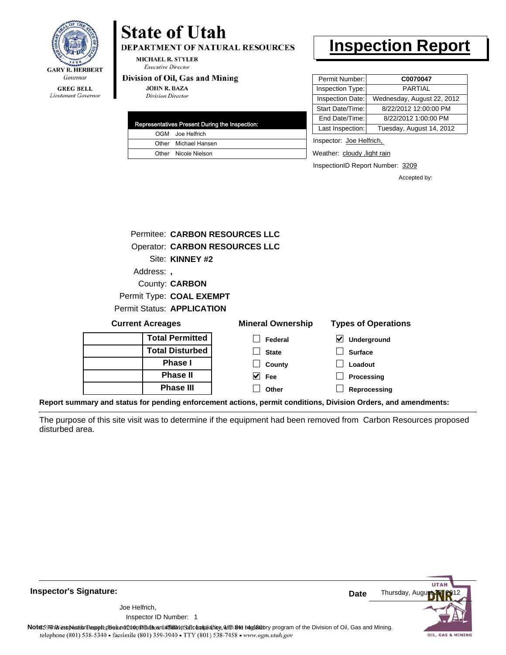

#### **GREG BELL** Lieutenant Governor

# **State of Utah**

**DEPARTMENT OF NATURAL RESOURCES** 

**MICHAEL R. STYLER Executive Director** 

### Division of Oil, Gas and Mining

**Phase II Phase III**

**JOHN R. BAZA Division Director** 

| Representatives Present During the Inspection: |
|------------------------------------------------|
| OGM Joe Helfrich                               |
| Other Michael Hansen                           |
| Other Nicole Nielson                           |

# **Inspection Report**

| Permit Number:   | C0070047                   |
|------------------|----------------------------|
| Inspection Type: | <b>PARTIAL</b>             |
| Inspection Date: | Wednesday, August 22, 2012 |
| Start Date/Time: | 8/22/2012 12:00:00 PM      |
| End Date/Time:   | 8/22/2012 1:00:00 PM       |
| Last Inspection: | Tuesday, August 14, 2012   |
|                  |                            |

Inspector: Joe Helfrich,

light rain Weather: cloudy, light rain

InspectionID Report Number: 3209

**Processing Reprocessing** Accepted by:

|                            |                        | <b>Permitee: CARBON RESOURCES LLC</b> |                                          |
|----------------------------|------------------------|---------------------------------------|------------------------------------------|
|                            |                        | <b>Operator: CARBON RESOURCES LLC</b> |                                          |
|                            | Site: KINNEY #2        |                                       |                                          |
| Address:                   |                        |                                       |                                          |
|                            | County: <b>CARBON</b>  |                                       |                                          |
| Permit Type: COAL EXEMPT   |                        |                                       |                                          |
| Permit Status: APPLICATION |                        |                                       |                                          |
| <b>Current Acreages</b>    |                        | <b>Mineral Ownership</b>              | <b>Types of Operations</b>               |
|                            | <b>Total Permitted</b> | Federal                               | $\boldsymbol{\mathsf{v}}$<br>Underground |
|                            | <b>Total Disturbed</b> | <b>State</b>                          | <b>Surface</b>                           |
|                            | <b>Phase I</b>         | County                                | Loadout                                  |

**Report summary and status for pending enforcement actions, permit conditions, Division Orders, and amendments:**

The purpose of this site visit was to determine if the equipment had been removed from Carbon Resources proposed disturbed area.

 $\blacktriangledown$ 

**Fee Other**



**Inspector's Signature:**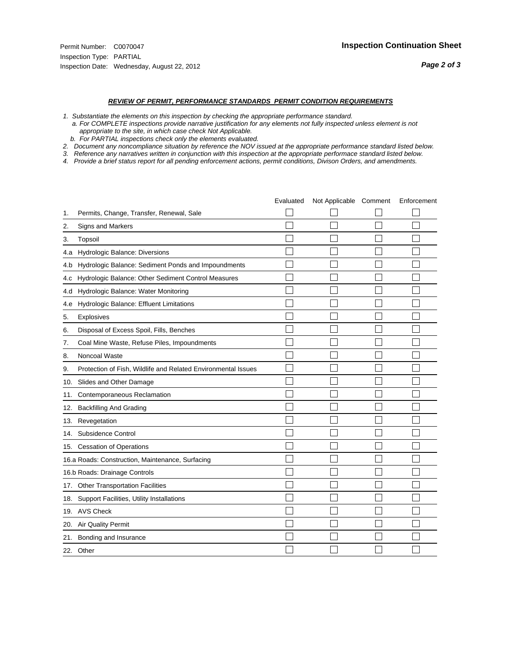- *1. Substantiate the elements on this inspection by checking the appropriate performance standard.*
- *a. For COMPLETE inspections provide narrative justification for any elements not fully inspected unless element is not appropriate to the site, in which case check Not Applicable.*
- *b. For PARTIAL inspections check only the elements evaluated.*
- *2. Document any noncompliance situation by reference the NOV issued at the appropriate performance standard listed below.*
- *3. Reference any narratives written in conjunction with this inspection at the appropriate performace standard listed below.*
- *4. Provide a brief status report for all pending enforcement actions, permit conditions, Divison Orders, and amendments.*

|     |                                                               | Evaluated | Not Applicable Comment | Enforcement |
|-----|---------------------------------------------------------------|-----------|------------------------|-------------|
| 1.  | Permits, Change, Transfer, Renewal, Sale                      |           |                        |             |
| 2.  | <b>Signs and Markers</b>                                      |           |                        |             |
| 3.  | Topsoil                                                       |           |                        |             |
| 4.a | Hydrologic Balance: Diversions                                |           |                        |             |
| 4.b | Hydrologic Balance: Sediment Ponds and Impoundments           |           |                        |             |
| 4.c | Hydrologic Balance: Other Sediment Control Measures           |           |                        |             |
| 4.d | Hydrologic Balance: Water Monitoring                          |           |                        |             |
| 4.e | Hydrologic Balance: Effluent Limitations                      |           |                        |             |
| 5.  | <b>Explosives</b>                                             |           |                        |             |
| 6.  | Disposal of Excess Spoil, Fills, Benches                      |           |                        |             |
| 7.  | Coal Mine Waste, Refuse Piles, Impoundments                   |           |                        |             |
| 8.  | Noncoal Waste                                                 |           |                        |             |
| 9.  | Protection of Fish, Wildlife and Related Environmental Issues |           |                        |             |
|     | 10. Slides and Other Damage                                   |           |                        |             |
| 11. | Contemporaneous Reclamation                                   |           |                        |             |
| 12. | <b>Backfilling And Grading</b>                                |           |                        |             |
| 13. | Revegetation                                                  |           |                        |             |
| 14. | Subsidence Control                                            |           |                        |             |
|     | 15. Cessation of Operations                                   |           |                        |             |
|     | 16.a Roads: Construction, Maintenance, Surfacing              |           |                        |             |
|     | 16.b Roads: Drainage Controls                                 |           |                        |             |
|     | 17. Other Transportation Facilities                           |           |                        |             |
| 18. | Support Facilities, Utility Installations                     |           |                        |             |
|     | 19. AVS Check                                                 |           |                        |             |
| 20. | Air Quality Permit                                            |           |                        |             |
| 21. | Bonding and Insurance                                         |           |                        |             |
|     | 22. Other                                                     |           |                        |             |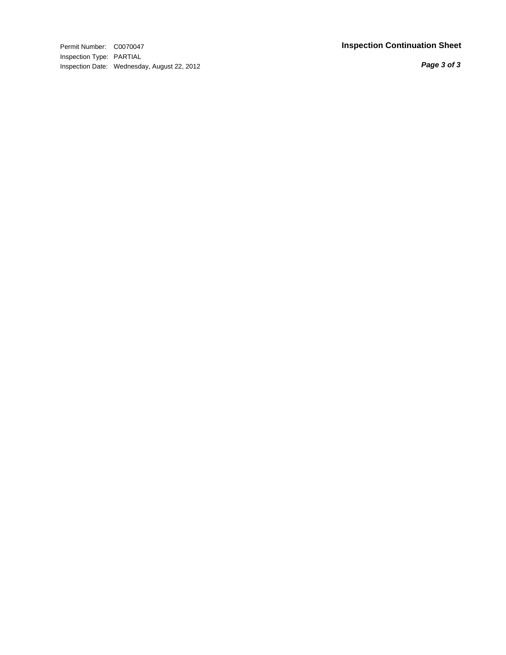Permit Number: C0070047 **Inspection Continuation Shee t** Inspection Type: PARTIAL Inspection Date: Wednesday, August 22, 2012

*Page 3 of 3*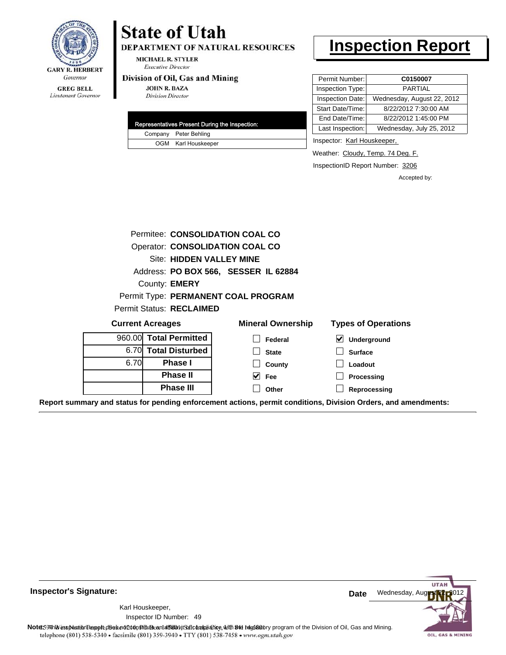

# **GREG BELL** Lieutenant Governor

# **State of Utah**

DEPARTMENT OF NATURAL RESOURCES

**MICHAEL R. STYLER Executive Director** 

## Division of Oil, Gas and Mining

**JOHN R. BAZA Division Director** 

| Representatives Present During the Inspection: |
|------------------------------------------------|
| Company Peter Behling                          |
| OGM Karl Houskeeper                            |

# **Inspection Report**

| Permit Number:   | C0150007                   |
|------------------|----------------------------|
| Inspection Type: | PARTIAL                    |
| Inspection Date: | Wednesday, August 22, 2012 |
| Start Date/Time: | 8/22/2012 7:30:00 AM       |
| End Date/Time:   | 8/22/2012 1:45:00 PM       |
| Last Inspection: | Wednesday, July 25, 2012   |

Inspector: Karl Houskeeper,

Weather: Cloudy, Temp. 74 Deg. F.

InspectionID Report Number: 3206

Accepted by:

|                         | Permitee: CONSOLIDATION COAL CO |                                        |                            |  |  |  |  |
|-------------------------|---------------------------------|----------------------------------------|----------------------------|--|--|--|--|
|                         |                                 | <b>Operator: CONSOLIDATION COAL CO</b> |                            |  |  |  |  |
|                         | Site: HIDDEN VALLEY MINE        |                                        |                            |  |  |  |  |
|                         |                                 | Address: PO BOX 566, SESSER IL 62884   |                            |  |  |  |  |
|                         | County: <b>EMERY</b>            |                                        |                            |  |  |  |  |
|                         |                                 | Permit Type: PERMANENT COAL PROGRAM    |                            |  |  |  |  |
|                         | <b>Permit Status: RECLAIMED</b> |                                        |                            |  |  |  |  |
| <b>Current Acreages</b> |                                 | <b>Mineral Ownership</b>               | <b>Types of Operations</b> |  |  |  |  |
| 960.00                  | <b>Total Permitted</b>          | Federal                                | Underground                |  |  |  |  |
| 6.70                    | <b>Total Disturbed</b>          | <b>State</b>                           | <b>Surface</b>             |  |  |  |  |
| 6.70                    | Phase I                         | County                                 | Loadout                    |  |  |  |  |
|                         | <b>Phase II</b>                 | M<br>Fee                               | Processing                 |  |  |  |  |
|                         | <b>Phase III</b>                | Other                                  | Reprocessing               |  |  |  |  |

**Report summary and status for pending enforcement actions, permit conditions, Division Orders, and amendments:**



49 Inspector ID Number:Karl Houskeeper,

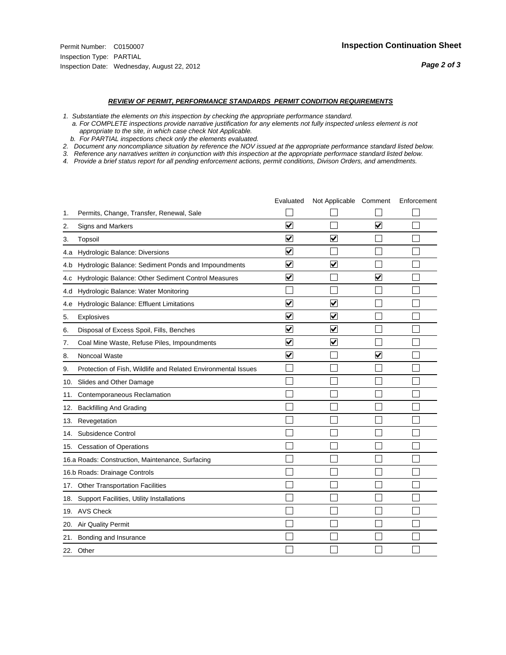- *1. Substantiate the elements on this inspection by checking the appropriate performance standard.*
- *a. For COMPLETE inspections provide narrative justification for any elements not fully inspected unless element is not appropriate to the site, in which case check Not Applicable.*
- *b. For PARTIAL inspections check only the elements evaluated.*
- *2. Document any noncompliance situation by reference the NOV issued at the appropriate performance standard listed below.*
- *3. Reference any narratives written in conjunction with this inspection at the appropriate performace standard listed below.*
- *4. Provide a brief status report for all pending enforcement actions, permit conditions, Divison Orders, and amendments.*

|     |                                                               | Evaluated                       | Not Applicable Comment  |                         | Enforcement |
|-----|---------------------------------------------------------------|---------------------------------|-------------------------|-------------------------|-------------|
| 1.  | Permits, Change, Transfer, Renewal, Sale                      |                                 |                         |                         |             |
| 2.  | Signs and Markers                                             | $\overline{\mathbf{v}}$         |                         | $\overline{\mathbf{v}}$ |             |
| 3.  | Topsoil                                                       | $\overline{\blacktriangledown}$ | $\overline{\checkmark}$ |                         |             |
| 4.a | Hydrologic Balance: Diversions                                | $\blacktriangledown$            |                         |                         |             |
| 4.b | Hydrologic Balance: Sediment Ponds and Impoundments           | $\blacktriangledown$            | $\overline{\mathbf{v}}$ |                         |             |
| 4.C | Hydrologic Balance: Other Sediment Control Measures           | $\blacktriangledown$            |                         | $\blacktriangledown$    |             |
| 4.d | Hydrologic Balance: Water Monitoring                          |                                 |                         |                         |             |
| 4.e | Hydrologic Balance: Effluent Limitations                      | ✔                               | $\overline{\mathsf{v}}$ |                         |             |
| 5.  | <b>Explosives</b>                                             | $\overline{\mathbf{v}}$         | ⊽                       |                         |             |
| 6.  | Disposal of Excess Spoil, Fills, Benches                      | $\overline{\mathbf{v}}$         | ⊻                       |                         |             |
| 7.  | Coal Mine Waste, Refuse Piles, Impoundments                   | $\blacktriangledown$            | $\overline{\mathbf{v}}$ |                         |             |
| 8.  | Noncoal Waste                                                 | ⊽                               |                         | $\blacktriangledown$    |             |
| 9.  | Protection of Fish, Wildlife and Related Environmental Issues |                                 |                         |                         |             |
| 10. | Slides and Other Damage                                       |                                 |                         |                         |             |
| 11. | Contemporaneous Reclamation                                   |                                 |                         |                         |             |
| 12. | <b>Backfilling And Grading</b>                                |                                 |                         |                         |             |
| 13. | Revegetation                                                  |                                 |                         |                         |             |
| 14. | Subsidence Control                                            |                                 |                         |                         |             |
| 15. | <b>Cessation of Operations</b>                                |                                 |                         |                         |             |
|     | 16.a Roads: Construction, Maintenance, Surfacing              |                                 |                         |                         |             |
|     | 16.b Roads: Drainage Controls                                 |                                 |                         |                         |             |
|     | 17. Other Transportation Facilities                           |                                 |                         |                         |             |
| 18. | Support Facilities, Utility Installations                     |                                 |                         |                         |             |
|     | 19. AVS Check                                                 |                                 |                         |                         |             |
| 20. | <b>Air Quality Permit</b>                                     |                                 |                         |                         |             |
|     | 21. Bonding and Insurance                                     |                                 |                         |                         |             |
|     | 22. Other                                                     |                                 |                         |                         |             |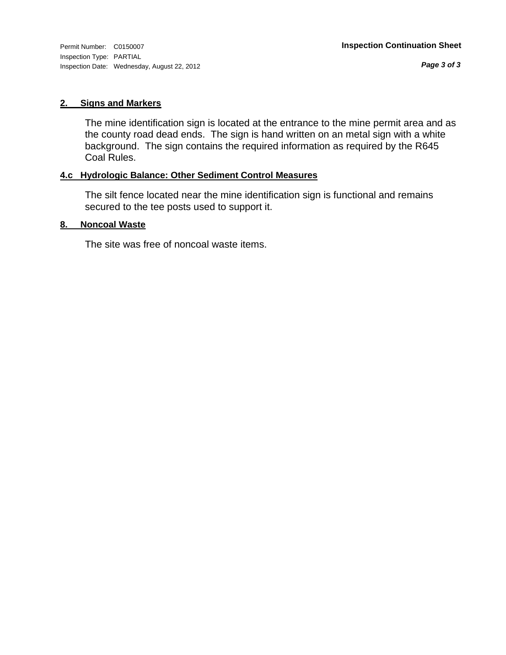Inspection Type: PARTIAL Inspection Date: Wednesday, August 22, 2012

*Page 3 of 3*

# **2. Signs and Markers**

The mine identification sign is located at the entrance to the mine permit area and as the county road dead ends. The sign is hand written on an metal sign with a white background. The sign contains the required information as required by the R645 Coal Rules.

# **4.c Hydrologic Balance: Other Sediment Control Measures**

The silt fence located near the mine identification sign is functional and remains secured to the tee posts used to support it.

# **8. Noncoal Waste**

The site was free of noncoal waste items.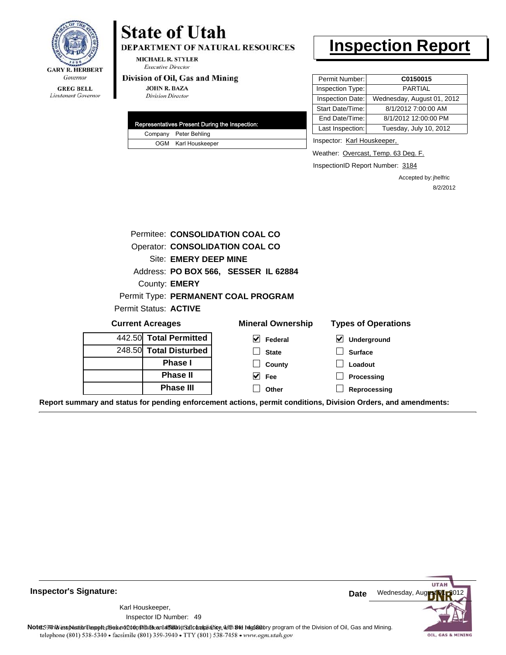

#### **GREG BELL** Lieutenant Governor

# **State of Utah**

DEPARTMENT OF NATURAL RESOURCES

**MICHAEL R. STYLER Executive Director** 

### Division of Oil, Gas and Mining

**JOHN R. BAZA Division Director** 

|  | Representatives Present During the Inspection: |
|--|------------------------------------------------|
|  | Company Peter Behling                          |
|  | OGM Karl Houskeeper                            |

# **Inspection Report**

| Permit Number:   | C0150015                   |
|------------------|----------------------------|
| Inspection Type: | <b>PARTIAL</b>             |
| Inspection Date: | Wednesday, August 01, 2012 |
| Start Date/Time: | 8/1/2012 7:00:00 AM        |
| End Date/Time:   | 8/1/2012 12:00:00 PM       |
| Last Inspection: | Tuesday, July 10, 2012     |
|                  |                            |

Inspector: Karl Houskeeper,

Weather: Overcast, Temp. 63 Deg. F.

InspectionID Report Number: 3184

Accepted by: jhelfric 8/2/2012

|                                                                                                                                                                                                                                   | Permitee: CONSOLIDATION COAL CO      |                                            |
|-----------------------------------------------------------------------------------------------------------------------------------------------------------------------------------------------------------------------------------|--------------------------------------|--------------------------------------------|
|                                                                                                                                                                                                                                   | Operator: CONSOLIDATION COAL CO      |                                            |
| <b>Site: EMERY DEEP MINE</b>                                                                                                                                                                                                      |                                      |                                            |
|                                                                                                                                                                                                                                   | Address: PO BOX 566, SESSER IL 62884 |                                            |
| County: <b>EMERY</b>                                                                                                                                                                                                              |                                      |                                            |
|                                                                                                                                                                                                                                   | Permit Type: PERMANENT COAL PROGRAM  |                                            |
| Permit Status: ACTIVE                                                                                                                                                                                                             |                                      |                                            |
| <b>Current Acreages</b>                                                                                                                                                                                                           | <b>Mineral Ownership</b>             | <b>Types of Operations</b>                 |
| 442.50 Total Permitted                                                                                                                                                                                                            | $\vee$ Federal                       | $\vert\bm{\mathsf{v}}\vert$<br>Underground |
| 248.50 Total Disturbed                                                                                                                                                                                                            | <b>State</b>                         | <b>Surface</b>                             |
| <b>Phase I</b>                                                                                                                                                                                                                    | County                               | Loadout                                    |
| <b>Phase II</b>                                                                                                                                                                                                                   | $\vee$ Fee                           | Processing                                 |
| <b>Phase III</b>                                                                                                                                                                                                                  | Other                                | Reprocessing                               |
| $\sim$ . The second contract of the second second contract $\sim$ . The second contract of the second contract of the second contract of the second contract of the second contract of the second contract of the second contract |                                      |                                            |

**Report summary and status for pending enforcement actions, permit conditions, Division Orders, and amendments:**

**Inspector's Signature:**

49 Inspector ID Number:Karl Houskeeper,



Note: 59 This inspection report does not do an affidavit Suite and Affidavit Constitute and Division of Coli, Gas and Mining.<br>telephone (801) 538-5340 • facsimile (801) 359-3940 • TTY (801) 538-7458 • www.ogm.utah.gov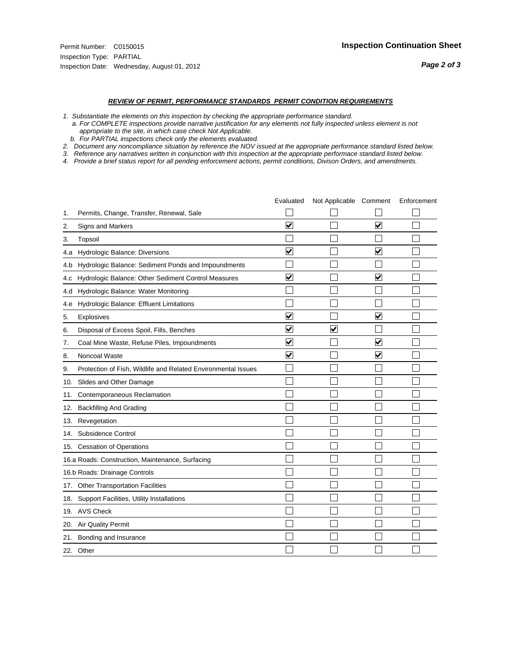- *1. Substantiate the elements on this inspection by checking the appropriate performance standard.*
- *a. For COMPLETE inspections provide narrative justification for any elements not fully inspected unless element is not appropriate to the site, in which case check Not Applicable.*
- *b. For PARTIAL inspections check only the elements evaluated.*
- *2. Document any noncompliance situation by reference the NOV issued at the appropriate performance standard listed below.*
- *3. Reference any narratives written in conjunction with this inspection at the appropriate performace standard listed below.*
- *4. Provide a brief status report for all pending enforcement actions, permit conditions, Divison Orders, and amendments.*

|     |                                                               | Evaluated               | Not Applicable Comment  |                         | Enforcement |
|-----|---------------------------------------------------------------|-------------------------|-------------------------|-------------------------|-------------|
| 1.  | Permits, Change, Transfer, Renewal, Sale                      |                         |                         |                         |             |
| 2.  | <b>Signs and Markers</b>                                      | $\overline{\mathbf{v}}$ |                         | $\blacktriangledown$    |             |
| 3.  | Topsoil                                                       |                         |                         |                         |             |
| 4.a | Hydrologic Balance: Diversions                                | $\blacktriangledown$    |                         | $\blacktriangledown$    |             |
| 4.b | Hydrologic Balance: Sediment Ponds and Impoundments           |                         |                         |                         |             |
| 4.C | Hydrologic Balance: Other Sediment Control Measures           | $\overline{\mathbf{v}}$ |                         | $\overline{\mathbf{v}}$ |             |
| 4.d | Hydrologic Balance: Water Monitoring                          |                         |                         |                         |             |
| 4.e | Hydrologic Balance: Effluent Limitations                      |                         |                         |                         |             |
| 5.  | <b>Explosives</b>                                             | ✔                       |                         | V                       |             |
| 6.  | Disposal of Excess Spoil, Fills, Benches                      | $\blacktriangledown$    | $\overline{\mathbf{v}}$ |                         |             |
| 7.  | Coal Mine Waste, Refuse Piles, Impoundments                   | $\blacktriangledown$    |                         | $\overline{\mathbf{v}}$ |             |
| 8.  | Noncoal Waste                                                 | $\overline{\mathbf{v}}$ |                         | $\overline{\mathbf{v}}$ |             |
| 9.  | Protection of Fish, Wildlife and Related Environmental Issues |                         |                         |                         |             |
|     | 10. Slides and Other Damage                                   |                         |                         |                         |             |
| 11. | Contemporaneous Reclamation                                   |                         |                         |                         |             |
| 12. | <b>Backfilling And Grading</b>                                |                         |                         |                         |             |
| 13. | Revegetation                                                  |                         |                         |                         |             |
| 14. | Subsidence Control                                            |                         |                         |                         |             |
|     | 15. Cessation of Operations                                   |                         |                         |                         |             |
|     | 16.a Roads: Construction, Maintenance, Surfacing              |                         |                         |                         |             |
|     | 16.b Roads: Drainage Controls                                 |                         |                         |                         |             |
| 17. | <b>Other Transportation Facilities</b>                        |                         |                         |                         |             |
| 18. | Support Facilities, Utility Installations                     |                         |                         |                         |             |
|     | 19. AVS Check                                                 |                         |                         |                         |             |
| 20. | <b>Air Quality Permit</b>                                     |                         |                         |                         |             |
|     | 21. Bonding and Insurance                                     |                         |                         |                         |             |
|     | 22. Other                                                     |                         |                         |                         |             |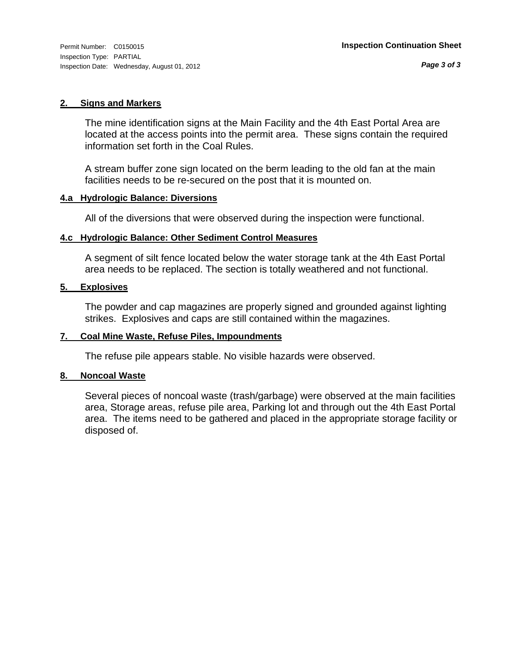Inspection Type: PARTIAL Inspection Date: Wednesday, August 01, 2012

## **2. Signs and Markers**

The mine identification signs at the Main Facility and the 4th East Portal Area are located at the access points into the permit area. These signs contain the required information set forth in the Coal Rules.

A stream buffer zone sign located on the berm leading to the old fan at the main facilities needs to be re-secured on the post that it is mounted on.

# **4.a Hydrologic Balance: Diversions**

All of the diversions that were observed during the inspection were functional.

# **4.c Hydrologic Balance: Other Sediment Control Measures**

A segment of silt fence located below the water storage tank at the 4th East Portal area needs to be replaced. The section is totally weathered and not functional.

# **5. Explosives**

The powder and cap magazines are properly signed and grounded against lighting strikes. Explosives and caps are still contained within the magazines.

# **7. Coal Mine Waste, Refuse Piles, Impoundments**

The refuse pile appears stable. No visible hazards were observed.

## **8. Noncoal Waste**

Several pieces of noncoal waste (trash/garbage) were observed at the main facilities area, Storage areas, refuse pile area, Parking lot and through out the 4th East Portal area. The items need to be gathered and placed in the appropriate storage facility or disposed of.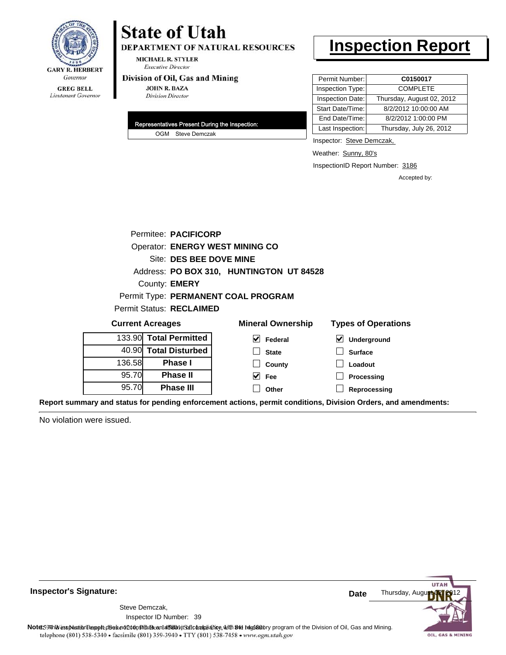

# **State of Utah**

DEPARTMENT OF NATURAL RESOURCES

**MICHAEL R. STYLER Executive Director** 

### Division of Oil, Gas and Mining

**JOHN R. BAZA Division Director** 

| Representatives Present During the Inspection: |
|------------------------------------------------|
| OGM Steve Demczak                              |

# **Inspection Report**

| Permit Number:   | C0150017                  |
|------------------|---------------------------|
| Inspection Type: | <b>COMPLETE</b>           |
| Inspection Date: | Thursday, August 02, 2012 |
| Start Date/Time: | 8/2/2012 10:00:00 AM      |
| End Date/Time:   | 8/2/2012 1:00:00 PM       |
| Last Inspection: | Thursday, July 26, 2012   |

Inspector: Steve Demczak,

Weather: Sunny, 80's

InspectionID Report Number: 3186

**Reprocessing**

Accepted by:

|        | Permitee: PACIFICORP                   |                                          |                            |  |  |
|--------|----------------------------------------|------------------------------------------|----------------------------|--|--|
|        | <b>Operator: ENERGY WEST MINING CO</b> |                                          |                            |  |  |
|        | Site: DES BEE DOVE MINE                |                                          |                            |  |  |
|        |                                        | Address: PO BOX 310, HUNTINGTON UT 84528 |                            |  |  |
|        | County: <b>EMERY</b>                   |                                          |                            |  |  |
|        |                                        | Permit Type: PERMANENT COAL PROGRAM      |                            |  |  |
|        | Permit Status: RECLAIMED               |                                          |                            |  |  |
|        | <b>Current Acreages</b>                | <b>Mineral Ownership</b>                 | <b>Types of Operations</b> |  |  |
|        | 133.90 Total Permitted                 | M<br>Federal                             | M<br>Underground           |  |  |
|        | 40.90 Total Disturbed                  | <b>State</b>                             | <b>Surface</b>             |  |  |
| 136.58 | Phase I                                | County                                   | Loadout                    |  |  |
| 95.70  | <b>Phase II</b>                        | Fee                                      | Processing                 |  |  |

**Other**

**Report summary and status for pending enforcement actions, permit conditions, Division Orders, and amendments:**

No violation were issued.

95.70

**Phase III**



**Inspector's Signature:**

Inspector ID Number: 39 Steve Demczak,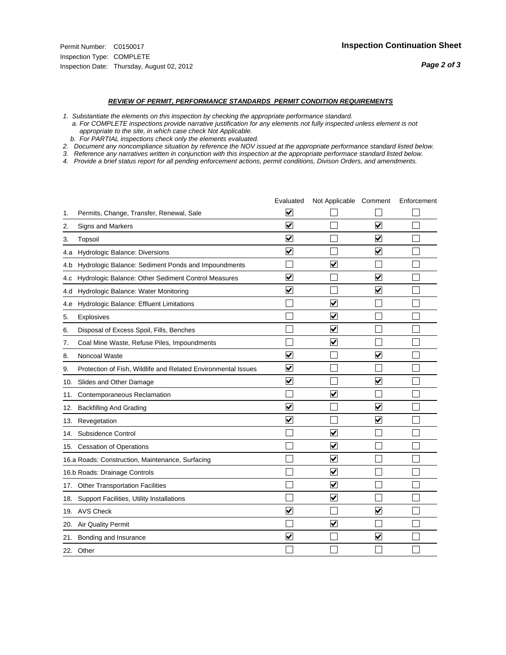- *1. Substantiate the elements on this inspection by checking the appropriate performance standard.*
- *a. For COMPLETE inspections provide narrative justification for any elements not fully inspected unless element is not appropriate to the site, in which case check Not Applicable.*
- *b. For PARTIAL inspections check only the elements evaluated.*
- *2. Document any noncompliance situation by reference the NOV issued at the appropriate performance standard listed below.*
- *3. Reference any narratives written in conjunction with this inspection at the appropriate performace standard listed below.*
- *4. Provide a brief status report for all pending enforcement actions, permit conditions, Divison Orders, and amendments.*

|     |                                                               | Evaluated               | Not Applicable Comment          |                         | Enforcement |
|-----|---------------------------------------------------------------|-------------------------|---------------------------------|-------------------------|-------------|
| 1.  | Permits, Change, Transfer, Renewal, Sale                      | $\overline{\mathsf{v}}$ |                                 |                         |             |
| 2.  | <b>Signs and Markers</b>                                      | $\overline{\mathbf{v}}$ |                                 | $\blacktriangledown$    |             |
| 3.  | Topsoil                                                       | $\overline{\mathbf{v}}$ |                                 | $\overline{\mathsf{v}}$ |             |
| 4.a | Hydrologic Balance: Diversions                                | $\blacktriangledown$    |                                 | $\blacktriangledown$    |             |
| 4.b | Hydrologic Balance: Sediment Ponds and Impoundments           |                         | ⊽                               |                         |             |
| 4.c | Hydrologic Balance: Other Sediment Control Measures           | $\overline{\mathbf{v}}$ |                                 | $\blacktriangledown$    |             |
| 4.d | Hydrologic Balance: Water Monitoring                          | $\overline{\mathbf{v}}$ |                                 | $\blacktriangledown$    |             |
| 4.e | Hydrologic Balance: Effluent Limitations                      |                         | $\overline{\mathbf{v}}$         |                         |             |
| 5.  | <b>Explosives</b>                                             |                         | $\blacktriangledown$            |                         |             |
| 6.  | Disposal of Excess Spoil, Fills, Benches                      |                         | $\overline{\mathbf{v}}$         |                         |             |
| 7.  | Coal Mine Waste, Refuse Piles, Impoundments                   |                         | $\blacktriangledown$            |                         |             |
| 8.  | Noncoal Waste                                                 | $\overline{\mathbf{v}}$ |                                 | $\overline{\mathbf{v}}$ |             |
| 9.  | Protection of Fish, Wildlife and Related Environmental Issues | $\overline{\mathbf{v}}$ |                                 |                         |             |
|     | 10. Slides and Other Damage                                   | $\overline{\mathbf{v}}$ |                                 | $\blacktriangledown$    |             |
| 11. | Contemporaneous Reclamation                                   |                         | $\blacktriangledown$            |                         |             |
| 12. | <b>Backfilling And Grading</b>                                | $\blacktriangledown$    |                                 | $\blacktriangledown$    |             |
| 13. | Revegetation                                                  | $\overline{\mathbf{v}}$ |                                 | $\overline{\mathbf{v}}$ |             |
| 14. | Subsidence Control                                            |                         | $\overline{\mathbf{v}}$         |                         |             |
|     | 15. Cessation of Operations                                   |                         | $\blacktriangledown$            |                         |             |
|     | 16.a Roads: Construction, Maintenance, Surfacing              |                         | $\overline{\mathsf{v}}$         |                         |             |
|     | 16.b Roads: Drainage Controls                                 |                         | $\blacktriangledown$            |                         |             |
|     | 17. Other Transportation Facilities                           |                         | $\overline{\blacktriangledown}$ |                         |             |
| 18. | Support Facilities, Utility Installations                     |                         | ☑                               |                         |             |
|     | 19. AVS Check                                                 | $\overline{\mathbf{v}}$ |                                 | $\blacktriangledown$    |             |
| 20. | Air Quality Permit                                            |                         | $\overline{\mathsf{v}}$         |                         |             |
|     | 21. Bonding and Insurance                                     | $\overline{\mathbf{v}}$ |                                 | $\blacktriangledown$    |             |
|     | 22. Other                                                     |                         |                                 |                         |             |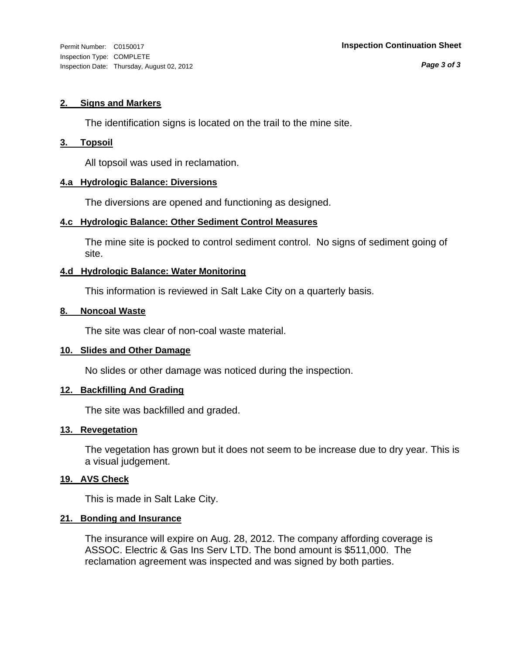*Page 3 of 3*

# **2. Signs and Markers**

The identification signs is located on the trail to the mine site.

# **3. Topsoil**

All topsoil was used in reclamation.

# **4.a Hydrologic Balance: Diversions**

The diversions are opened and functioning as designed.

# **4.c Hydrologic Balance: Other Sediment Control Measures**

The mine site is pocked to control sediment control. No signs of sediment going of site.

# **4.d Hydrologic Balance: Water Monitoring**

This information is reviewed in Salt Lake City on a quarterly basis.

# **8. Noncoal Waste**

The site was clear of non-coal waste material.

# **10. Slides and Other Damage**

No slides or other damage was noticed during the inspection.

# **12. Backfilling And Grading**

The site was backfilled and graded.

# **13. Revegetation**

The vegetation has grown but it does not seem to be increase due to dry year. This is a visual judgement.

# **19. AVS Check**

This is made in Salt Lake City.

# **21. Bonding and Insurance**

The insurance will expire on Aug. 28, 2012. The company affording coverage is ASSOC. Electric & Gas Ins Serv LTD. The bond amount is \$511,000. The reclamation agreement was inspected and was signed by both parties.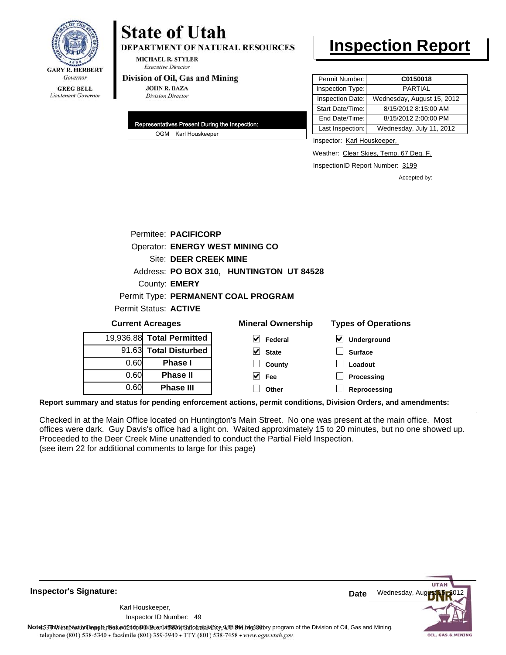

19

0.60

**Phase III**

# **State of Utah**

**DEPARTMENT OF NATURAL RESOURCES** 

**MICHAEL R. STYLER Executive Director** 

### Division of Oil, Gas and Mining

**JOHN R. BAZA Division Director** 

| Representatives Present During the Inspection: |
|------------------------------------------------|
| OGM Karl Houskeeper                            |

# **Inspection Report**

| Permit Number:   | C0150018                   |
|------------------|----------------------------|
| Inspection Type: | <b>PARTIAL</b>             |
| Inspection Date: | Wednesday, August 15, 2012 |
| Start Date/Time: | 8/15/2012 8:15:00 AM       |
| End Date/Time:   | 8/15/2012 2:00:00 PM       |
| Last Inspection: | Wednesday, July 11, 2012   |
|                  |                            |

Inspector: Karl Houskeeper,

Weather: Clear Skies, Temp. 67 Deg. F.

InspectionID Report Number: 3199

**Reprocessing**

Accepted by:

|                                        | Permitee: PACIFICORP     |                                          |                            |  |
|----------------------------------------|--------------------------|------------------------------------------|----------------------------|--|
| <b>Operator: ENERGY WEST MINING CO</b> |                          |                                          |                            |  |
|                                        | Site: DEER CREEK MINE    |                                          |                            |  |
|                                        |                          | Address: PO BOX 310, HUNTINGTON UT 84528 |                            |  |
|                                        | County: <b>EMERY</b>     |                                          |                            |  |
|                                        |                          | Permit Type: PERMANENT COAL PROGRAM      |                            |  |
|                                        | Permit Status: ACTIVE    |                                          |                            |  |
|                                        | <b>Current Acreages</b>  | <b>Mineral Ownership</b>                 | <b>Types of Operations</b> |  |
|                                        | 9,936.88 Total Permitted | V<br>Federal                             | V<br>Underground           |  |
|                                        | 91.63 Total Disturbed    | M<br><b>State</b>                        | <b>Surface</b>             |  |
| 0.60                                   | <b>Phase I</b>           | County                                   | Loadout                    |  |
| 0.60                                   | <b>Phase II</b>          | Fee                                      | Processing                 |  |

**Other**

**Report summary and status for pending enforcement actions, permit conditions, Division Orders, and amendments:**

Checked in at the Main Office located on Huntington's Main Street. No one was present at the main office. Most offices were dark. Guy Davis's office had a light on. Waited approximately 15 to 20 minutes, but no one showed up. Proceeded to the Deer Creek Mine unattended to conduct the Partial Field Inspection. (see item 22 for additional comments to large for this page)

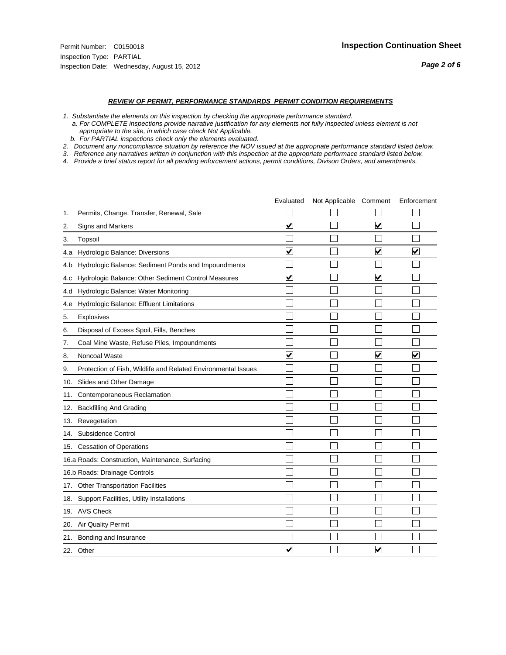- *1. Substantiate the elements on this inspection by checking the appropriate performance standard.*
- *a. For COMPLETE inspections provide narrative justification for any elements not fully inspected unless element is not appropriate to the site, in which case check Not Applicable.*
- *b. For PARTIAL inspections check only the elements evaluated.*
- *2. Document any noncompliance situation by reference the NOV issued at the appropriate performance standard listed below.*
- *3. Reference any narratives written in conjunction with this inspection at the appropriate performace standard listed below.*
- *4. Provide a brief status report for all pending enforcement actions, permit conditions, Divison Orders, and amendments.*

|     |                                                               | Evaluated               | Not Applicable Comment |                         | Enforcement             |
|-----|---------------------------------------------------------------|-------------------------|------------------------|-------------------------|-------------------------|
| 1.  | Permits, Change, Transfer, Renewal, Sale                      |                         |                        |                         |                         |
| 2.  | <b>Signs and Markers</b>                                      | $\overline{\mathbf{v}}$ |                        | $\overline{\mathbf{v}}$ |                         |
| 3.  | Topsoil                                                       |                         |                        |                         |                         |
| 4.a | Hydrologic Balance: Diversions                                | $\blacktriangledown$    |                        | $\overline{\mathbf{v}}$ | $\overline{\mathbf{v}}$ |
| 4.b | Hydrologic Balance: Sediment Ponds and Impoundments           |                         |                        |                         |                         |
| 4.c | Hydrologic Balance: Other Sediment Control Measures           | $\overline{\mathbf{v}}$ |                        | $\blacktriangledown$    |                         |
| 4.d | Hydrologic Balance: Water Monitoring                          |                         |                        |                         |                         |
| 4.e | Hydrologic Balance: Effluent Limitations                      |                         |                        |                         |                         |
| 5.  | <b>Explosives</b>                                             |                         |                        |                         |                         |
| 6.  | Disposal of Excess Spoil, Fills, Benches                      |                         |                        |                         |                         |
| 7.  | Coal Mine Waste, Refuse Piles, Impoundments                   |                         |                        |                         |                         |
| 8.  | Noncoal Waste                                                 | $\overline{\mathbf{v}}$ |                        | $\overline{\mathsf{v}}$ | $\overline{\mathbf{v}}$ |
| 9.  | Protection of Fish, Wildlife and Related Environmental Issues |                         |                        |                         |                         |
|     | 10. Slides and Other Damage                                   |                         |                        |                         |                         |
| 11. | Contemporaneous Reclamation                                   |                         |                        |                         |                         |
| 12. | <b>Backfilling And Grading</b>                                |                         |                        |                         |                         |
| 13. | Revegetation                                                  |                         |                        |                         |                         |
| 14. | Subsidence Control                                            |                         |                        |                         |                         |
|     | 15. Cessation of Operations                                   |                         |                        |                         |                         |
|     | 16.a Roads: Construction, Maintenance, Surfacing              |                         |                        |                         |                         |
|     | 16.b Roads: Drainage Controls                                 |                         |                        |                         |                         |
|     | 17. Other Transportation Facilities                           |                         |                        |                         |                         |
| 18. | Support Facilities, Utility Installations                     |                         |                        |                         |                         |
|     | 19. AVS Check                                                 |                         |                        |                         |                         |
| 20. | Air Quality Permit                                            |                         |                        |                         |                         |
| 21. | Bonding and Insurance                                         |                         |                        |                         |                         |
|     | 22. Other                                                     | $\overline{\mathbf{v}}$ |                        | $\overline{\mathsf{v}}$ |                         |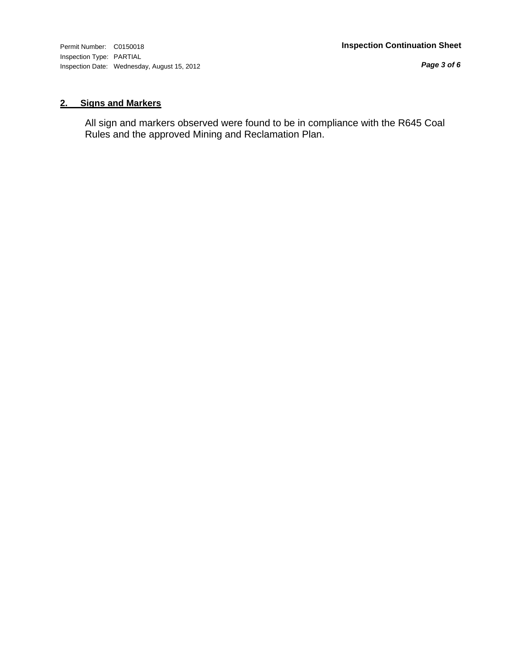Inspection Type: PARTIAL Inspection Date: Wednesday, August 15, 2012

*Page 3 of 6*

# **2. Signs and Markers**

All sign and markers observed were found to be in compliance with the R645 Coal Rules and the approved Mining and Reclamation Plan.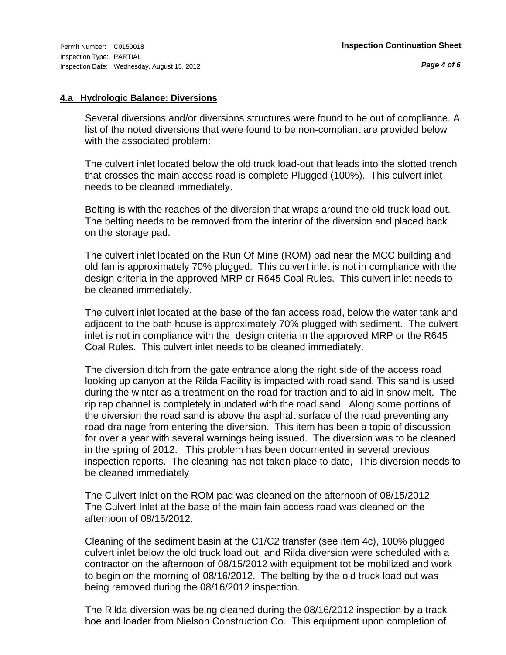# **4.a Hydrologic Balance: Diversions**

Several diversions and/or diversions structures were found to be out of compliance. A list of the noted diversions that were found to be non-compliant are provided below with the associated problem:

The culvert inlet located below the old truck load-out that leads into the slotted trench that crosses the main access road is complete Plugged (100%). This culvert inlet needs to be cleaned immediately.

Belting is with the reaches of the diversion that wraps around the old truck load-out. The belting needs to be removed from the interior of the diversion and placed back on the storage pad.

The culvert inlet located on the Run Of Mine (ROM) pad near the MCC building and old fan is approximately 70% plugged. This culvert inlet is not in compliance with the design criteria in the approved MRP or R645 Coal Rules. This culvert inlet needs to be cleaned immediately.

The culvert inlet located at the base of the fan access road, below the water tank and adjacent to the bath house is approximately 70% plugged with sediment. The culvert inlet is not in compliance with the design criteria in the approved MRP or the R645 Coal Rules. This culvert inlet needs to be cleaned immediately.

The diversion ditch from the gate entrance along the right side of the access road looking up canyon at the Rilda Facility is impacted with road sand. This sand is used during the winter as a treatment on the road for traction and to aid in snow melt. The rip rap channel is completely inundated with the road sand. Along some portions of the diversion the road sand is above the asphalt surface of the road preventing any road drainage from entering the diversion. This item has been a topic of discussion for over a year with several warnings being issued. The diversion was to be cleaned in the spring of 2012. This problem has been documented in several previous inspection reports. The cleaning has not taken place to date, This diversion needs to be cleaned immediately

The Culvert Inlet on the ROM pad was cleaned on the afternoon of 08/15/2012. The Culvert Inlet at the base of the main fain access road was cleaned on the afternoon of 08/15/2012.

Cleaning of the sediment basin at the C1/C2 transfer (see item 4c), 100% plugged culvert inlet below the old truck load out, and Rilda diversion were scheduled with a contractor on the afternoon of 08/15/2012 with equipment tot be mobilized and work to begin on the morning of 08/16/2012. The belting by the old truck load out was being removed during the 08/16/2012 inspection.

The Rilda diversion was being cleaned during the 08/16/2012 inspection by a track hoe and loader from Nielson Construction Co. This equipment upon completion of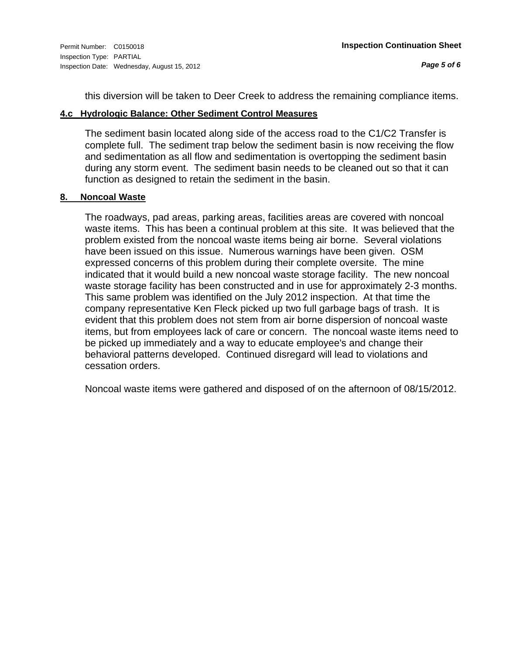this diversion will be taken to Deer Creek to address the remaining compliance items.

# **4.c Hydrologic Balance: Other Sediment Control Measures**

The sediment basin located along side of the access road to the C1/C2 Transfer is complete full. The sediment trap below the sediment basin is now receiving the flow and sedimentation as all flow and sedimentation is overtopping the sediment basin during any storm event. The sediment basin needs to be cleaned out so that it can function as designed to retain the sediment in the basin.

# **8. Noncoal Waste**

The roadways, pad areas, parking areas, facilities areas are covered with noncoal waste items. This has been a continual problem at this site. It was believed that the problem existed from the noncoal waste items being air borne. Several violations have been issued on this issue. Numerous warnings have been given. OSM expressed concerns of this problem during their complete oversite. The mine indicated that it would build a new noncoal waste storage facility. The new noncoal waste storage facility has been constructed and in use for approximately 2-3 months. This same problem was identified on the July 2012 inspection. At that time the company representative Ken Fleck picked up two full garbage bags of trash. It is evident that this problem does not stem from air borne dispersion of noncoal waste items, but from employees lack of care or concern. The noncoal waste items need to be picked up immediately and a way to educate employee's and change their behavioral patterns developed. Continued disregard will lead to violations and cessation orders.

Noncoal waste items were gathered and disposed of on the afternoon of 08/15/2012.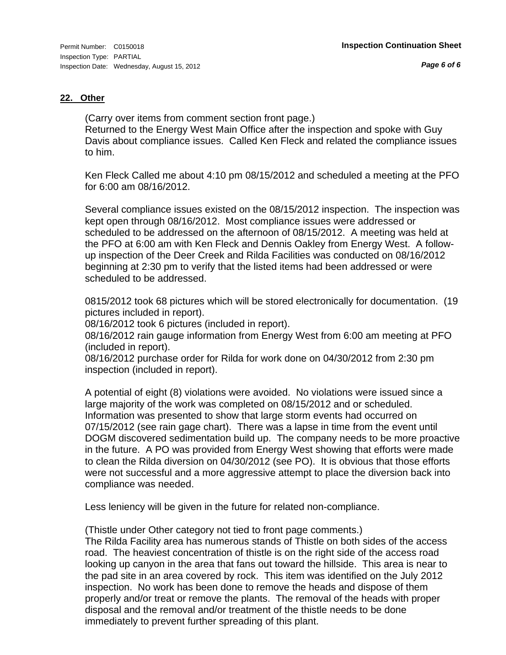# **22. Other**

(Carry over items from comment section front page.) Returned to the Energy West Main Office after the inspection and spoke with Guy Davis about compliance issues. Called Ken Fleck and related the compliance issues to him.

Ken Fleck Called me about 4:10 pm 08/15/2012 and scheduled a meeting at the PFO for 6:00 am 08/16/2012.

Several compliance issues existed on the 08/15/2012 inspection. The inspection was kept open through 08/16/2012. Most compliance issues were addressed or scheduled to be addressed on the afternoon of 08/15/2012. A meeting was held at the PFO at 6:00 am with Ken Fleck and Dennis Oakley from Energy West. A followup inspection of the Deer Creek and Rilda Facilities was conducted on 08/16/2012 beginning at 2:30 pm to verify that the listed items had been addressed or were scheduled to be addressed.

0815/2012 took 68 pictures which will be stored electronically for documentation. (19 pictures included in report).

08/16/2012 took 6 pictures (included in report).

08/16/2012 rain gauge information from Energy West from 6:00 am meeting at PFO (included in report).

08/16/2012 purchase order for Rilda for work done on 04/30/2012 from 2:30 pm inspection (included in report).

A potential of eight (8) violations were avoided. No violations were issued since a large majority of the work was completed on 08/15/2012 and or scheduled. Information was presented to show that large storm events had occurred on 07/15/2012 (see rain gage chart). There was a lapse in time from the event until DOGM discovered sedimentation build up. The company needs to be more proactive in the future. A PO was provided from Energy West showing that efforts were made to clean the Rilda diversion on 04/30/2012 (see PO). It is obvious that those efforts were not successful and a more aggressive attempt to place the diversion back into compliance was needed.

Less leniency will be given in the future for related non-compliance.

(Thistle under Other category not tied to front page comments.)

The Rilda Facility area has numerous stands of Thistle on both sides of the access road. The heaviest concentration of thistle is on the right side of the access road looking up canyon in the area that fans out toward the hillside. This area is near to the pad site in an area covered by rock. This item was identified on the July 2012 inspection. No work has been done to remove the heads and dispose of them properly and/or treat or remove the plants. The removal of the heads with proper disposal and the removal and/or treatment of the thistle needs to be done immediately to prevent further spreading of this plant.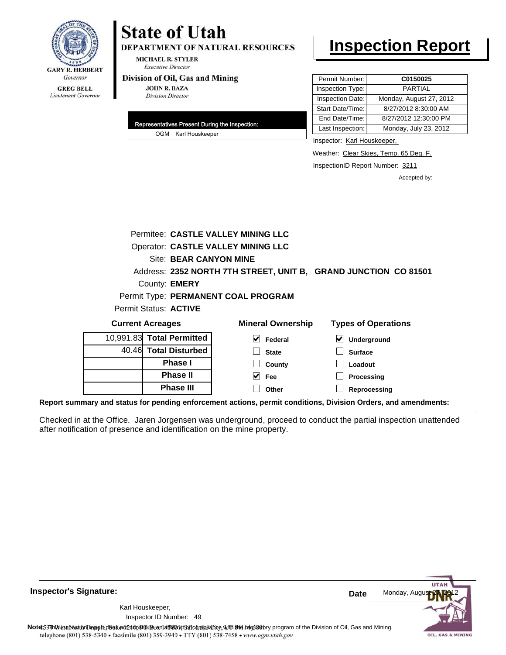

# **State of Utah**

DEPARTMENT OF NATURAL RESOURCES

**MICHAEL R. STYLER Executive Director** 

### Division of Oil, Gas and Mining

**JOHN R. BAZA Division Director** 

| Representatives Present During the Inspection: |
|------------------------------------------------|
| OGM Karl Houskeeper                            |

# **Inspection Report**

| Permit Number:   | C0150025                |
|------------------|-------------------------|
| Inspection Type: | <b>PARTIAL</b>          |
| Inspection Date: | Monday, August 27, 2012 |
| Start Date/Time: | 8/27/2012 8:30:00 AM    |
| End Date/Time:   | 8/27/2012 12:30:00 PM   |
| Last Inspection: | Monday, July 23, 2012   |

Inspector: Karl Houskeeper,

Weather: Clear Skies, Temp. 65 Deg. F.

InspectionID Report Number: 3211

Accepted by:

|                                           |                           | <b>Permitee: CASTLE VALLEY MINING LLC</b> |                                                                 |
|-------------------------------------------|---------------------------|-------------------------------------------|-----------------------------------------------------------------|
| <b>Operator: CASTLE VALLEY MINING LLC</b> |                           |                                           |                                                                 |
|                                           | Site: BEAR CANYON MINE    |                                           |                                                                 |
|                                           |                           |                                           | Address: 2352 NORTH 7TH STREET, UNIT B, GRAND JUNCTION CO 81501 |
|                                           | County: <b>EMERY</b>      |                                           |                                                                 |
|                                           |                           | Permit Type: PERMANENT COAL PROGRAM       |                                                                 |
| Permit Status: ACTIVE                     |                           |                                           |                                                                 |
|                                           | <b>Current Acreages</b>   | <b>Mineral Ownership</b>                  | <b>Types of Operations</b>                                      |
|                                           | 10,991.83 Total Permitted | V<br>Federal                              | $\vert\bm{\checkmark}\vert$<br>Underground                      |
|                                           | 40.46 Total Disturbed     | <b>State</b>                              | <b>Surface</b>                                                  |
|                                           | Phase I                   | County                                    | Loadout                                                         |
|                                           | <b>Phase II</b>           | $\vee$ Fee                                | Processing                                                      |
|                                           | <b>Phase III</b>          | Other                                     | Reprocessing                                                    |

**Report summary and status for pending enforcement actions, permit conditions, Division Orders, and amendments:**

Checked in at the Office. Jaren Jorgensen was underground, proceed to conduct the partial inspection unattended after notification of presence and identification on the mine property.



**Inspector's Signature:**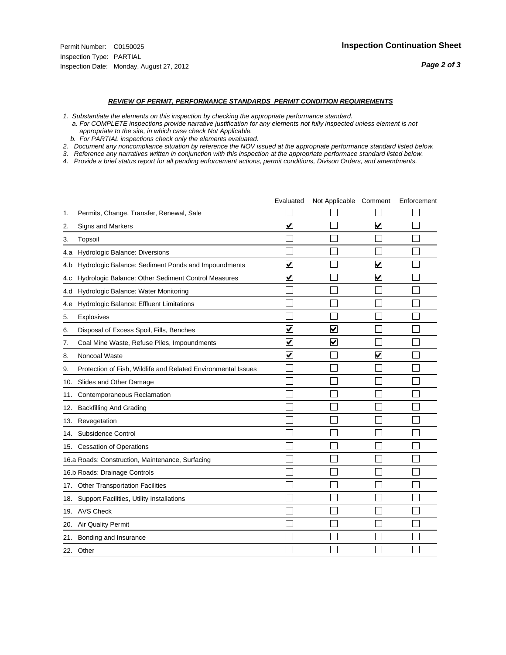- *1. Substantiate the elements on this inspection by checking the appropriate performance standard.*
- *a. For COMPLETE inspections provide narrative justification for any elements not fully inspected unless element is not appropriate to the site, in which case check Not Applicable.*
- *b. For PARTIAL inspections check only the elements evaluated.*
- *2. Document any noncompliance situation by reference the NOV issued at the appropriate performance standard listed below.*
- *3. Reference any narratives written in conjunction with this inspection at the appropriate performace standard listed below.*
- *4. Provide a brief status report for all pending enforcement actions, permit conditions, Divison Orders, and amendments.*

|     |                                                               | Evaluated               | Not Applicable Comment  |                         | Enforcement |
|-----|---------------------------------------------------------------|-------------------------|-------------------------|-------------------------|-------------|
| 1.  | Permits, Change, Transfer, Renewal, Sale                      |                         |                         |                         |             |
| 2.  | <b>Signs and Markers</b>                                      | $\overline{\mathbf{v}}$ |                         | $\blacktriangledown$    |             |
| 3.  | Topsoil                                                       |                         |                         |                         |             |
| 4.a | Hydrologic Balance: Diversions                                |                         |                         |                         |             |
| 4.b | Hydrologic Balance: Sediment Ponds and Impoundments           | ⊻                       |                         | V                       |             |
| 4.c | Hydrologic Balance: Other Sediment Control Measures           | $\overline{\mathbf{v}}$ |                         | $\blacktriangledown$    |             |
| 4.d | Hydrologic Balance: Water Monitoring                          |                         |                         |                         |             |
| 4.e | Hydrologic Balance: Effluent Limitations                      |                         |                         |                         |             |
| 5.  | <b>Explosives</b>                                             |                         |                         |                         |             |
| 6.  | Disposal of Excess Spoil, Fills, Benches                      | ⊽                       | $\overline{\mathbf{v}}$ |                         |             |
| 7.  | Coal Mine Waste, Refuse Piles, Impoundments                   | $\overline{\mathbf{v}}$ | $\blacktriangledown$    |                         |             |
| 8.  | Noncoal Waste                                                 | $\overline{\mathsf{v}}$ |                         | $\overline{\mathsf{v}}$ |             |
| 9.  | Protection of Fish, Wildlife and Related Environmental Issues |                         |                         |                         |             |
|     | 10. Slides and Other Damage                                   |                         |                         |                         |             |
| 11. | Contemporaneous Reclamation                                   |                         |                         |                         |             |
| 12. | <b>Backfilling And Grading</b>                                |                         |                         |                         |             |
| 13. | Revegetation                                                  |                         |                         |                         |             |
| 14. | Subsidence Control                                            |                         |                         |                         |             |
|     | 15. Cessation of Operations                                   |                         |                         |                         |             |
|     | 16.a Roads: Construction, Maintenance, Surfacing              |                         |                         |                         |             |
|     | 16.b Roads: Drainage Controls                                 |                         |                         |                         |             |
|     | 17. Other Transportation Facilities                           |                         |                         |                         |             |
| 18. | Support Facilities, Utility Installations                     |                         |                         |                         |             |
|     | 19. AVS Check                                                 |                         |                         |                         |             |
| 20. | Air Quality Permit                                            |                         |                         |                         |             |
| 21. | Bonding and Insurance                                         |                         |                         |                         |             |
|     | 22. Other                                                     |                         |                         |                         |             |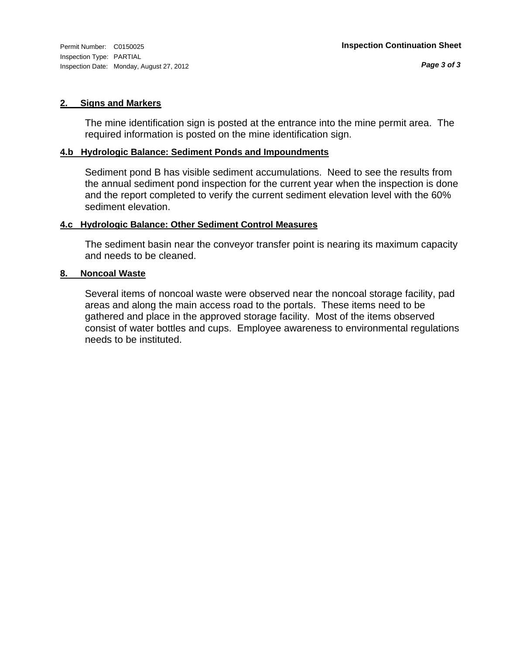# **2. Signs and Markers**

The mine identification sign is posted at the entrance into the mine permit area. The required information is posted on the mine identification sign.

# **4.b Hydrologic Balance: Sediment Ponds and Impoundments**

Sediment pond B has visible sediment accumulations. Need to see the results from the annual sediment pond inspection for the current year when the inspection is done and the report completed to verify the current sediment elevation level with the 60% sediment elevation.

# **4.c Hydrologic Balance: Other Sediment Control Measures**

The sediment basin near the conveyor transfer point is nearing its maximum capacity and needs to be cleaned.

# **8. Noncoal Waste**

Several items of noncoal waste were observed near the noncoal storage facility, pad areas and along the main access road to the portals. These items need to be gathered and place in the approved storage facility. Most of the items observed consist of water bottles and cups. Employee awareness to environmental regulations needs to be instituted.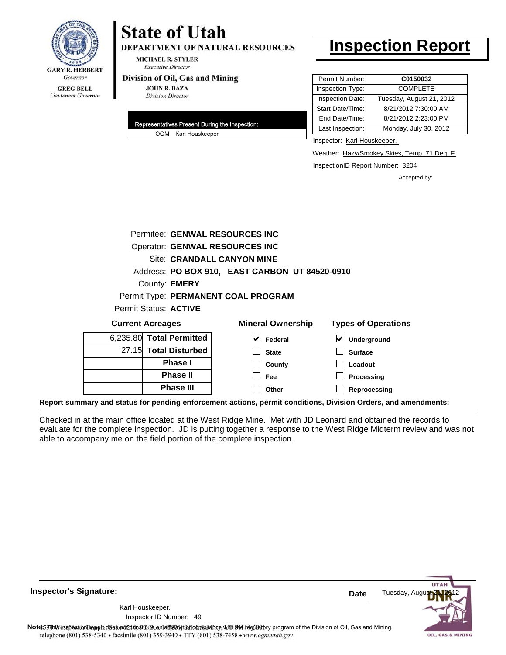

# **State of Utah**

**DEPARTMENT OF NATURAL RESOURCES** 

**MICHAEL R. STYLER Executive Director** 

#### Division of Oil, Gas and Mining

**JOHN R. BAZA Division Director** 

| Representatives Present During the Inspection: |                     |  |
|------------------------------------------------|---------------------|--|
|                                                | OGM Karl Houskeeper |  |

# **Inspection Report**

| Permit Number:<br>C0150032                   |
|----------------------------------------------|
| <b>COMPLETE</b><br>Inspection Type:          |
| Inspection Date:<br>Tuesday, August 21, 2012 |
| 8/21/2012 7:30:00 AM<br>Start Date/Time:     |
| 8/21/2012 2:23:00 PM<br>End Date/Time:       |
| Last Inspection:<br>Monday, July 30, 2012    |
|                                              |

Inspector: Karl Houskeeper,

Weather: Hazy/Smokey Skies, Temp. 71 Deg. F.

InspectionID Report Number: 3204

**Reprocessing**

Accepted by:

| Permitee: GENWAL RESOURCES INC |                                                |                            |  |  |
|--------------------------------|------------------------------------------------|----------------------------|--|--|
| Operator: GENWAL RESOURCES INC |                                                |                            |  |  |
|                                | Site: CRANDALL CANYON MINE                     |                            |  |  |
|                                | Address: PO BOX 910, EAST CARBON UT 84520-0910 |                            |  |  |
| County: EMERY                  |                                                |                            |  |  |
|                                | Permit Type: PERMANENT COAL PROGRAM            |                            |  |  |
| Permit Status: ACTIVE          |                                                |                            |  |  |
| <b>Current Acreages</b>        | <b>Mineral Ownership</b>                       | <b>Types of Operations</b> |  |  |
| 6,235.80 Total Permitted       | M<br>Federal                                   | ⊻<br>Underground           |  |  |
| 27.15 Total Disturbed          | <b>State</b>                                   | <b>Surface</b>             |  |  |
| <b>Phase I</b>                 | County                                         | Loadout                    |  |  |
| <b>Phase II</b>                | Fee                                            | Processing                 |  |  |

**Report summary and status for pending enforcement actions, permit conditions, Division Orders, and amendments:**

**Phase III**

Checked in at the main office located at the West Ridge Mine. Met with JD Leonard and obtained the records to evaluate for the complete inspection. JD is putting together a response to the West Ridge Midterm review and was not able to accompany me on the field portion of the complete inspection .

**Other**

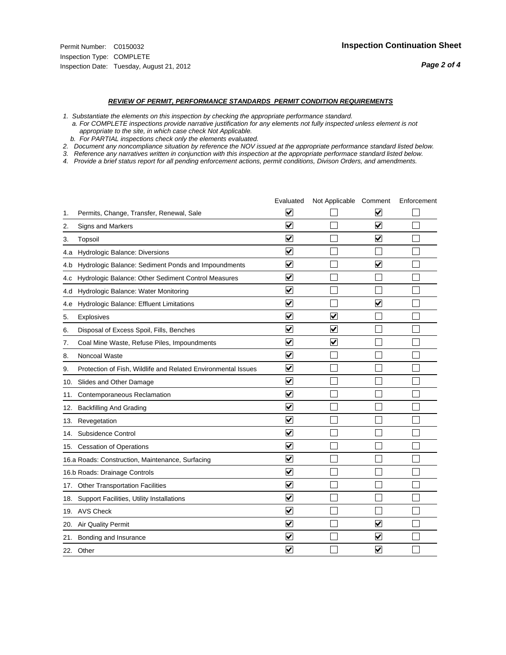#### *REVIEW OF PERMIT, PERFORMANCE STANDARDS PERMIT CONDITION REQUIREMENTS*

*1. Substantiate the elements on this inspection by checking the appropriate performance standard.*

 *a. For COMPLETE inspections provide narrative justification for any elements not fully inspected unless element is not appropriate to the site, in which case check Not Applicable.*

 *b. For PARTIAL inspections check only the elements evaluated.*

*2. Document any noncompliance situation by reference the NOV issued at the appropriate performance standard listed below.*

*3. Reference any narratives written in conjunction with this inspection at the appropriate performace standard listed below.*

*4. Provide a brief status report for all pending enforcement actions, permit conditions, Divison Orders, and amendments.*

|     |                                                               | Evaluated               | Not Applicable Comment |                         | Enforcement |
|-----|---------------------------------------------------------------|-------------------------|------------------------|-------------------------|-------------|
| 1.  | Permits, Change, Transfer, Renewal, Sale                      | ⊻                       |                        | V                       |             |
| 2.  | <b>Signs and Markers</b>                                      | $\blacktriangledown$    |                        | $\blacktriangledown$    |             |
| 3.  | Topsoil                                                       | $\blacktriangledown$    |                        | $\blacktriangledown$    |             |
| 4.a | Hydrologic Balance: Diversions                                | ⊽                       |                        |                         |             |
| 4.b | Hydrologic Balance: Sediment Ponds and Impoundments           | $\blacktriangledown$    |                        | $\blacktriangledown$    |             |
| 4.C | Hydrologic Balance: Other Sediment Control Measures           | $\blacktriangledown$    |                        |                         |             |
| 4.d | Hydrologic Balance: Water Monitoring                          | $\blacktriangledown$    |                        |                         |             |
| 4.e | Hydrologic Balance: Effluent Limitations                      | $\blacktriangledown$    |                        | $\overline{\mathbf{v}}$ |             |
| 5.  | Explosives                                                    | $\overline{\mathbf{v}}$ | $\blacktriangledown$   |                         |             |
| 6.  | Disposal of Excess Spoil, Fills, Benches                      | $\blacktriangledown$    | $\bm{\mathsf{v}}$      |                         |             |
| 7.  | Coal Mine Waste, Refuse Piles, Impoundments                   | $\blacktriangledown$    | $\blacktriangledown$   |                         |             |
| 8.  | Noncoal Waste                                                 | $\overline{\mathsf{v}}$ |                        |                         |             |
| 9.  | Protection of Fish, Wildlife and Related Environmental Issues | $\blacktriangledown$    |                        |                         |             |
|     | 10. Slides and Other Damage                                   | $\blacktriangledown$    |                        |                         |             |
| 11. | Contemporaneous Reclamation                                   | ⊽                       |                        |                         |             |
| 12. | <b>Backfilling And Grading</b>                                | ☑                       |                        |                         |             |
| 13. | Revegetation                                                  | $\blacktriangledown$    |                        |                         |             |
| 14. | Subsidence Control                                            | $\overline{\mathbf{v}}$ |                        |                         |             |
|     | 15. Cessation of Operations                                   | $\blacktriangledown$    |                        |                         |             |
|     | 16.a Roads: Construction, Maintenance, Surfacing              | $\blacktriangledown$    |                        |                         |             |
|     | 16.b Roads: Drainage Controls                                 | $\blacktriangledown$    |                        |                         |             |
|     | 17. Other Transportation Facilities                           | $\overline{\mathbf{v}}$ |                        |                         |             |
| 18. | Support Facilities, Utility Installations                     | $\overline{\mathbf{v}}$ |                        |                         |             |
|     | 19. AVS Check                                                 | $\overline{\mathsf{v}}$ |                        |                         |             |
|     | 20. Air Quality Permit                                        | $\blacktriangledown$    |                        | $\blacktriangledown$    |             |
|     | 21. Bonding and Insurance                                     | ⊻                       |                        | $\blacktriangledown$    |             |
|     | 22. Other                                                     | $\blacktriangledown$    |                        | $\blacktriangledown$    |             |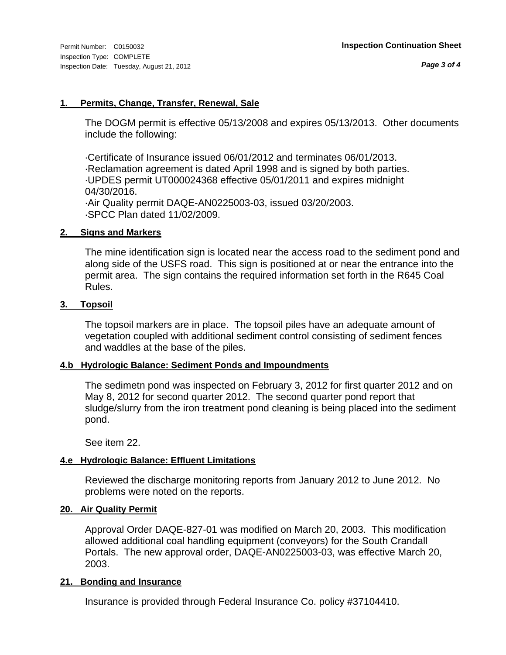#### **1. Permits, Change, Transfer, Renewal, Sale**

The DOGM permit is effective 05/13/2008 and expires 05/13/2013. Other documents include the following:

·Certificate of Insurance issued 06/01/2012 and terminates 06/01/2013. ·Reclamation agreement is dated April 1998 and is signed by both parties. ·UPDES permit UT000024368 effective 05/01/2011 and expires midnight 04/30/2016. ·Air Quality permit DAQE-AN0225003-03, issued 03/20/2003. ·SPCC Plan dated 11/02/2009.

#### **2. Signs and Markers**

The mine identification sign is located near the access road to the sediment pond and along side of the USFS road. This sign is positioned at or near the entrance into the permit area. The sign contains the required information set forth in the R645 Coal Rules.

#### **3. Topsoil**

The topsoil markers are in place. The topsoil piles have an adequate amount of vegetation coupled with additional sediment control consisting of sediment fences and waddles at the base of the piles.

#### **4.b Hydrologic Balance: Sediment Ponds and Impoundments**

The sedimetn pond was inspected on February 3, 2012 for first quarter 2012 and on May 8, 2012 for second quarter 2012. The second quarter pond report that sludge/slurry from the iron treatment pond cleaning is being placed into the sediment pond.

See item 22.

### **4.e Hydrologic Balance: Effluent Limitations**

Reviewed the discharge monitoring reports from January 2012 to June 2012. No problems were noted on the reports.

### **20. Air Quality Permit**

Approval Order DAQE-827-01 was modified on March 20, 2003. This modification allowed additional coal handling equipment (conveyors) for the South Crandall Portals. The new approval order, DAQE-AN0225003-03, was effective March 20, 2003.

#### **21. Bonding and Insurance**

Insurance is provided through Federal Insurance Co. policy #37104410.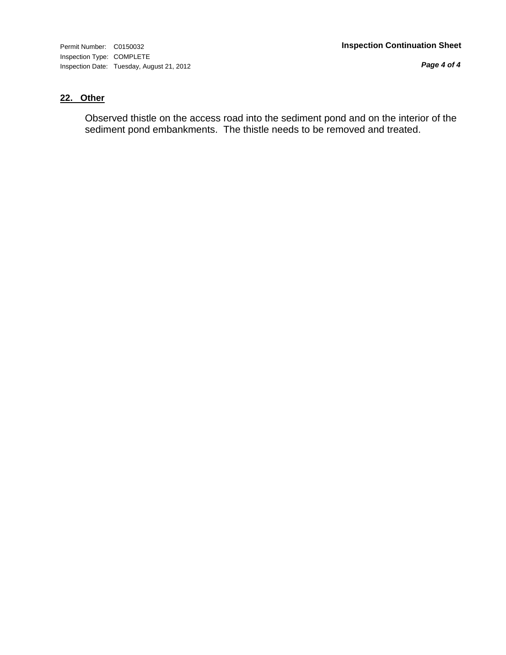Inspection Type: COMPLETE Inspection Date: Tuesday, August 21, 2012

*Page 4 of 4*

## **22. Other**

Observed thistle on the access road into the sediment pond and on the interior of the sediment pond embankments. The thistle needs to be removed and treated.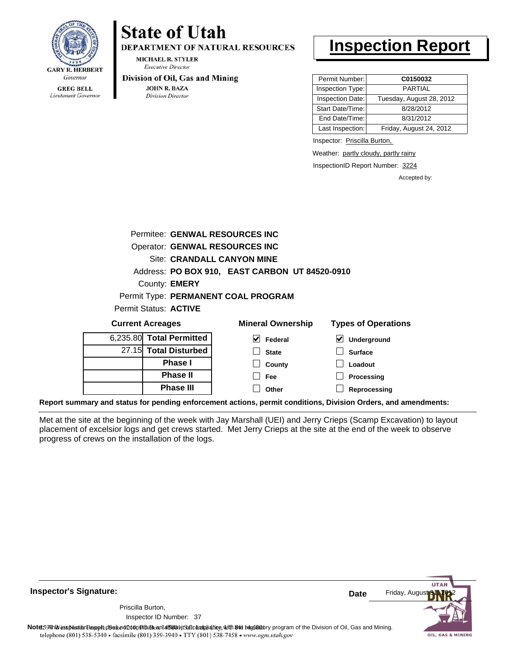

Lieutenant Governor

# **State of Utah**

**DEPARTMENT OF NATURAL RESOURCES** 

**MICHAEL R. STYLER Executive Director** 

#### Division of Oil, Gas and Mining

**Phase III**

**JOHN R. BAZA Division Director** 

# **Inspection Report**

| Permit Number:   | C0150032                 |
|------------------|--------------------------|
| Inspection Type: | <b>PARTIAL</b>           |
| Inspection Date: | Tuesday, August 28, 2012 |
| Start Date/Time: | 8/28/2012                |
| End Date/Time:   | 8/31/2012                |
| Last Inspection: | Friday, August 24, 2012  |

Inspector: Priscilla Burton,

Weather: partly cloudy, partly rainy

InspectionID Report Number: 3224

**Reprocessing**

Accepted by:

| Permitee: GENWAL RESOURCES INC        |                      |                                                |   |                            |  |
|---------------------------------------|----------------------|------------------------------------------------|---|----------------------------|--|
| <b>Operator: GENWAL RESOURCES INC</b> |                      |                                                |   |                            |  |
| Site: CRANDALL CANYON MINE            |                      |                                                |   |                            |  |
|                                       |                      | Address: PO BOX 910, EAST CARBON UT 84520-0910 |   |                            |  |
| County: <b>EMERY</b>                  |                      |                                                |   |                            |  |
| Permit Type: PERMANENT COAL PROGRAM   |                      |                                                |   |                            |  |
| Permit Status: <b>ACTIVE</b>          |                      |                                                |   |                            |  |
| <b>Current Acreages</b>               |                      | <b>Mineral Ownership</b>                       |   | <b>Types of Operations</b> |  |
| 6,235.80 Total Permitted              | $\blacktriangledown$ | Federal                                        | M | Underground                |  |
| 27.15 Total Disturbed                 |                      | <b>State</b>                                   |   | <b>Surface</b>             |  |
| <b>Phase I</b>                        |                      | County                                         |   | Loadout                    |  |
| <b>Phase II</b>                       |                      | Fee                                            |   | Processing                 |  |

**Other**

**Report summary and status for pending enforcement actions, permit conditions, Division Orders, and amendments:**

Met at the site at the beginning of the week with Jay Marshall (UEI) and Jerry Crieps (Scamp Excavation) to layout placement of excelsior logs and get crews started. Met Jerry Crieps at the site at the end of the week to observe progress of crews on the installation of the logs.

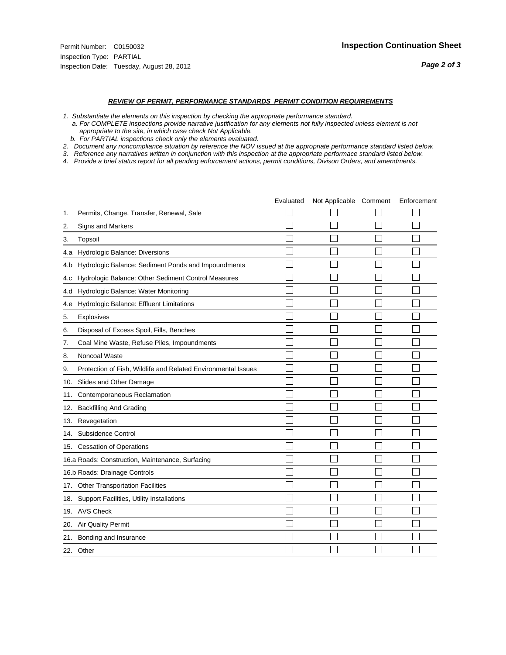- *1. Substantiate the elements on this inspection by checking the appropriate performance standard.*
- *a. For COMPLETE inspections provide narrative justification for any elements not fully inspected unless element is not appropriate to the site, in which case check Not Applicable.*
- *b. For PARTIAL inspections check only the elements evaluated.*
- *2. Document any noncompliance situation by reference the NOV issued at the appropriate performance standard listed below.*
- *3. Reference any narratives written in conjunction with this inspection at the appropriate performace standard listed below.*
- *4. Provide a brief status report for all pending enforcement actions, permit conditions, Divison Orders, and amendments.*

|     |                                                               | Evaluated | Not Applicable Comment | Enforcement |
|-----|---------------------------------------------------------------|-----------|------------------------|-------------|
| 1.  | Permits, Change, Transfer, Renewal, Sale                      |           |                        |             |
| 2.  | <b>Signs and Markers</b>                                      |           |                        |             |
| 3.  | Topsoil                                                       |           |                        |             |
| 4.a | Hydrologic Balance: Diversions                                |           |                        |             |
| 4.b | Hydrologic Balance: Sediment Ponds and Impoundments           |           |                        |             |
| 4.c | Hydrologic Balance: Other Sediment Control Measures           |           |                        |             |
| 4.d | Hydrologic Balance: Water Monitoring                          |           |                        |             |
| 4.e | Hydrologic Balance: Effluent Limitations                      |           |                        |             |
| 5.  | <b>Explosives</b>                                             |           |                        |             |
| 6.  | Disposal of Excess Spoil, Fills, Benches                      |           |                        |             |
| 7.  | Coal Mine Waste, Refuse Piles, Impoundments                   |           |                        |             |
| 8.  | Noncoal Waste                                                 |           |                        |             |
| 9.  | Protection of Fish, Wildlife and Related Environmental Issues |           |                        |             |
|     | 10. Slides and Other Damage                                   |           |                        |             |
| 11. | Contemporaneous Reclamation                                   |           |                        |             |
| 12. | <b>Backfilling And Grading</b>                                |           |                        |             |
| 13. | Revegetation                                                  |           |                        |             |
| 14. | Subsidence Control                                            |           |                        |             |
|     | 15. Cessation of Operations                                   |           |                        |             |
|     | 16.a Roads: Construction, Maintenance, Surfacing              |           |                        |             |
|     | 16.b Roads: Drainage Controls                                 |           |                        |             |
|     | 17. Other Transportation Facilities                           |           |                        |             |
| 18. | Support Facilities, Utility Installations                     |           |                        |             |
|     | 19. AVS Check                                                 |           |                        |             |
| 20. | Air Quality Permit                                            |           |                        |             |
| 21. | Bonding and Insurance                                         |           |                        |             |
|     | 22. Other                                                     |           |                        |             |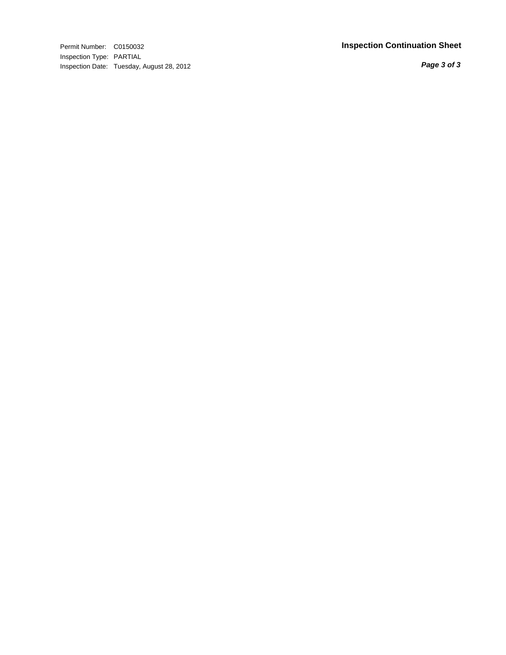Inspection Type: PARTIAL Inspection Date: Tuesday, August 28, 2012

#### Permit Number: C0150032 **Inspection Continuation Shee t**

*Page 3 of 3*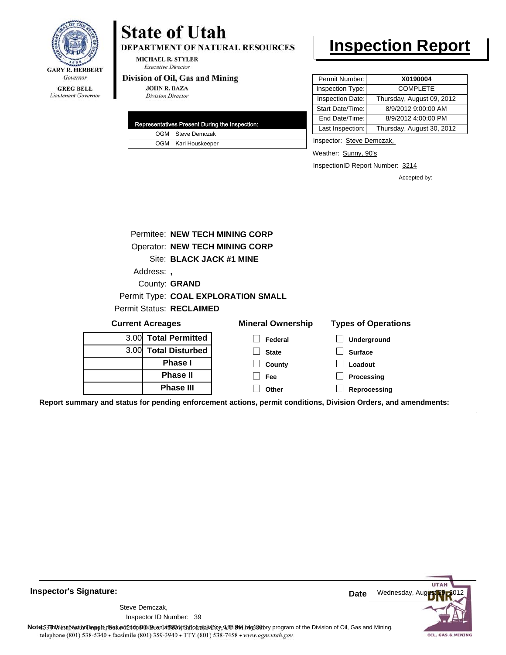

#### **GREG BELL** Lieutenant Governor

# **State of Utah**

DEPARTMENT OF NATURAL RESOURCES

**MICHAEL R. STYLER Executive Director** 

#### Division of Oil, Gas and Mining

**JOHN R. BAZA Division Director** 

| Representatives Present During the Inspection: |                     |  |  |
|------------------------------------------------|---------------------|--|--|
|                                                | OGM Steve Demczak   |  |  |
|                                                | OGM Karl Houskeeper |  |  |

# **Inspection Report**

| Permit Number:   | X0190004                  |
|------------------|---------------------------|
| Inspection Type: | <b>COMPLETE</b>           |
| Inspection Date: | Thursday, August 09, 2012 |
| Start Date/Time: | 8/9/2012 9:00:00 AM       |
| End Date/Time:   | 8/9/2012 4:00:00 PM       |
| Last Inspection: | Thursday, August 30, 2012 |

Inspector: Steve Demczak,

Weather: Sunny, 90's

InspectionID Report Number: 3214

**Processing Reprocessing** Accepted by:

| Permitee: NEW TECH MINING CORP  |                                       |                            |  |  |
|---------------------------------|---------------------------------------|----------------------------|--|--|
|                                 | <b>Operator: NEW TECH MINING CORP</b> |                            |  |  |
| Site: BLACK JACK #1 MINE        |                                       |                            |  |  |
| Address:                        |                                       |                            |  |  |
| County: <b>GRAND</b>            |                                       |                            |  |  |
|                                 | Permit Type: COAL EXPLORATION SMALL   |                            |  |  |
| <b>Permit Status: RECLAIMED</b> |                                       |                            |  |  |
| <b>Current Acreages</b>         | <b>Mineral Ownership</b>              | <b>Types of Operations</b> |  |  |
| 3.00 Total Permitted            | Federal                               | Underground                |  |  |
| 3.00 Total Disturbed            | <b>State</b>                          | <b>Surface</b>             |  |  |
| <b>Phase I</b>                  | County                                | Loadout                    |  |  |

**Fee Other**

**Report summary and status for pending enforcement actions, permit conditions, Division Orders, and amendments:**

**Phase II Phase III**



**Inspector's Signature:**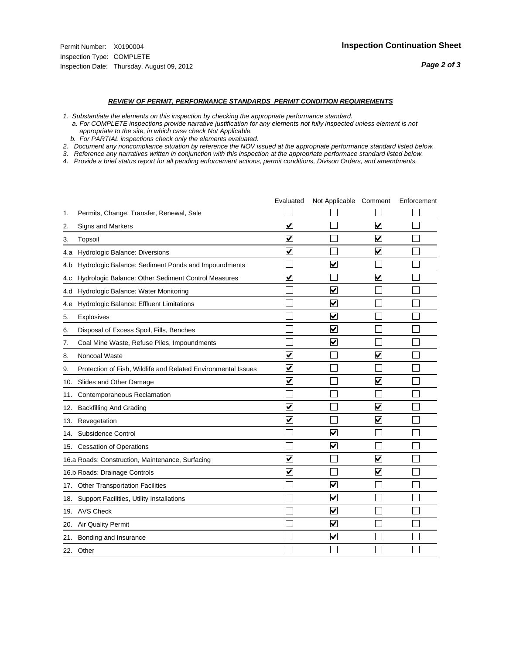- *1. Substantiate the elements on this inspection by checking the appropriate performance standard.*
- *a. For COMPLETE inspections provide narrative justification for any elements not fully inspected unless element is not appropriate to the site, in which case check Not Applicable.*
- *b. For PARTIAL inspections check only the elements evaluated.*
- *2. Document any noncompliance situation by reference the NOV issued at the appropriate performance standard listed below.*
- *3. Reference any narratives written in conjunction with this inspection at the appropriate performace standard listed below.*
- *4. Provide a brief status report for all pending enforcement actions, permit conditions, Divison Orders, and amendments.*

|     |                                                               | Evaluated               | Not Applicable Comment          |                         | Enforcement |
|-----|---------------------------------------------------------------|-------------------------|---------------------------------|-------------------------|-------------|
| 1.  | Permits, Change, Transfer, Renewal, Sale                      |                         |                                 |                         |             |
| 2.  | <b>Signs and Markers</b>                                      | $\overline{\mathbf{v}}$ |                                 | $\blacktriangledown$    |             |
| 3.  | Topsoil                                                       | $\overline{\mathbf{v}}$ |                                 | $\overline{\mathsf{v}}$ |             |
| 4.a | Hydrologic Balance: Diversions                                | $\blacktriangledown$    |                                 | $\blacktriangledown$    |             |
| 4.b | Hydrologic Balance: Sediment Ponds and Impoundments           |                         | ⊽                               |                         |             |
| 4.c | Hydrologic Balance: Other Sediment Control Measures           | $\overline{\mathbf{v}}$ |                                 | $\blacktriangledown$    |             |
| 4.d | Hydrologic Balance: Water Monitoring                          |                         | $\overline{\mathbf{v}}$         |                         |             |
| 4.e | Hydrologic Balance: Effluent Limitations                      |                         | $\overline{\blacktriangledown}$ |                         |             |
| 5.  | <b>Explosives</b>                                             |                         | $\blacktriangledown$            |                         |             |
| 6.  | Disposal of Excess Spoil, Fills, Benches                      |                         | $\overline{\mathbf{v}}$         |                         |             |
| 7.  | Coal Mine Waste, Refuse Piles, Impoundments                   |                         | $\blacktriangledown$            |                         |             |
| 8.  | Noncoal Waste                                                 | $\overline{\mathbf{v}}$ |                                 | $\overline{\mathbf{v}}$ |             |
| 9.  | Protection of Fish, Wildlife and Related Environmental Issues | $\overline{\mathbf{v}}$ |                                 |                         |             |
|     | 10. Slides and Other Damage                                   | $\overline{\mathbf{v}}$ |                                 | $\blacktriangledown$    |             |
| 11. | Contemporaneous Reclamation                                   |                         |                                 |                         |             |
| 12. | <b>Backfilling And Grading</b>                                | $\blacktriangledown$    |                                 | $\blacktriangledown$    |             |
| 13. | Revegetation                                                  | $\overline{\mathbf{v}}$ |                                 | $\overline{\mathbf{v}}$ |             |
| 14. | Subsidence Control                                            |                         | $\overline{\mathbf{v}}$         |                         |             |
|     | 15. Cessation of Operations                                   |                         | $\overline{\blacktriangledown}$ |                         |             |
|     | 16.a Roads: Construction, Maintenance, Surfacing              | ⊽                       |                                 | $\blacktriangledown$    |             |
|     | 16.b Roads: Drainage Controls                                 | $\overline{\mathbf{v}}$ |                                 | ⊻                       |             |
|     | 17. Other Transportation Facilities                           |                         | $\overline{\blacktriangledown}$ |                         |             |
| 18. | Support Facilities, Utility Installations                     |                         | $\overline{\blacktriangledown}$ |                         |             |
|     | 19. AVS Check                                                 |                         | $\blacktriangledown$            |                         |             |
| 20. | Air Quality Permit                                            |                         | $\blacktriangledown$            |                         |             |
|     | 21. Bonding and Insurance                                     |                         | $\blacktriangledown$            |                         |             |
|     | 22. Other                                                     |                         |                                 |                         |             |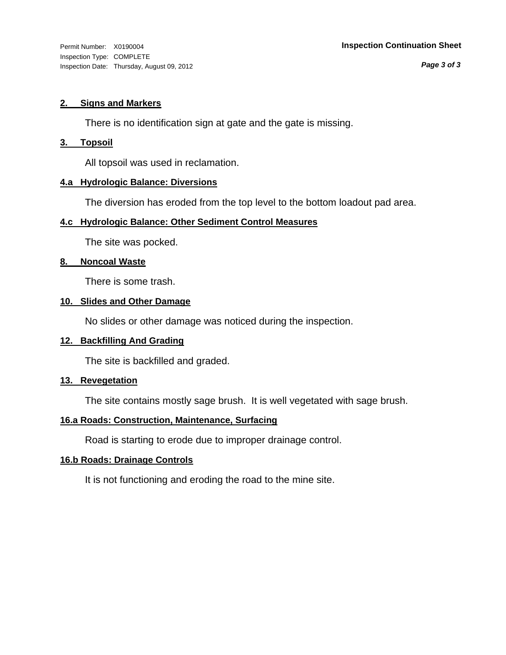Inspection Type: COMPLETE Inspection Date: Thursday, August 09, 2012

*Page 3 of 3*

#### **2. Signs and Markers**

There is no identification sign at gate and the gate is missing.

#### **3. Topsoil**

All topsoil was used in reclamation.

#### **4.a Hydrologic Balance: Diversions**

The diversion has eroded from the top level to the bottom loadout pad area.

### **4.c Hydrologic Balance: Other Sediment Control Measures**

The site was pocked.

#### **8. Noncoal Waste**

There is some trash.

#### **10. Slides and Other Damage**

No slides or other damage was noticed during the inspection.

### **12. Backfilling And Grading**

The site is backfilled and graded.

#### **13. Revegetation**

The site contains mostly sage brush. It is well vegetated with sage brush.

### **16.a Roads: Construction, Maintenance, Surfacing**

Road is starting to erode due to improper drainage control.

### **16.b Roads: Drainage Controls**

It is not functioning and eroding the road to the mine site.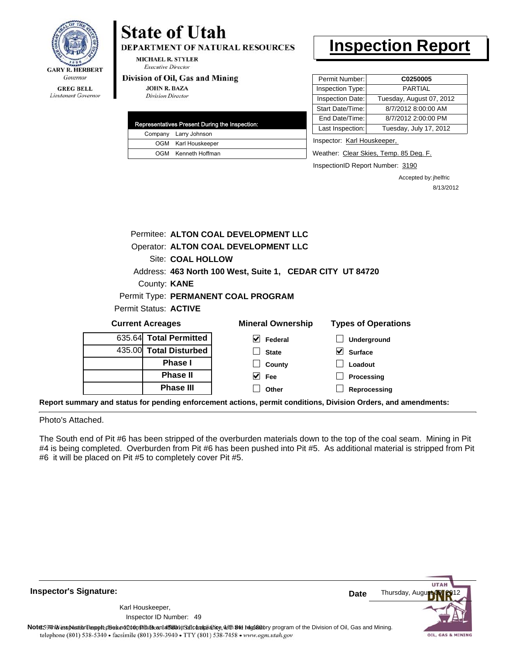

Lieutenant Governor

# **State of Utah DEPARTMENT OF NATURAL RESOURCES**

**MICHAEL R. STYLER Executive Director** 

#### Division of Oil, Gas and Mining

**JOHN R. BAZA Division Director** 

| Representatives Present During the Inspection: |
|------------------------------------------------|
| Company Larry Johnson                          |
| OGM Karl Houskeeper                            |
| OGM Kenneth Hoffman                            |

# **Inspection Report**

| Permit Number:   | C0250005                 |
|------------------|--------------------------|
| Inspection Type: | PARTIAI                  |
| Inspection Date: | Tuesday, August 07, 2012 |
| Start Date/Time: | 8/7/2012 8:00:00 AM      |
| End Date/Time:   | 8/7/2012 2:00:00 PM      |
| Last Inspection: | Tuesday, July 17, 2012   |
|                  |                          |

Inspector: Karl Houskeeper,

Weather: Clear Skies, Temp. 85 Deg. F.

InspectionID Report Number: 3190

Accepted by: jhelfric 8/13/2012

| Permitee: ALTON COAL DEVELOPMENT LLC |                                                           |                            |  |  |  |  |
|--------------------------------------|-----------------------------------------------------------|----------------------------|--|--|--|--|
| Operator: ALTON COAL DEVELOPMENT LLC |                                                           |                            |  |  |  |  |
| Site: COAL HOLLOW                    |                                                           |                            |  |  |  |  |
|                                      | Address: 463 North 100 West, Suite 1, CEDAR CITY UT 84720 |                            |  |  |  |  |
| County: <b>KANE</b>                  |                                                           |                            |  |  |  |  |
|                                      | Permit Type: PERMANENT COAL PROGRAM                       |                            |  |  |  |  |
| Permit Status: ACTIVE                |                                                           |                            |  |  |  |  |
| <b>Current Acreages</b>              | <b>Mineral Ownership</b>                                  | <b>Types of Operations</b> |  |  |  |  |
| 635.64 Total Permitted               | ∨∣<br>Federal                                             | Underground                |  |  |  |  |
| 435.00 Total Disturbed               | <b>State</b>                                              | <b>Surface</b>             |  |  |  |  |
| Phase I                              | County                                                    | Loadout                    |  |  |  |  |
| <b>Phase II</b>                      | $\vee$ Fee                                                | Processing                 |  |  |  |  |
| Phase III                            | Other                                                     | Reprocessing               |  |  |  |  |

**Report summary and status for pending enforcement actions, permit conditions, Division Orders, and amendments:**

Photo's Attached.

The South end of Pit #6 has been stripped of the overburden materials down to the top of the coal seam. Mining in Pit #4 is being completed. Overburden from Pit #6 has been pushed into Pit #5. As additional material is stripped from Pit #6 it will be placed on Pit #5 to completely cover Pit #5.

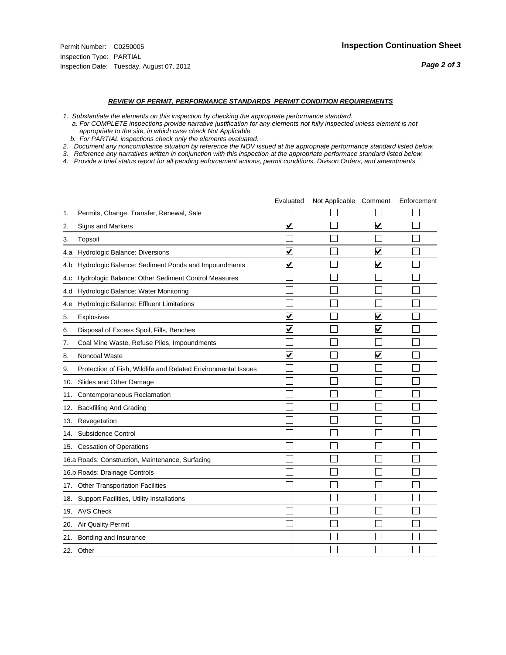- *1. Substantiate the elements on this inspection by checking the appropriate performance standard.*
- *a. For COMPLETE inspections provide narrative justification for any elements not fully inspected unless element is not appropriate to the site, in which case check Not Applicable.*
- *b. For PARTIAL inspections check only the elements evaluated.*
- *2. Document any noncompliance situation by reference the NOV issued at the appropriate performance standard listed below.*
- *3. Reference any narratives written in conjunction with this inspection at the appropriate performace standard listed below.*
- *4. Provide a brief status report for all pending enforcement actions, permit conditions, Divison Orders, and amendments.*

|     |                                                               | Evaluated               | Not Applicable Comment |                         | Enforcement |
|-----|---------------------------------------------------------------|-------------------------|------------------------|-------------------------|-------------|
| 1.  | Permits, Change, Transfer, Renewal, Sale                      |                         |                        |                         |             |
| 2.  | <b>Signs and Markers</b>                                      | $\overline{\mathbf{v}}$ |                        | $\blacktriangledown$    |             |
| 3.  | Topsoil                                                       |                         |                        |                         |             |
| 4.a | Hydrologic Balance: Diversions                                | $\blacktriangledown$    |                        | $\overline{\mathbf{v}}$ |             |
| 4.b | Hydrologic Balance: Sediment Ponds and Impoundments           | $\blacktriangledown$    |                        | ⊻                       |             |
| 4.c | Hydrologic Balance: Other Sediment Control Measures           |                         |                        |                         |             |
| 4.d | Hydrologic Balance: Water Monitoring                          |                         |                        |                         |             |
| 4.e | Hydrologic Balance: Effluent Limitations                      |                         |                        |                         |             |
| 5.  | <b>Explosives</b>                                             | $\overline{\mathbf{v}}$ |                        | ⊽                       |             |
| 6.  | Disposal of Excess Spoil, Fills, Benches                      | $\overline{\mathsf{v}}$ |                        | $\blacktriangledown$    |             |
| 7.  | Coal Mine Waste, Refuse Piles, Impoundments                   |                         |                        |                         |             |
| 8.  | Noncoal Waste                                                 | $\overline{\mathsf{v}}$ |                        | $\overline{\mathsf{v}}$ |             |
| 9.  | Protection of Fish, Wildlife and Related Environmental Issues |                         |                        |                         |             |
|     | 10. Slides and Other Damage                                   |                         |                        |                         |             |
| 11. | Contemporaneous Reclamation                                   |                         |                        |                         |             |
| 12. | <b>Backfilling And Grading</b>                                |                         |                        |                         |             |
| 13. | Revegetation                                                  |                         |                        |                         |             |
| 14. | Subsidence Control                                            |                         |                        |                         |             |
|     | 15. Cessation of Operations                                   |                         |                        |                         |             |
|     | 16.a Roads: Construction, Maintenance, Surfacing              |                         |                        |                         |             |
|     | 16.b Roads: Drainage Controls                                 |                         |                        |                         |             |
|     | 17. Other Transportation Facilities                           |                         |                        |                         |             |
| 18. | Support Facilities, Utility Installations                     |                         |                        |                         |             |
|     | 19. AVS Check                                                 |                         |                        |                         |             |
| 20. | Air Quality Permit                                            |                         |                        |                         |             |
| 21. | Bonding and Insurance                                         |                         |                        |                         |             |
|     | 22. Other                                                     |                         |                        |                         |             |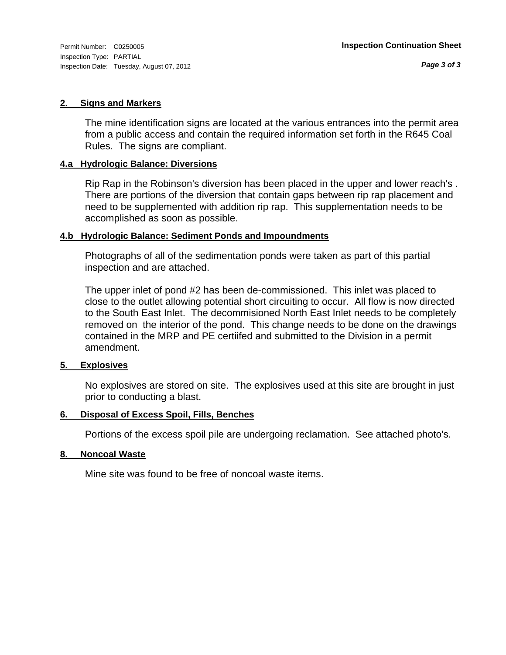Inspection Type: PARTIAL Inspection Date: Tuesday, August 07, 2012

#### **2. Signs and Markers**

The mine identification signs are located at the various entrances into the permit area from a public access and contain the required information set forth in the R645 Coal Rules. The signs are compliant.

#### **4.a Hydrologic Balance: Diversions**

Rip Rap in the Robinson's diversion has been placed in the upper and lower reach's . There are portions of the diversion that contain gaps between rip rap placement and need to be supplemented with addition rip rap. This supplementation needs to be accomplished as soon as possible.

#### **4.b Hydrologic Balance: Sediment Ponds and Impoundments**

Photographs of all of the sedimentation ponds were taken as part of this partial inspection and are attached.

The upper inlet of pond #2 has been de-commissioned. This inlet was placed to close to the outlet allowing potential short circuiting to occur. All flow is now directed to the South East Inlet. The decommisioned North East Inlet needs to be completely removed on the interior of the pond. This change needs to be done on the drawings contained in the MRP and PE certiifed and submitted to the Division in a permit amendment.

#### **5. Explosives**

No explosives are stored on site. The explosives used at this site are brought in just prior to conducting a blast.

### **6. Disposal of Excess Spoil, Fills, Benches**

Portions of the excess spoil pile are undergoing reclamation. See attached photo's.

#### **8. Noncoal Waste**

Mine site was found to be free of noncoal waste items.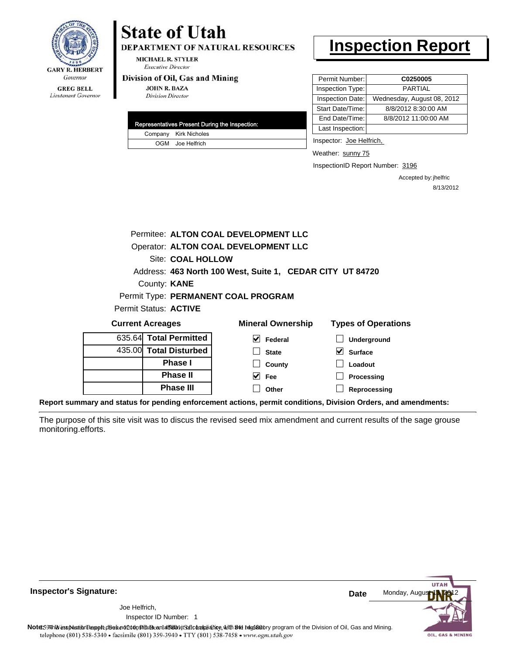

Lieutenant Governor

## **State of Utah DEPARTMENT OF NATURAL RESOURCES**

**MICHAEL R. STYLER Executive Director** 

#### Division of Oil, Gas and Mining

**JOHN R. BAZA Division Director** 

|  | Representatives Present During the Inspection: |
|--|------------------------------------------------|
|  | Company Kirk Nicholes                          |
|  | OGM Joe Helfrich                               |

# **Inspection Report**

| Permit Number:   | C0250005                   |
|------------------|----------------------------|
| Inspection Type: | <b>PARTIAL</b>             |
| Inspection Date: | Wednesday, August 08, 2012 |
| Start Date/Time: | 8/8/2012 8:30:00 AM        |
| End Date/Time:   | 8/8/2012 11:00:00 AM       |
| Last Inspection: |                            |

Inspector: Joe Helfrich,

Weather: sunny 75

InspectionID Report Number: 3196

Accepted by: jhelfric 8/13/2012

|                         | Permitee: ALTON COAL DEVELOPMENT LLC |                        |                                                           |                            |  |  |
|-------------------------|--------------------------------------|------------------------|-----------------------------------------------------------|----------------------------|--|--|
|                         |                                      |                        | Operator: ALTON COAL DEVELOPMENT LLC                      |                            |  |  |
|                         |                                      | Site: COAL HOLLOW      |                                                           |                            |  |  |
|                         |                                      |                        | Address: 463 North 100 West, Suite 1, CEDAR CITY UT 84720 |                            |  |  |
|                         |                                      | County: <b>KANE</b>    |                                                           |                            |  |  |
|                         |                                      |                        | Permit Type: PERMANENT COAL PROGRAM                       |                            |  |  |
|                         |                                      | Permit Status: ACTIVE  |                                                           |                            |  |  |
| <b>Current Acreages</b> |                                      |                        | <b>Mineral Ownership</b>                                  | <b>Types of Operations</b> |  |  |
|                         |                                      | 635.64 Total Permitted | M<br>Federal                                              | <b>Underground</b>         |  |  |
|                         |                                      | 435.00 Total Disturbed | <b>State</b>                                              | V<br><b>Surface</b>        |  |  |

435.00 **Total Disturbed Phase I Phase II Phase III**

nd **Surface Loadout Processing**

**Reprocessing**

**Report summary and status for pending enforcement actions, permit conditions, Division Orders, and amendments:**

The purpose of this site visit was to discus the revised seed mix amendment and current results of the sage grouse monitoring.efforts.

**County Fee Other**



**Inspector's Signature:**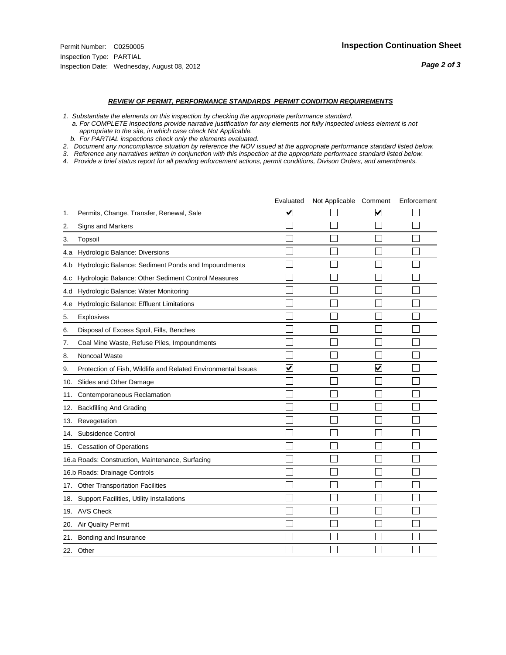- *1. Substantiate the elements on this inspection by checking the appropriate performance standard.*
- *a. For COMPLETE inspections provide narrative justification for any elements not fully inspected unless element is not appropriate to the site, in which case check Not Applicable.*
- *b. For PARTIAL inspections check only the elements evaluated.*
- *2. Document any noncompliance situation by reference the NOV issued at the appropriate performance standard listed below.*
- *3. Reference any narratives written in conjunction with this inspection at the appropriate performace standard listed below.*
- *4. Provide a brief status report for all pending enforcement actions, permit conditions, Divison Orders, and amendments.*

|     |                                                               | Evaluated               | Not Applicable Comment |   | Enforcement |
|-----|---------------------------------------------------------------|-------------------------|------------------------|---|-------------|
| 1.  | Permits, Change, Transfer, Renewal, Sale                      | $\overline{\mathsf{v}}$ |                        | V |             |
| 2.  | Signs and Markers                                             |                         |                        |   |             |
| 3.  | Topsoil                                                       |                         |                        |   |             |
| 4.a | Hydrologic Balance: Diversions                                |                         |                        |   |             |
| 4.b | Hydrologic Balance: Sediment Ponds and Impoundments           |                         |                        |   |             |
| 4.c | Hydrologic Balance: Other Sediment Control Measures           |                         |                        |   |             |
| 4.d | Hydrologic Balance: Water Monitoring                          |                         |                        |   |             |
| 4.e | Hydrologic Balance: Effluent Limitations                      |                         |                        |   |             |
| 5.  | <b>Explosives</b>                                             |                         |                        |   |             |
| 6.  | Disposal of Excess Spoil, Fills, Benches                      |                         |                        |   |             |
| 7.  | Coal Mine Waste, Refuse Piles, Impoundments                   |                         |                        |   |             |
| 8.  | Noncoal Waste                                                 |                         |                        |   |             |
| 9.  | Protection of Fish, Wildlife and Related Environmental Issues | $\blacktriangledown$    |                        | ☑ |             |
| 10. | Slides and Other Damage                                       |                         |                        |   |             |
| 11. | Contemporaneous Reclamation                                   |                         |                        |   |             |
| 12. | <b>Backfilling And Grading</b>                                |                         |                        |   |             |
| 13. | Revegetation                                                  |                         |                        |   |             |
| 14. | Subsidence Control                                            |                         |                        |   |             |
|     | 15. Cessation of Operations                                   |                         |                        |   |             |
|     | 16.a Roads: Construction, Maintenance, Surfacing              |                         |                        |   |             |
|     | 16.b Roads: Drainage Controls                                 |                         |                        |   |             |
| 17. | <b>Other Transportation Facilities</b>                        |                         |                        |   |             |
| 18. | Support Facilities, Utility Installations                     |                         |                        |   |             |
|     | 19. AVS Check                                                 |                         |                        |   |             |
| 20. | <b>Air Quality Permit</b>                                     |                         |                        |   |             |
| 21. | Bonding and Insurance                                         |                         |                        |   |             |
|     | 22. Other                                                     |                         |                        |   |             |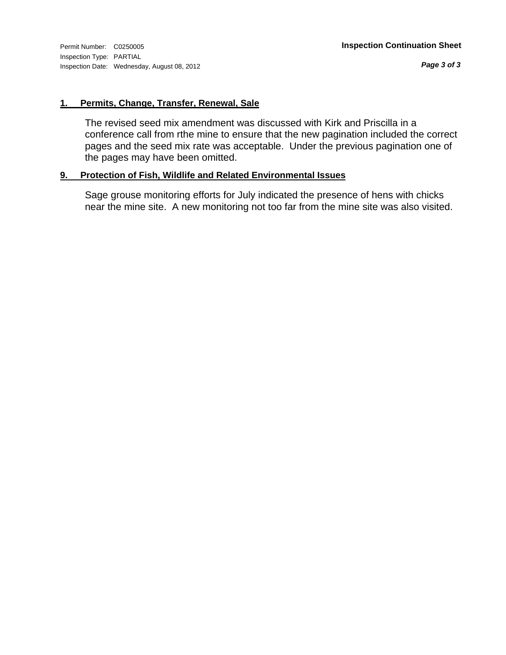### **1. Permits, Change, Transfer, Renewal, Sale**

The revised seed mix amendment was discussed with Kirk and Priscilla in a conference call from rthe mine to ensure that the new pagination included the correct pages and the seed mix rate was acceptable. Under the previous pagination one of the pages may have been omitted.

### **9. Protection of Fish, Wildlife and Related Environmental Issues**

Sage grouse monitoring efforts for July indicated the presence of hens with chicks near the mine site. A new monitoring not too far from the mine site was also visited.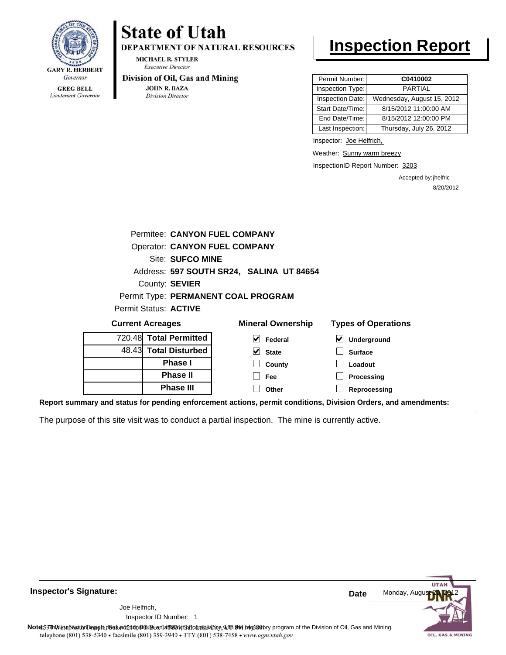

Lieutenant Governor

# **State of Utah**

**DEPARTMENT OF NATURAL RESOURCES** 

**MICHAEL R. STYLER Executive Director** 

#### Division of Oil, Gas and Mining

**JOHN R. BAZA Division Director** 

# **Inspection Report**

| Permit Number:   | C0410002                   |
|------------------|----------------------------|
| Inspection Type: | <b>PARTIAL</b>             |
| Inspection Date: | Wednesday, August 15, 2012 |
| Start Date/Time: | 8/15/2012 11:00:00 AM      |
| End Date/Time:   | 8/15/2012 12:00:00 PM      |
| Last Inspection: | Thursday, July 26, 2012    |

Inspector: Joe Helfrich,

Weather: Sunny warm breezy

**Processing**

InspectionID Report Number: 3203

Accepted by: jhelfric 8/20/2012

| <b>Permitee: CANYON FUEL COMPANY</b> |                                          |                                          |  |  |
|--------------------------------------|------------------------------------------|------------------------------------------|--|--|
| <b>Operator: CANYON FUEL COMPANY</b> |                                          |                                          |  |  |
| Site: SUFCO MINE                     |                                          |                                          |  |  |
|                                      | Address: 597 SOUTH SR24, SALINA UT 84654 |                                          |  |  |
| County: SEVIER                       |                                          |                                          |  |  |
|                                      | Permit Type: PERMANENT COAL PROGRAM      |                                          |  |  |
| Permit Status: <b>ACTIVE</b>         |                                          |                                          |  |  |
| <b>Current Acreages</b>              | <b>Mineral Ownership</b>                 | <b>Types of Operations</b>               |  |  |
| 720.48 Total Permitted               | M<br>Federal                             | $\boldsymbol{\mathsf{v}}$<br>Underground |  |  |
| 48.43 Total Disturbed                | V<br><b>State</b>                        | <b>Surface</b>                           |  |  |
| <b>Phase I</b>                       | County                                   | Loadout                                  |  |  |

**Fee**

 $\Box$ 

**Reprocessing Report summary and status for pending enforcement actions, permit conditions, Division Orders, and amendments: Other**

**Phase II Phase III**

The purpose of this site visit was to conduct a partial inspection. The mine is currently active.

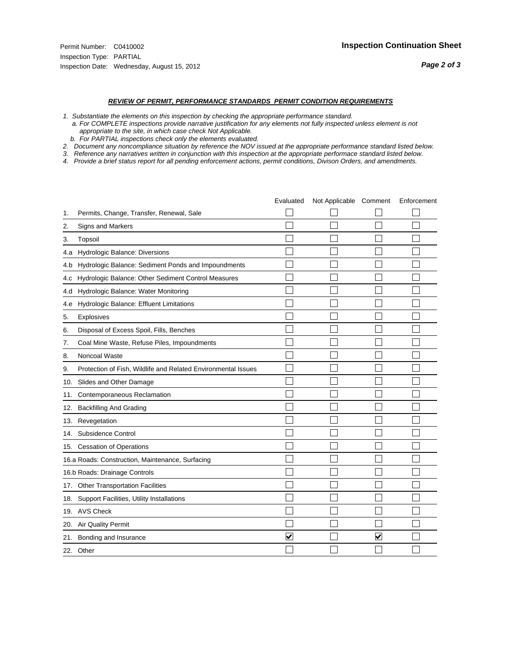- *1. Substantiate the elements on this inspection by checking the appropriate performance standard.*
- *a. For COMPLETE inspections provide narrative justification for any elements not fully inspected unless element is not appropriate to the site, in which case check Not Applicable.*
- *b. For PARTIAL inspections check only the elements evaluated.*
- *2. Document any noncompliance situation by reference the NOV issued at the appropriate performance standard listed below.*
- *3. Reference any narratives written in conjunction with this inspection at the appropriate performace standard listed below.*
- *4. Provide a brief status report for all pending enforcement actions, permit conditions, Divison Orders, and amendments.*

|     |                                                               | Evaluated               | Not Applicable Comment |                      | Enforcement |
|-----|---------------------------------------------------------------|-------------------------|------------------------|----------------------|-------------|
| 1.  | Permits, Change, Transfer, Renewal, Sale                      |                         |                        |                      |             |
| 2.  | <b>Signs and Markers</b>                                      |                         |                        |                      |             |
| 3.  | Topsoil                                                       |                         |                        |                      |             |
| 4.a | Hydrologic Balance: Diversions                                |                         |                        |                      |             |
| 4.b | Hydrologic Balance: Sediment Ponds and Impoundments           |                         |                        |                      |             |
| 4.c | Hydrologic Balance: Other Sediment Control Measures           |                         |                        |                      |             |
| 4.d | Hydrologic Balance: Water Monitoring                          |                         |                        |                      |             |
| 4.e | Hydrologic Balance: Effluent Limitations                      |                         |                        |                      |             |
| 5.  | <b>Explosives</b>                                             |                         |                        |                      |             |
| 6.  | Disposal of Excess Spoil, Fills, Benches                      |                         |                        |                      |             |
| 7.  | Coal Mine Waste, Refuse Piles, Impoundments                   |                         |                        |                      |             |
| 8.  | Noncoal Waste                                                 |                         |                        |                      |             |
| 9.  | Protection of Fish, Wildlife and Related Environmental Issues |                         |                        |                      |             |
|     | 10. Slides and Other Damage                                   |                         |                        |                      |             |
| 11. | Contemporaneous Reclamation                                   |                         |                        |                      |             |
| 12. | <b>Backfilling And Grading</b>                                |                         |                        |                      |             |
| 13. | Revegetation                                                  |                         |                        |                      |             |
| 14. | Subsidence Control                                            |                         |                        |                      |             |
|     | 15. Cessation of Operations                                   |                         |                        |                      |             |
|     | 16.a Roads: Construction, Maintenance, Surfacing              |                         |                        |                      |             |
|     | 16.b Roads: Drainage Controls                                 |                         |                        |                      |             |
|     | 17. Other Transportation Facilities                           |                         |                        |                      |             |
| 18. | Support Facilities, Utility Installations                     |                         |                        |                      |             |
|     | 19. AVS Check                                                 |                         |                        |                      |             |
| 20. | Air Quality Permit                                            |                         |                        |                      |             |
| 21. | Bonding and Insurance                                         | $\overline{\mathbf{v}}$ |                        | $\blacktriangledown$ |             |
|     | 22. Other                                                     |                         |                        |                      |             |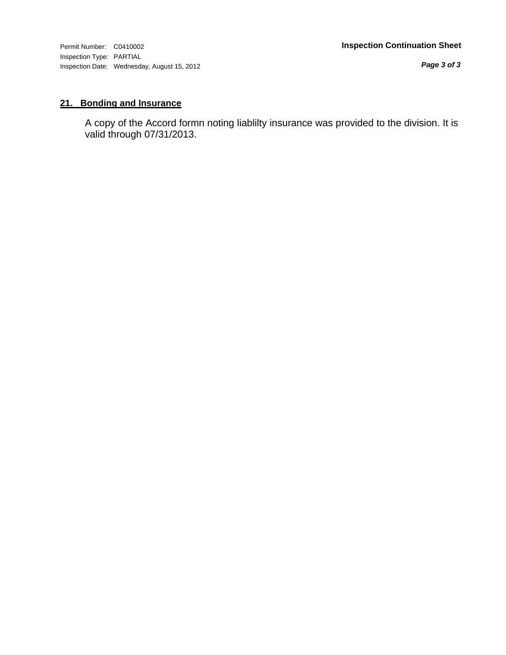Inspection Type: PARTIAL Inspection Date: Wednesday, August 15, 2012

*Page 3 of 3*

## **21. Bonding and Insurance**

A copy of the Accord formn noting liablilty insurance was provided to the division. It is valid through 07/31/2013.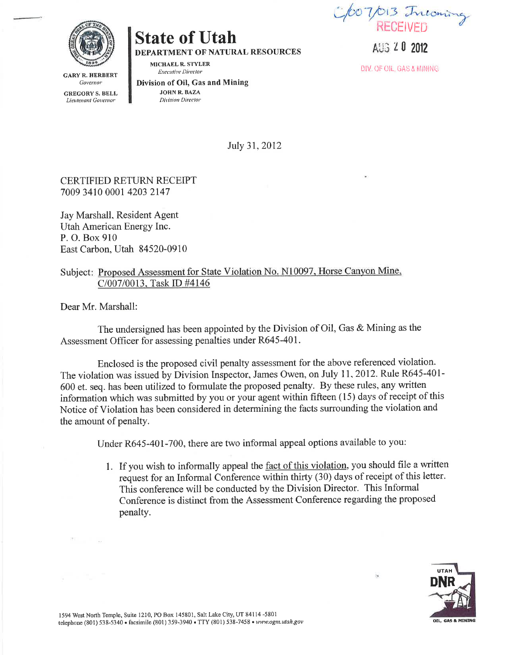for 7/013 Incoming

**State of Utah** 

DEPARTMENT OF NATURAL RESOURCES

MICHAEL R. STYLER **Executive Director** 

**GARY R. HERBERT** Governor **GREGORY S. BELL** Lieutenant Governor

Division of Oil, Gas and Mining **JOHN R. BAZA** Division Director

ANG 20 2012

DIV. OF OIL, GAS & MINING.

July 31, 2012

### **CERTIFIED RETURN RECEIPT** 7009 3410 0001 4203 2147

Jay Marshall, Resident Agent Utah American Energy Inc. P. O. Box 910 East Carbon, Utah 84520-0910

### Subject: Proposed Assessment for State Violation No. N10097, Horse Canyon Mine, C/007/0013, Task ID #4146

Dear Mr. Marshall:

The undersigned has been appointed by the Division of Oil, Gas & Mining as the Assessment Officer for assessing penalties under R645-401.

Enclosed is the proposed civil penalty assessment for the above referenced violation. The violation was issued by Division Inspector, James Owen, on July 11, 2012. Rule R645-401-600 et. seq. has been utilized to formulate the proposed penalty. By these rules, any written information which was submitted by you or your agent within fifteen (15) days of receipt of this Notice of Violation has been considered in determining the facts surrounding the violation and the amount of penalty.

Under R645-401-700, there are two informal appeal options available to you:

1. If you wish to informally appeal the fact of this violation, you should file a written request for an Informal Conference within thirty (30) days of receipt of this letter. This conference will be conducted by the Division Director. This Informal Conference is distinct from the Assessment Conference regarding the proposed penalty.

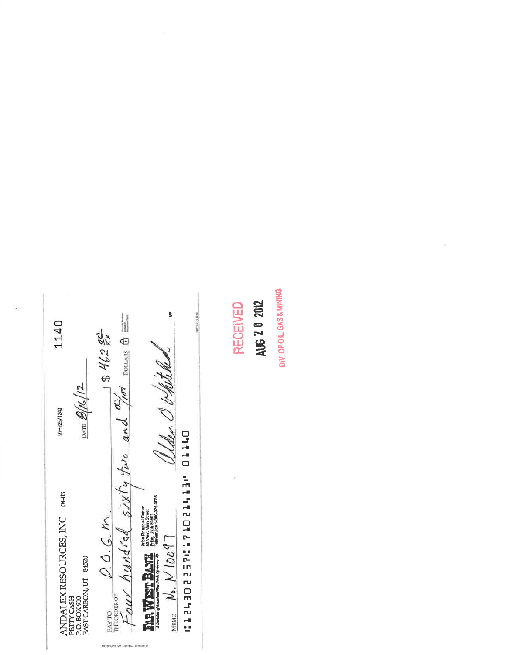$rac{20.06 \text{ m}}{1500}$  D.O.G.M.<br>Equit hundied  $52K$  five and  $\frac{dy}{dx}$  points a  $\equiv$  $\blacktriangleright$ **PERMANENT** 1140  $-3462$ alder O vhitched  $\frac{\partial}{\partial \theta}$  (12 97-225/1243 Chito methisositanise centi  $\begin{array}{ll} & \text{ANDALEX RESOUTCCES, INC.} \\ & \text{PETTCCSSH} \\ & \text{P.O. BOX 910} \\ & \text{BAST CARSBON, UT} \\ & \text{BAST CARSBON, UT} \end{array}$  $M_{\text{BMO}}$   $N_{\bullet}$ .  $N$   $100$   $97$ PAY TO<br>THE ORDER OF

BEVORING AN ARTHUM, BIFFIDO @

**RECEIVED** 

DIV. OF OIL, GAS & MINING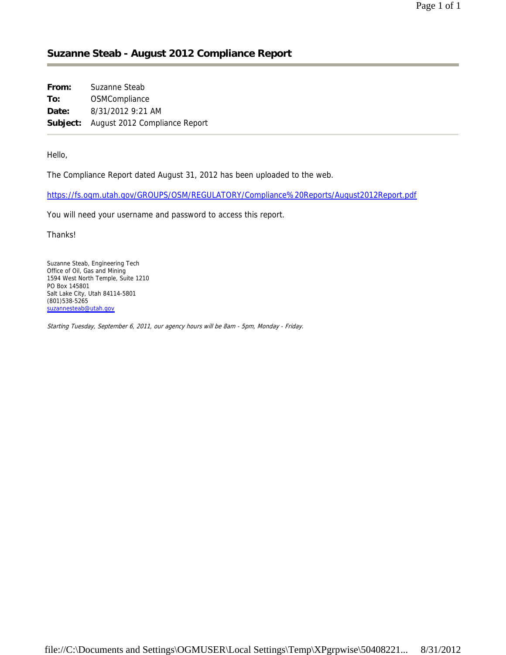## **Suzanne Steab - August 2012 Compliance Report**

| From: | Suzanne Steab                          |
|-------|----------------------------------------|
| To:   | OSMCompliance                          |
| Date: | 8/31/2012 9:21 AM                      |
|       | Subject: August 2012 Compliance Report |

Hello,

The Compliance Report dated August 31, 2012 has been uploaded to the web.

https://fs.ogm.utah.gov/GROUPS/OSM/REGULATORY/Compliance%20Reports/August2012Report.pdf

You will need your username and password to access this report.

Thanks!

Suzanne Steab, Engineering Tech Office of Oil, Gas and Mining 1594 West North Temple, Suite 1210 PO Box 145801 Salt Lake City, Utah 84114-5801 (801)538-5265 suzannesteab@utah.gov

Starting Tuesday, September 6, 2011, our agency hours will be 8am - 5pm, Monday - Friday.